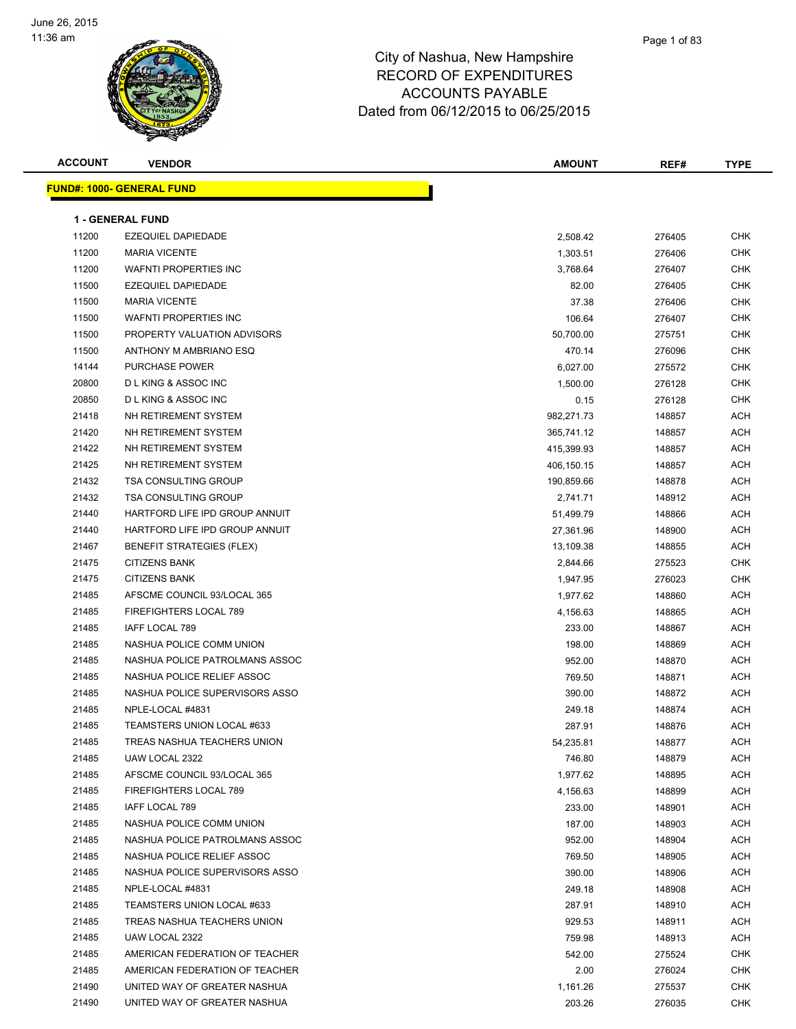

| <b>ACCOUNT</b> | <b>VENDOR</b>                     | <b>AMOUNT</b> | REF#   | <b>TYPE</b> |
|----------------|-----------------------------------|---------------|--------|-------------|
|                | <u> FUND#: 1000- GENERAL FUND</u> |               |        |             |
|                |                                   |               |        |             |
|                | <b>1 - GENERAL FUND</b>           |               |        |             |
| 11200          | <b>EZEQUIEL DAPIEDADE</b>         | 2,508.42      | 276405 | CHK         |
| 11200          | <b>MARIA VICENTE</b>              | 1,303.51      | 276406 | <b>CHK</b>  |
| 11200          | <b>WAFNTI PROPERTIES INC</b>      | 3,768.64      | 276407 | CHK         |
| 11500          | EZEQUIEL DAPIEDADE                | 82.00         | 276405 | <b>CHK</b>  |
| 11500          | <b>MARIA VICENTE</b>              | 37.38         | 276406 | CHK         |
| 11500          | <b>WAFNTI PROPERTIES INC</b>      | 106.64        | 276407 | CHK         |
| 11500          | PROPERTY VALUATION ADVISORS       | 50,700.00     | 275751 | CHK         |
| 11500          | ANTHONY M AMBRIANO ESQ            | 470.14        | 276096 | CHK         |
| 14144          | PURCHASE POWER                    | 6,027.00      | 275572 | <b>CHK</b>  |
| 20800          | <b>DLKING &amp; ASSOC INC</b>     | 1,500.00      | 276128 | CHK         |
| 20850          | <b>DLKING &amp; ASSOC INC</b>     | 0.15          | 276128 | CHK         |
| 21418          | NH RETIREMENT SYSTEM              | 982,271.73    | 148857 | ACH         |
| 21420          | NH RETIREMENT SYSTEM              | 365,741.12    | 148857 | ACH         |
| 21422          | NH RETIREMENT SYSTEM              | 415,399.93    | 148857 | ACH         |
| 21425          | NH RETIREMENT SYSTEM              | 406,150.15    | 148857 | ACH         |
| 21432          | <b>TSA CONSULTING GROUP</b>       | 190,859.66    | 148878 | ACH         |
| 21432          | <b>TSA CONSULTING GROUP</b>       | 2,741.71      | 148912 | ACH         |
| 21440          | HARTFORD LIFE IPD GROUP ANNUIT    | 51,499.79     | 148866 | ACH         |
| 21440          | HARTFORD LIFE IPD GROUP ANNUIT    | 27,361.96     | 148900 | ACH         |
| 21467          | <b>BENEFIT STRATEGIES (FLEX)</b>  | 13,109.38     | 148855 | ACH         |
| 21475          | <b>CITIZENS BANK</b>              | 2,844.66      | 275523 | CHK         |
| 21475          | <b>CITIZENS BANK</b>              | 1,947.95      | 276023 | <b>CHK</b>  |
| 21485          | AFSCME COUNCIL 93/LOCAL 365       | 1,977.62      | 148860 | ACH         |
| 21485          | FIREFIGHTERS LOCAL 789            | 4,156.63      | 148865 | ACH         |
| 21485          | IAFF LOCAL 789                    | 233.00        | 148867 | ACH         |
| 21485          | NASHUA POLICE COMM UNION          | 198.00        | 148869 | ACH         |
| 21485          | NASHUA POLICE PATROLMANS ASSOC    | 952.00        | 148870 | ACH         |
| 21485          | NASHUA POLICE RELIEF ASSOC        | 769.50        | 148871 | ACH         |
| 21485          | NASHUA POLICE SUPERVISORS ASSO    | 390.00        | 148872 | ACH         |
| 21485          | NPLE-LOCAL #4831                  | 249.18        | 148874 | ACH         |
| 21485          | TEAMSTERS UNION LOCAL #633        | 287.91        | 148876 | ACH         |
| 21485          | TREAS NASHUA TEACHERS UNION       | 54,235.81     | 148877 | ACH         |
| 21485          | UAW LOCAL 2322                    | 746.80        | 148879 | ACH         |
| 21485          | AFSCME COUNCIL 93/LOCAL 365       | 1,977.62      | 148895 | ACH         |
| 21485          | FIREFIGHTERS LOCAL 789            | 4,156.63      | 148899 | ACH         |
| 21485          | IAFF LOCAL 789                    | 233.00        | 148901 | ACH         |
| 21485          | NASHUA POLICE COMM UNION          | 187.00        | 148903 | ACH         |
| 21485          | NASHUA POLICE PATROLMANS ASSOC    | 952.00        | 148904 | ACH         |
| 21485          | NASHUA POLICE RELIEF ASSOC        | 769.50        | 148905 | ACH         |
| 21485          | NASHUA POLICE SUPERVISORS ASSO    | 390.00        | 148906 | ACH         |
| 21485          | NPLE-LOCAL #4831                  | 249.18        | 148908 | ACH         |
| 21485          | TEAMSTERS UNION LOCAL #633        | 287.91        | 148910 | ACH         |
| 21485          | TREAS NASHUA TEACHERS UNION       | 929.53        | 148911 | ACH         |
| 21485          | UAW LOCAL 2322                    | 759.98        | 148913 | ACH         |
| 21485          | AMERICAN FEDERATION OF TEACHER    | 542.00        | 275524 | CHK         |
| 21485          | AMERICAN FEDERATION OF TEACHER    | 2.00          | 276024 | CHK         |
| 21490          | UNITED WAY OF GREATER NASHUA      | 1,161.26      | 275537 | CHK         |
| 21490          | UNITED WAY OF GREATER NASHUA      | 203.26        | 276035 | CHK         |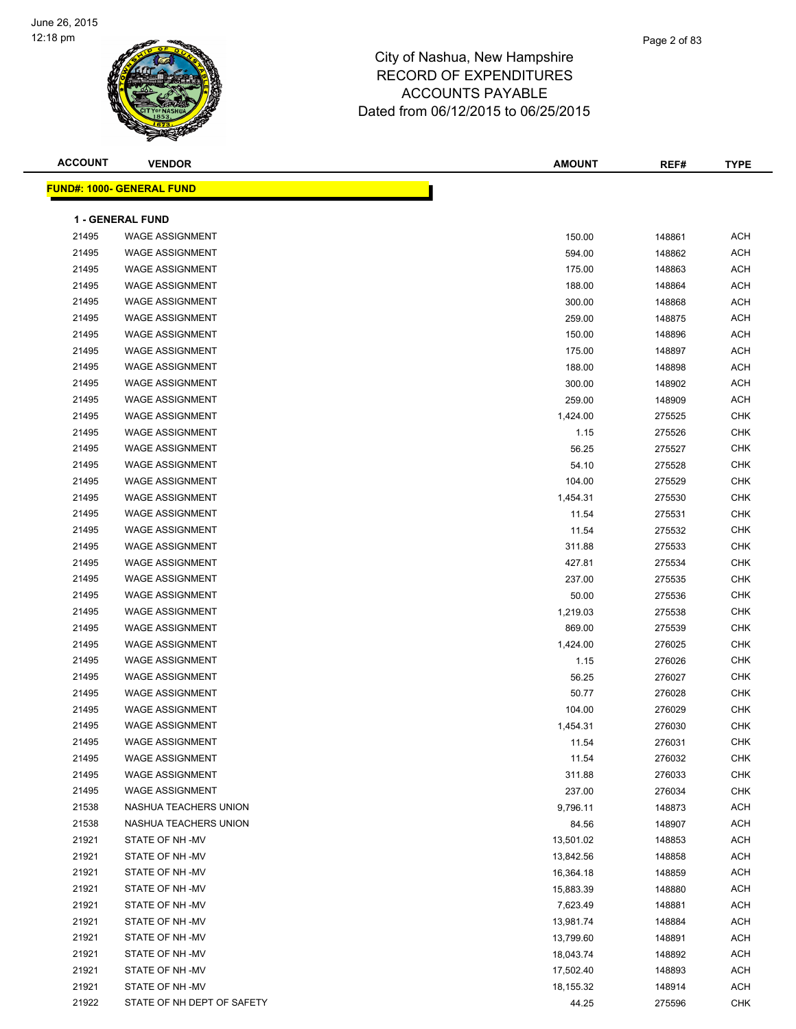

| <b>ACCOUNT</b> | <b>VENDOR</b>                    | <b>AMOUNT</b> | REF#   | <b>TYPE</b> |
|----------------|----------------------------------|---------------|--------|-------------|
|                | <b>FUND#: 1000- GENERAL FUND</b> |               |        |             |
|                |                                  |               |        |             |
|                | <b>1 - GENERAL FUND</b>          |               |        |             |
| 21495          | <b>WAGE ASSIGNMENT</b>           | 150.00        | 148861 | <b>ACH</b>  |
| 21495          | <b>WAGE ASSIGNMENT</b>           | 594.00        | 148862 | <b>ACH</b>  |
| 21495          | <b>WAGE ASSIGNMENT</b>           | 175.00        | 148863 | <b>ACH</b>  |
| 21495          | <b>WAGE ASSIGNMENT</b>           | 188.00        | 148864 | <b>ACH</b>  |
| 21495          | <b>WAGE ASSIGNMENT</b>           | 300.00        | 148868 | <b>ACH</b>  |
| 21495          | <b>WAGE ASSIGNMENT</b>           | 259.00        | 148875 | <b>ACH</b>  |
| 21495          | <b>WAGE ASSIGNMENT</b>           | 150.00        | 148896 | <b>ACH</b>  |
| 21495          | <b>WAGE ASSIGNMENT</b>           | 175.00        | 148897 | <b>ACH</b>  |
| 21495          | <b>WAGE ASSIGNMENT</b>           | 188.00        | 148898 | <b>ACH</b>  |
| 21495          | <b>WAGE ASSIGNMENT</b>           | 300.00        | 148902 | <b>ACH</b>  |
| 21495          | <b>WAGE ASSIGNMENT</b>           | 259.00        | 148909 | <b>ACH</b>  |
| 21495          | <b>WAGE ASSIGNMENT</b>           | 1,424.00      | 275525 | <b>CHK</b>  |
| 21495          | <b>WAGE ASSIGNMENT</b>           | 1.15          | 275526 | <b>CHK</b>  |
| 21495          | <b>WAGE ASSIGNMENT</b>           | 56.25         | 275527 | <b>CHK</b>  |
| 21495          | <b>WAGE ASSIGNMENT</b>           | 54.10         | 275528 | <b>CHK</b>  |
| 21495          | <b>WAGE ASSIGNMENT</b>           | 104.00        | 275529 | <b>CHK</b>  |
| 21495          | <b>WAGE ASSIGNMENT</b>           | 1,454.31      | 275530 | <b>CHK</b>  |
| 21495          | <b>WAGE ASSIGNMENT</b>           | 11.54         | 275531 | <b>CHK</b>  |
| 21495          | <b>WAGE ASSIGNMENT</b>           | 11.54         | 275532 | <b>CHK</b>  |
| 21495          | <b>WAGE ASSIGNMENT</b>           | 311.88        | 275533 | <b>CHK</b>  |
| 21495          | <b>WAGE ASSIGNMENT</b>           | 427.81        | 275534 | <b>CHK</b>  |
| 21495          | <b>WAGE ASSIGNMENT</b>           | 237.00        | 275535 | <b>CHK</b>  |
| 21495          | <b>WAGE ASSIGNMENT</b>           | 50.00         | 275536 | <b>CHK</b>  |
| 21495          | <b>WAGE ASSIGNMENT</b>           | 1,219.03      | 275538 | <b>CHK</b>  |
| 21495          | <b>WAGE ASSIGNMENT</b>           | 869.00        | 275539 | <b>CHK</b>  |
| 21495          | <b>WAGE ASSIGNMENT</b>           | 1,424.00      | 276025 | <b>CHK</b>  |
| 21495          | <b>WAGE ASSIGNMENT</b>           | 1.15          | 276026 | <b>CHK</b>  |
| 21495          | <b>WAGE ASSIGNMENT</b>           | 56.25         | 276027 | <b>CHK</b>  |
| 21495          | <b>WAGE ASSIGNMENT</b>           | 50.77         | 276028 | <b>CHK</b>  |
| 21495          | <b>WAGE ASSIGNMENT</b>           | 104.00        | 276029 | CHK         |
| 21495          | <b>WAGE ASSIGNMENT</b>           | 1,454.31      | 276030 | <b>CHK</b>  |
| 21495          | WAGE ASSIGNMENT                  | 11.54         | 276031 | <b>CHK</b>  |
| 21495          | <b>WAGE ASSIGNMENT</b>           | 11.54         | 276032 | CHK         |
| 21495          | <b>WAGE ASSIGNMENT</b>           | 311.88        | 276033 | <b>CHK</b>  |
| 21495          | <b>WAGE ASSIGNMENT</b>           | 237.00        | 276034 | <b>CHK</b>  |
| 21538          | NASHUA TEACHERS UNION            | 9,796.11      | 148873 | ACH         |
| 21538          | NASHUA TEACHERS UNION            | 84.56         | 148907 | <b>ACH</b>  |
| 21921          | STATE OF NH-MV                   | 13,501.02     | 148853 | ACH         |
| 21921          | STATE OF NH -MV                  | 13,842.56     | 148858 | ACH         |
| 21921          | STATE OF NH-MV                   | 16,364.18     | 148859 | ACH         |
| 21921          | STATE OF NH -MV                  | 15,883.39     | 148880 | ACH         |
| 21921          | STATE OF NH-MV                   | 7,623.49      | 148881 | ACH         |
| 21921          | STATE OF NH-MV                   | 13,981.74     | 148884 | <b>ACH</b>  |
| 21921          | STATE OF NH-MV                   | 13,799.60     | 148891 | ACH         |
| 21921          | STATE OF NH-MV                   | 18,043.74     | 148892 | ACH         |
| 21921          | STATE OF NH-MV                   | 17,502.40     | 148893 | ACH         |
| 21921          | STATE OF NH-MV                   | 18,155.32     | 148914 | ACH         |
| 21922          | STATE OF NH DEPT OF SAFETY       | 44.25         | 275596 | <b>CHK</b>  |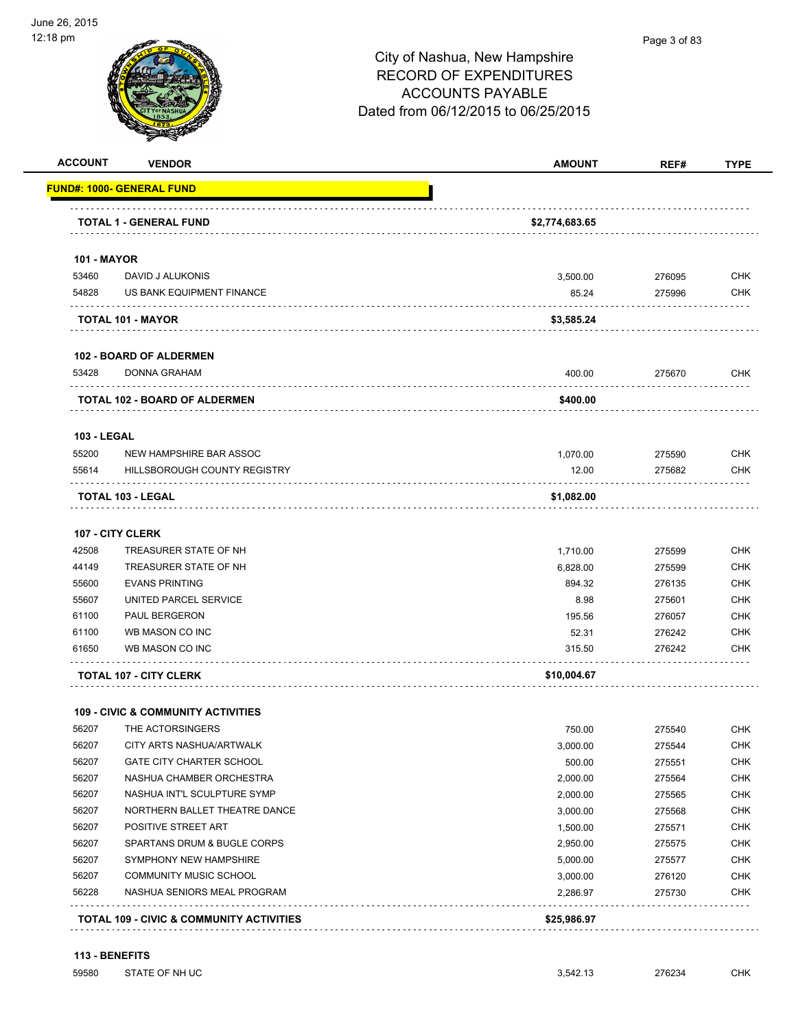

#### Page 3 of 83

# City of Nashua, New Hampshire RECORD OF EXPENDITURES ACCOUNTS PAYABLE Dated from 06/12/2015 to 06/25/2015

| <b>ACCOUNT</b>     | <b>VENDOR</b>                                       | <b>AMOUNT</b>  | REF#   | <b>TYPE</b> |
|--------------------|-----------------------------------------------------|----------------|--------|-------------|
|                    | <u> UND#: 1000- GENERAL FUND</u>                    |                |        |             |
|                    | TOTAL 1 - GENERAL FUND                              | \$2,774,683.65 |        |             |
|                    |                                                     |                |        |             |
| <b>101 - MAYOR</b> |                                                     |                |        |             |
| 53460              | DAVID J ALUKONIS                                    | 3,500.00       | 276095 | <b>CHK</b>  |
| 54828              | US BANK EQUIPMENT FINANCE                           | 85.24          | 275996 | <b>CHK</b>  |
|                    | <b>TOTAL 101 - MAYOR</b>                            | \$3,585.24     |        |             |
|                    | <b>102 - BOARD OF ALDERMEN</b>                      |                |        |             |
| 53428              | <b>DONNA GRAHAM</b>                                 | 400.00         | 275670 | <b>CHK</b>  |
|                    | TOTAL 102 - BOARD OF ALDERMEN                       | \$400.00       |        |             |
| <b>103 - LEGAL</b> |                                                     |                |        |             |
| 55200              | NEW HAMPSHIRE BAR ASSOC                             | 1,070.00       | 275590 | <b>CHK</b>  |
| 55614              | HILLSBOROUGH COUNTY REGISTRY                        | 12.00          | 275682 | <b>CHK</b>  |
|                    | TOTAL 103 - LEGAL                                   | \$1,082.00     |        |             |
|                    | 107 - CITY CLERK                                    |                |        |             |
| 42508              | TREASURER STATE OF NH                               | 1,710.00       | 275599 | <b>CHK</b>  |
| 44149              | TREASURER STATE OF NH                               | 6,828.00       | 275599 | <b>CHK</b>  |
| 55600              | <b>EVANS PRINTING</b>                               | 894.32         | 276135 | <b>CHK</b>  |
| 55607              | UNITED PARCEL SERVICE                               | 8.98           | 275601 | <b>CHK</b>  |
| 61100              | PAUL BERGERON                                       | 195.56         | 276057 | <b>CHK</b>  |
| 61100              | WB MASON CO INC                                     | 52.31          | 276242 | <b>CHK</b>  |
| 61650              | WB MASON CO INC                                     | 315.50         | 276242 | <b>CHK</b>  |
|                    | <b>TOTAL 107 - CITY CLERK</b>                       | \$10,004.67    |        |             |
|                    | <b>109 - CIVIC &amp; COMMUNITY ACTIVITIES</b>       |                |        |             |
| 56207              | THE ACTORSINGERS                                    | 750.00         | 275540 | <b>CHK</b>  |
| 56207              | CITY ARTS NASHUA/ARTWALK                            | 3,000.00       | 275544 | <b>CHK</b>  |
| 56207              | <b>GATE CITY CHARTER SCHOOL</b>                     | 500.00         | 275551 | <b>CHK</b>  |
| 56207              | NASHUA CHAMBER ORCHESTRA                            | 2,000.00       | 275564 | <b>CHK</b>  |
| 56207              | NASHUA INT'L SCULPTURE SYMP                         | 2,000.00       | 275565 | <b>CHK</b>  |
| 56207              | NORTHERN BALLET THEATRE DANCE                       | 3,000.00       | 275568 | <b>CHK</b>  |
| 56207              | POSITIVE STREET ART                                 | 1,500.00       | 275571 | <b>CHK</b>  |
| 56207              | SPARTANS DRUM & BUGLE CORPS                         | 2,950.00       | 275575 | <b>CHK</b>  |
| 56207              | SYMPHONY NEW HAMPSHIRE                              | 5,000.00       | 275577 | <b>CHK</b>  |
| 56207              | <b>COMMUNITY MUSIC SCHOOL</b>                       | 3,000.00       | 276120 | <b>CHK</b>  |
| 56228              | NASHUA SENIORS MEAL PROGRAM                         | 2,286.97       | 275730 | <b>CHK</b>  |
|                    | <b>TOTAL 109 - CIVIC &amp; COMMUNITY ACTIVITIES</b> | \$25,986.97    |        |             |
|                    |                                                     |                |        |             |

#### **113 - BENEFITS**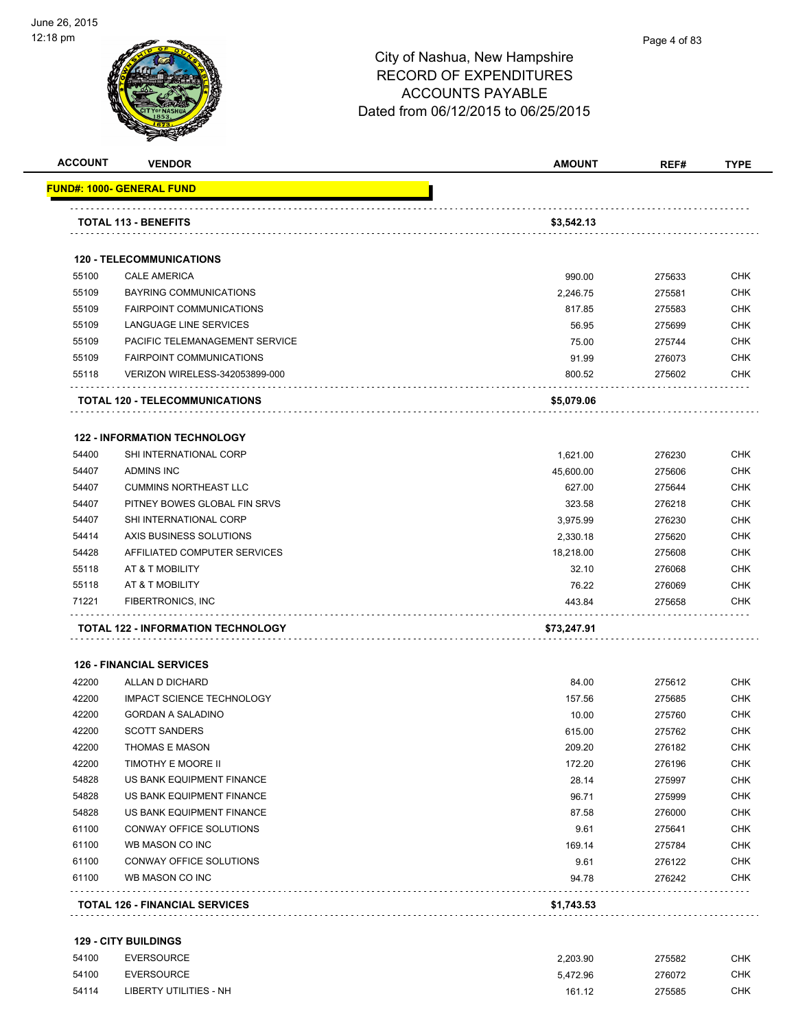

| <b>ACCOUNT</b> | <b>VENDOR</b>                         | <b>AMOUNT</b> | REF#   | <b>TYPE</b> |
|----------------|---------------------------------------|---------------|--------|-------------|
|                | FUND#: 1000- GENERAL FUND             |               |        |             |
|                | <b>TOTAL 113 - BENEFITS</b>           | \$3,542.13    |        |             |
|                |                                       |               |        |             |
|                | <b>120 - TELECOMMUNICATIONS</b>       |               |        |             |
| 55100          | <b>CALE AMERICA</b>                   | 990.00        | 275633 | <b>CHK</b>  |
| 55109          | <b>BAYRING COMMUNICATIONS</b>         | 2,246.75      | 275581 | <b>CHK</b>  |
| 55109          | <b>FAIRPOINT COMMUNICATIONS</b>       | 817.85        | 275583 | <b>CHK</b>  |
| 55109          | LANGUAGE LINE SERVICES                | 56.95         | 275699 | <b>CHK</b>  |
| 55109          | PACIFIC TELEMANAGEMENT SERVICE        | 75.00         | 275744 | <b>CHK</b>  |
| 55109          | <b>FAIRPOINT COMMUNICATIONS</b>       | 91.99         | 276073 | <b>CHK</b>  |
| 55118          | VERIZON WIRELESS-342053899-000        | 800.52        | 275602 | CHK         |
|                | TOTAL 120 - TELECOMMUNICATIONS        | \$5,079.06    |        |             |
|                | <b>122 - INFORMATION TECHNOLOGY</b>   |               |        |             |
| 54400          | SHI INTERNATIONAL CORP                | 1,621.00      | 276230 | <b>CHK</b>  |
| 54407          | <b>ADMINS INC</b>                     | 45,600.00     | 275606 | <b>CHK</b>  |
| 54407          | <b>CUMMINS NORTHEAST LLC</b>          | 627.00        | 275644 | <b>CHK</b>  |
| 54407          | PITNEY BOWES GLOBAL FIN SRVS          | 323.58        | 276218 | <b>CHK</b>  |
| 54407          | SHI INTERNATIONAL CORP                | 3,975.99      | 276230 | <b>CHK</b>  |
| 54414          | AXIS BUSINESS SOLUTIONS               | 2,330.18      | 275620 | <b>CHK</b>  |
| 54428          | AFFILIATED COMPUTER SERVICES          | 18,218.00     | 275608 | <b>CHK</b>  |
| 55118          | AT & T MOBILITY                       | 32.10         | 276068 | <b>CHK</b>  |
| 55118          | AT & T MOBILITY                       | 76.22         | 276069 | <b>CHK</b>  |
| 71221          | FIBERTRONICS, INC                     | 443.84        | 275658 | <b>CHK</b>  |
|                | TOTAL 122 - INFORMATION TECHNOLOGY    | \$73,247.91   |        |             |
|                | <b>126 - FINANCIAL SERVICES</b>       |               |        |             |
| 42200          | ALLAN D DICHARD                       | 84.00         | 275612 | <b>CHK</b>  |
| 42200          | <b>IMPACT SCIENCE TECHNOLOGY</b>      | 157.56        | 275685 | <b>CHK</b>  |
| 42200          | <b>GORDAN A SALADINO</b>              | 10.00         | 275760 | <b>CHK</b>  |
| 42200          | <b>SCOTT SANDERS</b>                  | 615.00        | 275762 | CHK         |
| 42200          | <b>THOMAS E MASON</b>                 | 209.20        | 276182 | CHK         |
| 42200          | TIMOTHY E MOORE II                    | 172.20        | 276196 | CHK         |
| 54828          | US BANK EQUIPMENT FINANCE             | 28.14         | 275997 | <b>CHK</b>  |
| 54828          | US BANK EQUIPMENT FINANCE             | 96.71         | 275999 | <b>CHK</b>  |
| 54828          | US BANK EQUIPMENT FINANCE             | 87.58         | 276000 | <b>CHK</b>  |
| 61100          | CONWAY OFFICE SOLUTIONS               | 9.61          | 275641 | <b>CHK</b>  |
| 61100          | WB MASON CO INC                       | 169.14        | 275784 | <b>CHK</b>  |
| 61100          | CONWAY OFFICE SOLUTIONS               | 9.61          | 276122 | <b>CHK</b>  |
| 61100          | WB MASON CO INC                       | 94.78         | 276242 | <b>CHK</b>  |
|                | <b>TOTAL 126 - FINANCIAL SERVICES</b> | \$1,743.53    |        |             |

| 54100 | <b>EVERSOURCE</b>      | 2.203.90 | 275582 | <b>CHK</b> |
|-------|------------------------|----------|--------|------------|
| 54100 | EVERSOURCE             | 5.472.96 | 276072 | <b>CHK</b> |
| 54114 | LIBERTY UTILITIES - NH | 161.12   | 275585 | <b>CHK</b> |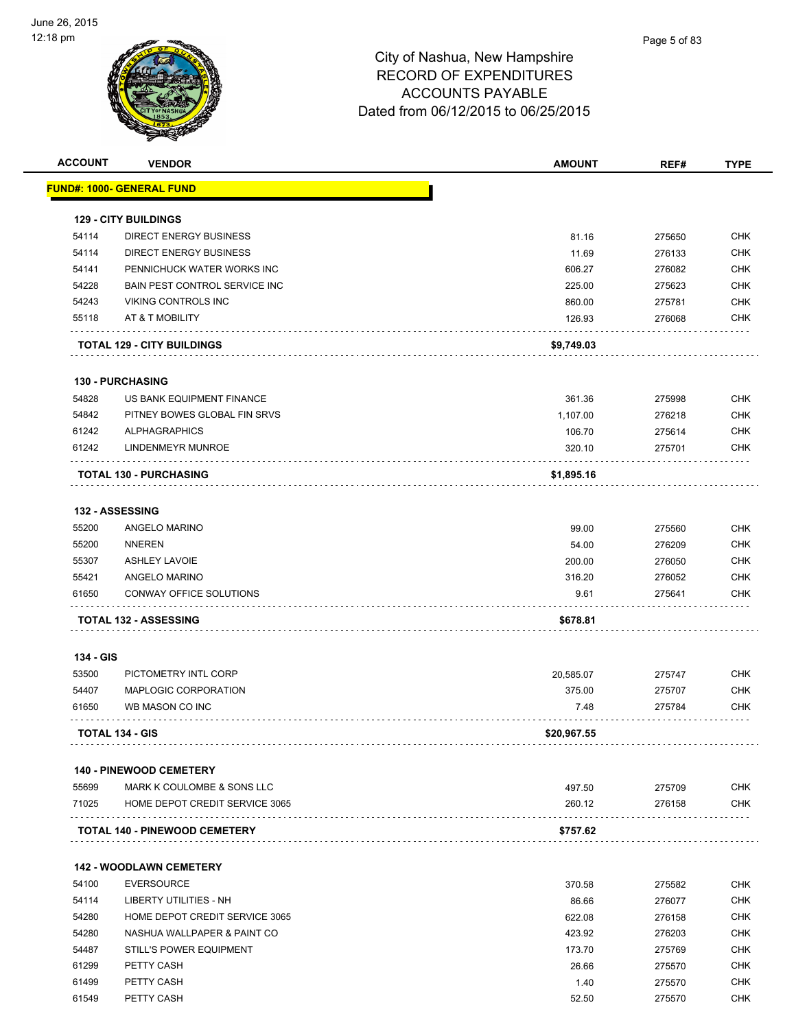

| <b>ACCOUNT</b> | <b>VENDOR</b>                           | <b>AMOUNT</b>  | REF#             | <b>TYPE</b> |
|----------------|-----------------------------------------|----------------|------------------|-------------|
|                | <u> FUND#: 1000- GENERAL FUND</u>       |                |                  |             |
|                | <b>129 - CITY BUILDINGS</b>             |                |                  |             |
| 54114          | DIRECT ENERGY BUSINESS                  | 81.16          | 275650           | <b>CHK</b>  |
| 54114          | <b>DIRECT ENERGY BUSINESS</b>           | 11.69          | 276133           | <b>CHK</b>  |
| 54141          | PENNICHUCK WATER WORKS INC              | 606.27         | 276082           | <b>CHK</b>  |
| 54228          | BAIN PEST CONTROL SERVICE INC           | 225.00         | 275623           | <b>CHK</b>  |
| 54243          | <b>VIKING CONTROLS INC</b>              | 860.00         | 275781           | <b>CHK</b>  |
| 55118          | AT & T MOBILITY                         | 126.93         | 276068           | <b>CHK</b>  |
|                | <b>TOTAL 129 - CITY BUILDINGS</b>       | \$9,749.03     |                  |             |
|                | <b>130 - PURCHASING</b>                 |                |                  |             |
| 54828          | US BANK EQUIPMENT FINANCE               | 361.36         | 275998           | <b>CHK</b>  |
| 54842          | PITNEY BOWES GLOBAL FIN SRVS            | 1,107.00       | 276218           | <b>CHK</b>  |
| 61242          | <b>ALPHAGRAPHICS</b>                    | 106.70         | 275614           | <b>CHK</b>  |
| 61242          | LINDENMEYR MUNROE                       | 320.10         | 275701           | <b>CHK</b>  |
|                | <b>TOTAL 130 - PURCHASING</b>           | \$1,895.16     |                  |             |
|                | 132 - ASSESSING                         |                |                  |             |
| 55200          | ANGELO MARINO                           | 99.00          | 275560           | <b>CHK</b>  |
| 55200          | <b>NNEREN</b>                           | 54.00          | 276209           | <b>CHK</b>  |
| 55307          | <b>ASHLEY LAVOIE</b>                    | 200.00         | 276050           | <b>CHK</b>  |
| 55421          | ANGELO MARINO                           | 316.20         | 276052           | <b>CHK</b>  |
| 61650          | CONWAY OFFICE SOLUTIONS                 | 9.61           | 275641           | <b>CHK</b>  |
|                | <b>TOTAL 132 - ASSESSING</b>            | \$678.81       |                  |             |
| 134 - GIS      |                                         |                |                  |             |
| 53500          | PICTOMETRY INTL CORP                    |                | 275747           | <b>CHK</b>  |
| 54407          |                                         | 20,585.07      |                  | <b>CHK</b>  |
| 61650          | MAPLOGIC CORPORATION<br>WB MASON CO INC | 375.00<br>7.48 | 275707<br>275784 | <b>CHK</b>  |
|                | <b>TOTAL 134 - GIS</b>                  | \$20,967.55    |                  |             |
|                |                                         |                |                  |             |
|                | <b>140 - PINEWOOD CEMETERY</b>          |                |                  |             |
| 55699          | MARK K COULOMBE & SONS LLC              | 497.50         | 275709           | <b>CHK</b>  |
| 71025          | HOME DEPOT CREDIT SERVICE 3065          | 260.12         | 276158<br>.      | <b>CHK</b>  |
|                | <b>TOTAL 140 - PINEWOOD CEMETERY</b>    | \$757.62       |                  |             |
|                | <b>142 - WOODLAWN CEMETERY</b>          |                |                  |             |
| 54100          | <b>EVERSOURCE</b>                       | 370.58         | 275582           | <b>CHK</b>  |
| 54114          | LIBERTY UTILITIES - NH                  | 86.66          | 276077           | <b>CHK</b>  |
| 54280          | HOME DEPOT CREDIT SERVICE 3065          | 622.08         | 276158           | <b>CHK</b>  |
| 54280          | NASHUA WALLPAPER & PAINT CO             | 423.92         | 276203           | <b>CHK</b>  |
| 54487          | STILL'S POWER EQUIPMENT                 | 173.70         | 275769           | <b>CHK</b>  |
| 61299          | PETTY CASH                              | 26.66          | 275570           | <b>CHK</b>  |
| 61499          | PETTY CASH                              | 1.40           | 275570           | <b>CHK</b>  |
| 61549          | PETTY CASH                              | 52.50          | 275570           | <b>CHK</b>  |
|                |                                         |                |                  |             |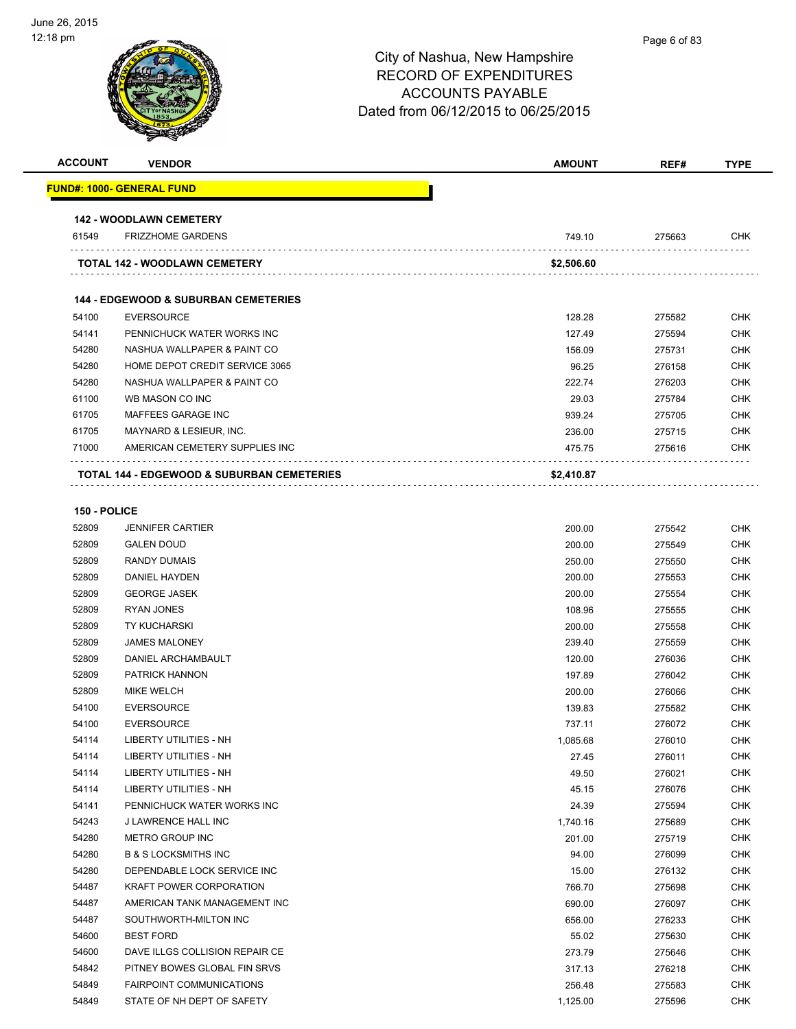| <b>ACCOUNT</b> | <b>VENDOR</b>                                         | <b>AMOUNT</b> | REF#   | <b>TYPE</b> |
|----------------|-------------------------------------------------------|---------------|--------|-------------|
|                | <b>FUND#: 1000- GENERAL FUND</b>                      |               |        |             |
|                | <b>142 - WOODLAWN CEMETERY</b>                        |               |        |             |
| 61549          | <b>FRIZZHOME GARDENS</b>                              | 749.10        | 275663 | <b>CHK</b>  |
|                | <b>TOTAL 142 - WOODLAWN CEMETERY</b>                  | \$2,506.60    |        |             |
|                | <b>144 - EDGEWOOD &amp; SUBURBAN CEMETERIES</b>       |               |        |             |
| 54100          | <b>EVERSOURCE</b>                                     | 128.28        | 275582 | <b>CHK</b>  |
| 54141          | PENNICHUCK WATER WORKS INC                            | 127.49        | 275594 | <b>CHK</b>  |
| 54280          | NASHUA WALLPAPER & PAINT CO                           | 156.09        | 275731 | <b>CHK</b>  |
| 54280          | HOME DEPOT CREDIT SERVICE 3065                        | 96.25         | 276158 | <b>CHK</b>  |
| 54280          | NASHUA WALLPAPER & PAINT CO                           | 222.74        | 276203 | <b>CHK</b>  |
| 61100          | WB MASON CO INC                                       | 29.03         | 275784 | <b>CHK</b>  |
| 61705          | MAFFEES GARAGE INC                                    | 939.24        | 275705 | <b>CHK</b>  |
| 61705          | MAYNARD & LESIEUR, INC.                               | 236.00        | 275715 | <b>CHK</b>  |
| 71000          | AMERICAN CEMETERY SUPPLIES INC                        | 475.75        | 275616 | <b>CHK</b>  |
|                | <b>TOTAL 144 - EDGEWOOD &amp; SUBURBAN CEMETERIES</b> | \$2,410.87    |        |             |

#### **150 - POLICE**

| 52809 | <b>JENNIFER CARTIER</b>         | 200.00   | 275542 | <b>CHK</b> |
|-------|---------------------------------|----------|--------|------------|
| 52809 | <b>GALEN DOUD</b>               | 200.00   | 275549 | <b>CHK</b> |
| 52809 | <b>RANDY DUMAIS</b>             | 250.00   | 275550 | <b>CHK</b> |
| 52809 | DANIEL HAYDEN                   | 200.00   | 275553 | <b>CHK</b> |
| 52809 | <b>GEORGE JASEK</b>             | 200.00   | 275554 | <b>CHK</b> |
| 52809 | <b>RYAN JONES</b>               | 108.96   | 275555 | <b>CHK</b> |
| 52809 | <b>TY KUCHARSKI</b>             | 200.00   | 275558 | <b>CHK</b> |
| 52809 | <b>JAMES MALONEY</b>            | 239.40   | 275559 | <b>CHK</b> |
| 52809 | DANIEL ARCHAMBAULT              | 120.00   | 276036 | <b>CHK</b> |
| 52809 | PATRICK HANNON                  | 197.89   | 276042 | <b>CHK</b> |
| 52809 | <b>MIKE WELCH</b>               | 200.00   | 276066 | <b>CHK</b> |
| 54100 | <b>EVERSOURCE</b>               | 139.83   | 275582 | <b>CHK</b> |
| 54100 | <b>EVERSOURCE</b>               | 737.11   | 276072 | <b>CHK</b> |
| 54114 | <b>LIBERTY UTILITIES - NH</b>   | 1,085.68 | 276010 | <b>CHK</b> |
| 54114 | <b>LIBERTY UTILITIES - NH</b>   | 27.45    | 276011 | <b>CHK</b> |
| 54114 | <b>LIBERTY UTILITIES - NH</b>   | 49.50    | 276021 | <b>CHK</b> |
| 54114 | <b>LIBERTY UTILITIES - NH</b>   | 45.15    | 276076 | <b>CHK</b> |
| 54141 | PENNICHUCK WATER WORKS INC      | 24.39    | 275594 | <b>CHK</b> |
| 54243 | J LAWRENCE HALL INC             | 1,740.16 | 275689 | <b>CHK</b> |
| 54280 | METRO GROUP INC                 | 201.00   | 275719 | <b>CHK</b> |
| 54280 | <b>B &amp; S LOCKSMITHS INC</b> | 94.00    | 276099 | <b>CHK</b> |
| 54280 | DEPENDABLE LOCK SERVICE INC     | 15.00    | 276132 | <b>CHK</b> |
| 54487 | <b>KRAFT POWER CORPORATION</b>  | 766.70   | 275698 | <b>CHK</b> |
| 54487 | AMERICAN TANK MANAGEMENT INC    | 690.00   | 276097 | <b>CHK</b> |
| 54487 | SOUTHWORTH-MILTON INC           | 656.00   | 276233 | <b>CHK</b> |
| 54600 | <b>BEST FORD</b>                | 55.02    | 275630 | <b>CHK</b> |
| 54600 | DAVE ILLGS COLLISION REPAIR CE  | 273.79   | 275646 | <b>CHK</b> |
| 54842 | PITNEY BOWES GLOBAL FIN SRVS    | 317.13   | 276218 | <b>CHK</b> |
| 54849 | <b>FAIRPOINT COMMUNICATIONS</b> | 256.48   | 275583 | <b>CHK</b> |
| 54849 | STATE OF NH DEPT OF SAFETY      | 1,125.00 | 275596 | <b>CHK</b> |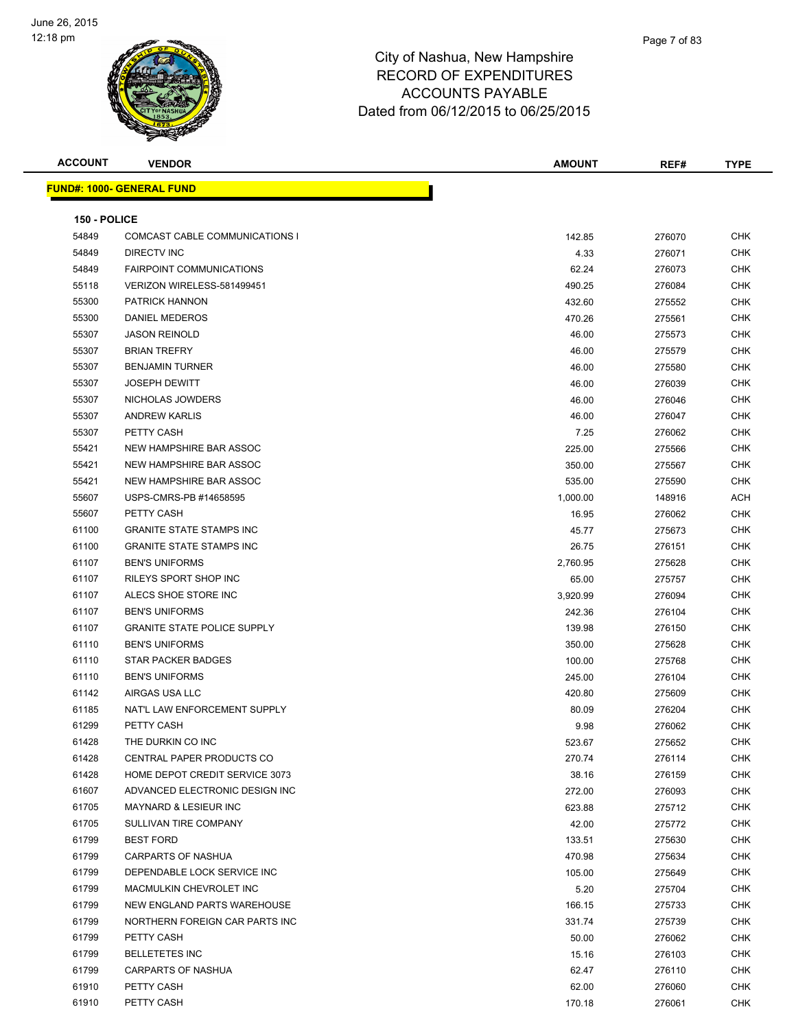

| <b>ACCOUNT</b> | <b>VENDOR</b>                      | AMOUNT            | REF#             | <b>TYPE</b>        |
|----------------|------------------------------------|-------------------|------------------|--------------------|
|                | <u> FUND#: 1000- GENERAL FUND</u>  |                   |                  |                    |
|                |                                    |                   |                  |                    |
| 150 - POLICE   |                                    |                   |                  |                    |
| 54849          | COMCAST CABLE COMMUNICATIONS I     | 142.85            | 276070           | <b>CHK</b>         |
| 54849          | DIRECTV INC                        | 4.33              | 276071           | CHK                |
| 54849          | <b>FAIRPOINT COMMUNICATIONS</b>    | 62.24             | 276073           | <b>CHK</b>         |
| 55118          | VERIZON WIRELESS-581499451         | 490.25            | 276084           | <b>CHK</b>         |
| 55300          | PATRICK HANNON                     | 432.60            | 275552           | CHK                |
| 55300          | DANIEL MEDEROS                     | 470.26            | 275561           | <b>CHK</b>         |
| 55307          | <b>JASON REINOLD</b>               | 46.00             | 275573           | CHK                |
| 55307          | <b>BRIAN TREFRY</b>                | 46.00             | 275579           | CHK                |
| 55307          | <b>BENJAMIN TURNER</b>             | 46.00             | 275580           | <b>CHK</b>         |
| 55307          | <b>JOSEPH DEWITT</b>               | 46.00             | 276039           | CHK                |
| 55307          | NICHOLAS JOWDERS                   | 46.00             | 276046           | CHK                |
| 55307          | <b>ANDREW KARLIS</b>               | 46.00             | 276047           | <b>CHK</b>         |
| 55307          | PETTY CASH                         | 7.25              | 276062           | CHK                |
| 55421          | NEW HAMPSHIRE BAR ASSOC            | 225.00            | 275566           | CHK                |
| 55421          | NEW HAMPSHIRE BAR ASSOC            | 350.00            | 275567           | CHK                |
| 55421          | NEW HAMPSHIRE BAR ASSOC            | 535.00            | 275590           | CHK                |
| 55607          | USPS-CMRS-PB #14658595             | 1,000.00          | 148916           | ACH                |
| 55607          | PETTY CASH                         | 16.95             | 276062           | CHK                |
| 61100          | <b>GRANITE STATE STAMPS INC</b>    | 45.77             | 275673           | CHK                |
| 61100          | <b>GRANITE STATE STAMPS INC</b>    | 26.75             | 276151           | CHK                |
| 61107          | <b>BEN'S UNIFORMS</b>              |                   |                  | CHK                |
| 61107          | RILEYS SPORT SHOP INC              | 2,760.95<br>65.00 | 275628<br>275757 | <b>CHK</b>         |
| 61107          | ALECS SHOE STORE INC               |                   |                  | <b>CHK</b>         |
| 61107          | <b>BEN'S UNIFORMS</b>              | 3,920.99          | 276094           |                    |
|                | <b>GRANITE STATE POLICE SUPPLY</b> | 242.36            | 276104           | CHK<br><b>CHK</b>  |
| 61107<br>61110 | <b>BEN'S UNIFORMS</b>              | 139.98            | 276150           | <b>CHK</b>         |
|                | STAR PACKER BADGES                 | 350.00            | 275628           | CHK                |
| 61110<br>61110 | <b>BEN'S UNIFORMS</b>              | 100.00            | 275768           | <b>CHK</b>         |
| 61142          | AIRGAS USA LLC                     | 245.00            | 276104<br>275609 |                    |
| 61185          | NAT'L LAW ENFORCEMENT SUPPLY       | 420.80            |                  | CHK<br>CHK         |
| 61299          | PETTY CASH                         | 80.09<br>9.98     | 276204<br>276062 | <b>CHK</b>         |
|                | THE DURKIN CO INC                  |                   |                  |                    |
| 61428<br>61428 | CENTRAL PAPER PRODUCTS CO          | 523.67            | 275652           | CHK.<br><b>CHK</b> |
| 61428          | HOME DEPOT CREDIT SERVICE 3073     | 270.74            | 276114           | <b>CHK</b>         |
| 61607          | ADVANCED ELECTRONIC DESIGN INC     | 38.16             | 276159           |                    |
|                | <b>MAYNARD &amp; LESIEUR INC</b>   | 272.00            | 276093           | CHK                |
| 61705          |                                    | 623.88            | 275712           | <b>CHK</b>         |
| 61705          | SULLIVAN TIRE COMPANY              | 42.00             | 275772           | <b>CHK</b>         |
| 61799          | <b>BEST FORD</b>                   | 133.51            | 275630           | CHK                |
| 61799          | CARPARTS OF NASHUA                 | 470.98            | 275634           | <b>CHK</b>         |
| 61799          | DEPENDABLE LOCK SERVICE INC        | 105.00            | 275649           | CHK                |
| 61799          | MACMULKIN CHEVROLET INC            | 5.20              | 275704           | CHK                |
| 61799          | NEW ENGLAND PARTS WAREHOUSE        | 166.15            | 275733           | <b>CHK</b>         |
| 61799          | NORTHERN FOREIGN CAR PARTS INC     | 331.74            | 275739           | CHK                |
| 61799          | PETTY CASH                         | 50.00             | 276062           | <b>CHK</b>         |
| 61799          | <b>BELLETETES INC</b>              | 15.16             | 276103           | <b>CHK</b>         |
| 61799          | <b>CARPARTS OF NASHUA</b>          | 62.47             | 276110           | CHK                |
| 61910          | PETTY CASH                         | 62.00             | 276060           | CHK                |
| 61910          | PETTY CASH                         | 170.18            | 276061           | <b>CHK</b>         |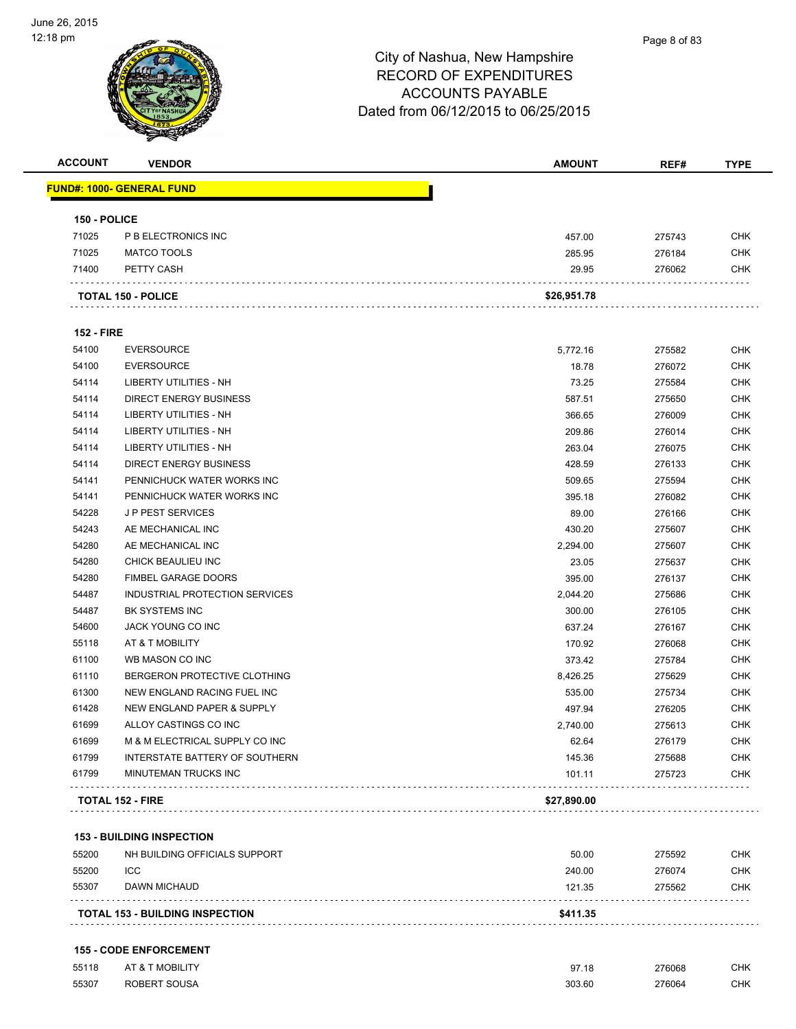

| <b>ACCOUNT</b>    | <b>VENDOR</b>                     | <b>AMOUNT</b> | REF#   | <b>TYPE</b> |
|-------------------|-----------------------------------|---------------|--------|-------------|
|                   | <u> FUND#: 1000- GENERAL FUND</u> |               |        |             |
| 150 - POLICE      |                                   |               |        |             |
| 71025             | P B ELECTRONICS INC               | 457.00        | 275743 | <b>CHK</b>  |
| 71025             | MATCO TOOLS                       | 285.95        | 276184 | <b>CHK</b>  |
| 71400             | PETTY CASH                        | 29.95         | 276062 | <b>CHK</b>  |
|                   | <b>TOTAL 150 - POLICE</b>         | \$26,951.78   |        |             |
| <b>152 - FIRE</b> |                                   |               |        |             |
| 54100             | <b>EVERSOURCE</b>                 | 5,772.16      | 275582 | <b>CHK</b>  |
| 54100             | <b>EVERSOURCE</b>                 | 18.78         | 276072 | <b>CHK</b>  |
| 54114             | LIBERTY UTILITIES - NH            | 73.25         | 275584 | <b>CHK</b>  |
| 54114             | <b>DIRECT ENERGY BUSINESS</b>     | 587.51        | 275650 | <b>CHK</b>  |
| 54114             | LIBERTY UTILITIES - NH            | 366.65        | 276009 | <b>CHK</b>  |
| 54114             | LIBERTY UTILITIES - NH            | 209.86        | 276014 | <b>CHK</b>  |
| 54114             | LIBERTY UTILITIES - NH            | 263.04        | 276075 | <b>CHK</b>  |
| 54114             | DIRECT ENERGY BUSINESS            | 428.59        | 276133 | <b>CHK</b>  |
| 54141             | PENNICHUCK WATER WORKS INC        | 509.65        | 275594 | <b>CHK</b>  |
| 54141             | PENNICHUCK WATER WORKS INC        | 395.18        | 276082 | <b>CHK</b>  |
| 54228             | <b>JP PEST SERVICES</b>           | 89.00         | 276166 | <b>CHK</b>  |
| 54243             | AE MECHANICAL INC                 | 430.20        | 275607 | <b>CHK</b>  |
| 54280             | AE MECHANICAL INC                 | 2,294.00      | 275607 | CHK         |
| 54280             | CHICK BEAULIEU INC                | 23.05         | 275637 | <b>CHK</b>  |
| 54280             | <b>FIMBEL GARAGE DOORS</b>        | 395.00        | 276137 | CHK         |
| 54487             | INDUSTRIAL PROTECTION SERVICES    | 2,044.20      | 275686 | <b>CHK</b>  |
| 54487             | BK SYSTEMS INC                    | 300.00        | 276105 | <b>CHK</b>  |
| 54600             | JACK YOUNG CO INC                 | 637.24        | 276167 | <b>CHK</b>  |
| 55118             | AT & T MOBILITY                   | 170.92        | 276068 | <b>CHK</b>  |
| 61100             | WB MASON CO INC                   | 373.42        | 275784 | <b>CHK</b>  |
| 61110             | BERGERON PROTECTIVE CLOTHING      | 8,426.25      | 275629 | <b>CHK</b>  |
| 61300             | NEW ENGLAND RACING FUEL INC       | 535.00        | 275734 | <b>CHK</b>  |
| 61428             | NEW ENGLAND PAPER & SUPPLY        | 497.94        | 276205 | <b>CHK</b>  |
| 61699             | ALLOY CASTINGS CO INC             | 2,740.00      | 275613 | <b>CHK</b>  |
| 61699             | M & M ELECTRICAL SUPPLY CO INC    | 62.64         | 276179 | <b>CHK</b>  |
| 61799             | INTERSTATE BATTERY OF SOUTHERN    | 145.36        | 275688 | CHK         |
| 61799             | MINUTEMAN TRUCKS INC              | 101.11        | 275723 | <b>CHK</b>  |
|                   | <b>TOTAL 152 - FIRE</b>           | \$27,890.00   |        |             |

|       | <b>TOTAL 153 - BUILDING INSPECTION</b> | \$411.35 |        |            |
|-------|----------------------------------------|----------|--------|------------|
| 55307 | DAWN MICHAUD                           | 121.35   | 275562 | <b>CHK</b> |
| 55200 | <b>ICC</b>                             | 240.00   | 276074 | <b>CHK</b> |
| 55200 | NH BUILDING OFFICIALS SUPPORT          | 50.00    | 275592 | <b>CHK</b> |

#### **155 - CODE ENFORCEMENT**

| 55118 | AT & T MOBILITY | 97.18  | 276068      | <b>CHK</b> |
|-------|-----------------|--------|-------------|------------|
| 55307 | ROBERT SOUSA    | 303.60 | 276064<br>. | CHK        |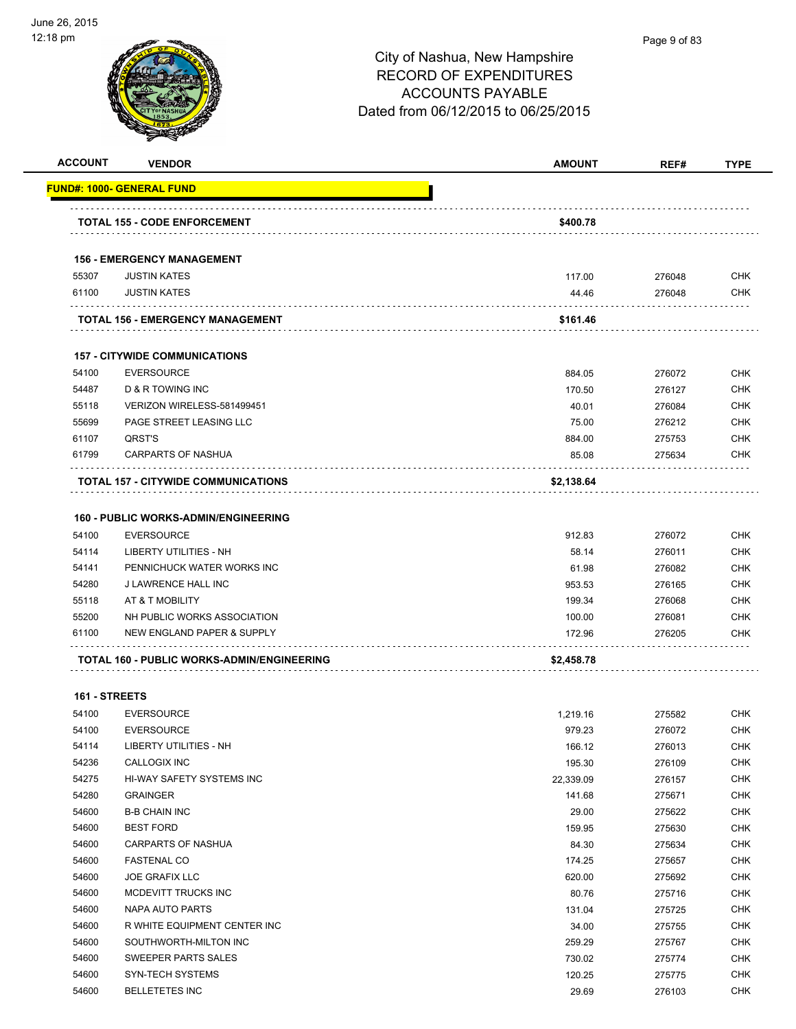

| <b>ACCOUNT</b> | <b>VENDOR</b>                               | <b>AMOUNT</b> | REF#   | <b>TYPE</b> |
|----------------|---------------------------------------------|---------------|--------|-------------|
|                | FUND#: 1000- GENERAL FUND                   |               |        |             |
|                |                                             |               |        |             |
|                | <b>TOTAL 155 - CODE ENFORCEMENT</b>         | \$400.78      |        |             |
|                | <b>156 - EMERGENCY MANAGEMENT</b>           |               |        |             |
| 55307          | <b>JUSTIN KATES</b>                         | 117.00        | 276048 | <b>CHK</b>  |
| 61100          | <b>JUSTIN KATES</b>                         | 44.46         | 276048 | CHK         |
|                |                                             |               |        |             |
|                | <b>TOTAL 156 - EMERGENCY MANAGEMENT</b>     | \$161.46      |        |             |
|                | <b>157 - CITYWIDE COMMUNICATIONS</b>        |               |        |             |
| 54100          | <b>EVERSOURCE</b>                           | 884.05        | 276072 | <b>CHK</b>  |
| 54487          | D & R TOWING INC                            | 170.50        | 276127 | <b>CHK</b>  |
| 55118          | VERIZON WIRELESS-581499451                  | 40.01         | 276084 | <b>CHK</b>  |
| 55699          | PAGE STREET LEASING LLC                     | 75.00         | 276212 | <b>CHK</b>  |
| 61107          | QRST'S                                      | 884.00        | 275753 | CHK         |
| 61799          | <b>CARPARTS OF NASHUA</b>                   | 85.08         | 275634 | <b>CHK</b>  |
|                | TOTAL 157 - CITYWIDE COMMUNICATIONS         | \$2,138.64    |        |             |
|                |                                             |               |        |             |
|                | <b>160 - PUBLIC WORKS-ADMIN/ENGINEERING</b> |               |        |             |
| 54100          | <b>EVERSOURCE</b>                           | 912.83        | 276072 | <b>CHK</b>  |
| 54114          | <b>LIBERTY UTILITIES - NH</b>               | 58.14         | 276011 | <b>CHK</b>  |
| 54141          | PENNICHUCK WATER WORKS INC                  | 61.98         | 276082 | <b>CHK</b>  |
| 54280          | J LAWRENCE HALL INC                         | 953.53        | 276165 | <b>CHK</b>  |
| 55118          | AT & T MOBILITY                             | 199.34        | 276068 | <b>CHK</b>  |
| 55200          | NH PUBLIC WORKS ASSOCIATION                 | 100.00        | 276081 | CHK         |
| 61100          | NEW ENGLAND PAPER & SUPPLY                  | 172.96        | 276205 | CHK         |
|                | TOTAL 160 - PUBLIC WORKS-ADMIN/ENGINEERING  | \$2,458.78    |        |             |
| 161 - STREETS  |                                             |               |        |             |
| 54100          | <b>EVERSOURCE</b>                           | 1,219.16      | 275582 | CHK         |
| 54100          | <b>EVERSOURCE</b>                           | 979.23        | 276072 | <b>CHK</b>  |
| 54114          | LIBERTY UTILITIES - NH                      | 166.12        | 276013 | <b>CHK</b>  |
| 54236          | CALLOGIX INC                                | 195.30        | 276109 | <b>CHK</b>  |
| 54275          | HI-WAY SAFETY SYSTEMS INC                   | 22,339.09     | 276157 | <b>CHK</b>  |
| 54280          | <b>GRAINGER</b>                             | 141.68        | 275671 | <b>CHK</b>  |
| 54600          | <b>B-B CHAIN INC</b>                        | 29.00         | 275622 | <b>CHK</b>  |
| 54600          | <b>BEST FORD</b>                            | 159.95        | 275630 | <b>CHK</b>  |
| 54600          | CARPARTS OF NASHUA                          | 84.30         | 275634 | <b>CHK</b>  |
| 54600          | <b>FASTENAL CO</b>                          | 174.25        | 275657 | <b>CHK</b>  |
| 54600          | <b>JOE GRAFIX LLC</b>                       | 620.00        | 275692 | <b>CHK</b>  |
| 54600          | MCDEVITT TRUCKS INC                         | 80.76         | 275716 | <b>CHK</b>  |
|                |                                             |               |        | <b>CHK</b>  |
| 54600          | <b>NAPA AUTO PARTS</b>                      | 131.04        | 275725 |             |

 R WHITE EQUIPMENT CENTER INC 34.00 275755 CHK SOUTHWORTH-MILTON INC 259.29 275767 CHK 54600 SWEEPER PARTS SALES **1986 120 SWEEPER PARTS SALES** 275774 CHK SYN-TECH SYSTEMS 120.25 275775 CHK BELLETETES INC 29.69 276103 CHK

Page 9 of 83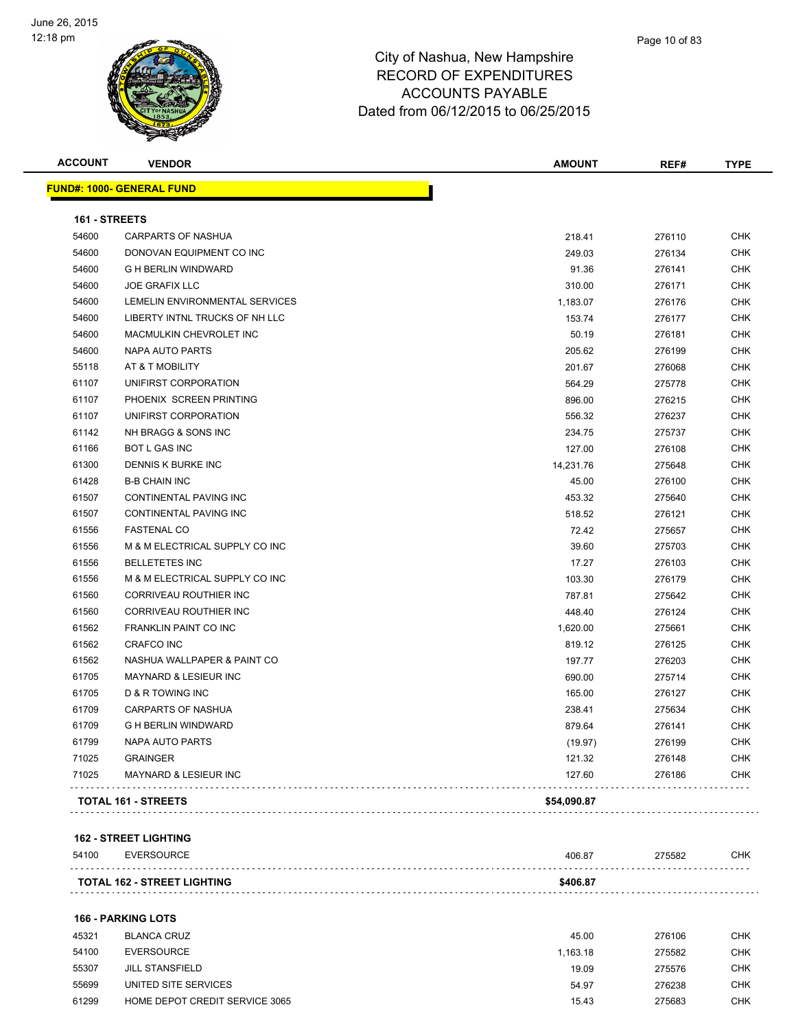

| <b>FUND#: 1000- GENERAL FUND</b><br>161 - STREETS<br>54600<br>54600<br>54600<br>54600<br>54600<br>54600<br>54600<br>54600<br>55118<br>61107 | <b>CARPARTS OF NASHUA</b><br>DONOVAN EQUIPMENT CO INC<br><b>G H BERLIN WINDWARD</b><br><b>JOE GRAFIX LLC</b><br>LEMELIN ENVIRONMENTAL SERVICES<br>LIBERTY INTNL TRUCKS OF NH LLC<br>MACMULKIN CHEVROLET INC<br>NAPA AUTO PARTS<br>AT & T MOBILITY<br>UNIFIRST CORPORATION<br>PHOENIX SCREEN PRINTING | 218.41<br>249.03<br>91.36<br>310.00<br>1,183.07<br>153.74<br>50.19<br>205.62<br>201.67<br>564.29 | 276110<br>276134<br>276141<br>276171<br>276176<br>276177<br>276181<br>276199 | <b>CHK</b><br><b>CHK</b><br><b>CHK</b><br><b>CHK</b><br><b>CHK</b><br><b>CHK</b><br><b>CHK</b><br><b>CHK</b> |
|---------------------------------------------------------------------------------------------------------------------------------------------|------------------------------------------------------------------------------------------------------------------------------------------------------------------------------------------------------------------------------------------------------------------------------------------------------|--------------------------------------------------------------------------------------------------|------------------------------------------------------------------------------|--------------------------------------------------------------------------------------------------------------|
|                                                                                                                                             |                                                                                                                                                                                                                                                                                                      |                                                                                                  |                                                                              |                                                                                                              |
|                                                                                                                                             |                                                                                                                                                                                                                                                                                                      |                                                                                                  |                                                                              |                                                                                                              |
|                                                                                                                                             |                                                                                                                                                                                                                                                                                                      |                                                                                                  |                                                                              |                                                                                                              |
|                                                                                                                                             |                                                                                                                                                                                                                                                                                                      |                                                                                                  |                                                                              |                                                                                                              |
|                                                                                                                                             |                                                                                                                                                                                                                                                                                                      |                                                                                                  |                                                                              |                                                                                                              |
|                                                                                                                                             |                                                                                                                                                                                                                                                                                                      |                                                                                                  |                                                                              |                                                                                                              |
|                                                                                                                                             |                                                                                                                                                                                                                                                                                                      |                                                                                                  |                                                                              |                                                                                                              |
|                                                                                                                                             |                                                                                                                                                                                                                                                                                                      |                                                                                                  |                                                                              |                                                                                                              |
|                                                                                                                                             |                                                                                                                                                                                                                                                                                                      |                                                                                                  |                                                                              |                                                                                                              |
|                                                                                                                                             |                                                                                                                                                                                                                                                                                                      |                                                                                                  |                                                                              |                                                                                                              |
|                                                                                                                                             |                                                                                                                                                                                                                                                                                                      |                                                                                                  | 276068                                                                       | <b>CHK</b>                                                                                                   |
|                                                                                                                                             |                                                                                                                                                                                                                                                                                                      |                                                                                                  | 275778                                                                       | <b>CHK</b>                                                                                                   |
| 61107                                                                                                                                       |                                                                                                                                                                                                                                                                                                      | 896.00                                                                                           | 276215                                                                       | <b>CHK</b>                                                                                                   |
| 61107                                                                                                                                       | UNIFIRST CORPORATION                                                                                                                                                                                                                                                                                 | 556.32                                                                                           | 276237                                                                       | <b>CHK</b>                                                                                                   |
| 61142                                                                                                                                       | NH BRAGG & SONS INC                                                                                                                                                                                                                                                                                  | 234.75                                                                                           | 275737                                                                       | <b>CHK</b>                                                                                                   |
| 61166                                                                                                                                       | <b>BOT L GAS INC</b>                                                                                                                                                                                                                                                                                 | 127.00                                                                                           | 276108                                                                       | <b>CHK</b>                                                                                                   |
| 61300                                                                                                                                       | DENNIS K BURKE INC                                                                                                                                                                                                                                                                                   | 14,231.76                                                                                        | 275648                                                                       | <b>CHK</b>                                                                                                   |
| 61428                                                                                                                                       | <b>B-B CHAIN INC</b>                                                                                                                                                                                                                                                                                 | 45.00                                                                                            | 276100                                                                       | <b>CHK</b>                                                                                                   |
| 61507                                                                                                                                       | <b>CONTINENTAL PAVING INC</b>                                                                                                                                                                                                                                                                        | 453.32                                                                                           | 275640                                                                       | <b>CHK</b>                                                                                                   |
| 61507                                                                                                                                       | CONTINENTAL PAVING INC                                                                                                                                                                                                                                                                               | 518.52                                                                                           | 276121                                                                       | <b>CHK</b>                                                                                                   |
| 61556                                                                                                                                       | <b>FASTENAL CO</b>                                                                                                                                                                                                                                                                                   | 72.42                                                                                            | 275657                                                                       | <b>CHK</b>                                                                                                   |
| 61556                                                                                                                                       | M & M ELECTRICAL SUPPLY CO INC                                                                                                                                                                                                                                                                       | 39.60                                                                                            | 275703                                                                       | <b>CHK</b>                                                                                                   |
| 61556                                                                                                                                       | <b>BELLETETES INC</b>                                                                                                                                                                                                                                                                                | 17.27                                                                                            | 276103                                                                       | <b>CHK</b>                                                                                                   |
| 61556                                                                                                                                       | M & M ELECTRICAL SUPPLY CO INC                                                                                                                                                                                                                                                                       | 103.30                                                                                           | 276179                                                                       | <b>CHK</b>                                                                                                   |
| 61560                                                                                                                                       | CORRIVEAU ROUTHIER INC                                                                                                                                                                                                                                                                               | 787.81                                                                                           | 275642                                                                       | <b>CHK</b>                                                                                                   |
| 61560                                                                                                                                       | <b>CORRIVEAU ROUTHIER INC</b>                                                                                                                                                                                                                                                                        | 448.40                                                                                           | 276124                                                                       | <b>CHK</b>                                                                                                   |
| 61562                                                                                                                                       | <b>FRANKLIN PAINT CO INC</b>                                                                                                                                                                                                                                                                         | 1,620.00                                                                                         | 275661                                                                       | <b>CHK</b>                                                                                                   |
| 61562                                                                                                                                       | <b>CRAFCO INC</b>                                                                                                                                                                                                                                                                                    | 819.12                                                                                           | 276125                                                                       | <b>CHK</b>                                                                                                   |
| 61562                                                                                                                                       | NASHUA WALLPAPER & PAINT CO                                                                                                                                                                                                                                                                          | 197.77                                                                                           | 276203                                                                       | <b>CHK</b>                                                                                                   |
| 61705                                                                                                                                       | MAYNARD & LESIEUR INC                                                                                                                                                                                                                                                                                | 690.00                                                                                           | 275714                                                                       | <b>CHK</b>                                                                                                   |
| 61705                                                                                                                                       | <b>D &amp; R TOWING INC</b>                                                                                                                                                                                                                                                                          | 165.00                                                                                           | 276127                                                                       | <b>CHK</b>                                                                                                   |
| 61709                                                                                                                                       | <b>CARPARTS OF NASHUA</b>                                                                                                                                                                                                                                                                            | 238.41                                                                                           | 275634                                                                       | <b>CHK</b>                                                                                                   |
| 61709                                                                                                                                       | <b>G H BERLIN WINDWARD</b>                                                                                                                                                                                                                                                                           | 879.64                                                                                           | 276141                                                                       | <b>CHK</b>                                                                                                   |
| 61799                                                                                                                                       | <b>NAPA AUTO PARTS</b>                                                                                                                                                                                                                                                                               | (19.97)                                                                                          | 276199                                                                       | <b>CHK</b>                                                                                                   |
| 71025                                                                                                                                       | <b>GRAINGER</b>                                                                                                                                                                                                                                                                                      | 121.32                                                                                           | 276148                                                                       | <b>CHK</b>                                                                                                   |
| 71025                                                                                                                                       | <b>MAYNARD &amp; LESIEUR INC</b>                                                                                                                                                                                                                                                                     | 127.60                                                                                           | 276186                                                                       | CHK                                                                                                          |
|                                                                                                                                             | <b>TOTAL 161 - STREETS</b>                                                                                                                                                                                                                                                                           | \$54,090.87                                                                                      |                                                                              |                                                                                                              |

#### **162 - STREET LIGHTING**

| 54100        | EVERSOURCE                   | 406.87   | 275582 | СНК |
|--------------|------------------------------|----------|--------|-----|
|              |                              |          |        |     |
| <b>TOTAL</b> | LIGHTING<br>. 162 - STREET L | \$406.87 |        |     |

#### **166 - PARKING LOTS**

| 45321 | <b>BLANCA CRUZ</b>             | 45.00    | 276106 | CHK        |
|-------|--------------------------------|----------|--------|------------|
| 54100 | <b>EVERSOURCE</b>              | 1.163.18 | 275582 | CHK        |
| 55307 | <b>JILL STANSFIELD</b>         | 19.09    | 275576 | CHK        |
| 55699 | UNITED SITE SERVICES           | 54.97    | 276238 | <b>CHK</b> |
| 61299 | HOME DEPOT CREDIT SERVICE 3065 | 15.43    | 275683 | <b>CHK</b> |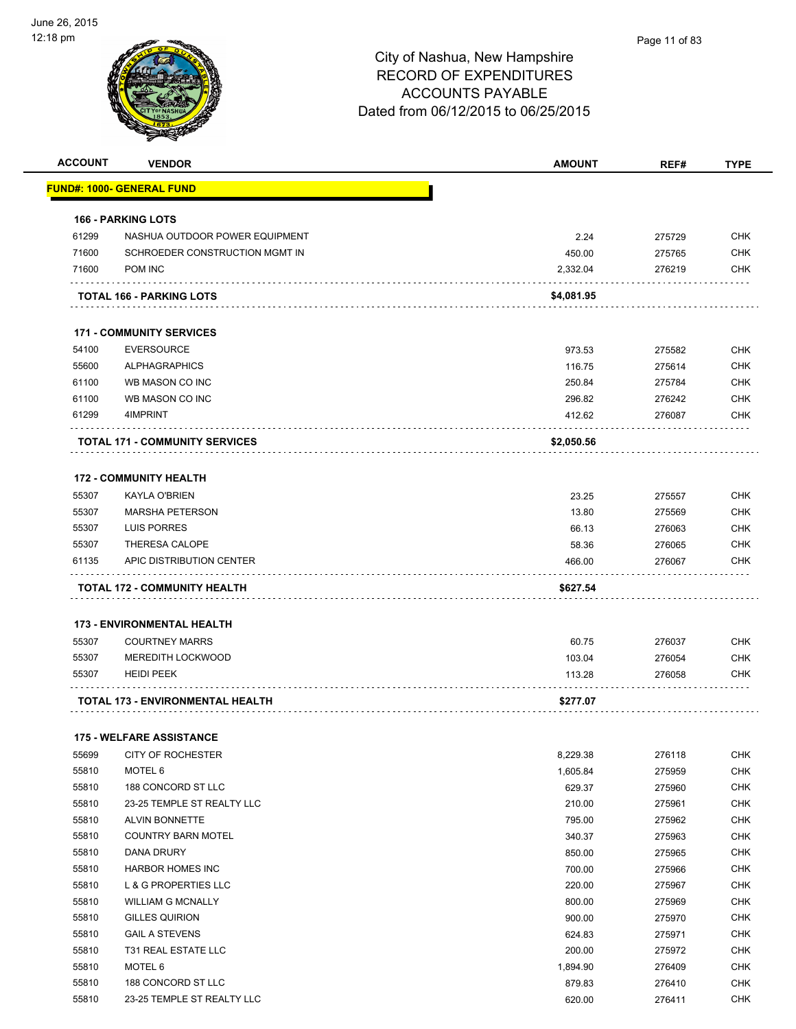

|                | <b>VENDOR</b>                                            | <b>AMOUNT</b>      | REF#             | <b>TYPE</b>              |
|----------------|----------------------------------------------------------|--------------------|------------------|--------------------------|
|                | <u> FUND#: 1000- GENERAL FUND</u>                        |                    |                  |                          |
|                | <b>166 - PARKING LOTS</b>                                |                    |                  |                          |
| 61299          | NASHUA OUTDOOR POWER EQUIPMENT                           | 2.24               | 275729           | <b>CHK</b>               |
| 71600          | SCHROEDER CONSTRUCTION MGMT IN                           | 450.00             | 275765           | <b>CHK</b>               |
| 71600          | POM INC                                                  | 2,332.04           | 276219           | <b>CHK</b>               |
|                | TOTAL 166 - PARKING LOTS                                 | \$4,081.95         |                  |                          |
|                | <b>171 - COMMUNITY SERVICES</b>                          |                    |                  |                          |
| 54100          | <b>EVERSOURCE</b>                                        | 973.53             | 275582           | <b>CHK</b>               |
| 55600          | <b>ALPHAGRAPHICS</b>                                     | 116.75             | 275614           | <b>CHK</b>               |
| 61100          | WB MASON CO INC                                          | 250.84             | 275784           | CHK                      |
| 61100          | WB MASON CO INC                                          | 296.82             | 276242           | <b>CHK</b>               |
| 61299          | 4IMPRINT                                                 | 412.62             | 276087           | <b>CHK</b>               |
|                | <b>TOTAL 171 - COMMUNITY SERVICES</b>                    | \$2,050.56         |                  |                          |
|                | <b>172 - COMMUNITY HEALTH</b>                            |                    |                  |                          |
| 55307          | <b>KAYLA O'BRIEN</b>                                     | 23.25              | 275557           | <b>CHK</b>               |
| 55307          | <b>MARSHA PETERSON</b>                                   | 13.80              | 275569           | <b>CHK</b>               |
|                | <b>LUIS PORRES</b>                                       | 66.13              | 276063           | <b>CHK</b>               |
| 55307          |                                                          |                    |                  |                          |
| 55307          | THERESA CALOPE                                           | 58.36              | 276065           | <b>CHK</b>               |
| 61135          | APIC DISTRIBUTION CENTER<br>TOTAL 172 - COMMUNITY HEALTH | 466.00<br>\$627.54 | 276067           | <b>CHK</b>               |
|                | <b>173 - ENVIRONMENTAL HEALTH</b>                        |                    |                  |                          |
| 55307          | <b>COURTNEY MARRS</b>                                    | 60.75              | 276037           | CHK                      |
| 55307          | <b>MEREDITH LOCKWOOD</b>                                 | 103.04             | 276054           | <b>CHK</b>               |
| 55307          | <b>HEIDI PEEK</b>                                        | 113.28             | 276058           | <b>CHK</b>               |
|                | TOTAL 173 - ENVIRONMENTAL HEALTH                         | \$277.07           |                  |                          |
|                | <b>175 - WELFARE ASSISTANCE</b>                          |                    |                  |                          |
| 55699          | CITY OF ROCHESTER                                        | 8,229.38           | 276118           | <b>CHK</b>               |
| 55810          | MOTEL 6                                                  | 1,605.84           | 275959           | <b>CHK</b>               |
| 55810          | 188 CONCORD ST LLC                                       | 629.37             | 275960           | <b>CHK</b>               |
| 55810          | 23-25 TEMPLE ST REALTY LLC                               | 210.00             | 275961           | <b>CHK</b>               |
| 55810          | ALVIN BONNETTE                                           | 795.00             | 275962           | <b>CHK</b>               |
| 55810          | <b>COUNTRY BARN MOTEL</b>                                | 340.37             | 275963           | CHK                      |
| 55810          | <b>DANA DRURY</b>                                        | 850.00             | 275965           | <b>CHK</b>               |
| 55810          | HARBOR HOMES INC                                         | 700.00             | 275966           | <b>CHK</b>               |
| 55810          | L & G PROPERTIES LLC                                     | 220.00             | 275967           | <b>CHK</b>               |
| 55810          | <b>WILLIAM G MCNALLY</b>                                 | 800.00             | 275969           | <b>CHK</b>               |
| 55810          |                                                          |                    |                  |                          |
|                | <b>GILLES QUIRION</b><br><b>GAIL A STEVENS</b>           | 900.00             | 275970           | <b>CHK</b><br><b>CHK</b> |
| 55810          |                                                          | 624.83             | 275971           |                          |
| 55810          | T31 REAL ESTATE LLC                                      | 200.00             | 275972           | <b>CHK</b>               |
| 55810<br>55810 | MOTEL 6<br>188 CONCORD ST LLC                            | 1,894.90<br>879.83 | 276409<br>276410 | <b>CHK</b><br><b>CHK</b> |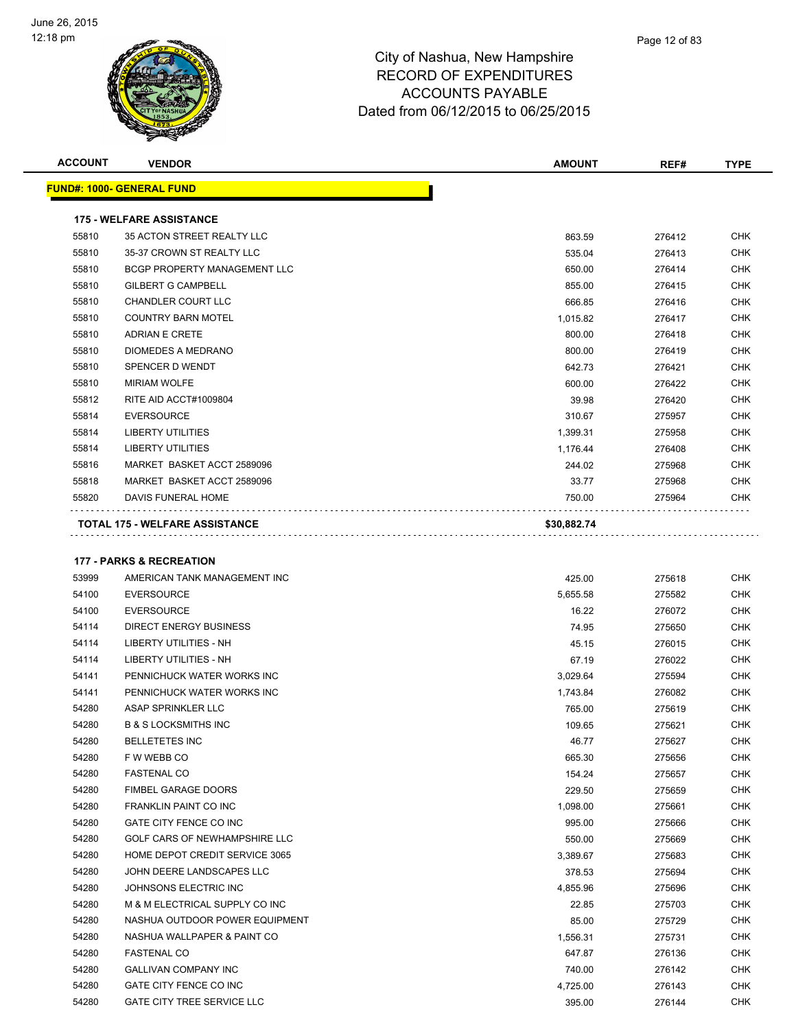

| <b>ACCOUNT</b> | <b>VENDOR</b>                         | <b>AMOUNT</b> | REF#   | <b>TYPE</b> |
|----------------|---------------------------------------|---------------|--------|-------------|
|                | <b>FUND#: 1000- GENERAL FUND</b>      |               |        |             |
|                | <b>175 - WELFARE ASSISTANCE</b>       |               |        |             |
| 55810          | 35 ACTON STREET REALTY LLC            | 863.59        | 276412 | <b>CHK</b>  |
| 55810          | 35-37 CROWN ST REALTY LLC             | 535.04        | 276413 | <b>CHK</b>  |
| 55810          | <b>BCGP PROPERTY MANAGEMENT LLC</b>   | 650.00        | 276414 | <b>CHK</b>  |
| 55810          | <b>GILBERT G CAMPBELL</b>             | 855.00        | 276415 | <b>CHK</b>  |
| 55810          | <b>CHANDLER COURT LLC</b>             | 666.85        | 276416 | <b>CHK</b>  |
| 55810          | <b>COUNTRY BARN MOTEL</b>             | 1,015.82      | 276417 | <b>CHK</b>  |
| 55810          | <b>ADRIAN E CRETE</b>                 | 800.00        | 276418 | <b>CHK</b>  |
| 55810          | DIOMEDES A MEDRANO                    | 800.00        | 276419 | <b>CHK</b>  |
| 55810          | SPENCER D WENDT                       | 642.73        | 276421 | <b>CHK</b>  |
| 55810          | <b>MIRIAM WOLFE</b>                   | 600.00        | 276422 | <b>CHK</b>  |
| 55812          | RITE AID ACCT#1009804                 | 39.98         | 276420 | <b>CHK</b>  |
| 55814          | <b>EVERSOURCE</b>                     | 310.67        | 275957 | <b>CHK</b>  |
| 55814          | <b>LIBERTY UTILITIES</b>              | 1,399.31      | 275958 | <b>CHK</b>  |
| 55814          | <b>LIBERTY UTILITIES</b>              | 1,176.44      | 276408 | <b>CHK</b>  |
| 55816          | MARKET BASKET ACCT 2589096            | 244.02        | 275968 | <b>CHK</b>  |
| 55818          | MARKET BASKET ACCT 2589096            | 33.77         | 275968 | <b>CHK</b>  |
| 55820          | DAVIS FUNERAL HOME                    | 750.00        | 275964 | <b>CHK</b>  |
|                | <b>TOTAL 175 - WELFARE ASSISTANCE</b> | \$30,882.74   |        |             |

#### **177 - PARKS & RECREATION**

| 53999 | AMERICAN TANK MANAGEMENT INC      | 425.00   | 275618 | <b>CHK</b> |
|-------|-----------------------------------|----------|--------|------------|
| 54100 | <b>EVERSOURCE</b>                 |          |        | <b>CHK</b> |
|       |                                   | 5,655.58 | 275582 |            |
| 54100 | <b>EVERSOURCE</b>                 | 16.22    | 276072 | <b>CHK</b> |
| 54114 | <b>DIRECT ENERGY BUSINESS</b>     | 74.95    | 275650 | <b>CHK</b> |
| 54114 | <b>LIBERTY UTILITIES - NH</b>     | 45.15    | 276015 | <b>CHK</b> |
| 54114 | <b>LIBERTY UTILITIES - NH</b>     | 67.19    | 276022 | <b>CHK</b> |
| 54141 | PENNICHUCK WATER WORKS INC        | 3,029.64 | 275594 | <b>CHK</b> |
| 54141 | PENNICHUCK WATER WORKS INC        | 1,743.84 | 276082 | <b>CHK</b> |
| 54280 | ASAP SPRINKLER LLC                | 765.00   | 275619 | <b>CHK</b> |
| 54280 | <b>B &amp; S LOCKSMITHS INC</b>   | 109.65   | 275621 | <b>CHK</b> |
| 54280 | <b>BELLETETES INC</b>             | 46.77    | 275627 | <b>CHK</b> |
| 54280 | F W WEBB CO                       | 665.30   | 275656 | <b>CHK</b> |
| 54280 | <b>FASTENAL CO</b>                | 154.24   | 275657 | <b>CHK</b> |
| 54280 | <b>FIMBEL GARAGE DOORS</b>        | 229.50   | 275659 | <b>CHK</b> |
| 54280 | FRANKLIN PAINT CO INC             | 1,098.00 | 275661 | <b>CHK</b> |
| 54280 | GATE CITY FENCE CO INC            | 995.00   | 275666 | <b>CHK</b> |
| 54280 | GOLF CARS OF NEWHAMPSHIRE LLC     | 550.00   | 275669 | <b>CHK</b> |
| 54280 | HOME DEPOT CREDIT SERVICE 3065    | 3,389.67 | 275683 | <b>CHK</b> |
| 54280 | JOHN DEERE LANDSCAPES LLC         | 378.53   | 275694 | <b>CHK</b> |
| 54280 | JOHNSONS ELECTRIC INC             | 4,855.96 | 275696 | <b>CHK</b> |
| 54280 | M & M ELECTRICAL SUPPLY CO INC    | 22.85    | 275703 | <b>CHK</b> |
| 54280 | NASHUA OUTDOOR POWER EQUIPMENT    | 85.00    | 275729 | <b>CHK</b> |
| 54280 | NASHUA WALLPAPER & PAINT CO       | 1,556.31 | 275731 | <b>CHK</b> |
| 54280 | <b>FASTENAL CO</b>                | 647.87   | 276136 | <b>CHK</b> |
| 54280 | <b>GALLIVAN COMPANY INC</b>       | 740.00   | 276142 | <b>CHK</b> |
| 54280 | GATE CITY FENCE CO INC            | 4,725.00 | 276143 | <b>CHK</b> |
| 54280 | <b>GATE CITY TREE SERVICE LLC</b> | 395.00   | 276144 | <b>CHK</b> |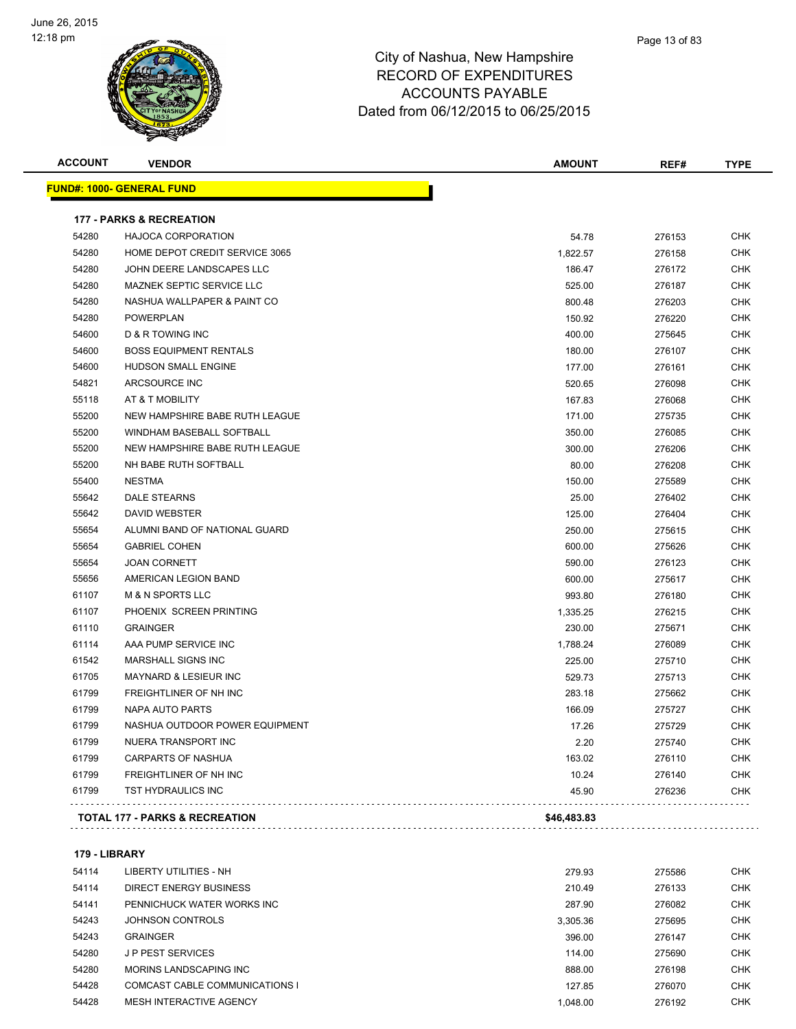

| <b>ACCOUNT</b> | <b>VENDOR</b>                             | <b>AMOUNT</b> | REF#   | <b>TYPE</b> |
|----------------|-------------------------------------------|---------------|--------|-------------|
|                | <u> FUND#: 1000- GENERAL FUND</u>         |               |        |             |
|                | <b>177 - PARKS &amp; RECREATION</b>       |               |        |             |
| 54280          | <b>HAJOCA CORPORATION</b>                 | 54.78         | 276153 | <b>CHK</b>  |
| 54280          | HOME DEPOT CREDIT SERVICE 3065            | 1,822.57      | 276158 | <b>CHK</b>  |
| 54280          | JOHN DEERE LANDSCAPES LLC                 | 186.47        | 276172 | <b>CHK</b>  |
| 54280          | <b>MAZNEK SEPTIC SERVICE LLC</b>          | 525.00        | 276187 | <b>CHK</b>  |
| 54280          | NASHUA WALLPAPER & PAINT CO               | 800.48        | 276203 | <b>CHK</b>  |
| 54280          | <b>POWERPLAN</b>                          | 150.92        | 276220 | <b>CHK</b>  |
| 54600          | <b>D &amp; R TOWING INC</b>               | 400.00        | 275645 | <b>CHK</b>  |
| 54600          | <b>BOSS EQUIPMENT RENTALS</b>             | 180.00        | 276107 | <b>CHK</b>  |
| 54600          | <b>HUDSON SMALL ENGINE</b>                | 177.00        | 276161 | <b>CHK</b>  |
| 54821          | ARCSOURCE INC                             | 520.65        | 276098 | <b>CHK</b>  |
| 55118          | AT & T MOBILITY                           | 167.83        | 276068 | <b>CHK</b>  |
| 55200          | NEW HAMPSHIRE BABE RUTH LEAGUE            | 171.00        | 275735 | <b>CHK</b>  |
| 55200          | <b>WINDHAM BASEBALL SOFTBALL</b>          | 350.00        | 276085 | <b>CHK</b>  |
| 55200          | NEW HAMPSHIRE BABE RUTH LEAGUE            | 300.00        | 276206 | <b>CHK</b>  |
| 55200          | NH BABE RUTH SOFTBALL                     | 80.00         | 276208 | <b>CHK</b>  |
| 55400          | <b>NESTMA</b>                             | 150.00        | 275589 | <b>CHK</b>  |
| 55642          | <b>DALE STEARNS</b>                       | 25.00         | 276402 | <b>CHK</b>  |
| 55642          | <b>DAVID WEBSTER</b>                      | 125.00        | 276404 | <b>CHK</b>  |
| 55654          | ALUMNI BAND OF NATIONAL GUARD             | 250.00        | 275615 | <b>CHK</b>  |
| 55654          | <b>GABRIEL COHEN</b>                      | 600.00        | 275626 | <b>CHK</b>  |
| 55654          | <b>JOAN CORNETT</b>                       | 590.00        | 276123 | <b>CHK</b>  |
| 55656          | AMERICAN LEGION BAND                      | 600.00        | 275617 | <b>CHK</b>  |
| 61107          | <b>M &amp; N SPORTS LLC</b>               | 993.80        | 276180 | <b>CHK</b>  |
| 61107          | PHOENIX SCREEN PRINTING                   | 1,335.25      | 276215 | <b>CHK</b>  |
| 61110          | <b>GRAINGER</b>                           | 230.00        | 275671 | <b>CHK</b>  |
| 61114          | AAA PUMP SERVICE INC                      | 1,788.24      | 276089 | <b>CHK</b>  |
| 61542          | <b>MARSHALL SIGNS INC</b>                 | 225.00        | 275710 | <b>CHK</b>  |
| 61705          | <b>MAYNARD &amp; LESIEUR INC</b>          | 529.73        | 275713 | <b>CHK</b>  |
| 61799          | FREIGHTLINER OF NH INC                    | 283.18        | 275662 | <b>CHK</b>  |
| 61799          | <b>NAPA AUTO PARTS</b>                    | 166.09        | 275727 | <b>CHK</b>  |
| 61799          | NASHUA OUTDOOR POWER EQUIPMENT            | 17.26         | 275729 | <b>CHK</b>  |
| 61799          | <b>NUERA TRANSPORT INC</b>                | 2.20          | 275740 | <b>CHK</b>  |
| 61799          | <b>CARPARTS OF NASHUA</b>                 | 163.02        | 276110 | <b>CHK</b>  |
| 61799          | FREIGHTLINER OF NH INC                    | 10.24         | 276140 | <b>CHK</b>  |
| 61799          | TST HYDRAULICS INC                        | 45.90         | 276236 | <b>CHK</b>  |
|                | <b>TOTAL 177 - PARKS &amp; RECREATION</b> | \$46,483.83   |        |             |
|                |                                           |               |        |             |

#### **179 - LIBRARY**

| 54114 | LIBERTY UTILITIES - NH         | 279.93   | 275586 | <b>CHK</b> |
|-------|--------------------------------|----------|--------|------------|
| 54114 | <b>DIRECT ENERGY BUSINESS</b>  | 210.49   | 276133 | <b>CHK</b> |
| 54141 | PENNICHUCK WATER WORKS INC     | 287.90   | 276082 | <b>CHK</b> |
| 54243 | JOHNSON CONTROLS               | 3.305.36 | 275695 | <b>CHK</b> |
| 54243 | <b>GRAINGER</b>                | 396.00   | 276147 | <b>CHK</b> |
| 54280 | J P PEST SERVICES              | 114.00   | 275690 | <b>CHK</b> |
| 54280 | MORINS LANDSCAPING INC         | 888.00   | 276198 | <b>CHK</b> |
| 54428 | COMCAST CABLE COMMUNICATIONS I | 127.85   | 276070 | <b>CHK</b> |
| 54428 | MESH INTERACTIVE AGENCY        | 1.048.00 | 276192 | <b>CHK</b> |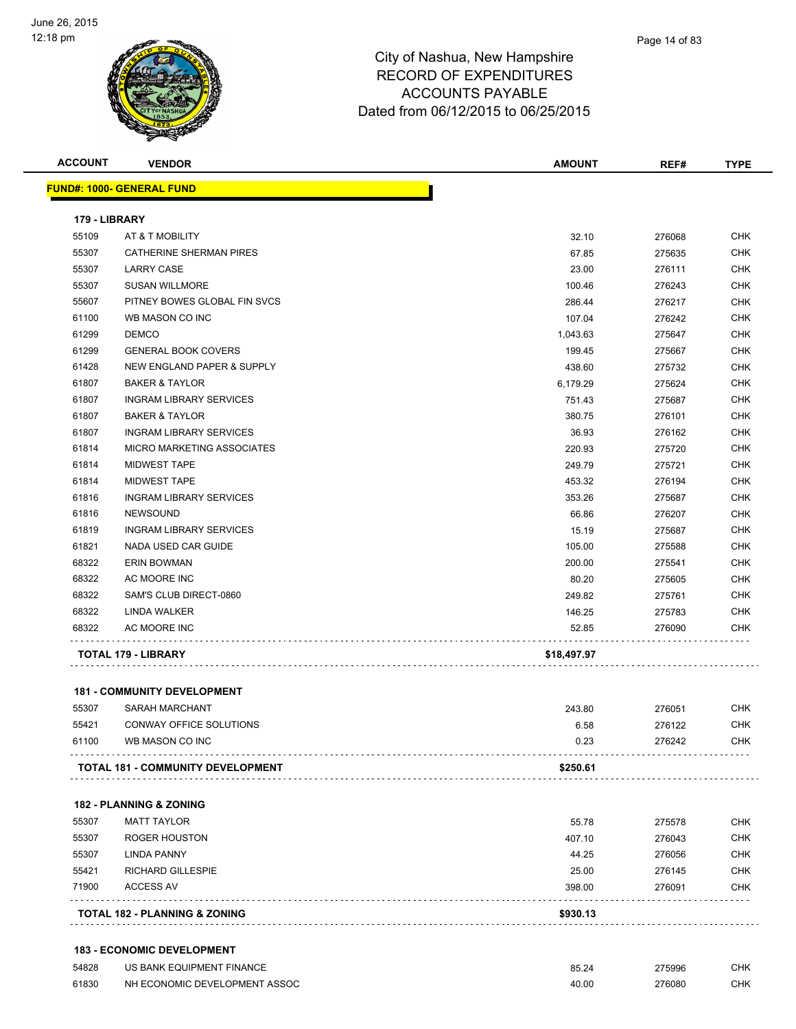

| <b>ACCOUNT</b> | <b>VENDOR</b>                            | <b>AMOUNT</b> | REF#   | <b>TYPE</b> |
|----------------|------------------------------------------|---------------|--------|-------------|
|                | <b>FUND#: 1000- GENERAL FUND</b>         |               |        |             |
| 179 - LIBRARY  |                                          |               |        |             |
| 55109          | AT & T MOBILITY                          | 32.10         | 276068 | <b>CHK</b>  |
| 55307          | CATHERINE SHERMAN PIRES                  | 67.85         | 275635 | <b>CHK</b>  |
| 55307          | <b>LARRY CASE</b>                        | 23.00         | 276111 | <b>CHK</b>  |
| 55307          | <b>SUSAN WILLMORE</b>                    | 100.46        | 276243 | <b>CHK</b>  |
| 55607          | PITNEY BOWES GLOBAL FIN SVCS             | 286.44        | 276217 | <b>CHK</b>  |
| 61100          | WB MASON CO INC                          | 107.04        | 276242 | <b>CHK</b>  |
| 61299          | <b>DEMCO</b>                             | 1,043.63      | 275647 | <b>CHK</b>  |
| 61299          | <b>GENERAL BOOK COVERS</b>               | 199.45        | 275667 | <b>CHK</b>  |
| 61428          | <b>NEW ENGLAND PAPER &amp; SUPPLY</b>    | 438.60        | 275732 | <b>CHK</b>  |
| 61807          | <b>BAKER &amp; TAYLOR</b>                | 6,179.29      | 275624 | <b>CHK</b>  |
| 61807          | <b>INGRAM LIBRARY SERVICES</b>           | 751.43        | 275687 | <b>CHK</b>  |
| 61807          | <b>BAKER &amp; TAYLOR</b>                | 380.75        | 276101 | CHK         |
| 61807          | <b>INGRAM LIBRARY SERVICES</b>           | 36.93         | 276162 | <b>CHK</b>  |
| 61814          | <b>MICRO MARKETING ASSOCIATES</b>        | 220.93        | 275720 | CHK         |
| 61814          | <b>MIDWEST TAPE</b>                      | 249.79        | 275721 | <b>CHK</b>  |
| 61814          | <b>MIDWEST TAPE</b>                      | 453.32        | 276194 | <b>CHK</b>  |
| 61816          | <b>INGRAM LIBRARY SERVICES</b>           | 353.26        | 275687 | <b>CHK</b>  |
| 61816          | <b>NEWSOUND</b>                          | 66.86         | 276207 | <b>CHK</b>  |
| 61819          | <b>INGRAM LIBRARY SERVICES</b>           | 15.19         | 275687 | <b>CHK</b>  |
| 61821          | NADA USED CAR GUIDE                      | 105.00        | 275588 | <b>CHK</b>  |
| 68322          | <b>ERIN BOWMAN</b>                       | 200.00        | 275541 | <b>CHK</b>  |
| 68322          | AC MOORE INC                             | 80.20         | 275605 | <b>CHK</b>  |
| 68322          | SAM'S CLUB DIRECT-0860                   | 249.82        | 275761 | CHK         |
| 68322          | LINDA WALKER                             | 146.25        | 275783 | <b>CHK</b>  |
| 68322          | AC MOORE INC                             | 52.85         | 276090 | <b>CHK</b>  |
|                | <b>TOTAL 179 - LIBRARY</b>               | \$18,497.97   |        |             |
|                | <b>181 - COMMUNITY DEVELOPMENT</b>       |               |        |             |
| 55307          | SARAH MARCHANT                           | 243.80        | 276051 | <b>CHK</b>  |
| 55421          | CONWAY OFFICE SOLUTIONS                  | 6.58          | 276122 | <b>CHK</b>  |
| 61100          | WB MASON CO INC                          | 0.23          | 276242 | <b>CHK</b>  |
|                | <b>TOTAL 181 - COMMUNITY DEVELOPMENT</b> | \$250.61      |        |             |
|                | <b>182 - PLANNING &amp; ZONING</b>       |               |        |             |
| 55307          | <b>MATT TAYLOR</b>                       | 55.78         | 275578 | <b>CHK</b>  |
| 55307          | <b>ROGER HOUSTON</b>                     | 407.10        | 276043 | <b>CHK</b>  |

| ACCESS AV          | 398.00                     | 276091 | CHK        |
|--------------------|----------------------------|--------|------------|
|                    |                            |        |            |
|                    | RICHARD GILLESPIE<br>25.00 | 276145 | <b>CHK</b> |
| <b>LINDA PANNY</b> | 44.25                      | 276056 | <b>CHK</b> |
|                    | ROGER HOUSTON<br>407.10    | 276043 | CHK        |
|                    |                            |        |            |

#### **183 - ECONOMIC DEVELOPMENT**

| 54828 | US BANK EQUIPMENT FINANCE     | 85.24 | 275996 | СНК |
|-------|-------------------------------|-------|--------|-----|
| 61830 | NH ECONOMIC DEVELOPMENT ASSOC |       | 276080 | СНК |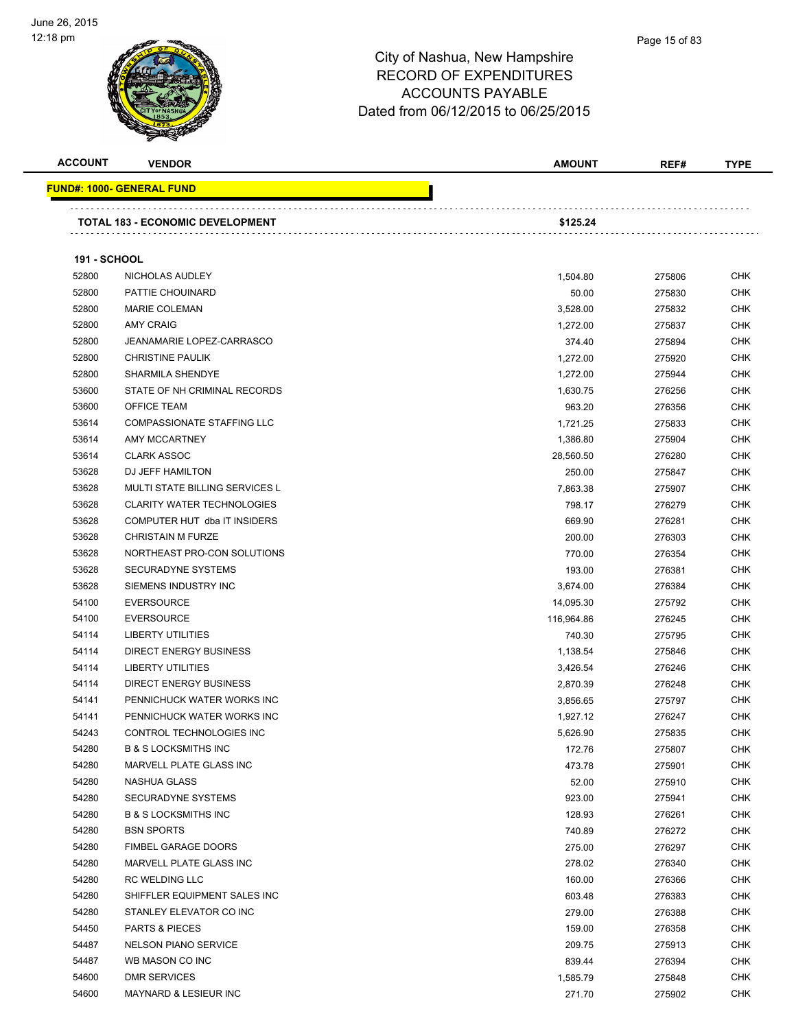

| <b>ACCOUNT</b>      | <b>VENDOR</b>                     | <b>AMOUNT</b> | REF#   | <b>TYPE</b> |
|---------------------|-----------------------------------|---------------|--------|-------------|
|                     | <u> FUND#: 1000- GENERAL FUND</u> |               |        |             |
|                     | TOTAL 183 - ECONOMIC DEVELOPMENT  | \$125.24      |        |             |
| <b>191 - SCHOOL</b> |                                   |               |        |             |
| 52800               | NICHOLAS AUDLEY                   | 1,504.80      | 275806 | <b>CHK</b>  |
| 52800               | PATTIE CHOUINARD                  | 50.00         | 275830 | <b>CHK</b>  |
| 52800               | <b>MARIE COLEMAN</b>              | 3,528.00      | 275832 | CHK         |
| 52800               | <b>AMY CRAIG</b>                  | 1,272.00      | 275837 | <b>CHK</b>  |
| 52800               | <b>JEANAMARIE LOPEZ-CARRASCO</b>  | 374.40        | 275894 | <b>CHK</b>  |
| 52800               | <b>CHRISTINE PAULIK</b>           | 1,272.00      | 275920 | <b>CHK</b>  |
| 52800               | SHARMILA SHENDYE                  | 1,272.00      | 275944 | <b>CHK</b>  |
| 53600               | STATE OF NH CRIMINAL RECORDS      | 1,630.75      | 276256 | CHK         |
| 53600               | OFFICE TEAM                       | 963.20        | 276356 | <b>CHK</b>  |
| 53614               | COMPASSIONATE STAFFING LLC        | 1,721.25      | 275833 | <b>CHK</b>  |
| 53614               | AMY MCCARTNEY                     | 1,386.80      | 275904 | <b>CHK</b>  |
| 53614               | <b>CLARK ASSOC</b>                | 28,560.50     | 276280 | <b>CHK</b>  |
| 53628               | DJ JEFF HAMILTON                  | 250.00        | 275847 | <b>CHK</b>  |
| 53628               | MULTI STATE BILLING SERVICES L    | 7,863.38      | 275907 | <b>CHK</b>  |
| 53628               | <b>CLARITY WATER TECHNOLOGIES</b> | 798.17        | 276279 | <b>CHK</b>  |
| 53628               | COMPUTER HUT dba IT INSIDERS      | 669.90        | 276281 | <b>CHK</b>  |
| 53628               | <b>CHRISTAIN M FURZE</b>          | 200.00        | 276303 | <b>CHK</b>  |
| 53628               | NORTHEAST PRO-CON SOLUTIONS       | 770.00        | 276354 | <b>CHK</b>  |
| 53628               | <b>SECURADYNE SYSTEMS</b>         | 193.00        | 276381 | CHK         |
| 53628               | SIEMENS INDUSTRY INC              | 3,674.00      | 276384 | <b>CHK</b>  |
| 54100               | <b>EVERSOURCE</b>                 | 14,095.30     | 275792 | <b>CHK</b>  |
| 54100               | <b>EVERSOURCE</b>                 | 116,964.86    | 276245 | <b>CHK</b>  |
| 54114               | <b>LIBERTY UTILITIES</b>          | 740.30        | 275795 | <b>CHK</b>  |
| 54114               | <b>DIRECT ENERGY BUSINESS</b>     | 1,138.54      | 275846 | <b>CHK</b>  |
| 54114               | <b>LIBERTY UTILITIES</b>          | 3,426.54      | 276246 | CHK         |
| 54114               | <b>DIRECT ENERGY BUSINESS</b>     | 2,870.39      | 276248 | <b>CHK</b>  |
| 54141               | PENNICHUCK WATER WORKS INC        | 3,856.65      | 275797 | <b>CHK</b>  |
| 54141               | PENNICHUCK WATER WORKS INC        | 1,927.12      | 276247 | CHK         |
| 54243               | CONTROL TECHNOLOGIES INC          | 5,626.90      | 275835 | <b>CHK</b>  |
| 54280               | <b>B &amp; S LOCKSMITHS INC</b>   | 172.76        | 275807 | <b>CHK</b>  |
| 54280               | MARVELL PLATE GLASS INC           | 473.78        | 275901 | <b>CHK</b>  |
| 54280               | NASHUA GLASS                      | 52.00         | 275910 | <b>CHK</b>  |
| 54280               | <b>SECURADYNE SYSTEMS</b>         | 923.00        | 275941 | <b>CHK</b>  |
| 54280               | <b>B &amp; S LOCKSMITHS INC</b>   | 128.93        | 276261 | <b>CHK</b>  |
| 54280               | <b>BSN SPORTS</b>                 | 740.89        | 276272 | <b>CHK</b>  |
| 54280               | FIMBEL GARAGE DOORS               | 275.00        | 276297 | <b>CHK</b>  |
| 54280               | MARVELL PLATE GLASS INC           | 278.02        | 276340 | <b>CHK</b>  |
| 54280               | <b>RC WELDING LLC</b>             | 160.00        | 276366 | <b>CHK</b>  |
| 54280               | SHIFFLER EQUIPMENT SALES INC      | 603.48        | 276383 | <b>CHK</b>  |
| 54280               | STANLEY ELEVATOR CO INC           | 279.00        | 276388 | CHK         |
| 54450               | PARTS & PIECES                    | 159.00        | 276358 | <b>CHK</b>  |
| 54487               | <b>NELSON PIANO SERVICE</b>       | 209.75        | 275913 | <b>CHK</b>  |
| 54487               | WB MASON CO INC                   | 839.44        | 276394 | <b>CHK</b>  |
| 54600               | DMR SERVICES                      | 1,585.79      | 275848 | <b>CHK</b>  |
| 54600               | MAYNARD & LESIEUR INC             | 271.70        | 275902 | <b>CHK</b>  |
|                     |                                   |               |        |             |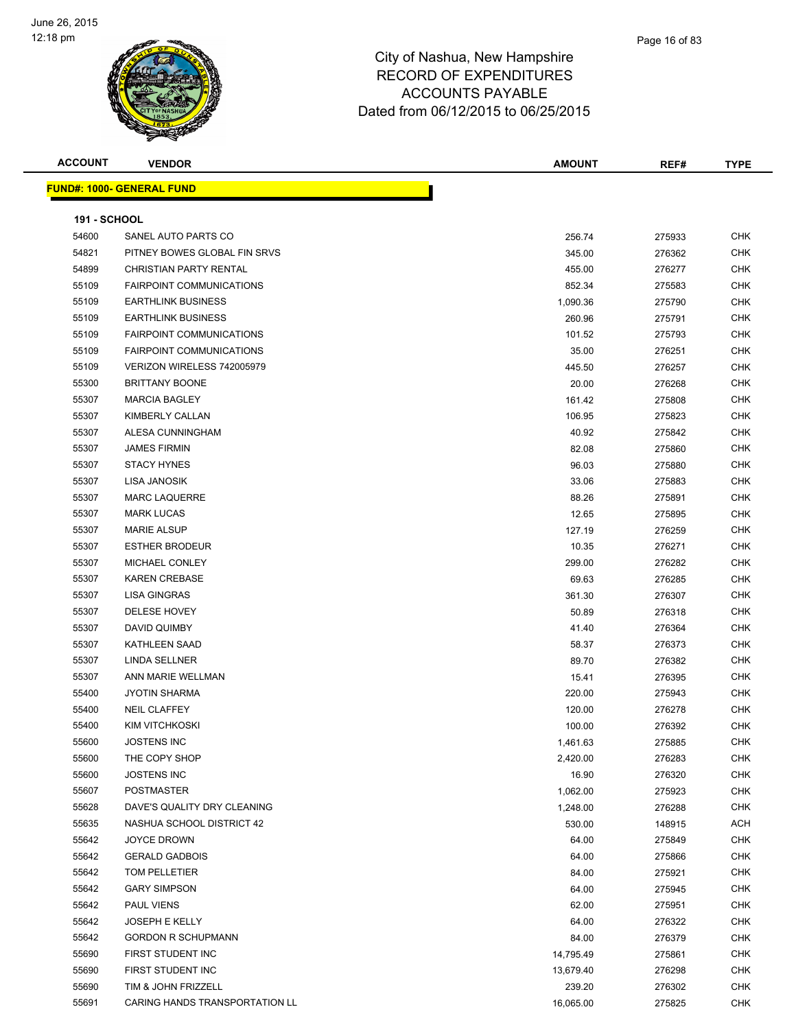

| <b>ACCOUNT</b>      | <b>VENDOR</b>                     | <b>AMOUNT</b> | REF#   | <b>TYPE</b> |
|---------------------|-----------------------------------|---------------|--------|-------------|
|                     | <u> FUND#: 1000- GENERAL FUND</u> |               |        |             |
|                     |                                   |               |        |             |
| <b>191 - SCHOOL</b> |                                   |               |        |             |
| 54600               | SANEL AUTO PARTS CO               | 256.74        | 275933 | <b>CHK</b>  |
| 54821               | PITNEY BOWES GLOBAL FIN SRVS      | 345.00        | 276362 | <b>CHK</b>  |
| 54899               | CHRISTIAN PARTY RENTAL            | 455.00        | 276277 | <b>CHK</b>  |
| 55109               | <b>FAIRPOINT COMMUNICATIONS</b>   | 852.34        | 275583 | <b>CHK</b>  |
| 55109               | <b>EARTHLINK BUSINESS</b>         | 1,090.36      | 275790 | <b>CHK</b>  |
| 55109               | <b>EARTHLINK BUSINESS</b>         | 260.96        | 275791 | <b>CHK</b>  |
| 55109               | <b>FAIRPOINT COMMUNICATIONS</b>   | 101.52        | 275793 | <b>CHK</b>  |
| 55109               | <b>FAIRPOINT COMMUNICATIONS</b>   | 35.00         | 276251 | <b>CHK</b>  |
| 55109               | VERIZON WIRELESS 742005979        | 445.50        | 276257 | <b>CHK</b>  |
| 55300               | <b>BRITTANY BOONE</b>             | 20.00         | 276268 | <b>CHK</b>  |
| 55307               | <b>MARCIA BAGLEY</b>              | 161.42        | 275808 | <b>CHK</b>  |
| 55307               | KIMBERLY CALLAN                   | 106.95        | 275823 | CHK         |
| 55307               | ALESA CUNNINGHAM                  | 40.92         | 275842 | <b>CHK</b>  |
| 55307               | <b>JAMES FIRMIN</b>               | 82.08         | 275860 | <b>CHK</b>  |
| 55307               | <b>STACY HYNES</b>                | 96.03         | 275880 | <b>CHK</b>  |
| 55307               | LISA JANOSIK                      | 33.06         | 275883 | CHK         |
| 55307               | <b>MARC LAQUERRE</b>              | 88.26         | 275891 | CHK         |
| 55307               | <b>MARK LUCAS</b>                 | 12.65         | 275895 | CHK         |
| 55307               | <b>MARIE ALSUP</b>                | 127.19        | 276259 | <b>CHK</b>  |
| 55307               | <b>ESTHER BRODEUR</b>             | 10.35         | 276271 | <b>CHK</b>  |
| 55307               | MICHAEL CONLEY                    | 299.00        | 276282 | CHK         |
| 55307               | <b>KAREN CREBASE</b>              | 69.63         | 276285 | <b>CHK</b>  |
| 55307               | LISA GINGRAS                      | 361.30        | 276307 | <b>CHK</b>  |
| 55307               | DELESE HOVEY                      | 50.89         | 276318 | <b>CHK</b>  |
| 55307               | DAVID QUIMBY                      | 41.40         | 276364 | <b>CHK</b>  |
| 55307               | KATHLEEN SAAD                     | 58.37         | 276373 | <b>CHK</b>  |
| 55307               | LINDA SELLNER                     | 89.70         | 276382 | <b>CHK</b>  |
| 55307               | ANN MARIE WELLMAN                 | 15.41         | 276395 | <b>CHK</b>  |
| 55400               | <b>JYOTIN SHARMA</b>              | 220.00        | 275943 | CHK         |
| 55400               | <b>NEIL CLAFFEY</b>               | 120.00        | 276278 | CHK         |
| 55400               | KIM VITCHKOSKI                    | 100.00        | 276392 | CHK         |
| 55600               | JOSTENS INC                       | 1,461.63      | 275885 | <b>CHK</b>  |
| 55600               | THE COPY SHOP                     | 2,420.00      | 276283 | <b>CHK</b>  |
| 55600               | <b>JOSTENS INC</b>                | 16.90         | 276320 | <b>CHK</b>  |
| 55607               | <b>POSTMASTER</b>                 | 1,062.00      | 275923 | <b>CHK</b>  |
| 55628               | DAVE'S QUALITY DRY CLEANING       | 1,248.00      | 276288 | <b>CHK</b>  |
| 55635               | NASHUA SCHOOL DISTRICT 42         | 530.00        | 148915 | <b>ACH</b>  |
| 55642               | <b>JOYCE DROWN</b>                | 64.00         | 275849 | <b>CHK</b>  |
| 55642               | <b>GERALD GADBOIS</b>             | 64.00         | 275866 | <b>CHK</b>  |
| 55642               | TOM PELLETIER                     | 84.00         | 275921 | <b>CHK</b>  |
| 55642               | <b>GARY SIMPSON</b>               | 64.00         | 275945 | <b>CHK</b>  |
| 55642               | <b>PAUL VIENS</b>                 | 62.00         | 275951 | <b>CHK</b>  |
| 55642               | <b>JOSEPH E KELLY</b>             | 64.00         | 276322 | <b>CHK</b>  |
| 55642               | <b>GORDON R SCHUPMANN</b>         | 84.00         | 276379 | <b>CHK</b>  |
| 55690               | FIRST STUDENT INC                 | 14,795.49     | 275861 | <b>CHK</b>  |
| 55690               | FIRST STUDENT INC                 | 13,679.40     | 276298 | <b>CHK</b>  |
| 55690               | TIM & JOHN FRIZZELL               | 239.20        | 276302 | <b>CHK</b>  |
| 55691               | CARING HANDS TRANSPORTATION LL    | 16,065.00     | 275825 | <b>CHK</b>  |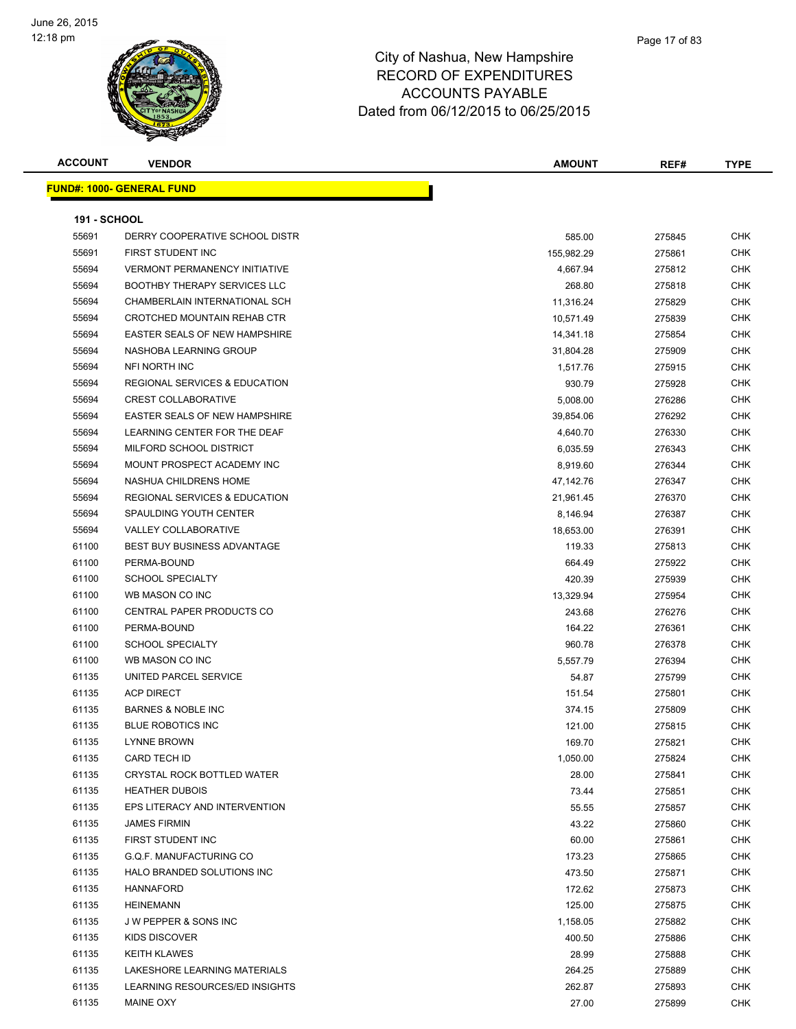

| <b>ACCOUNT</b> | <b>VENDOR</b>                            | <b>AMOUNT</b> | REF#   | <b>TYPE</b> |
|----------------|------------------------------------------|---------------|--------|-------------|
|                | <b>FUND#: 1000- GENERAL FUND</b>         |               |        |             |
|                |                                          |               |        |             |
| 191 - SCHOOL   |                                          |               |        |             |
| 55691          | DERRY COOPERATIVE SCHOOL DISTR           | 585.00        | 275845 | <b>CHK</b>  |
| 55691          | FIRST STUDENT INC                        | 155,982.29    | 275861 | <b>CHK</b>  |
| 55694          | <b>VERMONT PERMANENCY INITIATIVE</b>     | 4,667.94      | 275812 | <b>CHK</b>  |
| 55694          | <b>BOOTHBY THERAPY SERVICES LLC</b>      | 268.80        | 275818 | <b>CHK</b>  |
| 55694          | CHAMBERLAIN INTERNATIONAL SCH            | 11,316.24     | 275829 | <b>CHK</b>  |
| 55694          | CROTCHED MOUNTAIN REHAB CTR              | 10,571.49     | 275839 | CHK         |
| 55694          | <b>EASTER SEALS OF NEW HAMPSHIRE</b>     | 14,341.18     | 275854 | <b>CHK</b>  |
| 55694          | NASHOBA LEARNING GROUP                   | 31,804.28     | 275909 | <b>CHK</b>  |
| 55694          | NFI NORTH INC                            | 1,517.76      | 275915 | <b>CHK</b>  |
| 55694          | <b>REGIONAL SERVICES &amp; EDUCATION</b> | 930.79        | 275928 | <b>CHK</b>  |
| 55694          | <b>CREST COLLABORATIVE</b>               | 5,008.00      | 276286 | <b>CHK</b>  |
| 55694          | <b>EASTER SEALS OF NEW HAMPSHIRE</b>     | 39,854.06     | 276292 | <b>CHK</b>  |
| 55694          | LEARNING CENTER FOR THE DEAF             | 4,640.70      | 276330 | <b>CHK</b>  |
| 55694          | MILFORD SCHOOL DISTRICT                  | 6,035.59      | 276343 | <b>CHK</b>  |
| 55694          | MOUNT PROSPECT ACADEMY INC               | 8,919.60      | 276344 | <b>CHK</b>  |
| 55694          | NASHUA CHILDRENS HOME                    | 47,142.76     | 276347 | <b>CHK</b>  |
| 55694          | <b>REGIONAL SERVICES &amp; EDUCATION</b> | 21,961.45     | 276370 | CHK         |
| 55694          | SPAULDING YOUTH CENTER                   | 8,146.94      | 276387 | <b>CHK</b>  |
| 55694          | <b>VALLEY COLLABORATIVE</b>              | 18,653.00     | 276391 | <b>CHK</b>  |
| 61100          | <b>BEST BUY BUSINESS ADVANTAGE</b>       | 119.33        | 275813 | <b>CHK</b>  |
| 61100          | PERMA-BOUND                              | 664.49        | 275922 | <b>CHK</b>  |
| 61100          | <b>SCHOOL SPECIALTY</b>                  | 420.39        | 275939 | <b>CHK</b>  |
| 61100          | WB MASON CO INC                          | 13,329.94     | 275954 | <b>CHK</b>  |
| 61100          | CENTRAL PAPER PRODUCTS CO                | 243.68        | 276276 | <b>CHK</b>  |
| 61100          | PERMA-BOUND                              | 164.22        | 276361 | <b>CHK</b>  |
| 61100          | <b>SCHOOL SPECIALTY</b>                  | 960.78        | 276378 | <b>CHK</b>  |
| 61100          | WB MASON CO INC                          | 5,557.79      | 276394 | <b>CHK</b>  |
| 61135          | UNITED PARCEL SERVICE                    | 54.87         | 275799 | <b>CHK</b>  |
| 61135          | <b>ACP DIRECT</b>                        | 151.54        | 275801 | <b>CHK</b>  |
| 61135          | <b>BARNES &amp; NOBLE INC</b>            | 374.15        | 275809 | <b>CHK</b>  |
| 61135          | <b>BLUE ROBOTICS INC</b>                 | 121.00        | 275815 | CHK         |
| 61135          | LYNNE BROWN                              | 169.70        | 275821 | CHK         |
| 61135          | CARD TECH ID                             | 1,050.00      | 275824 | <b>CHK</b>  |
| 61135          | CRYSTAL ROCK BOTTLED WATER               | 28.00         | 275841 | <b>CHK</b>  |
| 61135          | <b>HEATHER DUBOIS</b>                    | 73.44         | 275851 | CHK         |
| 61135          | EPS LITERACY AND INTERVENTION            | 55.55         | 275857 | <b>CHK</b>  |
| 61135          | <b>JAMES FIRMIN</b>                      | 43.22         | 275860 | CHK         |
| 61135          | FIRST STUDENT INC                        | 60.00         | 275861 | CHK         |
| 61135          | G.Q.F. MANUFACTURING CO                  | 173.23        | 275865 | CHK         |
| 61135          | HALO BRANDED SOLUTIONS INC               | 473.50        | 275871 | CHK         |
| 61135          | <b>HANNAFORD</b>                         | 172.62        | 275873 | CHK         |
| 61135          | <b>HEINEMANN</b>                         | 125.00        | 275875 | CHK         |
| 61135          | J W PEPPER & SONS INC                    | 1,158.05      | 275882 | CHK         |
| 61135          | KIDS DISCOVER                            | 400.50        | 275886 | <b>CHK</b>  |
| 61135          | <b>KEITH KLAWES</b>                      | 28.99         | 275888 | CHK         |
| 61135          | LAKESHORE LEARNING MATERIALS             | 264.25        | 275889 | CHK         |
| 61135          | LEARNING RESOURCES/ED INSIGHTS           | 262.87        | 275893 | CHK         |
| 61135          | MAINE OXY                                | 27.00         | 275899 | CHK         |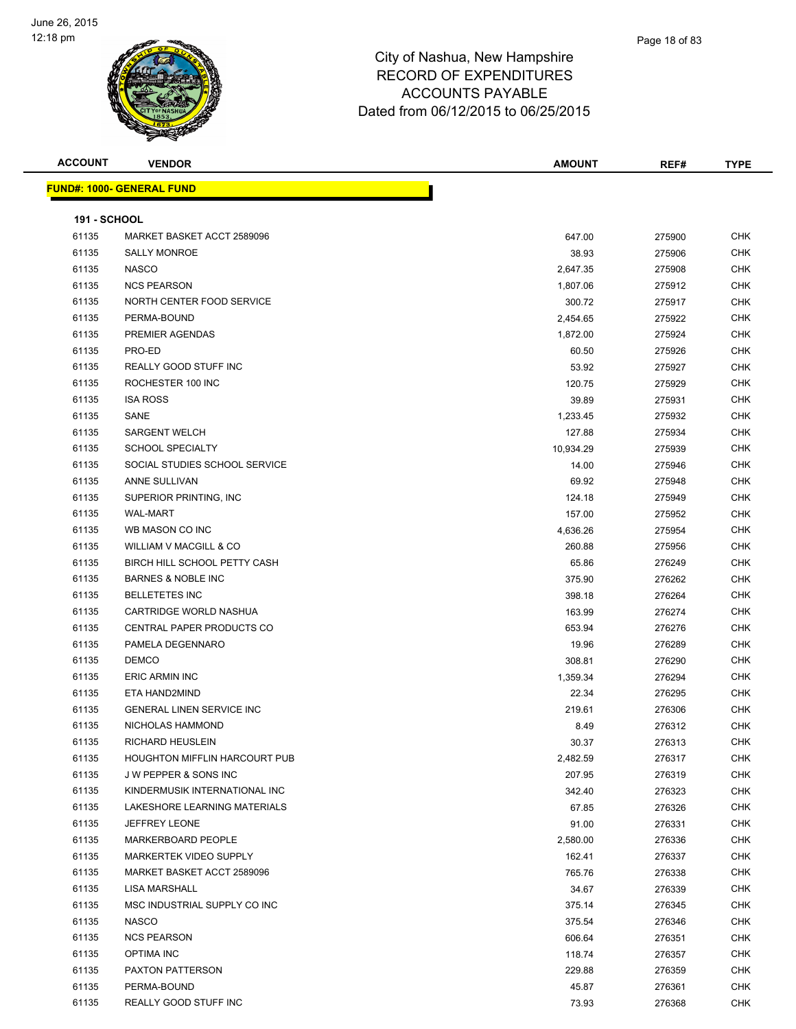

| <b>ACCOUNT</b>      | <b>VENDOR</b>                     | <b>AMOUNT</b> | REF#   | <b>TYPE</b>       |
|---------------------|-----------------------------------|---------------|--------|-------------------|
|                     | <u> FUND#: 1000- GENERAL FUND</u> |               |        |                   |
|                     |                                   |               |        |                   |
| <b>191 - SCHOOL</b> |                                   |               |        |                   |
| 61135               | MARKET BASKET ACCT 2589096        | 647.00        | 275900 | <b>CHK</b>        |
| 61135               | <b>SALLY MONROE</b>               | 38.93         | 275906 | <b>CHK</b>        |
| 61135               | <b>NASCO</b>                      | 2,647.35      | 275908 | <b>CHK</b>        |
| 61135               | <b>NCS PEARSON</b>                | 1,807.06      | 275912 | <b>CHK</b>        |
| 61135               | NORTH CENTER FOOD SERVICE         | 300.72        | 275917 | CHK               |
| 61135               | PERMA-BOUND                       | 2,454.65      | 275922 | <b>CHK</b>        |
| 61135               | PREMIER AGENDAS                   | 1,872.00      | 275924 | CHK               |
| 61135               | PRO-ED                            | 60.50         | 275926 | CHK               |
| 61135               | REALLY GOOD STUFF INC             | 53.92         | 275927 | <b>CHK</b>        |
| 61135               | ROCHESTER 100 INC                 | 120.75        | 275929 | CHK               |
| 61135               | <b>ISA ROSS</b>                   | 39.89         | 275931 | <b>CHK</b>        |
| 61135               | SANE                              | 1,233.45      | 275932 | <b>CHK</b>        |
| 61135               | <b>SARGENT WELCH</b>              | 127.88        | 275934 | CHK               |
| 61135               | <b>SCHOOL SPECIALTY</b>           | 10,934.29     | 275939 | CHK               |
| 61135               | SOCIAL STUDIES SCHOOL SERVICE     | 14.00         | 275946 | CHK               |
| 61135               | ANNE SULLIVAN                     | 69.92         | 275948 | CHK               |
| 61135               | SUPERIOR PRINTING, INC.           | 124.18        | 275949 | CHK               |
| 61135               | <b>WAL-MART</b>                   | 157.00        | 275952 | CHK               |
| 61135               | WB MASON CO INC                   | 4,636.26      | 275954 | CHK               |
| 61135               | WILLIAM V MACGILL & CO            | 260.88        | 275956 | CHK               |
| 61135               | BIRCH HILL SCHOOL PETTY CASH      | 65.86         | 276249 | CHK               |
| 61135               | <b>BARNES &amp; NOBLE INC</b>     | 375.90        | 276262 | <b>CHK</b>        |
| 61135               | <b>BELLETETES INC</b>             | 398.18        | 276264 | <b>CHK</b>        |
| 61135               | CARTRIDGE WORLD NASHUA            | 163.99        | 276274 | CHK               |
| 61135               | CENTRAL PAPER PRODUCTS CO         | 653.94        | 276276 | <b>CHK</b>        |
| 61135               | PAMELA DEGENNARO                  | 19.96         | 276289 | <b>CHK</b>        |
| 61135               | <b>DEMCO</b>                      | 308.81        | 276290 | CHK               |
| 61135               | <b>ERIC ARMIN INC</b>             | 1,359.34      | 276294 | CHK               |
| 61135               | ETA HAND2MIND                     | 22.34         | 276295 | CHK               |
| 61135               | <b>GENERAL LINEN SERVICE INC</b>  | 219.61        | 276306 | CHK               |
| 61135               | NICHOLAS HAMMOND                  | 8.49          | 276312 | CHK               |
|                     | RICHARD HEUSLEIN                  | 30.37         | 276313 |                   |
| 61135<br>61135      | HOUGHTON MIFFLIN HARCOURT PUB     |               |        | CHK<br><b>CHK</b> |
|                     | <b>JW PEPPER &amp; SONS INC</b>   | 2,482.59      | 276317 |                   |
| 61135               | KINDERMUSIK INTERNATIONAL INC     | 207.95        | 276319 | <b>CHK</b>        |
| 61135               |                                   | 342.40        | 276323 | CHK               |
| 61135               | LAKESHORE LEARNING MATERIALS      | 67.85         | 276326 | <b>CHK</b>        |
| 61135               | JEFFREY LEONE                     | 91.00         | 276331 | CHK               |
| 61135               | MARKERBOARD PEOPLE                | 2,580.00      | 276336 | CHK               |
| 61135               | MARKERTEK VIDEO SUPPLY            | 162.41        | 276337 | <b>CHK</b>        |
| 61135               | MARKET BASKET ACCT 2589096        | 765.76        | 276338 | CHK               |
| 61135               | LISA MARSHALL                     | 34.67         | 276339 | CHK               |
| 61135               | MSC INDUSTRIAL SUPPLY CO INC      | 375.14        | 276345 | CHK               |
| 61135               | <b>NASCO</b>                      | 375.54        | 276346 | <b>CHK</b>        |
| 61135               | <b>NCS PEARSON</b>                | 606.64        | 276351 | <b>CHK</b>        |
| 61135               | <b>OPTIMA INC</b>                 | 118.74        | 276357 | <b>CHK</b>        |
| 61135               | PAXTON PATTERSON                  | 229.88        | 276359 | CHK               |
| 61135               | PERMA-BOUND                       | 45.87         | 276361 | <b>CHK</b>        |
| 61135               | REALLY GOOD STUFF INC             | 73.93         | 276368 | <b>CHK</b>        |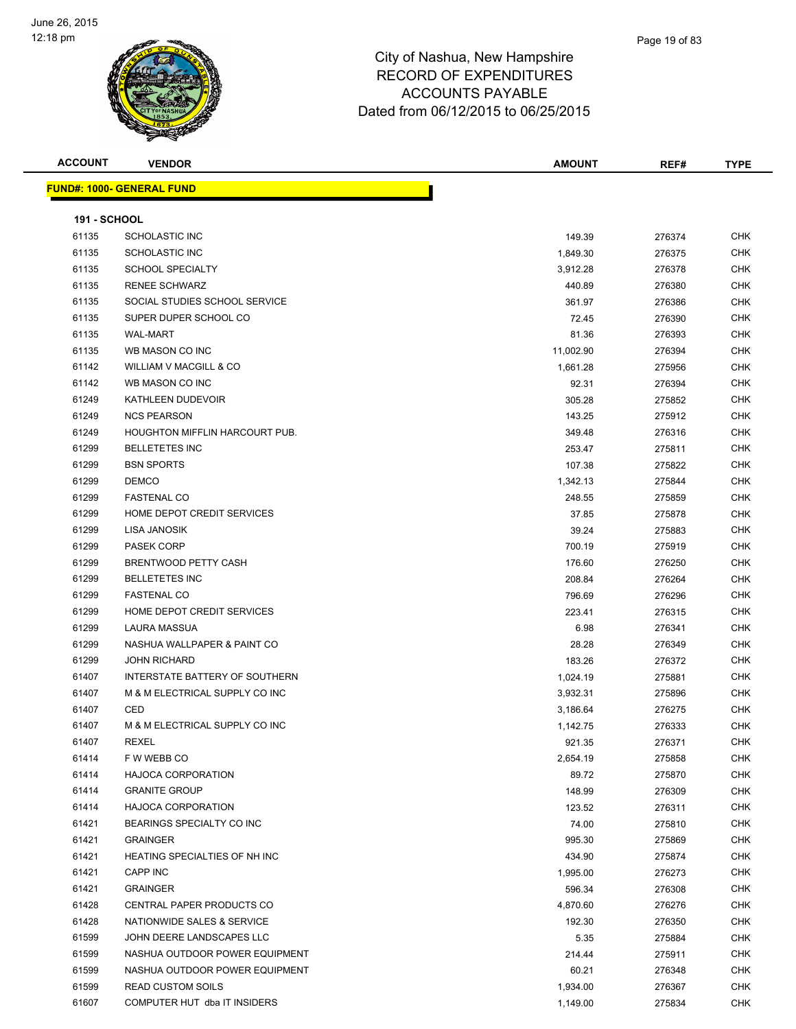

| <b>ACCOUNT</b>      | <b>VENDOR</b>                        | <b>AMOUNT</b> | REF#   | <b>TYPE</b> |  |  |
|---------------------|--------------------------------------|---------------|--------|-------------|--|--|
|                     | <u> FUND#: 1000- GENERAL FUND</u>    |               |        |             |  |  |
|                     |                                      |               |        |             |  |  |
| <b>191 - SCHOOL</b> |                                      |               |        |             |  |  |
| 61135               | <b>SCHOLASTIC INC</b>                | 149.39        | 276374 | <b>CHK</b>  |  |  |
| 61135               | <b>SCHOLASTIC INC</b>                | 1,849.30      | 276375 | <b>CHK</b>  |  |  |
| 61135               | <b>SCHOOL SPECIALTY</b>              | 3,912.28      | 276378 | CHK         |  |  |
| 61135               | <b>RENEE SCHWARZ</b>                 | 440.89        | 276380 | CHK         |  |  |
| 61135               | SOCIAL STUDIES SCHOOL SERVICE        | 361.97        | 276386 | <b>CHK</b>  |  |  |
| 61135               | SUPER DUPER SCHOOL CO                | 72.45         | 276390 | <b>CHK</b>  |  |  |
| 61135               | <b>WAL-MART</b>                      | 81.36         | 276393 | <b>CHK</b>  |  |  |
| 61135               | WB MASON CO INC                      | 11,002.90     | 276394 | <b>CHK</b>  |  |  |
| 61142               | WILLIAM V MACGILL & CO               | 1,661.28      | 275956 | <b>CHK</b>  |  |  |
| 61142               | WB MASON CO INC                      | 92.31         | 276394 | <b>CHK</b>  |  |  |
| 61249               | KATHLEEN DUDEVOIR                    | 305.28        | 275852 | <b>CHK</b>  |  |  |
| 61249               | <b>NCS PEARSON</b>                   | 143.25        | 275912 | <b>CHK</b>  |  |  |
| 61249               | HOUGHTON MIFFLIN HARCOURT PUB.       | 349.48        | 276316 | <b>CHK</b>  |  |  |
| 61299               | <b>BELLETETES INC</b>                | 253.47        | 275811 | CHK         |  |  |
| 61299               | <b>BSN SPORTS</b>                    | 107.38        | 275822 | CHK         |  |  |
| 61299               | <b>DEMCO</b>                         | 1,342.13      | 275844 | <b>CHK</b>  |  |  |
| 61299               | <b>FASTENAL CO</b>                   | 248.55        | 275859 | <b>CHK</b>  |  |  |
| 61299               | HOME DEPOT CREDIT SERVICES           | 37.85         | 275878 | <b>CHK</b>  |  |  |
| 61299               | LISA JANOSIK                         | 39.24         | 275883 | <b>CHK</b>  |  |  |
| 61299               | PASEK CORP                           | 700.19        | 275919 | <b>CHK</b>  |  |  |
| 61299               | <b>BRENTWOOD PETTY CASH</b>          | 176.60        | 276250 | <b>CHK</b>  |  |  |
| 61299               | <b>BELLETETES INC</b>                | 208.84        | 276264 | <b>CHK</b>  |  |  |
| 61299               | <b>FASTENAL CO</b>                   | 796.69        | 276296 | <b>CHK</b>  |  |  |
| 61299               | HOME DEPOT CREDIT SERVICES           | 223.41        | 276315 | <b>CHK</b>  |  |  |
| 61299               | LAURA MASSUA                         | 6.98          | 276341 | <b>CHK</b>  |  |  |
| 61299               | NASHUA WALLPAPER & PAINT CO          | 28.28         | 276349 | CHK         |  |  |
| 61299               | <b>JOHN RICHARD</b>                  | 183.26        | 276372 | <b>CHK</b>  |  |  |
| 61407               | INTERSTATE BATTERY OF SOUTHERN       | 1,024.19      | 275881 | <b>CHK</b>  |  |  |
| 61407               | M & M ELECTRICAL SUPPLY CO INC       | 3,932.31      | 275896 | <b>CHK</b>  |  |  |
| 61407               | CED                                  | 3,186.64      | 276275 | <b>CHK</b>  |  |  |
| 61407               | M & M ELECTRICAL SUPPLY CO INC       | 1,142.75      | 276333 | <b>CHK</b>  |  |  |
| 61407               | REXEL                                | 921.35        | 276371 | CHK         |  |  |
| 61414               | F W WEBB CO                          | 2,654.19      | 275858 | <b>CHK</b>  |  |  |
| 61414               | <b>HAJOCA CORPORATION</b>            | 89.72         | 275870 | <b>CHK</b>  |  |  |
| 61414               | <b>GRANITE GROUP</b>                 | 148.99        | 276309 | <b>CHK</b>  |  |  |
| 61414               | <b>HAJOCA CORPORATION</b>            | 123.52        | 276311 | <b>CHK</b>  |  |  |
| 61421               | BEARINGS SPECIALTY CO INC            | 74.00         | 275810 | CHK         |  |  |
| 61421               | <b>GRAINGER</b>                      | 995.30        | 275869 | <b>CHK</b>  |  |  |
| 61421               | <b>HEATING SPECIALTIES OF NH INC</b> | 434.90        | 275874 | <b>CHK</b>  |  |  |
| 61421               | CAPP INC                             | 1,995.00      | 276273 | <b>CHK</b>  |  |  |
| 61421               | <b>GRAINGER</b>                      | 596.34        | 276308 | <b>CHK</b>  |  |  |
| 61428               | CENTRAL PAPER PRODUCTS CO            | 4,870.60      | 276276 | <b>CHK</b>  |  |  |
| 61428               | NATIONWIDE SALES & SERVICE           | 192.30        | 276350 | <b>CHK</b>  |  |  |
| 61599               | JOHN DEERE LANDSCAPES LLC            | 5.35          | 275884 | <b>CHK</b>  |  |  |
| 61599               | NASHUA OUTDOOR POWER EQUIPMENT       | 214.44        | 275911 | <b>CHK</b>  |  |  |
| 61599               | NASHUA OUTDOOR POWER EQUIPMENT       | 60.21         | 276348 | <b>CHK</b>  |  |  |
| 61599               | <b>READ CUSTOM SOILS</b>             | 1,934.00      | 276367 | <b>CHK</b>  |  |  |
| 61607               | COMPUTER HUT dba IT INSIDERS         | 1,149.00      | 275834 | <b>CHK</b>  |  |  |
|                     |                                      |               |        |             |  |  |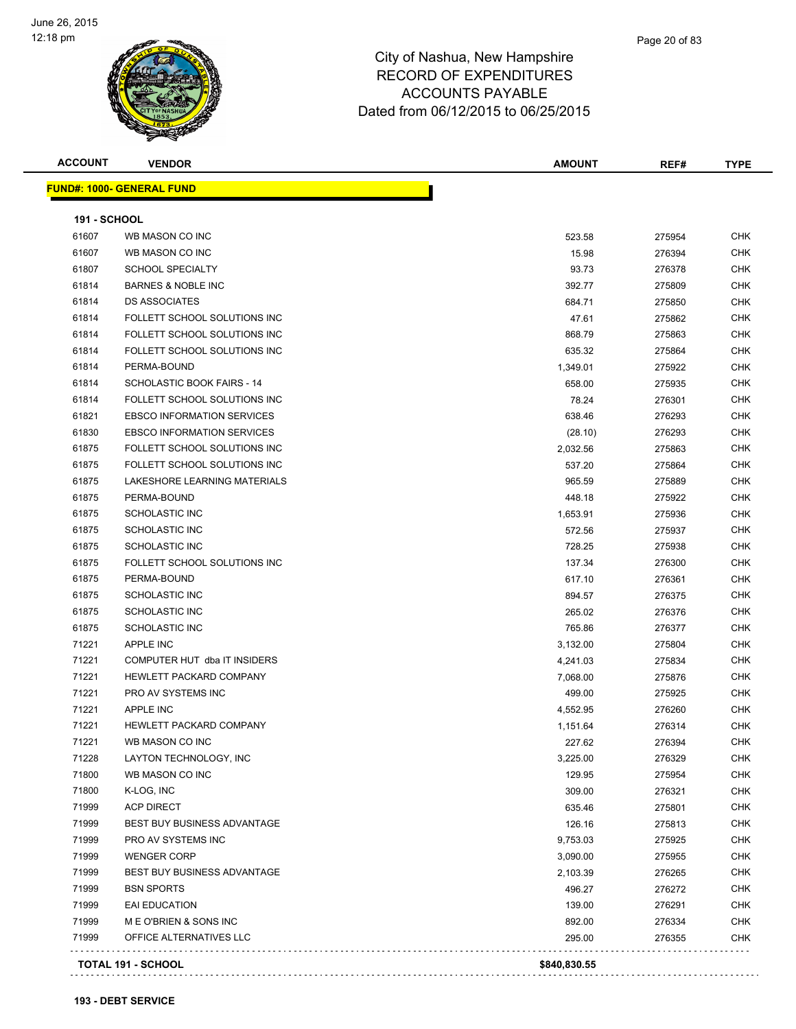

| <b>ACCOUNT</b>      | <b>VENDOR</b>                      | <b>AMOUNT</b> | REF#   | <b>TYPE</b> |
|---------------------|------------------------------------|---------------|--------|-------------|
|                     | <b>FUND#: 1000- GENERAL FUND</b>   |               |        |             |
| <b>191 - SCHOOL</b> |                                    |               |        |             |
| 61607               | WB MASON CO INC                    | 523.58        | 275954 | <b>CHK</b>  |
| 61607               | WB MASON CO INC                    | 15.98         | 276394 | <b>CHK</b>  |
| 61807               | <b>SCHOOL SPECIALTY</b>            | 93.73         | 276378 | <b>CHK</b>  |
| 61814               | <b>BARNES &amp; NOBLE INC</b>      | 392.77        | 275809 | <b>CHK</b>  |
| 61814               | <b>DS ASSOCIATES</b>               | 684.71        | 275850 | <b>CHK</b>  |
| 61814               | FOLLETT SCHOOL SOLUTIONS INC       | 47.61         | 275862 | <b>CHK</b>  |
| 61814               | FOLLETT SCHOOL SOLUTIONS INC       | 868.79        | 275863 | <b>CHK</b>  |
| 61814               | FOLLETT SCHOOL SOLUTIONS INC       | 635.32        | 275864 | <b>CHK</b>  |
| 61814               | PERMA-BOUND                        | 1,349.01      | 275922 | <b>CHK</b>  |
| 61814               | SCHOLASTIC BOOK FAIRS - 14         | 658.00        | 275935 | <b>CHK</b>  |
| 61814               | FOLLETT SCHOOL SOLUTIONS INC       | 78.24         | 276301 | <b>CHK</b>  |
| 61821               | <b>EBSCO INFORMATION SERVICES</b>  | 638.46        | 276293 | <b>CHK</b>  |
| 61830               | <b>EBSCO INFORMATION SERVICES</b>  | (28.10)       | 276293 | <b>CHK</b>  |
| 61875               | FOLLETT SCHOOL SOLUTIONS INC       | 2,032.56      | 275863 | <b>CHK</b>  |
| 61875               | FOLLETT SCHOOL SOLUTIONS INC       | 537.20        | 275864 | <b>CHK</b>  |
| 61875               | LAKESHORE LEARNING MATERIALS       | 965.59        | 275889 | <b>CHK</b>  |
| 61875               | PERMA-BOUND                        | 448.18        | 275922 | <b>CHK</b>  |
| 61875               | <b>SCHOLASTIC INC</b>              | 1,653.91      | 275936 | <b>CHK</b>  |
| 61875               | <b>SCHOLASTIC INC</b>              | 572.56        | 275937 | <b>CHK</b>  |
| 61875               | <b>SCHOLASTIC INC</b>              | 728.25        | 275938 | <b>CHK</b>  |
| 61875               | FOLLETT SCHOOL SOLUTIONS INC       | 137.34        | 276300 | CHK         |
| 61875               | PERMA-BOUND                        | 617.10        | 276361 | <b>CHK</b>  |
| 61875               | <b>SCHOLASTIC INC</b>              | 894.57        | 276375 | <b>CHK</b>  |
| 61875               | <b>SCHOLASTIC INC</b>              | 265.02        | 276376 | <b>CHK</b>  |
| 61875               | <b>SCHOLASTIC INC</b>              | 765.86        | 276377 | <b>CHK</b>  |
| 71221               | APPLE INC                          | 3,132.00      | 275804 | <b>CHK</b>  |
| 71221               | COMPUTER HUT dba IT INSIDERS       | 4,241.03      | 275834 | <b>CHK</b>  |
| 71221               | <b>HEWLETT PACKARD COMPANY</b>     | 7,068.00      | 275876 | <b>CHK</b>  |
| 71221               | PRO AV SYSTEMS INC                 | 499.00        | 275925 | <b>CHK</b>  |
| 71221               | <b>APPLE INC</b>                   | 4,552.95      | 276260 | <b>CHK</b>  |
| 71221               | HEWLETT PACKARD COMPANY            | 1,151.64      | 276314 | <b>CHK</b>  |
| 71221               | WB MASON CO INC                    | 227.62        | 276394 | CHK         |
| 71228               | LAYTON TECHNOLOGY, INC             | 3,225.00      | 276329 | <b>CHK</b>  |
| 71800               | WB MASON CO INC                    | 129.95        | 275954 | <b>CHK</b>  |
| 71800               | K-LOG, INC                         | 309.00        | 276321 | <b>CHK</b>  |
| 71999               | <b>ACP DIRECT</b>                  | 635.46        | 275801 | CHK         |
| 71999               | BEST BUY BUSINESS ADVANTAGE        | 126.16        | 275813 | <b>CHK</b>  |
| 71999               | PRO AV SYSTEMS INC                 | 9,753.03      | 275925 | <b>CHK</b>  |
| 71999               | <b>WENGER CORP</b>                 | 3,090.00      | 275955 | <b>CHK</b>  |
| 71999               | <b>BEST BUY BUSINESS ADVANTAGE</b> | 2,103.39      | 276265 | <b>CHK</b>  |
| 71999               | <b>BSN SPORTS</b>                  | 496.27        | 276272 | <b>CHK</b>  |
| 71999               | <b>EAI EDUCATION</b>               | 139.00        | 276291 | <b>CHK</b>  |
| 71999               | M E O'BRIEN & SONS INC             | 892.00        | 276334 | <b>CHK</b>  |
| 71999               | OFFICE ALTERNATIVES LLC            | 295.00        | 276355 | <b>CHK</b>  |
|                     | TOTAL 191 - SCHOOL                 | \$840,830.55  |        |             |

. . . . . . . . . . . . . . . . .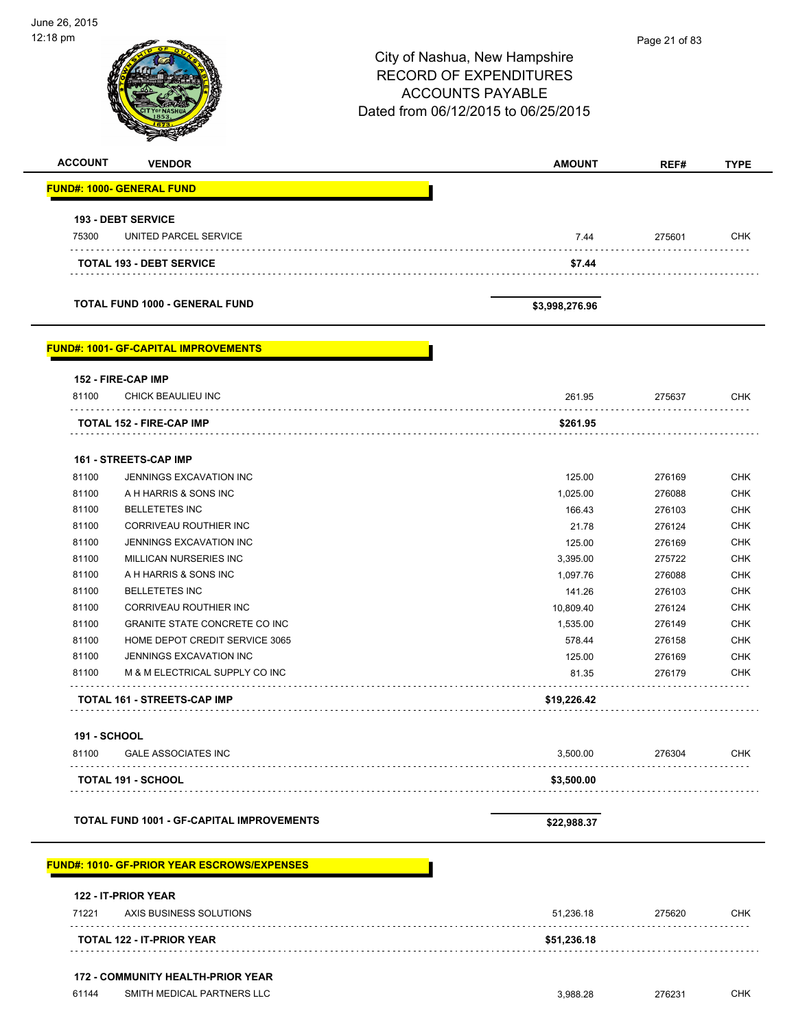| 12:18 pm       | <b>VENDOR</b>                                      | City of Nashua, New Hampshire<br><b>RECORD OF EXPENDITURES</b><br><b>ACCOUNTS PAYABLE</b><br>Dated from 06/12/2015 to 06/25/2015 | Page 21 of 83 |             |
|----------------|----------------------------------------------------|----------------------------------------------------------------------------------------------------------------------------------|---------------|-------------|
| <b>ACCOUNT</b> |                                                    | <b>AMOUNT</b>                                                                                                                    | REF#          | <b>TYPE</b> |
|                | <b>FUND#: 1000- GENERAL FUND</b>                   |                                                                                                                                  |               |             |
|                | <b>193 - DEBT SERVICE</b>                          |                                                                                                                                  |               |             |
| 75300          | UNITED PARCEL SERVICE                              | 7.44                                                                                                                             | 275601        | <b>CHK</b>  |
|                | <b>TOTAL 193 - DEBT SERVICE</b>                    | \$7.44                                                                                                                           | .             |             |
|                | <b>TOTAL FUND 1000 - GENERAL FUND</b>              | \$3,998,276.96                                                                                                                   |               |             |
|                | <b>FUND#: 1001- GF-CAPITAL IMPROVEMENTS</b>        |                                                                                                                                  |               |             |
|                | 152 - FIRE-CAP IMP                                 |                                                                                                                                  |               |             |
| 81100          | CHICK BEAULIEU INC<br>.                            | 261.95                                                                                                                           | 275637        | <b>CHK</b>  |
|                | TOTAL 152 - FIRE-CAP IMP                           | \$261.95                                                                                                                         |               |             |
|                | 161 - STREETS-CAP IMP                              |                                                                                                                                  |               |             |
| 81100          | JENNINGS EXCAVATION INC                            | 125.00                                                                                                                           | 276169        | <b>CHK</b>  |
| 81100          | A H HARRIS & SONS INC                              | 1,025.00                                                                                                                         | 276088        | <b>CHK</b>  |
| 81100          | <b>BELLETETES INC</b>                              | 166.43                                                                                                                           | 276103        | <b>CHK</b>  |
| 81100          | CORRIVEAU ROUTHIER INC                             | 21.78                                                                                                                            | 276124        | <b>CHK</b>  |
| 81100          | JENNINGS EXCAVATION INC                            | 125.00                                                                                                                           | 276169        | <b>CHK</b>  |
| 81100          | MILLICAN NURSERIES INC                             | 3,395.00                                                                                                                         | 275722        | <b>CHK</b>  |
| 81100          | A H HARRIS & SONS INC                              | 1,097.76                                                                                                                         | 276088        | <b>CHK</b>  |
| 81100          | <b>BELLETETES INC</b>                              | 141.26                                                                                                                           | 276103        | <b>CHK</b>  |
| 81100          | CORRIVEAU ROUTHIER INC                             | 10,809.40                                                                                                                        | 276124        | <b>CHK</b>  |
| 81100          | GRANITE STATE CONCRETE CO INC                      | 1,535.00                                                                                                                         | 276149        | <b>CHK</b>  |
| 81100          | HOME DEPOT CREDIT SERVICE 3065                     | 578.44                                                                                                                           | 276158        | <b>CHK</b>  |
| 81100          | JENNINGS EXCAVATION INC                            | 125.00                                                                                                                           | 276169        | <b>CHK</b>  |
| 81100          | M & M ELECTRICAL SUPPLY CO INC                     | 81.35                                                                                                                            | 276179        | <b>CHK</b>  |
|                | TOTAL 161 - STREETS-CAP IMP                        | \$19,226.42                                                                                                                      |               |             |
| 191 - SCHOOL   |                                                    |                                                                                                                                  |               |             |
| 81100          | <b>GALE ASSOCIATES INC</b>                         | 3,500.00                                                                                                                         | 276304        | <b>CHK</b>  |
|                | <b>TOTAL 191 - SCHOOL</b>                          | \$3,500.00                                                                                                                       |               |             |
|                |                                                    |                                                                                                                                  |               |             |
|                | <b>TOTAL FUND 1001 - GF-CAPITAL IMPROVEMENTS</b>   | \$22,988.37                                                                                                                      |               |             |
|                | <b>FUND#: 1010- GF-PRIOR YEAR ESCROWS/EXPENSES</b> |                                                                                                                                  |               |             |
| 71221          | 122 - IT-PRIOR YEAR<br>AXIS BUSINESS SOLUTIONS     | 51,236.18                                                                                                                        | 275620        | <b>CHK</b>  |
| .              | TOTAL 122 - IT-PRIOR YEAR                          | \$51,236.18                                                                                                                      | .             |             |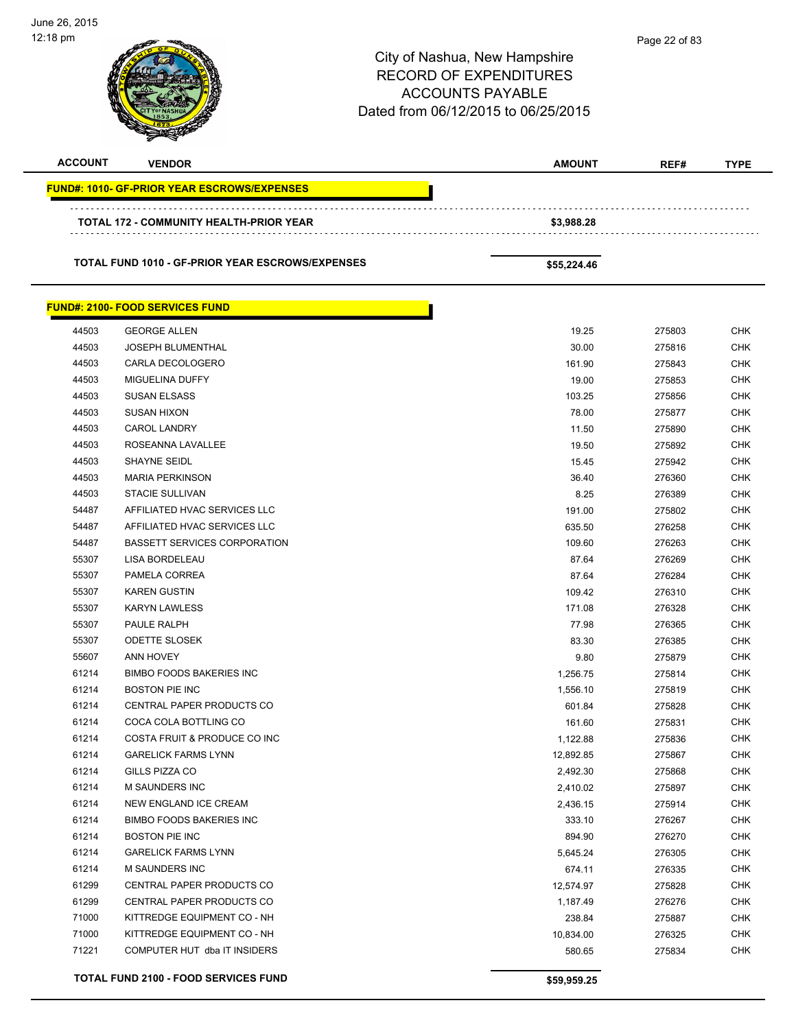| June 26, 2015<br>12:18 pm |                                                    | City of Nashua, New Hampshire<br><b>RECORD OF EXPENDITURES</b><br><b>ACCOUNTS PAYABLE</b><br>Dated from 06/12/2015 to 06/25/2015 | Page 22 of 83    |                          |  |
|---------------------------|----------------------------------------------------|----------------------------------------------------------------------------------------------------------------------------------|------------------|--------------------------|--|
| <b>ACCOUNT</b>            | <b>VENDOR</b>                                      | <b>AMOUNT</b>                                                                                                                    | REF#             | <b>TYPE</b>              |  |
|                           | <b>FUND#: 1010- GF-PRIOR YEAR ESCROWS/EXPENSES</b> |                                                                                                                                  |                  |                          |  |
|                           |                                                    |                                                                                                                                  |                  |                          |  |
|                           | TOTAL 172 - COMMUNITY HEALTH-PRIOR YEAR            | \$3,988.28                                                                                                                       |                  |                          |  |
|                           | TOTAL FUND 1010 - GF-PRIOR YEAR ESCROWS/EXPENSES   | \$55,224.46                                                                                                                      |                  |                          |  |
|                           | <b>FUND#: 2100- FOOD SERVICES FUND</b>             |                                                                                                                                  |                  |                          |  |
| 44503                     | <b>GEORGE ALLEN</b>                                | 19.25                                                                                                                            | 275803           | <b>CHK</b>               |  |
| 44503                     | <b>JOSEPH BLUMENTHAL</b>                           | 30.00                                                                                                                            | 275816           | <b>CHK</b>               |  |
| 44503                     | CARLA DECOLOGERO                                   | 161.90                                                                                                                           | 275843           | <b>CHK</b>               |  |
| 44503                     | MIGUELINA DUFFY                                    | 19.00                                                                                                                            | 275853           | <b>CHK</b>               |  |
| 44503                     | <b>SUSAN ELSASS</b>                                | 103.25                                                                                                                           | 275856           | <b>CHK</b>               |  |
| 44503                     | <b>SUSAN HIXON</b>                                 | 78.00                                                                                                                            | 275877           | <b>CHK</b>               |  |
| 44503                     | <b>CAROL LANDRY</b>                                | 11.50                                                                                                                            | 275890           | <b>CHK</b>               |  |
| 44503                     | ROSEANNA LAVALLEE                                  | 19.50                                                                                                                            | 275892           | <b>CHK</b>               |  |
| 44503                     | <b>SHAYNE SEIDL</b>                                | 15.45                                                                                                                            | 275942           | <b>CHK</b>               |  |
| 44503                     | <b>MARIA PERKINSON</b>                             | 36.40                                                                                                                            | 276360           | <b>CHK</b>               |  |
| 44503                     | <b>STACIE SULLIVAN</b>                             | 8.25                                                                                                                             | 276389           | <b>CHK</b>               |  |
| 54487                     | AFFILIATED HVAC SERVICES LLC                       | 191.00                                                                                                                           | 275802           | <b>CHK</b>               |  |
| 54487                     | AFFILIATED HVAC SERVICES LLC                       | 635.50                                                                                                                           | 276258           | <b>CHK</b>               |  |
| 54487                     | <b>BASSETT SERVICES CORPORATION</b>                | 109.60                                                                                                                           | 276263           | <b>CHK</b>               |  |
| 55307                     | LISA BORDELEAU                                     | 87.64                                                                                                                            | 276269           | <b>CHK</b>               |  |
| 55307                     | PAMELA CORREA                                      | 87.64                                                                                                                            | 276284           | <b>CHK</b>               |  |
| 55307                     | <b>KAREN GUSTIN</b>                                | 109.42                                                                                                                           | 276310           | <b>CHK</b>               |  |
| 55307                     | <b>KARYN LAWLESS</b>                               | 171.08                                                                                                                           | 276328           | <b>CHK</b>               |  |
| 55307                     | PAULE RALPH                                        | 77.98                                                                                                                            | 276365           | <b>CHK</b>               |  |
| 55307                     | ODETTE SLOSEK                                      | 83.30                                                                                                                            | 276385           | <b>CHK</b>               |  |
| 55607                     | ANN HOVEY                                          | 9.80                                                                                                                             | 275879           | <b>CHK</b>               |  |
| 61214                     | <b>BIMBO FOODS BAKERIES INC</b>                    | 1,256.75                                                                                                                         | 275814           | <b>CHK</b>               |  |
| 61214                     | <b>BOSTON PIE INC</b>                              | 1,556.10                                                                                                                         | 275819           | <b>CHK</b>               |  |
| 61214                     | CENTRAL PAPER PRODUCTS CO                          | 601.84                                                                                                                           | 275828           | <b>CHK</b>               |  |
| 61214                     | COCA COLA BOTTLING CO                              | 161.60                                                                                                                           | 275831           | <b>CHK</b>               |  |
| 61214                     | COSTA FRUIT & PRODUCE CO INC                       | 1,122.88                                                                                                                         | 275836           | <b>CHK</b>               |  |
| 61214                     | <b>GARELICK FARMS LYNN</b>                         | 12,892.85                                                                                                                        | 275867           | <b>CHK</b>               |  |
| 61214                     | GILLS PIZZA CO                                     | 2,492.30                                                                                                                         | 275868           | <b>CHK</b>               |  |
| 61214                     | M SAUNDERS INC                                     | 2,410.02                                                                                                                         | 275897           | <b>CHK</b>               |  |
| 61214                     | NEW ENGLAND ICE CREAM                              | 2,436.15                                                                                                                         | 275914           | <b>CHK</b>               |  |
| 61214                     | <b>BIMBO FOODS BAKERIES INC</b>                    | 333.10                                                                                                                           | 276267           | <b>CHK</b>               |  |
| 61214                     | <b>BOSTON PIE INC</b>                              | 894.90                                                                                                                           | 276270           | <b>CHK</b>               |  |
| 61214                     | <b>GARELICK FARMS LYNN</b>                         | 5,645.24                                                                                                                         | 276305           | <b>CHK</b>               |  |
| 61214<br>61299            | <b>M SAUNDERS INC</b><br>CENTRAL PAPER PRODUCTS CO | 674.11                                                                                                                           | 276335           | <b>CHK</b><br><b>CHK</b> |  |
| 61299                     | CENTRAL PAPER PRODUCTS CO                          | 12,574.97                                                                                                                        | 275828           | <b>CHK</b>               |  |
| 71000                     | KITTREDGE EQUIPMENT CO - NH                        | 1,187.49<br>238.84                                                                                                               | 276276<br>275887 | <b>CHK</b>               |  |
| 71000                     | KITTREDGE EQUIPMENT CO - NH                        | 10,834.00                                                                                                                        | 276325           | <b>CHK</b>               |  |
| 71221                     | COMPUTER HUT dba IT INSIDERS                       | 580.65                                                                                                                           | 275834           | <b>CHK</b>               |  |
|                           | TOTAL FUND 2100 - FOOD SERVICES FUND               | \$59,959.25                                                                                                                      |                  |                          |  |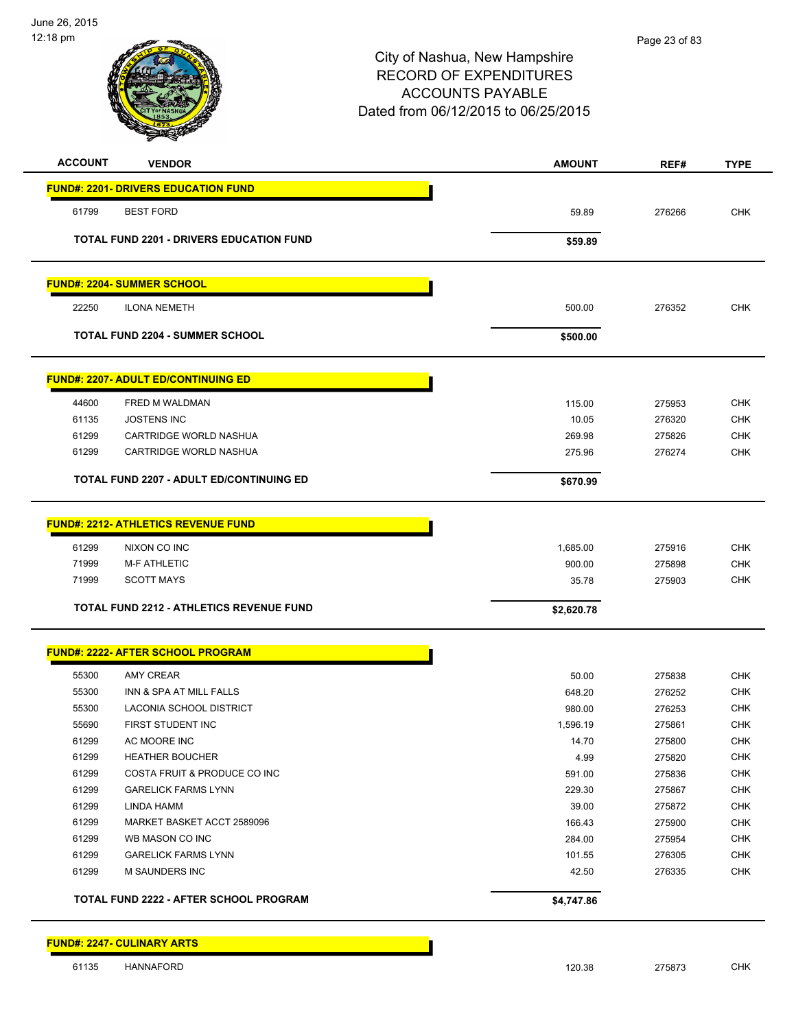

| <b>ACCOUNT</b> | <b>VENDOR</b>                                   | <b>AMOUNT</b> | REF#   | <b>TYPE</b> |
|----------------|-------------------------------------------------|---------------|--------|-------------|
|                | <b>FUND#: 2201- DRIVERS EDUCATION FUND</b>      |               |        |             |
| 61799          | <b>BEST FORD</b>                                | 59.89         | 276266 | <b>CHK</b>  |
|                | <b>TOTAL FUND 2201 - DRIVERS EDUCATION FUND</b> |               |        |             |
|                |                                                 | \$59.89       |        |             |
|                | <b>FUND#: 2204- SUMMER SCHOOL</b>               |               |        |             |
| 22250          | <b>ILONA NEMETH</b>                             | 500.00        | 276352 | <b>CHK</b>  |
|                | <b>TOTAL FUND 2204 - SUMMER SCHOOL</b>          | \$500.00      |        |             |
|                | <b>FUND#: 2207- ADULT ED/CONTINUING ED</b>      |               |        |             |
| 44600          | FRED M WALDMAN                                  | 115.00        | 275953 | <b>CHK</b>  |
| 61135          | <b>JOSTENS INC</b>                              | 10.05         | 276320 | <b>CHK</b>  |
| 61299          | CARTRIDGE WORLD NASHUA                          | 269.98        | 275826 | <b>CHK</b>  |
| 61299          | <b>CARTRIDGE WORLD NASHUA</b>                   | 275.96        | 276274 | <b>CHK</b>  |
|                | <b>TOTAL FUND 2207 - ADULT ED/CONTINUING ED</b> | \$670.99      |        |             |
|                | <b>FUND#: 2212- ATHLETICS REVENUE FUND</b>      |               |        |             |
| 61299          | NIXON CO INC                                    | 1,685.00      | 275916 | <b>CHK</b>  |
| 71999          | <b>M-F ATHLETIC</b>                             | 900.00        | 275898 | <b>CHK</b>  |
| 71999          | <b>SCOTT MAYS</b>                               | 35.78         | 275903 | <b>CHK</b>  |
|                | <b>TOTAL FUND 2212 - ATHLETICS REVENUE FUND</b> | \$2,620.78    |        |             |
|                | <b>FUND#: 2222- AFTER SCHOOL PROGRAM</b>        |               |        |             |
| 55300          | AMY CREAR                                       | 50.00         | 275838 | <b>CHK</b>  |
| 55300          | INN & SPA AT MILL FALLS                         | 648.20        | 276252 | <b>CHK</b>  |
| 55300          | LACONIA SCHOOL DISTRICT                         | 980.00        | 276253 | <b>CHK</b>  |
| 55690          | FIRST STUDENT INC                               | 1,596.19      | 275861 | <b>CHK</b>  |
| 61299          | AC MOORE INC                                    | 14.70         | 275800 | <b>CHK</b>  |
| 61299          | <b>HEATHER BOUCHER</b>                          | 4.99          | 275820 | <b>CHK</b>  |
| 61299          | COSTA FRUIT & PRODUCE CO INC                    | 591.00        | 275836 | <b>CHK</b>  |
| 61299          | <b>GARELICK FARMS LYNN</b>                      | 229.30        | 275867 | <b>CHK</b>  |
| 61299          | LINDA HAMM                                      | 39.00         | 275872 | <b>CHK</b>  |
| 61299          | MARKET BASKET ACCT 2589096                      | 166.43        | 275900 | <b>CHK</b>  |
| 61299          | WB MASON CO INC                                 | 284.00        | 275954 | <b>CHK</b>  |
| 61299          | <b>GARELICK FARMS LYNN</b>                      | 101.55        | 276305 | <b>CHK</b>  |
| 61299          | M SAUNDERS INC                                  | 42.50         | 276335 | <b>CHK</b>  |
|                | TOTAL FUND 2222 - AFTER SCHOOL PROGRAM          | \$4,747.86    |        |             |

**FUND#: 2247- CULINARY ARTS**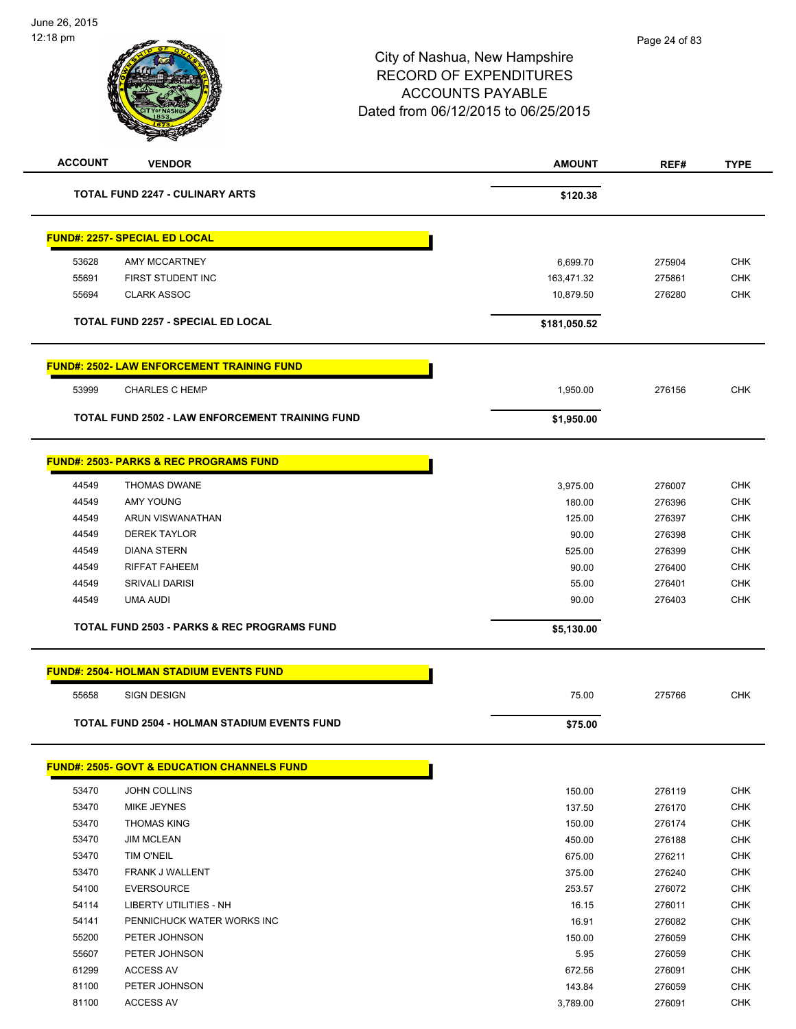

| <b>ACCOUNT</b> | <b>VENDOR</b>                                          | <b>AMOUNT</b>      | REF#             | <b>TYPE</b>              |
|----------------|--------------------------------------------------------|--------------------|------------------|--------------------------|
|                | TOTAL FUND 2247 - CULINARY ARTS                        | \$120.38           |                  |                          |
|                | <b>FUND#: 2257- SPECIAL ED LOCAL</b>                   |                    |                  |                          |
| 53628          | <b>AMY MCCARTNEY</b>                                   | 6,699.70           | 275904           | <b>CHK</b>               |
| 55691          | FIRST STUDENT INC                                      | 163,471.32         | 275861           | <b>CHK</b>               |
| 55694          | <b>CLARK ASSOC</b>                                     | 10,879.50          | 276280           | <b>CHK</b>               |
|                | <b>TOTAL FUND 2257 - SPECIAL ED LOCAL</b>              | \$181,050.52       |                  |                          |
|                | <b>FUND#: 2502- LAW ENFORCEMENT TRAINING FUND</b>      |                    |                  |                          |
| 53999          | <b>CHARLES C HEMP</b>                                  | 1,950.00           | 276156           | CHK                      |
|                | TOTAL FUND 2502 - LAW ENFORCEMENT TRAINING FUND        | \$1,950.00         |                  |                          |
|                |                                                        |                    |                  |                          |
|                | <b>FUND#: 2503- PARKS &amp; REC PROGRAMS FUND</b>      |                    |                  |                          |
| 44549          | <b>THOMAS DWANE</b>                                    | 3,975.00           | 276007           | <b>CHK</b>               |
| 44549          | AMY YOUNG                                              | 180.00             | 276396           | <b>CHK</b>               |
| 44549          | ARUN VISWANATHAN                                       | 125.00             | 276397           | <b>CHK</b>               |
| 44549          | <b>DEREK TAYLOR</b>                                    | 90.00              | 276398           | <b>CHK</b>               |
| 44549          | <b>DIANA STERN</b>                                     | 525.00             | 276399           | <b>CHK</b>               |
| 44549          | <b>RIFFAT FAHEEM</b>                                   | 90.00              | 276400           | <b>CHK</b>               |
| 44549          | <b>SRIVALI DARISI</b>                                  | 55.00              | 276401           | <b>CHK</b>               |
| 44549          | <b>UMA AUDI</b>                                        | 90.00              | 276403           | <b>CHK</b>               |
|                | <b>TOTAL FUND 2503 - PARKS &amp; REC PROGRAMS FUND</b> | \$5,130.00         |                  |                          |
|                | <b>FUND#: 2504- HOLMAN STADIUM EVENTS FUND</b>         |                    |                  |                          |
| 55658          | <b>SIGN DESIGN</b>                                     | 75.00              | 275766           | <b>CHK</b>               |
|                | TOTAL FUND 2504 - HOLMAN STADIUM EVENTS FUND           | \$75.00            |                  |                          |
|                | <b>FUND#: 2505- GOVT &amp; EDUCATION CHANNELS FUND</b> |                    |                  |                          |
| 53470          | <b>JOHN COLLINS</b>                                    |                    | 276119           | <b>CHK</b>               |
| 53470          | <b>MIKE JEYNES</b>                                     | 150.00             |                  | CHK                      |
|                |                                                        | 137.50<br>150.00   | 276170           |                          |
| 53470<br>53470 | <b>THOMAS KING</b>                                     |                    | 276174           | <b>CHK</b>               |
|                | <b>JIM MCLEAN</b>                                      | 450.00             | 276188           | <b>CHK</b>               |
| 53470          | TIM O'NEIL                                             | 675.00             | 276211           | <b>CHK</b>               |
| 53470          | FRANK J WALLENT<br><b>EVERSOURCE</b>                   | 375.00             | 276240           | <b>CHK</b><br><b>CHK</b> |
| 54100          | <b>LIBERTY UTILITIES - NH</b>                          | 253.57             | 276072           |                          |
| 54114          | PENNICHUCK WATER WORKS INC                             | 16.15              | 276011           | <b>CHK</b><br><b>CHK</b> |
| 54141<br>55200 | PETER JOHNSON                                          | 16.91              | 276082           | <b>CHK</b>               |
|                |                                                        | 150.00             | 276059           |                          |
| 55607<br>61299 | PETER JOHNSON                                          | 5.95               | 276059           | <b>CHK</b><br><b>CHK</b> |
|                | <b>ACCESS AV</b>                                       | 672.56             | 276091           |                          |
| 81100<br>81100 | PETER JOHNSON<br><b>ACCESS AV</b>                      | 143.84<br>3,789.00 | 276059<br>276091 | <b>CHK</b><br><b>CHK</b> |
|                |                                                        |                    |                  |                          |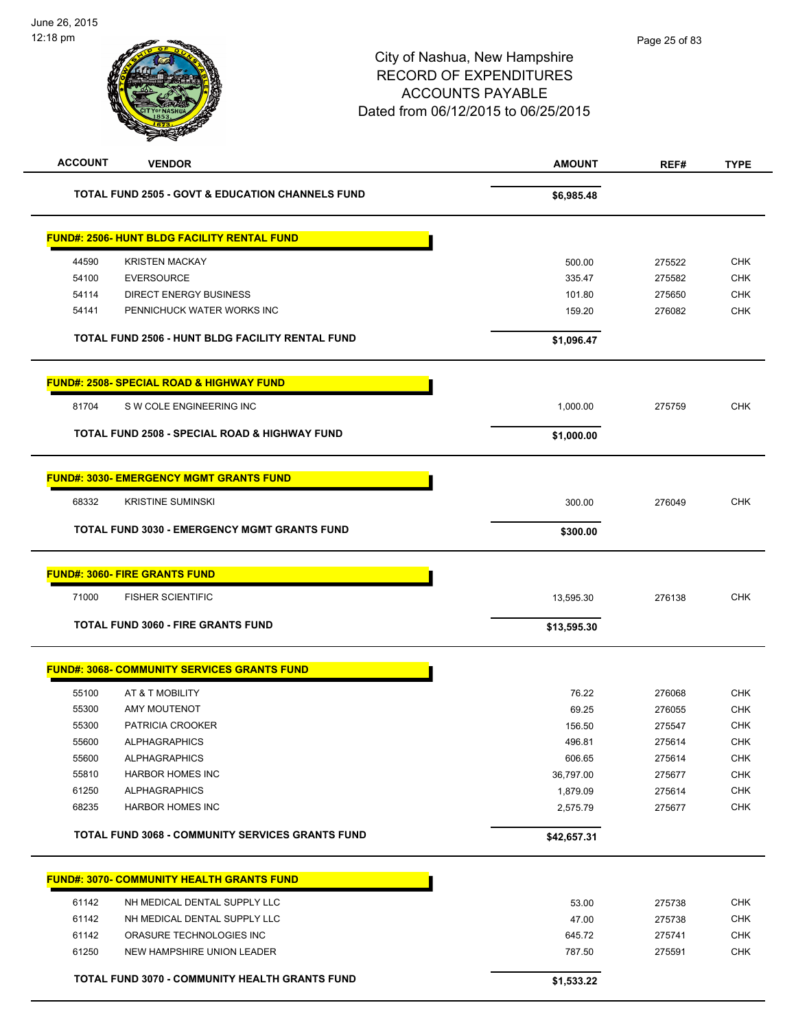| <b>ACCOUNT</b> | <b>VENDOR</b>                                               | <b>AMOUNT</b> | REF#   | <b>TYPE</b> |
|----------------|-------------------------------------------------------------|---------------|--------|-------------|
|                | <b>TOTAL FUND 2505 - GOVT &amp; EDUCATION CHANNELS FUND</b> | \$6,985.48    |        |             |
|                | <b>FUND#: 2506- HUNT BLDG FACILITY RENTAL FUND</b>          |               |        |             |
| 44590          | <b>KRISTEN MACKAY</b>                                       | 500.00        | 275522 | <b>CHK</b>  |
| 54100          | <b>EVERSOURCE</b>                                           | 335.47        | 275582 | <b>CHK</b>  |
| 54114          | <b>DIRECT ENERGY BUSINESS</b>                               | 101.80        | 275650 | <b>CHK</b>  |
| 54141          | PENNICHUCK WATER WORKS INC                                  | 159.20        | 276082 | <b>CHK</b>  |
|                | TOTAL FUND 2506 - HUNT BLDG FACILITY RENTAL FUND            | \$1,096.47    |        |             |
|                | <b>FUND#: 2508- SPECIAL ROAD &amp; HIGHWAY FUND</b>         |               |        |             |
| 81704          | S W COLE ENGINEERING INC                                    | 1,000.00      | 275759 | <b>CHK</b>  |
|                | <b>TOTAL FUND 2508 - SPECIAL ROAD &amp; HIGHWAY FUND</b>    | \$1,000.00    |        |             |
|                | <b>FUND#: 3030- EMERGENCY MGMT GRANTS FUND</b>              |               |        |             |
| 68332          | <b>KRISTINE SUMINSKI</b>                                    | 300.00        | 276049 | <b>CHK</b>  |
|                | TOTAL FUND 3030 - EMERGENCY MGMT GRANTS FUND                | \$300.00      |        |             |
|                | <b>FUND#: 3060- FIRE GRANTS FUND</b>                        |               |        |             |
| 71000          | <b>FISHER SCIENTIFIC</b>                                    | 13,595.30     | 276138 | <b>CHK</b>  |
|                | <b>TOTAL FUND 3060 - FIRE GRANTS FUND</b>                   | \$13,595.30   |        |             |
|                | <b>FUND#: 3068- COMMUNITY SERVICES GRANTS FUND</b>          |               |        |             |
| 55100          | AT & T MOBILITY                                             | 76.22         | 276068 | <b>CHK</b>  |
| 55300          | <b>AMY MOUTENOT</b>                                         | 69.25         | 276055 | CHK         |
| 55300          | PATRICIA CROOKER                                            | 156.50        | 275547 | <b>CHK</b>  |
| 55600          | <b>ALPHAGRAPHICS</b>                                        | 496.81        | 275614 | <b>CHK</b>  |
| 55600          | <b>ALPHAGRAPHICS</b>                                        | 606.65        | 275614 | <b>CHK</b>  |
| 55810          | <b>HARBOR HOMES INC</b>                                     | 36,797.00     | 275677 | <b>CHK</b>  |
| 61250          | <b>ALPHAGRAPHICS</b>                                        | 1,879.09      | 275614 | <b>CHK</b>  |
| 68235          | <b>HARBOR HOMES INC</b>                                     | 2,575.79      | 275677 | <b>CHK</b>  |
|                | TOTAL FUND 3068 - COMMUNITY SERVICES GRANTS FUND            | \$42,657.31   |        |             |
|                | <b>FUND#: 3070- COMMUNITY HEALTH GRANTS FUND</b>            |               |        |             |
| 61142          | NH MEDICAL DENTAL SUPPLY LLC                                | 53.00         | 275738 | <b>CHK</b>  |
| 61142          | NH MEDICAL DENTAL SUPPLY LLC                                | 47.00         | 275738 | <b>CHK</b>  |
| 61142          | ORASURE TECHNOLOGIES INC                                    | 645.72        | 275741 | <b>CHK</b>  |
| 61250          | NEW HAMPSHIRE UNION LEADER                                  | 787.50        | 275591 | <b>CHK</b>  |
|                | TOTAL FUND 3070 - COMMUNITY HEALTH GRANTS FUND              | \$1,533.22    |        |             |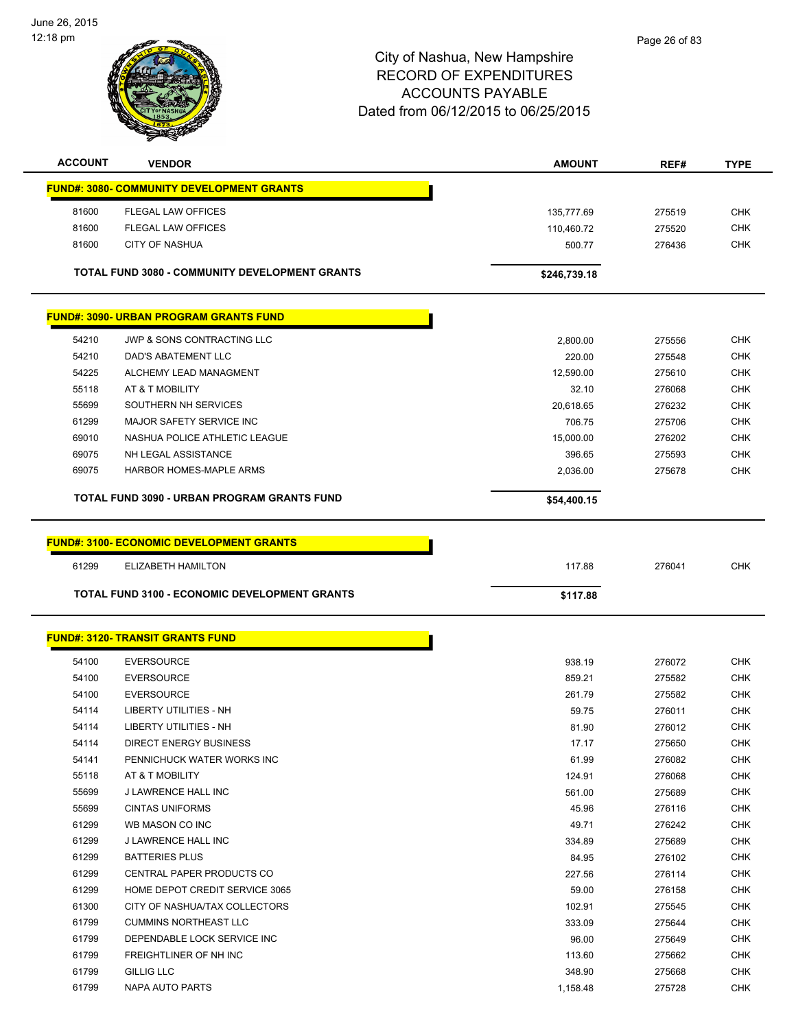$\overline{a}$ 

 $\overline{\phantom{0}}$ 



| <b>ACCOUNT</b> | <b>VENDOR</b>                                         | <b>AMOUNT</b>            | REF#             | <b>TYPE</b>              |
|----------------|-------------------------------------------------------|--------------------------|------------------|--------------------------|
|                | <b>FUND#: 3080- COMMUNITY DEVELOPMENT GRANTS</b>      |                          |                  |                          |
|                |                                                       |                          |                  |                          |
| 81600<br>81600 | FLEGAL LAW OFFICES<br><b>FLEGAL LAW OFFICES</b>       | 135,777.69<br>110,460.72 | 275519<br>275520 | <b>CHK</b>               |
| 81600          | <b>CITY OF NASHUA</b>                                 | 500.77                   |                  | <b>CHK</b><br><b>CHK</b> |
|                |                                                       |                          | 276436           |                          |
|                | <b>TOTAL FUND 3080 - COMMUNITY DEVELOPMENT GRANTS</b> | \$246,739.18             |                  |                          |
|                | <b>FUND#: 3090- URBAN PROGRAM GRANTS FUND</b>         |                          |                  |                          |
| 54210          | JWP & SONS CONTRACTING LLC                            | 2,800.00                 | 275556           | <b>CHK</b>               |
| 54210          | <b>DAD'S ABATEMENT LLC</b>                            | 220.00                   | 275548           | <b>CHK</b>               |
| 54225          | ALCHEMY LEAD MANAGMENT                                | 12,590.00                | 275610           | <b>CHK</b>               |
| 55118          | AT & T MOBILITY                                       | 32.10                    | 276068           | <b>CHK</b>               |
| 55699          | SOUTHERN NH SERVICES                                  | 20,618.65                | 276232           | <b>CHK</b>               |
| 61299          | MAJOR SAFETY SERVICE INC                              | 706.75                   | 275706           | <b>CHK</b>               |
| 69010          | NASHUA POLICE ATHLETIC LEAGUE                         | 15,000.00                | 276202           | <b>CHK</b>               |
| 69075          | NH LEGAL ASSISTANCE                                   | 396.65                   | 275593           | <b>CHK</b>               |
| 69075          | <b>HARBOR HOMES-MAPLE ARMS</b>                        | 2,036.00                 | 275678           | <b>CHK</b>               |
|                | TOTAL FUND 3090 - URBAN PROGRAM GRANTS FUND           | \$54,400.15              |                  |                          |
|                |                                                       |                          |                  |                          |
|                | <b>FUND#: 3100- ECONOMIC DEVELOPMENT GRANTS</b>       |                          |                  |                          |
| 61299          | ELIZABETH HAMILTON                                    | 117.88                   | 276041           | <b>CHK</b>               |
|                | TOTAL FUND 3100 - ECONOMIC DEVELOPMENT GRANTS         | \$117.88                 |                  |                          |
|                |                                                       |                          |                  |                          |
|                | <b>FUND#: 3120- TRANSIT GRANTS FUND</b>               |                          |                  |                          |
| 54100          | <b>EVERSOURCE</b>                                     | 938.19                   | 276072           | <b>CHK</b>               |
| 54100          | <b>EVERSOURCE</b>                                     | 859.21                   | 275582           | <b>CHK</b>               |
| 54100          | <b>EVERSOURCE</b>                                     | 261.79                   | 275582           | <b>CHK</b>               |
| 54114          | LIBERTY UTILITIES - NH                                | 59.75                    | 276011           | <b>CHK</b>               |
| 54114          | <b>LIBERTY UTILITIES - NH</b>                         | 81.90                    | 276012           | <b>CHK</b>               |
| 54114          | DIRECT ENERGY BUSINESS                                | 17.17                    | 275650           | CHK                      |
| 54141          | PENNICHUCK WATER WORKS INC                            | 61.99                    | 276082           | <b>CHK</b>               |
| 55118          | AT & T MOBILITY                                       | 124.91                   | 276068           | <b>CHK</b>               |
| 55699          | J LAWRENCE HALL INC                                   | 561.00                   | 275689           | <b>CHK</b>               |
| 55699          | <b>CINTAS UNIFORMS</b>                                | 45.96                    | 276116           | <b>CHK</b>               |
| 61299          | WB MASON CO INC                                       | 49.71                    | 276242           | <b>CHK</b>               |
| 61299          | J LAWRENCE HALL INC                                   | 334.89                   | 275689           | <b>CHK</b>               |
| 61299          | <b>BATTERIES PLUS</b>                                 | 84.95                    | 276102           | <b>CHK</b>               |
| 61299          | CENTRAL PAPER PRODUCTS CO                             | 227.56                   | 276114           | <b>CHK</b>               |
| 61299          | HOME DEPOT CREDIT SERVICE 3065                        | 59.00                    | 276158           | <b>CHK</b>               |
| 61300          | CITY OF NASHUA/TAX COLLECTORS                         | 102.91                   | 275545           | <b>CHK</b>               |
| 61799          | <b>CUMMINS NORTHEAST LLC</b>                          | 333.09                   | 275644           | <b>CHK</b>               |
| 61799          | DEPENDABLE LOCK SERVICE INC                           | 96.00                    | 275649           | <b>CHK</b>               |
| 61799          | FREIGHTLINER OF NH INC                                | 113.60                   | 275662           | CHK                      |
| 61799          | GILLIG LLC                                            | 348.90                   | 275668           | <b>CHK</b>               |
| 61799          | NAPA AUTO PARTS                                       | 1,158.48                 | 275728           | <b>CHK</b>               |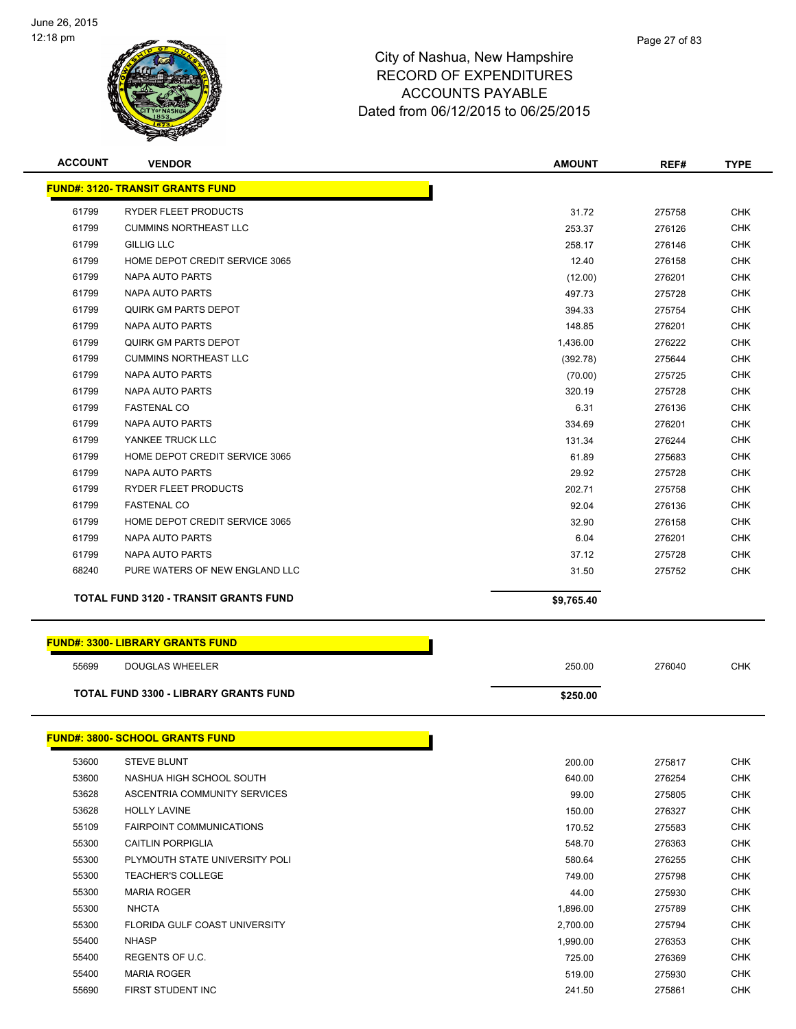

| <b>ACCOUNT</b> | <b>VENDOR</b>                                | <b>AMOUNT</b> | REF#   | <b>TYPE</b> |
|----------------|----------------------------------------------|---------------|--------|-------------|
|                | <b>FUND#: 3120- TRANSIT GRANTS FUND</b>      |               |        |             |
| 61799          | RYDER FLEET PRODUCTS                         | 31.72         | 275758 | <b>CHK</b>  |
| 61799          | <b>CUMMINS NORTHEAST LLC</b>                 | 253.37        | 276126 | <b>CHK</b>  |
| 61799          | <b>GILLIG LLC</b>                            | 258.17        | 276146 | <b>CHK</b>  |
| 61799          | HOME DEPOT CREDIT SERVICE 3065               | 12.40         | 276158 | <b>CHK</b>  |
| 61799          | NAPA AUTO PARTS                              | (12.00)       | 276201 | <b>CHK</b>  |
| 61799          | <b>NAPA AUTO PARTS</b>                       | 497.73        | 275728 | <b>CHK</b>  |
| 61799          | <b>QUIRK GM PARTS DEPOT</b>                  | 394.33        | 275754 | <b>CHK</b>  |
| 61799          | <b>NAPA AUTO PARTS</b>                       | 148.85        | 276201 | <b>CHK</b>  |
| 61799          | <b>QUIRK GM PARTS DEPOT</b>                  | 1,436.00      | 276222 | <b>CHK</b>  |
| 61799          | <b>CUMMINS NORTHEAST LLC</b>                 | (392.78)      | 275644 | <b>CHK</b>  |
| 61799          | NAPA AUTO PARTS                              | (70.00)       | 275725 | <b>CHK</b>  |
| 61799          | NAPA AUTO PARTS                              | 320.19        | 275728 | <b>CHK</b>  |
| 61799          | <b>FASTENAL CO</b>                           | 6.31          | 276136 | <b>CHK</b>  |
| 61799          | <b>NAPA AUTO PARTS</b>                       | 334.69        | 276201 | <b>CHK</b>  |
| 61799          | YANKEE TRUCK LLC                             | 131.34        | 276244 | <b>CHK</b>  |
| 61799          | HOME DEPOT CREDIT SERVICE 3065               | 61.89         | 275683 | <b>CHK</b>  |
| 61799          | NAPA AUTO PARTS                              | 29.92         | 275728 | <b>CHK</b>  |
| 61799          | RYDER FLEET PRODUCTS                         | 202.71        | 275758 | <b>CHK</b>  |
| 61799          | <b>FASTENAL CO</b>                           | 92.04         | 276136 | <b>CHK</b>  |
| 61799          | HOME DEPOT CREDIT SERVICE 3065               | 32.90         | 276158 | <b>CHK</b>  |
| 61799          | NAPA AUTO PARTS                              | 6.04          | 276201 | <b>CHK</b>  |
| 61799          | NAPA AUTO PARTS                              | 37.12         | 275728 | <b>CHK</b>  |
| 68240          | PURE WATERS OF NEW ENGLAND LLC               | 31.50         | 275752 | <b>CHK</b>  |
|                | <b>TOTAL FUND 3120 - TRANSIT GRANTS FUND</b> | \$9,765.40    |        |             |
|                | <u> FUND#: 3300- LIBRARY GRANTS FUND</u>     |               |        |             |
| 55699          | DOUGLAS WHEELER                              | 250.00        | 276040 | <b>CHK</b>  |
|                | <b>TOTAL FUND 3300 - LIBRARY GRANTS FUND</b> | \$250.00      |        |             |
|                | <b>FUND#: 3800- SCHOOL GRANTS FUND</b>       |               |        |             |
| 53600          | <b>STEVE BLUNT</b>                           | 200.00        | 275817 | <b>CHK</b>  |
| 53600          | NASHUA HIGH SCHOOL SOUTH                     | 640.00        | 276254 | <b>CHK</b>  |
| 53628          | ASCENTRIA COMMUNITY SERVICES                 | 99.00         | 275805 | <b>CHK</b>  |
| 53628          | <b>HOLLY LAVINE</b>                          | 150.00        | 276327 | <b>CHK</b>  |
| 55109          | <b>FAIRPOINT COMMUNICATIONS</b>              | 170.52        | 275583 | <b>CHK</b>  |
| 55300          | <b>CAITLIN PORPIGLIA</b>                     | 548.70        | 276363 | <b>CHK</b>  |
| 55300          | PLYMOUTH STATE UNIVERSITY POLI               | 580.64        | 276255 | <b>CHK</b>  |
| 55300          | <b>TEACHER'S COLLEGE</b>                     | 749.00        | 275798 | CHK         |
| 55300          | <b>MARIA ROGER</b>                           | 44.00         | 275930 | <b>CHK</b>  |
| 55300          | <b>NHCTA</b>                                 | 1,896.00      | 275789 | <b>CHK</b>  |
| 55300          | FLORIDA GULF COAST UNIVERSITY                | 2,700.00      | 275794 | <b>CHK</b>  |
| 55400          | <b>NHASP</b>                                 | 1,990.00      | 276353 | <b>CHK</b>  |
| 55400          | REGENTS OF U.C.                              | 725.00        | 276369 | <b>CHK</b>  |

 MARIA ROGER 519.00 275930 CHK FIRST STUDENT INC 241.50 275861 CHK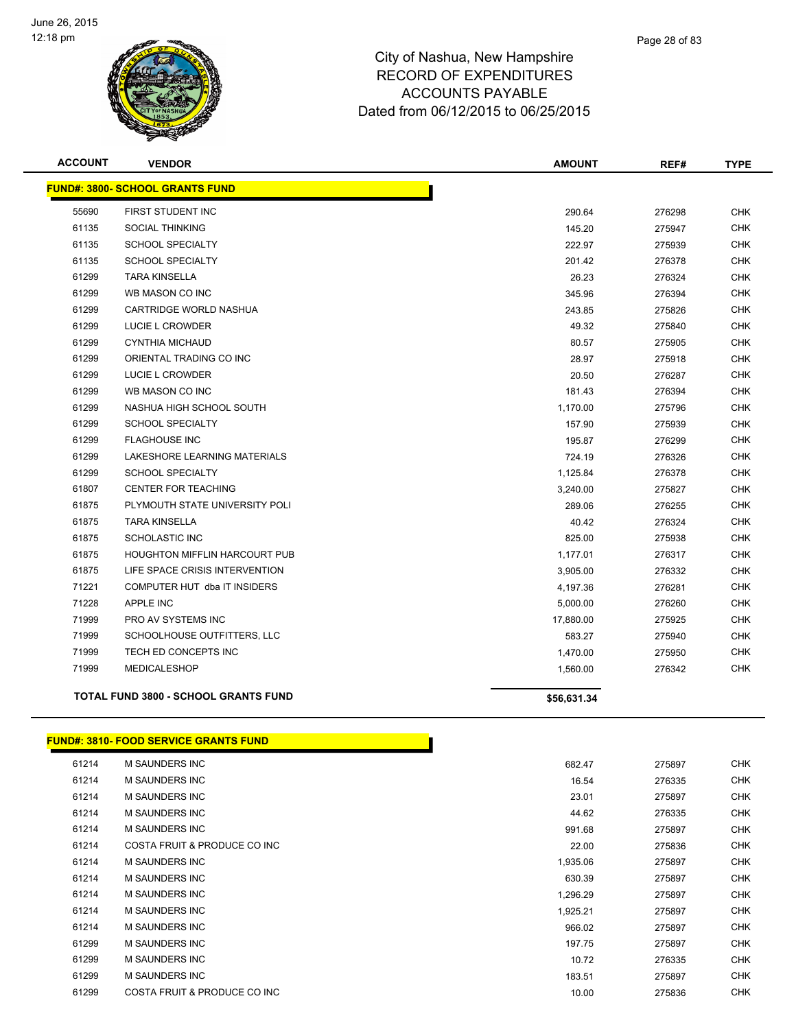

| <b>ACCOUNT</b> | <b>VENDOR</b>                               | <b>AMOUNT</b> | REF#   | <b>TYPE</b> |
|----------------|---------------------------------------------|---------------|--------|-------------|
|                | <b>FUND#: 3800- SCHOOL GRANTS FUND</b>      |               |        |             |
| 55690          | FIRST STUDENT INC                           | 290.64        | 276298 | <b>CHK</b>  |
| 61135          | <b>SOCIAL THINKING</b>                      | 145.20        | 275947 | <b>CHK</b>  |
| 61135          | <b>SCHOOL SPECIALTY</b>                     | 222.97        | 275939 | <b>CHK</b>  |
| 61135          | <b>SCHOOL SPECIALTY</b>                     | 201.42        | 276378 | <b>CHK</b>  |
| 61299          | <b>TARA KINSELLA</b>                        | 26.23         | 276324 | <b>CHK</b>  |
| 61299          | WB MASON CO INC                             | 345.96        | 276394 | <b>CHK</b>  |
| 61299          | CARTRIDGE WORLD NASHUA                      | 243.85        | 275826 | <b>CHK</b>  |
| 61299          | LUCIE L CROWDER                             | 49.32         | 275840 | <b>CHK</b>  |
| 61299          | CYNTHIA MICHAUD                             | 80.57         | 275905 | <b>CHK</b>  |
| 61299          | ORIENTAL TRADING CO INC                     | 28.97         | 275918 | <b>CHK</b>  |
| 61299          | LUCIE L CROWDER                             | 20.50         | 276287 | <b>CHK</b>  |
| 61299          | WB MASON CO INC                             | 181.43        | 276394 | <b>CHK</b>  |
| 61299          | NASHUA HIGH SCHOOL SOUTH                    | 1,170.00      | 275796 | <b>CHK</b>  |
| 61299          | <b>SCHOOL SPECIALTY</b>                     | 157.90        | 275939 | <b>CHK</b>  |
| 61299          | <b>FLAGHOUSE INC</b>                        | 195.87        | 276299 | <b>CHK</b>  |
| 61299          | LAKESHORE LEARNING MATERIALS                | 724.19        | 276326 | <b>CHK</b>  |
| 61299          | <b>SCHOOL SPECIALTY</b>                     | 1,125.84      | 276378 | <b>CHK</b>  |
| 61807          | <b>CENTER FOR TEACHING</b>                  | 3,240.00      | 275827 | <b>CHK</b>  |
| 61875          | PLYMOUTH STATE UNIVERSITY POLI              | 289.06        | 276255 | <b>CHK</b>  |
| 61875          | <b>TARA KINSELLA</b>                        | 40.42         | 276324 | <b>CHK</b>  |
| 61875          | <b>SCHOLASTIC INC</b>                       | 825.00        | 275938 | <b>CHK</b>  |
| 61875          | <b>HOUGHTON MIFFLIN HARCOURT PUB</b>        | 1,177.01      | 276317 | <b>CHK</b>  |
| 61875          | LIFE SPACE CRISIS INTERVENTION              | 3,905.00      | 276332 | <b>CHK</b>  |
| 71221          | COMPUTER HUT dba IT INSIDERS                | 4,197.36      | 276281 | <b>CHK</b>  |
| 71228          | APPLE INC                                   | 5,000.00      | 276260 | <b>CHK</b>  |
| 71999          | PRO AV SYSTEMS INC                          | 17,880.00     | 275925 | <b>CHK</b>  |
| 71999          | SCHOOLHOUSE OUTFITTERS, LLC                 | 583.27        | 275940 | <b>CHK</b>  |
| 71999          | TECH ED CONCEPTS INC                        | 1,470.00      | 275950 | <b>CHK</b>  |
| 71999          | <b>MEDICALESHOP</b>                         | 1,560.00      | 276342 | <b>CHK</b>  |
|                | <b>TOTAL FUND 3800 - SCHOOL GRANTS FUND</b> | \$56,631.34   |        |             |
|                |                                             |               |        |             |

#### **FUND#: 3810- FOOD SERVICE GRANTS FUND**

| 61214 | <b>M SAUNDERS INC</b>        | 682.47   | 275897 | <b>CHK</b> |
|-------|------------------------------|----------|--------|------------|
| 61214 | <b>M SAUNDERS INC</b>        | 16.54    | 276335 | <b>CHK</b> |
| 61214 | <b>M SAUNDERS INC</b>        | 23.01    | 275897 | <b>CHK</b> |
| 61214 | <b>M SAUNDERS INC</b>        | 44.62    | 276335 | <b>CHK</b> |
| 61214 | M SAUNDERS INC               | 991.68   | 275897 | CHK        |
| 61214 | COSTA FRUIT & PRODUCE CO INC | 22.00    | 275836 | <b>CHK</b> |
| 61214 | <b>M SAUNDERS INC</b>        | 1,935.06 | 275897 | <b>CHK</b> |
| 61214 | <b>M SAUNDERS INC</b>        | 630.39   | 275897 | <b>CHK</b> |
| 61214 | <b>M SAUNDERS INC</b>        | 1,296.29 | 275897 | <b>CHK</b> |
| 61214 | <b>M SAUNDERS INC</b>        | 1,925.21 | 275897 | <b>CHK</b> |
| 61214 | <b>M SAUNDERS INC</b>        | 966.02   | 275897 | <b>CHK</b> |
| 61299 | <b>M SAUNDERS INC</b>        | 197.75   | 275897 | <b>CHK</b> |
| 61299 | <b>M SAUNDERS INC</b>        | 10.72    | 276335 | <b>CHK</b> |
| 61299 | <b>M SAUNDERS INC</b>        | 183.51   | 275897 | <b>CHK</b> |
| 61299 | COSTA FRUIT & PRODUCE CO INC | 10.00    | 275836 | <b>CHK</b> |
|       |                              |          |        |            |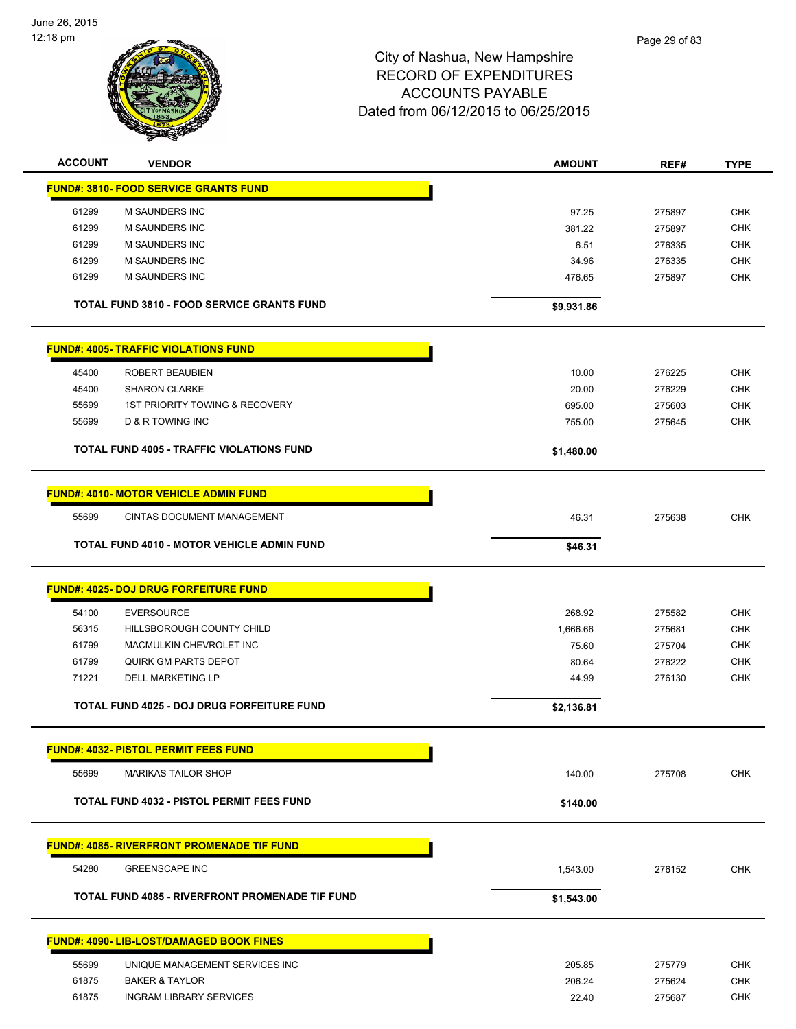

| <b>ACCOUNT</b> | <b>VENDOR</b>                                          | <b>AMOUNT</b>    | REF#             | <b>TYPE</b> |
|----------------|--------------------------------------------------------|------------------|------------------|-------------|
|                | <b>FUND#: 3810- FOOD SERVICE GRANTS FUND</b>           |                  |                  |             |
| 61299          | M SAUNDERS INC                                         | 97.25            | 275897           | <b>CHK</b>  |
| 61299          | M SAUNDERS INC                                         | 381.22           | 275897           | <b>CHK</b>  |
| 61299          | M SAUNDERS INC                                         | 6.51             | 276335           | <b>CHK</b>  |
| 61299          | M SAUNDERS INC                                         | 34.96            | 276335           | <b>CHK</b>  |
| 61299          | M SAUNDERS INC                                         | 476.65           | 275897           | <b>CHK</b>  |
|                | <b>TOTAL FUND 3810 - FOOD SERVICE GRANTS FUND</b>      | \$9,931.86       |                  |             |
|                | <b>FUND#: 4005- TRAFFIC VIOLATIONS FUND</b>            |                  |                  |             |
| 45400          | ROBERT BEAUBIEN                                        | 10.00            | 276225           | <b>CHK</b>  |
| 45400          | <b>SHARON CLARKE</b>                                   | 20.00            | 276229           | <b>CHK</b>  |
| 55699          | <b>1ST PRIORITY TOWING &amp; RECOVERY</b>              | 695.00           | 275603           | <b>CHK</b>  |
| 55699          | <b>D &amp; R TOWING INC</b>                            | 755.00           | 275645           | <b>CHK</b>  |
|                | <b>TOTAL FUND 4005 - TRAFFIC VIOLATIONS FUND</b>       | \$1,480.00       |                  |             |
|                |                                                        |                  |                  |             |
|                | <b>FUND#: 4010- MOTOR VEHICLE ADMIN FUND</b>           |                  |                  |             |
| 55699          | CINTAS DOCUMENT MANAGEMENT                             | 46.31            | 275638           | <b>CHK</b>  |
|                | <b>TOTAL FUND 4010 - MOTOR VEHICLE ADMIN FUND</b>      | \$46.31          |                  |             |
|                | <b>FUND#: 4025- DOJ DRUG FORFEITURE FUND</b>           |                  |                  |             |
| 54100          | <b>EVERSOURCE</b>                                      | 268.92           | 275582           | <b>CHK</b>  |
| 56315          | HILLSBOROUGH COUNTY CHILD                              | 1,666.66         | 275681           | <b>CHK</b>  |
| 61799          | MACMULKIN CHEVROLET INC                                | 75.60            | 275704           | <b>CHK</b>  |
| 61799          | <b>QUIRK GM PARTS DEPOT</b>                            | 80.64            | 276222           | <b>CHK</b>  |
| 71221          | <b>DELL MARKETING LP</b>                               | 44.99            | 276130           | <b>CHK</b>  |
|                | TOTAL FUND 4025 - DOJ DRUG FORFEITURE FUND             | \$2,136.81       |                  |             |
|                |                                                        |                  |                  |             |
|                | <b>FUND#: 4032- PISTOL PERMIT FEES FUND</b>            |                  |                  |             |
| 55699          | <b>MARIKAS TAILOR SHOP</b>                             | 140.00           | 275708           | <b>CHK</b>  |
|                | TOTAL FUND 4032 - PISTOL PERMIT FEES FUND              | \$140.00         |                  |             |
|                | <b>FUND#: 4085- RIVERFRONT PROMENADE TIF FUND</b>      |                  |                  |             |
| 54280          | <b>GREENSCAPE INC</b>                                  | 1,543.00         | 276152           | <b>CHK</b>  |
|                | <b>TOTAL FUND 4085 - RIVERFRONT PROMENADE TIF FUND</b> | \$1,543.00       |                  |             |
|                | <b>FUND#: 4090- LIB-LOST/DAMAGED BOOK FINES</b>        |                  |                  |             |
| 55699          | UNIQUE MANAGEMENT SERVICES INC                         |                  |                  | <b>CHK</b>  |
| 61875          | <b>BAKER &amp; TAYLOR</b>                              | 205.85<br>206.24 | 275779           | <b>CHK</b>  |
| 61875          | <b>INGRAM LIBRARY SERVICES</b>                         | 22.40            | 275624<br>275687 | <b>CHK</b>  |
|                |                                                        |                  |                  |             |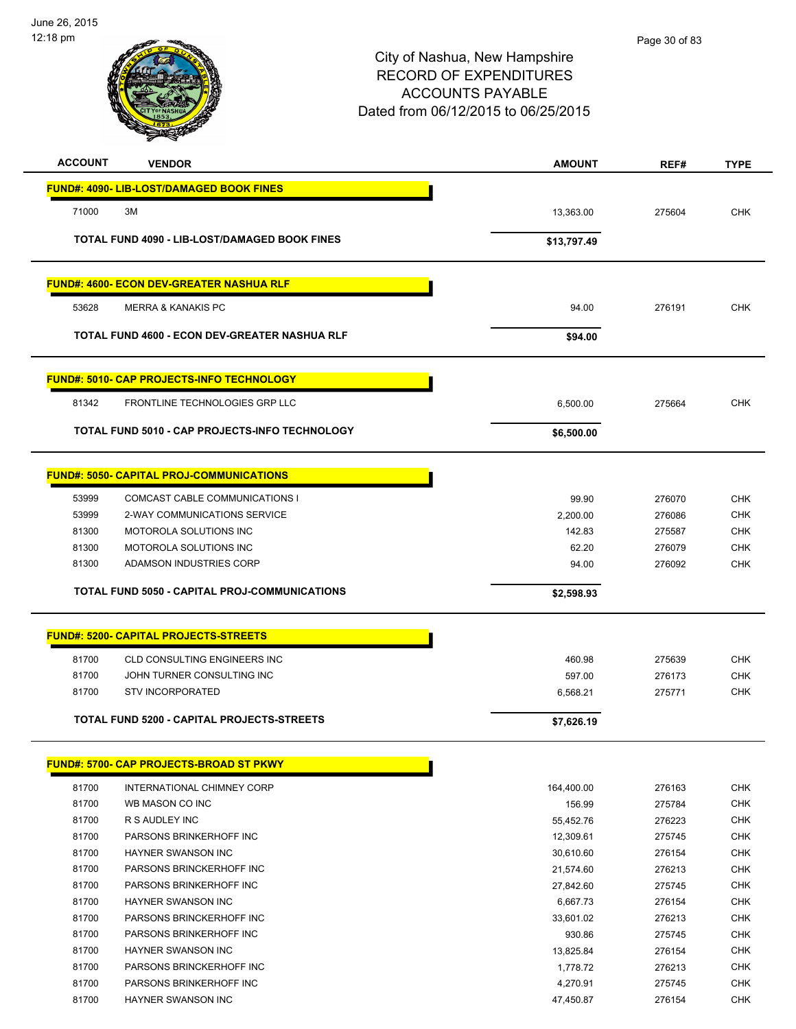

| <b>ACCOUNT</b> | <b>VENDOR</b>                                    | <b>AMOUNT</b> | REF#   | <b>TYPE</b> |
|----------------|--------------------------------------------------|---------------|--------|-------------|
|                | <b>FUND#: 4090- LIB-LOST/DAMAGED BOOK FINES</b>  |               |        |             |
|                |                                                  |               |        |             |
| 71000          | 3M                                               | 13,363.00     | 275604 | <b>CHK</b>  |
|                | TOTAL FUND 4090 - LIB-LOST/DAMAGED BOOK FINES    | \$13,797.49   |        |             |
|                | <u> FUND#: 4600- ECON DEV-GREATER NASHUA RLF</u> |               |        |             |
| 53628          | <b>MERRA &amp; KANAKIS PC</b>                    | 94.00         | 276191 | <b>CHK</b>  |
|                | TOTAL FUND 4600 - ECON DEV-GREATER NASHUA RLF    | \$94.00       |        |             |
|                | <b>FUND#: 5010- CAP PROJECTS-INFO TECHNOLOGY</b> |               |        |             |
| 81342          | FRONTLINE TECHNOLOGIES GRP LLC                   | 6,500.00      | 275664 | <b>CHK</b>  |
|                | TOTAL FUND 5010 - CAP PROJECTS-INFO TECHNOLOGY   | \$6,500.00    |        |             |
|                | <b>FUND#: 5050- CAPITAL PROJ-COMMUNICATIONS</b>  |               |        |             |
| 53999          | COMCAST CABLE COMMUNICATIONS I                   | 99.90         | 276070 | <b>CHK</b>  |
| 53999          | 2-WAY COMMUNICATIONS SERVICE                     | 2.200.00      | 276086 | <b>CHK</b>  |
| 81300          | MOTOROLA SOLUTIONS INC                           | 142.83        | 275587 | <b>CHK</b>  |
| 81300          | MOTOROLA SOLUTIONS INC                           | 62.20         | 276079 | <b>CHK</b>  |
| 81300          | ADAMSON INDUSTRIES CORP                          | 94.00         | 276092 | <b>CHK</b>  |
|                | TOTAL FUND 5050 - CAPITAL PROJ-COMMUNICATIONS    | \$2,598.93    |        |             |
|                | <b>FUND#: 5200- CAPITAL PROJECTS-STREETS</b>     |               |        |             |
| 81700          | CLD CONSULTING ENGINEERS INC                     | 460.98        | 275639 | <b>CHK</b>  |
| 81700          | JOHN TURNER CONSULTING INC                       | 597.00        | 276173 | <b>CHK</b>  |
| 81700          | <b>STV INCORPORATED</b>                          | 6,568.21      | 275771 | <b>CHK</b>  |
|                | TOTAL FUND 5200 - CAPITAL PROJECTS-STREETS       | \$7,626.19    |        |             |
|                |                                                  |               |        |             |
|                | <b>FUND#: 5700- CAP PROJECTS-BROAD ST PKWY</b>   |               |        |             |
| 81700          | INTERNATIONAL CHIMNEY CORP                       | 164,400.00    | 276163 | <b>CHK</b>  |
| 81700          | WB MASON CO INC                                  | 156.99        | 275784 | <b>CHK</b>  |
| 81700          | R S AUDLEY INC                                   | 55,452.76     | 276223 | <b>CHK</b>  |
| 81700          | PARSONS BRINKERHOFF INC                          | 12,309.61     | 275745 | <b>CHK</b>  |
| 81700          | <b>HAYNER SWANSON INC</b>                        | 30,610.60     | 276154 | <b>CHK</b>  |
| 81700          | PARSONS BRINCKERHOFF INC                         | 21,574.60     | 276213 | <b>CHK</b>  |
| 81700          | PARSONS BRINKERHOFF INC                          | 27,842.60     | 275745 | <b>CHK</b>  |
| 81700          | HAYNER SWANSON INC                               | 6,667.73      | 276154 | <b>CHK</b>  |
| 81700          | PARSONS BRINCKERHOFF INC                         | 33,601.02     | 276213 | <b>CHK</b>  |
| 81700          | PARSONS BRINKERHOFF INC                          | 930.86        | 275745 | <b>CHK</b>  |
| 81700          | HAYNER SWANSON INC                               | 13,825.84     | 276154 | <b>CHK</b>  |
| 81700          | PARSONS BRINCKERHOFF INC                         | 1,778.72      | 276213 | <b>CHK</b>  |
| 81700          | PARSONS BRINKERHOFF INC                          | 4,270.91      | 275745 | <b>CHK</b>  |
| 81700          | HAYNER SWANSON INC                               | 47,450.87     | 276154 | CHK         |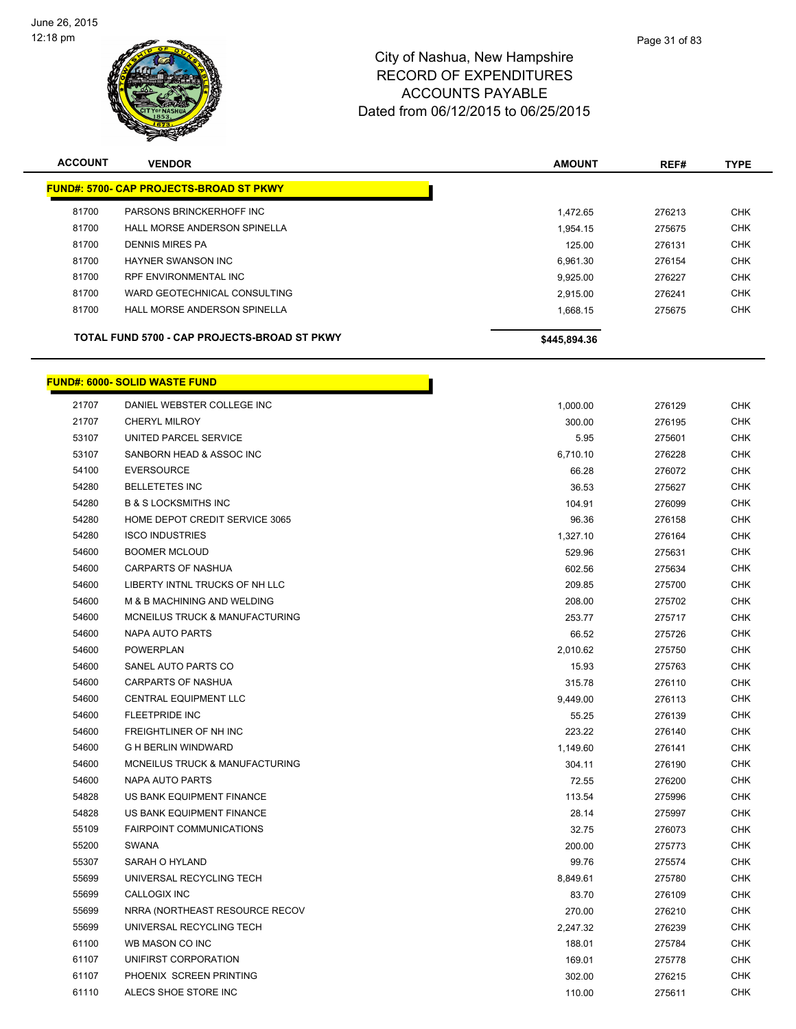

| <b>ACCOUNT</b> | <b>VENDOR</b>                                  | <b>AMOUNT</b> | REF#   | <b>TYPE</b> |
|----------------|------------------------------------------------|---------------|--------|-------------|
|                | <b>FUND#: 5700- CAP PROJECTS-BROAD ST PKWY</b> |               |        |             |
| 81700          | PARSONS BRINCKERHOFF INC                       | 1.472.65      | 276213 | <b>CHK</b>  |
| 81700          | HALL MORSE ANDERSON SPINELLA                   | 1.954.15      | 275675 | <b>CHK</b>  |
| 81700          | <b>DENNIS MIRES PA</b>                         | 125.00        | 276131 | <b>CHK</b>  |
| 81700          | HAYNER SWANSON INC                             | 6.961.30      | 276154 | <b>CHK</b>  |
| 81700          | <b>RPF ENVIRONMENTAL INC</b>                   | 9.925.00      | 276227 | <b>CHK</b>  |
| 81700          | WARD GEOTECHNICAL CONSULTING                   | 2.915.00      | 276241 | <b>CHK</b>  |
| 81700          | HALL MORSE ANDERSON SPINELLA                   | 1.668.15      | 275675 | <b>CHK</b>  |
|                | TOTAL FUND 5700 - CAP PROJECTS-BROAD ST PKWY   | \$445,894.36  |        |             |

|       | <b>FUND#: 6000- SOLID WASTE FUND</b> |          |        |  |
|-------|--------------------------------------|----------|--------|--|
| 21707 | DANIEL WEBSTER COLLEGE INC           | 1,000.00 | 276129 |  |
| 21707 | <b>CHERYL MILROY</b>                 | 300.00   | 276195 |  |
| 53107 | UNITED PARCEL SERVICE                | 5.95     | 275601 |  |
| 53107 | SANBORN HEAD & ASSOC INC             | 6,710.10 | 276228 |  |
| 54100 | <b>EVERSOURCE</b>                    | 66.28    | 276072 |  |
| 54280 | <b>BELLETETES INC</b>                | 36.53    | 275627 |  |
| 54280 | <b>B &amp; S LOCKSMITHS INC</b>      | 104.91   | 276099 |  |
| 54280 | HOME DEPOT CREDIT SERVICE 3065       | 96.36    | 276158 |  |
| 54280 | <b>ISCO INDUSTRIES</b>               | 1,327.10 | 276164 |  |
| 54600 | <b>BOOMER MCLOUD</b>                 | 529.96   | 275631 |  |
| 54600 | <b>CARPARTS OF NASHUA</b>            | 602.56   | 275634 |  |
| 54600 | LIBERTY INTNL TRUCKS OF NH LLC       | 209.85   | 275700 |  |
| 54600 | M & B MACHINING AND WELDING          | 208.00   | 275702 |  |
| 54600 | MCNEILUS TRUCK & MANUFACTURING       | 253.77   | 275717 |  |
| 54600 | NAPA AUTO PARTS                      | 66.52    | 275726 |  |
| 54600 | <b>POWERPLAN</b>                     | 2,010.62 | 275750 |  |
| 54600 | SANEL AUTO PARTS CO                  | 15.93    | 275763 |  |
| 54600 | <b>CARPARTS OF NASHUA</b>            | 315.78   | 276110 |  |
| 54600 | <b>CENTRAL EQUIPMENT LLC</b>         | 9,449.00 | 276113 |  |
| 54600 | <b>FLEETPRIDE INC</b>                | 55.25    | 276139 |  |
| 54600 | FREIGHTLINER OF NH INC               | 223.22   | 276140 |  |
| 54600 | <b>G H BERLIN WINDWARD</b>           | 1,149.60 | 276141 |  |
| 54600 | MCNEILUS TRUCK & MANUFACTURING       | 304.11   | 276190 |  |
| 54600 | NAPA AUTO PARTS                      | 72.55    | 276200 |  |
| 54828 | US BANK EQUIPMENT FINANCE            | 113.54   | 275996 |  |
| 54828 | US BANK EQUIPMENT FINANCE            | 28.14    | 275997 |  |
| 55109 | <b>FAIRPOINT COMMUNICATIONS</b>      | 32.75    | 276073 |  |
| 55200 | <b>SWANA</b>                         | 200.00   | 275773 |  |
| 55307 | SARAH O HYLAND                       | 99.76    | 275574 |  |
| 55699 | UNIVERSAL RECYCLING TECH             | 8,849.61 | 275780 |  |
| 55699 | <b>CALLOGIX INC</b>                  | 83.70    | 276109 |  |
| 55699 | NRRA (NORTHEAST RESOURCE RECOV       | 270.00   | 276210 |  |
| 55699 | UNIVERSAL RECYCLING TECH             | 2,247.32 | 276239 |  |
| 61100 | WB MASON CO INC                      | 188.01   | 275784 |  |
| 61107 | UNIFIRST CORPORATION                 | 169.01   | 275778 |  |
| 61107 | PHOENIX SCREEN PRINTING              | 302.00   | 276215 |  |
| 61110 | ALECS SHOE STORE INC                 | 110.00   | 275611 |  |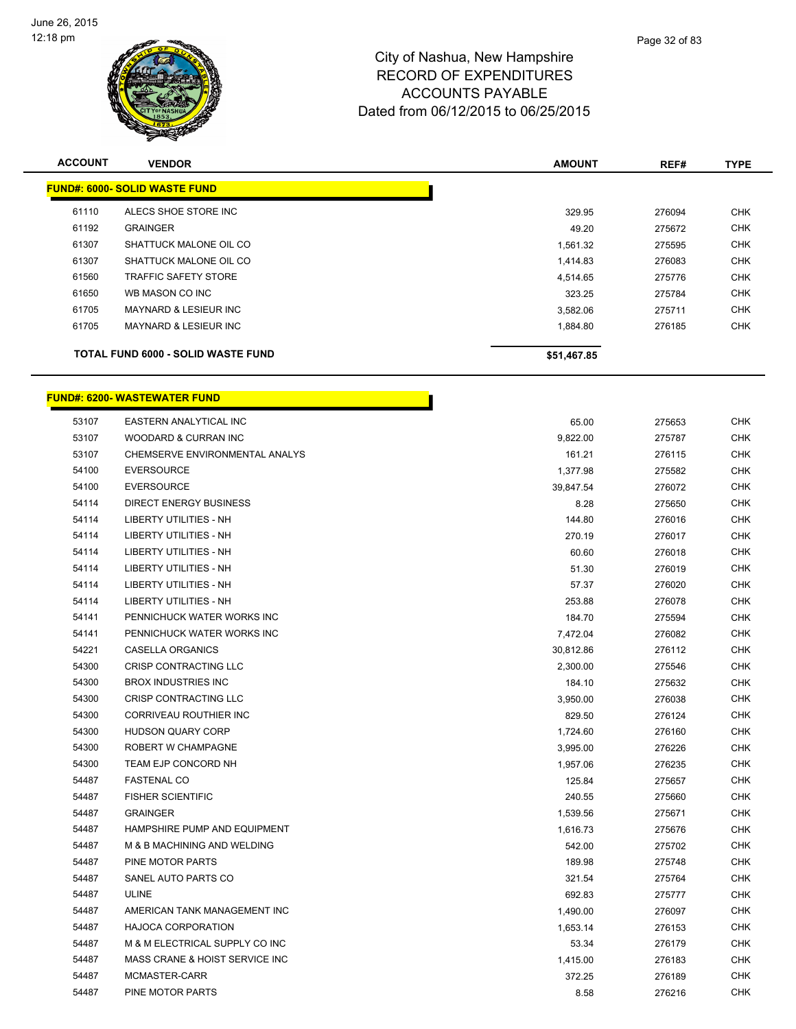

| <b>ACCOUNT</b>                       | <b>VENDOR</b>                      | <b>AMOUNT</b> | REF#   | <b>TYPE</b> |  |
|--------------------------------------|------------------------------------|---------------|--------|-------------|--|
| <b>FUND#: 6000- SOLID WASTE FUND</b> |                                    |               |        |             |  |
| 61110                                | ALECS SHOE STORE INC               | 329.95        | 276094 | <b>CHK</b>  |  |
| 61192                                | <b>GRAINGER</b>                    | 49.20         | 275672 | <b>CHK</b>  |  |
| 61307                                | SHATTUCK MALONE OIL CO             | 1,561.32      | 275595 | <b>CHK</b>  |  |
| 61307                                | SHATTUCK MALONE OIL CO             | 1,414.83      | 276083 | <b>CHK</b>  |  |
| 61560                                | <b>TRAFFIC SAFETY STORE</b>        | 4,514.65      | 275776 | <b>CHK</b>  |  |
| 61650                                | WB MASON CO INC                    | 323.25        | 275784 | <b>CHK</b>  |  |
| 61705                                | <b>MAYNARD &amp; LESIEUR INC</b>   | 3,582.06      | 275711 | <b>CHK</b>  |  |
| 61705                                | <b>MAYNARD &amp; LESIEUR INC</b>   | 1,884.80      | 276185 | <b>CHK</b>  |  |
|                                      | TOTAL FUND 6000 - SOLID WASTE FUND | \$51,467.85   |        |             |  |

|       | <b>FUND#: 6200- WASTEWATER FUND</b> |           |        |            |  |  |
|-------|-------------------------------------|-----------|--------|------------|--|--|
| 53107 | EASTERN ANALYTICAL INC              | 65.00     | 275653 | <b>CHK</b> |  |  |
| 53107 | WOODARD & CURRAN INC                | 9,822.00  | 275787 | <b>CHK</b> |  |  |
| 53107 | CHEMSERVE ENVIRONMENTAL ANALYS      | 161.21    | 276115 | <b>CHK</b> |  |  |
| 54100 | <b>EVERSOURCE</b>                   | 1,377.98  | 275582 | <b>CHK</b> |  |  |
| 54100 | <b>EVERSOURCE</b>                   | 39,847.54 | 276072 | <b>CHK</b> |  |  |
| 54114 | DIRECT ENERGY BUSINESS              | 8.28      | 275650 | <b>CHK</b> |  |  |
| 54114 | <b>LIBERTY UTILITIES - NH</b>       | 144.80    | 276016 | <b>CHK</b> |  |  |
| 54114 | <b>LIBERTY UTILITIES - NH</b>       | 270.19    | 276017 | <b>CHK</b> |  |  |
| 54114 | <b>LIBERTY UTILITIES - NH</b>       | 60.60     | 276018 | <b>CHK</b> |  |  |
| 54114 | <b>LIBERTY UTILITIES - NH</b>       | 51.30     | 276019 | <b>CHK</b> |  |  |
| 54114 | <b>LIBERTY UTILITIES - NH</b>       | 57.37     | 276020 | <b>CHK</b> |  |  |
| 54114 | <b>LIBERTY UTILITIES - NH</b>       | 253.88    | 276078 | <b>CHK</b> |  |  |
| 54141 | PENNICHUCK WATER WORKS INC          | 184.70    | 275594 | <b>CHK</b> |  |  |
| 54141 | PENNICHUCK WATER WORKS INC          | 7,472.04  | 276082 | <b>CHK</b> |  |  |
| 54221 | CASELLA ORGANICS                    | 30,812.86 | 276112 | <b>CHK</b> |  |  |
| 54300 | CRISP CONTRACTING LLC               | 2,300.00  | 275546 | <b>CHK</b> |  |  |
| 54300 | <b>BROX INDUSTRIES INC</b>          | 184.10    | 275632 | <b>CHK</b> |  |  |
| 54300 | CRISP CONTRACTING LLC               | 3,950.00  | 276038 | <b>CHK</b> |  |  |
| 54300 | CORRIVEAU ROUTHIER INC              | 829.50    | 276124 | <b>CHK</b> |  |  |
| 54300 | <b>HUDSON QUARY CORP</b>            | 1,724.60  | 276160 | <b>CHK</b> |  |  |
| 54300 | ROBERT W CHAMPAGNE                  | 3,995.00  | 276226 | <b>CHK</b> |  |  |
| 54300 | TEAM EJP CONCORD NH                 | 1,957.06  | 276235 | CHK        |  |  |
| 54487 | <b>FASTENAL CO</b>                  | 125.84    | 275657 | <b>CHK</b> |  |  |
| 54487 | <b>FISHER SCIENTIFIC</b>            | 240.55    | 275660 | <b>CHK</b> |  |  |
| 54487 | <b>GRAINGER</b>                     | 1,539.56  | 275671 | <b>CHK</b> |  |  |
| 54487 | HAMPSHIRE PUMP AND EQUIPMENT        | 1,616.73  | 275676 | <b>CHK</b> |  |  |
| 54487 | M & B MACHINING AND WELDING         | 542.00    | 275702 | <b>CHK</b> |  |  |
| 54487 | PINE MOTOR PARTS                    | 189.98    | 275748 | CHK        |  |  |
| 54487 | SANEL AUTO PARTS CO                 | 321.54    | 275764 | CHK        |  |  |
| 54487 | <b>ULINE</b>                        | 692.83    | 275777 | <b>CHK</b> |  |  |
| 54487 | AMERICAN TANK MANAGEMENT INC        | 1,490.00  | 276097 | CHK        |  |  |
| 54487 | <b>HAJOCA CORPORATION</b>           | 1,653.14  | 276153 | CHK        |  |  |
| 54487 | M & M ELECTRICAL SUPPLY CO INC      | 53.34     | 276179 | <b>CHK</b> |  |  |
| 54487 | MASS CRANE & HOIST SERVICE INC      | 1,415.00  | 276183 | CHK        |  |  |
| 54487 | MCMASTER-CARR                       | 372.25    | 276189 | <b>CHK</b> |  |  |
| 54487 | <b>PINE MOTOR PARTS</b>             | 8.58      | 276216 | <b>CHK</b> |  |  |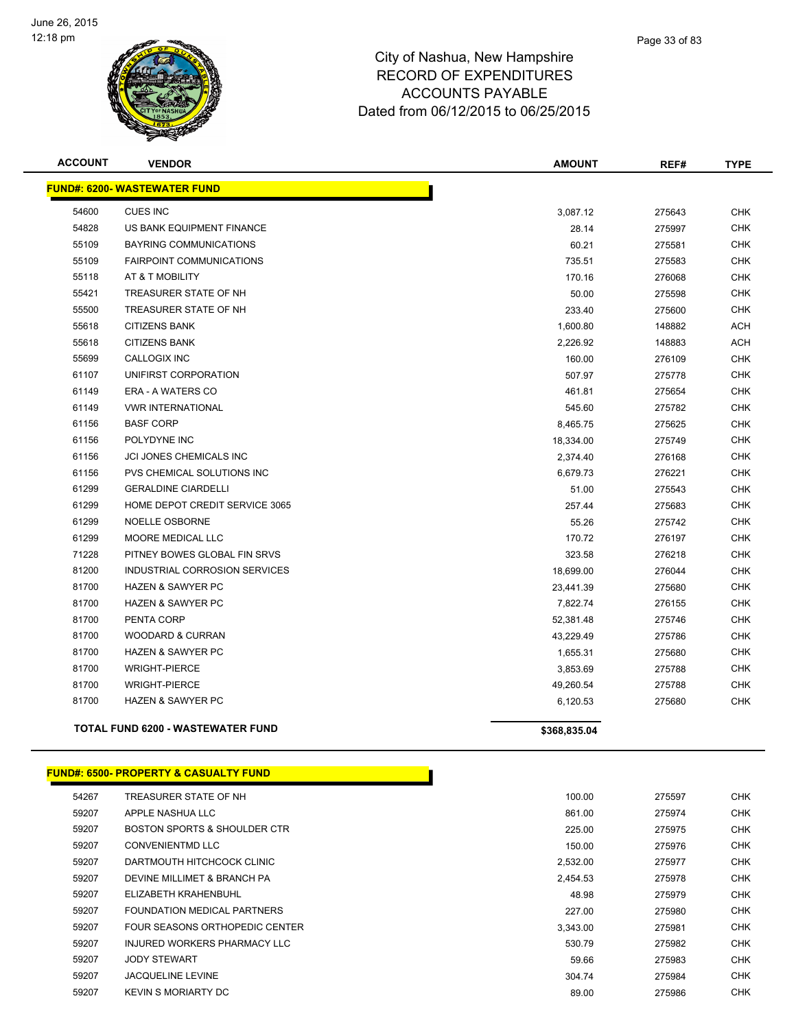

| <b>ACCOUNT</b> | <b>VENDOR</b>                            | <b>AMOUNT</b> | REF#   | <b>TYPE</b> |
|----------------|------------------------------------------|---------------|--------|-------------|
|                | <b>FUND#: 6200- WASTEWATER FUND</b>      |               |        |             |
| 54600          | <b>CUES INC</b>                          | 3,087.12      | 275643 | <b>CHK</b>  |
| 54828          | US BANK EQUIPMENT FINANCE                | 28.14         | 275997 | <b>CHK</b>  |
| 55109          | <b>BAYRING COMMUNICATIONS</b>            | 60.21         | 275581 | <b>CHK</b>  |
| 55109          | <b>FAIRPOINT COMMUNICATIONS</b>          | 735.51        | 275583 | <b>CHK</b>  |
| 55118          | AT & T MOBILITY                          | 170.16        | 276068 | <b>CHK</b>  |
| 55421          | TREASURER STATE OF NH                    | 50.00         | 275598 | <b>CHK</b>  |
| 55500          | TREASURER STATE OF NH                    | 233.40        | 275600 | <b>CHK</b>  |
| 55618          | <b>CITIZENS BANK</b>                     | 1,600.80      | 148882 | <b>ACH</b>  |
| 55618          | <b>CITIZENS BANK</b>                     | 2,226.92      | 148883 | <b>ACH</b>  |
| 55699          | <b>CALLOGIX INC</b>                      | 160.00        | 276109 | <b>CHK</b>  |
| 61107          | UNIFIRST CORPORATION                     | 507.97        | 275778 | <b>CHK</b>  |
| 61149          | ERA - A WATERS CO                        | 461.81        | 275654 | <b>CHK</b>  |
| 61149          | <b>VWR INTERNATIONAL</b>                 | 545.60        | 275782 | <b>CHK</b>  |
| 61156          | <b>BASF CORP</b>                         | 8,465.75      | 275625 | <b>CHK</b>  |
| 61156          | POLYDYNE INC                             | 18,334.00     | 275749 | <b>CHK</b>  |
| 61156          | JCI JONES CHEMICALS INC                  | 2,374.40      | 276168 | <b>CHK</b>  |
| 61156          | PVS CHEMICAL SOLUTIONS INC               | 6,679.73      | 276221 | <b>CHK</b>  |
| 61299          | <b>GERALDINE CIARDELLI</b>               | 51.00         | 275543 | <b>CHK</b>  |
| 61299          | HOME DEPOT CREDIT SERVICE 3065           | 257.44        | 275683 | <b>CHK</b>  |
| 61299          | <b>NOELLE OSBORNE</b>                    | 55.26         | 275742 | <b>CHK</b>  |
| 61299          | MOORE MEDICAL LLC                        | 170.72        | 276197 | <b>CHK</b>  |
| 71228          | PITNEY BOWES GLOBAL FIN SRVS             | 323.58        | 276218 | <b>CHK</b>  |
| 81200          | INDUSTRIAL CORROSION SERVICES            | 18,699.00     | 276044 | <b>CHK</b>  |
| 81700          | <b>HAZEN &amp; SAWYER PC</b>             | 23,441.39     | 275680 | <b>CHK</b>  |
| 81700          | <b>HAZEN &amp; SAWYER PC</b>             | 7,822.74      | 276155 | <b>CHK</b>  |
| 81700          | PENTA CORP                               | 52,381.48     | 275746 | <b>CHK</b>  |
| 81700          | <b>WOODARD &amp; CURRAN</b>              | 43,229.49     | 275786 | <b>CHK</b>  |
| 81700          | <b>HAZEN &amp; SAWYER PC</b>             | 1,655.31      | 275680 | <b>CHK</b>  |
| 81700          | <b>WRIGHT-PIERCE</b>                     | 3,853.69      | 275788 | <b>CHK</b>  |
| 81700          | <b>WRIGHT-PIERCE</b>                     | 49,260.54     | 275788 | <b>CHK</b>  |
| 81700          | <b>HAZEN &amp; SAWYER PC</b>             | 6,120.53      | 275680 | <b>CHK</b>  |
|                | <b>TOTAL FUND 6200 - WASTEWATER FUND</b> | \$368,835.04  |        |             |

#### **FUND#: 6500- PROPERTY & CASUALTY FUND**

| 54267 | TREASURER STATE OF NH          | 100.00   | 275597 | <b>CHK</b> |
|-------|--------------------------------|----------|--------|------------|
| 59207 | APPLE NASHUA LLC               | 861.00   | 275974 | <b>CHK</b> |
| 59207 | BOSTON SPORTS & SHOULDER CTR   | 225.00   | 275975 | <b>CHK</b> |
| 59207 | CONVENIENTMD LLC               | 150.00   | 275976 | <b>CHK</b> |
| 59207 | DARTMOUTH HITCHCOCK CLINIC     | 2,532.00 | 275977 | <b>CHK</b> |
| 59207 | DEVINE MILLIMET & BRANCH PA    | 2,454.53 | 275978 | <b>CHK</b> |
| 59207 | ELIZABETH KRAHENBUHL           | 48.98    | 275979 | <b>CHK</b> |
| 59207 | FOUNDATION MEDICAL PARTNERS    | 227.00   | 275980 | <b>CHK</b> |
| 59207 | FOUR SEASONS ORTHOPEDIC CENTER | 3,343.00 | 275981 | <b>CHK</b> |
| 59207 | INJURED WORKERS PHARMACY LLC   | 530.79   | 275982 | <b>CHK</b> |
| 59207 | <b>JODY STEWART</b>            | 59.66    | 275983 | <b>CHK</b> |
| 59207 | <b>JACQUELINE LEVINE</b>       | 304.74   | 275984 | <b>CHK</b> |
| 59207 | KEVIN S MORIARTY DC            | 89.00    | 275986 | <b>CHK</b> |
|       |                                |          |        |            |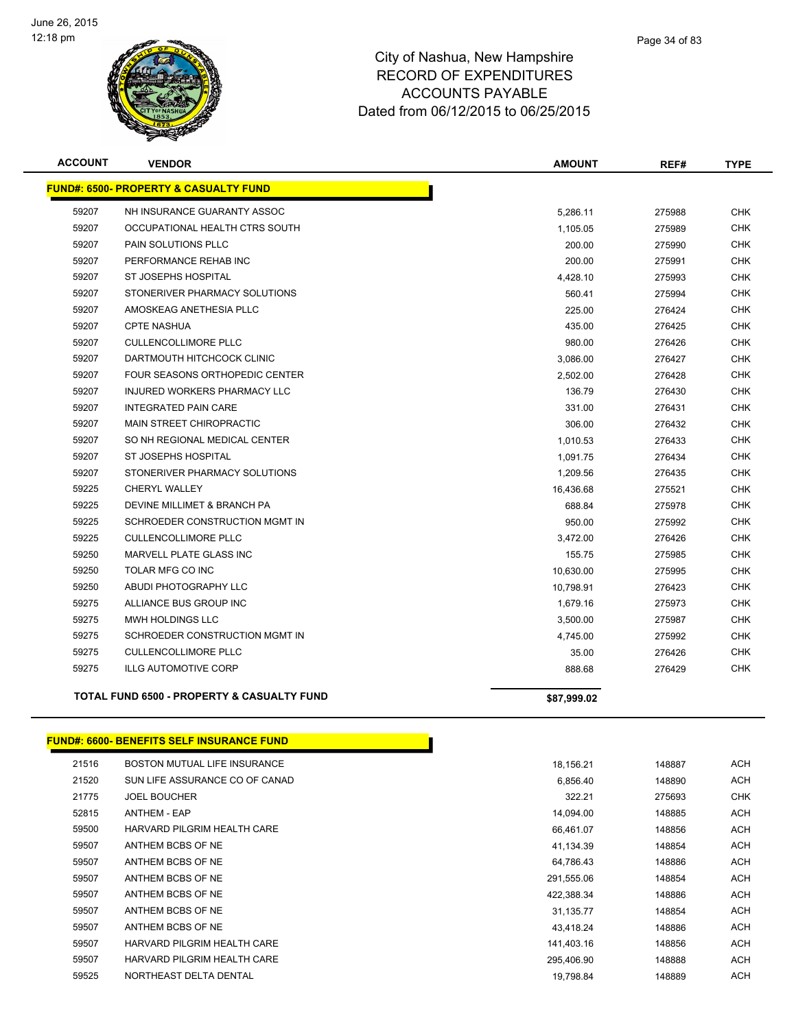

| <b>ACCOUNT</b> | <b>VENDOR</b>                                         | <b>AMOUNT</b> | REF#   | <b>TYPE</b> |
|----------------|-------------------------------------------------------|---------------|--------|-------------|
|                | <b>FUND#: 6500- PROPERTY &amp; CASUALTY FUND</b>      |               |        |             |
| 59207          | NH INSURANCE GUARANTY ASSOC                           | 5,286.11      | 275988 | <b>CHK</b>  |
| 59207          | OCCUPATIONAL HEALTH CTRS SOUTH                        | 1,105.05      | 275989 | <b>CHK</b>  |
| 59207          | PAIN SOLUTIONS PLLC                                   | 200.00        | 275990 | <b>CHK</b>  |
| 59207          | PERFORMANCE REHAB INC                                 | 200.00        | 275991 | <b>CHK</b>  |
| 59207          | ST JOSEPHS HOSPITAL                                   | 4,428.10      | 275993 | <b>CHK</b>  |
| 59207          | STONERIVER PHARMACY SOLUTIONS                         | 560.41        | 275994 | <b>CHK</b>  |
| 59207          | AMOSKEAG ANETHESIA PLLC                               | 225.00        | 276424 | <b>CHK</b>  |
| 59207          | <b>CPTE NASHUA</b>                                    | 435.00        | 276425 | <b>CHK</b>  |
| 59207          | <b>CULLENCOLLIMORE PLLC</b>                           | 980.00        | 276426 | <b>CHK</b>  |
| 59207          | DARTMOUTH HITCHCOCK CLINIC                            | 3,086.00      | 276427 | <b>CHK</b>  |
| 59207          | FOUR SEASONS ORTHOPEDIC CENTER                        | 2,502.00      | 276428 | <b>CHK</b>  |
| 59207          | <b>INJURED WORKERS PHARMACY LLC</b>                   | 136.79        | 276430 | <b>CHK</b>  |
| 59207          | <b>INTEGRATED PAIN CARE</b>                           | 331.00        | 276431 | <b>CHK</b>  |
| 59207          | <b>MAIN STREET CHIROPRACTIC</b>                       | 306.00        | 276432 | <b>CHK</b>  |
| 59207          | SO NH REGIONAL MEDICAL CENTER                         | 1,010.53      | 276433 | <b>CHK</b>  |
| 59207          | <b>ST JOSEPHS HOSPITAL</b>                            | 1,091.75      | 276434 | <b>CHK</b>  |
| 59207          | STONERIVER PHARMACY SOLUTIONS                         | 1,209.56      | 276435 | <b>CHK</b>  |
| 59225          | <b>CHERYL WALLEY</b>                                  | 16,436.68     | 275521 | <b>CHK</b>  |
| 59225          | DEVINE MILLIMET & BRANCH PA                           | 688.84        | 275978 | <b>CHK</b>  |
| 59225          | SCHROEDER CONSTRUCTION MGMT IN                        | 950.00        | 275992 | <b>CHK</b>  |
| 59225          | <b>CULLENCOLLIMORE PLLC</b>                           | 3,472.00      | 276426 | <b>CHK</b>  |
| 59250          | <b>MARVELL PLATE GLASS INC</b>                        | 155.75        | 275985 | <b>CHK</b>  |
| 59250          | TOLAR MFG CO INC                                      | 10,630.00     | 275995 | <b>CHK</b>  |
| 59250          | ABUDI PHOTOGRAPHY LLC                                 | 10,798.91     | 276423 | <b>CHK</b>  |
| 59275          | ALLIANCE BUS GROUP INC                                | 1,679.16      | 275973 | <b>CHK</b>  |
| 59275          | <b>MWH HOLDINGS LLC</b>                               | 3,500.00      | 275987 | <b>CHK</b>  |
| 59275          | SCHROEDER CONSTRUCTION MGMT IN                        | 4,745.00      | 275992 | <b>CHK</b>  |
| 59275          | <b>CULLENCOLLIMORE PLLC</b>                           | 35.00         | 276426 | <b>CHK</b>  |
| 59275          | <b>ILLG AUTOMOTIVE CORP</b>                           | 888.68        | 276429 | <b>CHK</b>  |
|                | <b>TOTAL FUND 6500 - PROPERTY &amp; CASUALTY FUND</b> | \$87,999.02   |        |             |
|                |                                                       |               |        |             |

# **FUND#: 6600- BENEFITS SELF INSURANCE FUND**

| 21516 | BOSTON MUTUAL LIFE INSURANCE   | 18.156.21  | 148887 | <b>ACH</b> |
|-------|--------------------------------|------------|--------|------------|
| 21520 | SUN LIFE ASSURANCE CO OF CANAD | 6,856.40   | 148890 | ACH        |
| 21775 | <b>JOEL BOUCHER</b>            | 322.21     | 275693 | <b>CHK</b> |
| 52815 | <b>ANTHEM - EAP</b>            | 14.094.00  | 148885 | <b>ACH</b> |
| 59500 | HARVARD PILGRIM HEALTH CARE    | 66,461.07  | 148856 | ACH        |
| 59507 | ANTHEM BCBS OF NE              | 41,134.39  | 148854 | <b>ACH</b> |
| 59507 | ANTHEM BCBS OF NE              | 64,786.43  | 148886 | ACH        |
| 59507 | ANTHEM BCBS OF NE              | 291,555.06 | 148854 | <b>ACH</b> |
| 59507 | ANTHEM BCBS OF NE              | 422.388.34 | 148886 | <b>ACH</b> |
| 59507 | ANTHEM BCBS OF NE              | 31,135.77  | 148854 | <b>ACH</b> |
| 59507 | ANTHEM BCBS OF NE              | 43.418.24  | 148886 | <b>ACH</b> |
| 59507 | HARVARD PILGRIM HEALTH CARE    | 141,403.16 | 148856 | ACH        |
| 59507 | HARVARD PILGRIM HEALTH CARE    | 295,406.90 | 148888 | <b>ACH</b> |
| 59525 | NORTHEAST DELTA DENTAL         | 19.798.84  | 148889 | <b>ACH</b> |
|       |                                |            |        |            |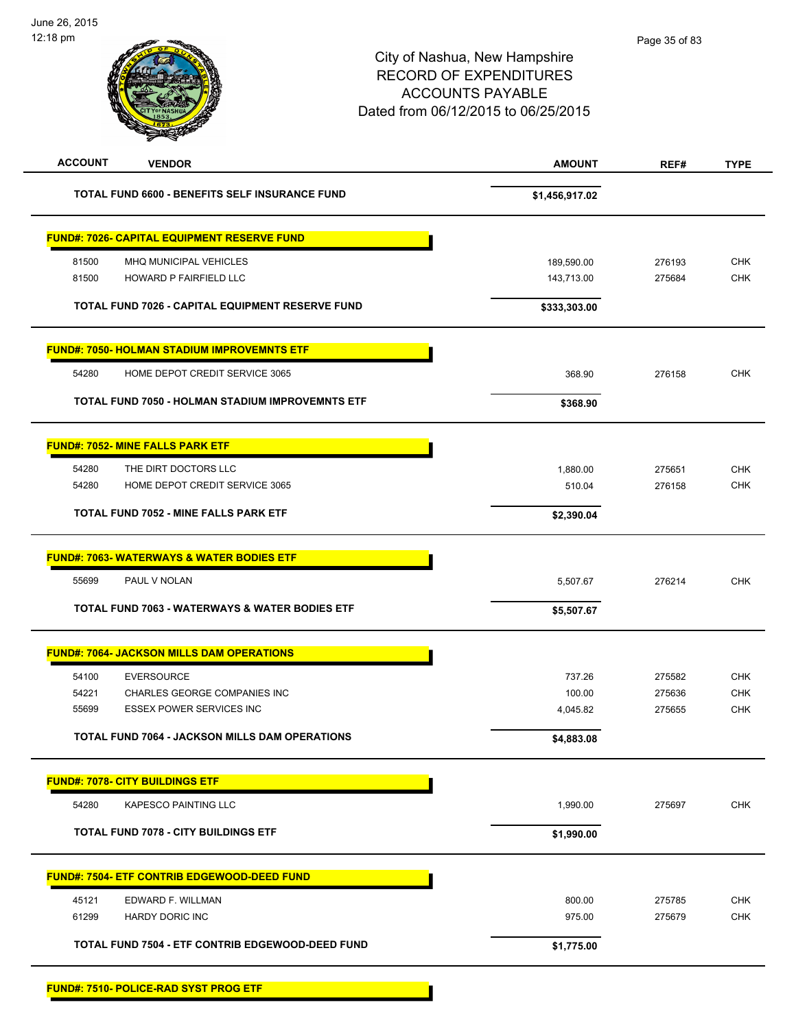| <b>ACCOUNT</b><br><b>VENDOR</b>                           | <b>AMOUNT</b>  | REF#   | <b>TYPE</b> |
|-----------------------------------------------------------|----------------|--------|-------------|
| <b>TOTAL FUND 6600 - BENEFITS SELF INSURANCE FUND</b>     | \$1,456,917.02 |        |             |
| <b>FUND#: 7026- CAPITAL EQUIPMENT RESERVE FUND</b>        |                |        |             |
| 81500<br>MHQ MUNICIPAL VEHICLES                           | 189,590.00     | 276193 | <b>CHK</b>  |
| 81500<br>HOWARD P FAIRFIELD LLC                           | 143,713.00     | 275684 | <b>CHK</b>  |
|                                                           |                |        |             |
| <b>TOTAL FUND 7026 - CAPITAL EQUIPMENT RESERVE FUND</b>   | \$333,303.00   |        |             |
| <b>FUND#: 7050- HOLMAN STADIUM IMPROVEMNTS ETF</b>        |                |        |             |
| 54280<br>HOME DEPOT CREDIT SERVICE 3065                   | 368.90         | 276158 | <b>CHK</b>  |
| <b>TOTAL FUND 7050 - HOLMAN STADIUM IMPROVEMNTS ETF</b>   | \$368.90       |        |             |
| <b>FUND#: 7052- MINE FALLS PARK ETF</b>                   |                |        |             |
| 54280<br>THE DIRT DOCTORS LLC                             | 1,880.00       | 275651 | <b>CHK</b>  |
| 54280<br>HOME DEPOT CREDIT SERVICE 3065                   | 510.04         | 276158 | <b>CHK</b>  |
| <b>TOTAL FUND 7052 - MINE FALLS PARK ETF</b>              | \$2,390.04     |        |             |
|                                                           |                |        |             |
| <b>FUND#: 7063- WATERWAYS &amp; WATER BODIES ETF</b>      |                |        |             |
| 55699<br>PAUL V NOLAN                                     | 5,507.67       | 276214 | <b>CHK</b>  |
| <b>TOTAL FUND 7063 - WATERWAYS &amp; WATER BODIES ETF</b> | \$5,507.67     |        |             |
| <b>FUND#: 7064- JACKSON MILLS DAM OPERATIONS</b>          |                |        |             |
| 54100<br><b>EVERSOURCE</b>                                | 737.26         | 275582 | <b>CHK</b>  |
| 54221<br><b>CHARLES GEORGE COMPANIES INC</b>              | 100.00         | 275636 | <b>CHK</b>  |
| <b>ESSEX POWER SERVICES INC</b><br>55699                  | 4,045.82       | 275655 | <b>CHK</b>  |
| TOTAL FUND 7064 - JACKSON MILLS DAM OPERATIONS            | \$4,883.08     |        |             |
| <b>FUND#: 7078- CITY BUILDINGS ETF</b>                    |                |        |             |
| 54280<br><b>KAPESCO PAINTING LLC</b>                      | 1,990.00       | 275697 | CHK         |
| <b>TOTAL FUND 7078 - CITY BUILDINGS ETF</b>               | \$1,990.00     |        |             |
| <b>FUND#: 7504- ETF CONTRIB EDGEWOOD-DEED FUND</b>        |                |        |             |
| 45121<br>EDWARD F. WILLMAN                                | 800.00         | 275785 | <b>CHK</b>  |
| 61299<br>HARDY DORIC INC                                  | 975.00         | 275679 | <b>CHK</b>  |
| TOTAL FUND 7504 - ETF CONTRIB EDGEWOOD-DEED FUND          | \$1,775.00     |        |             |
|                                                           |                |        |             |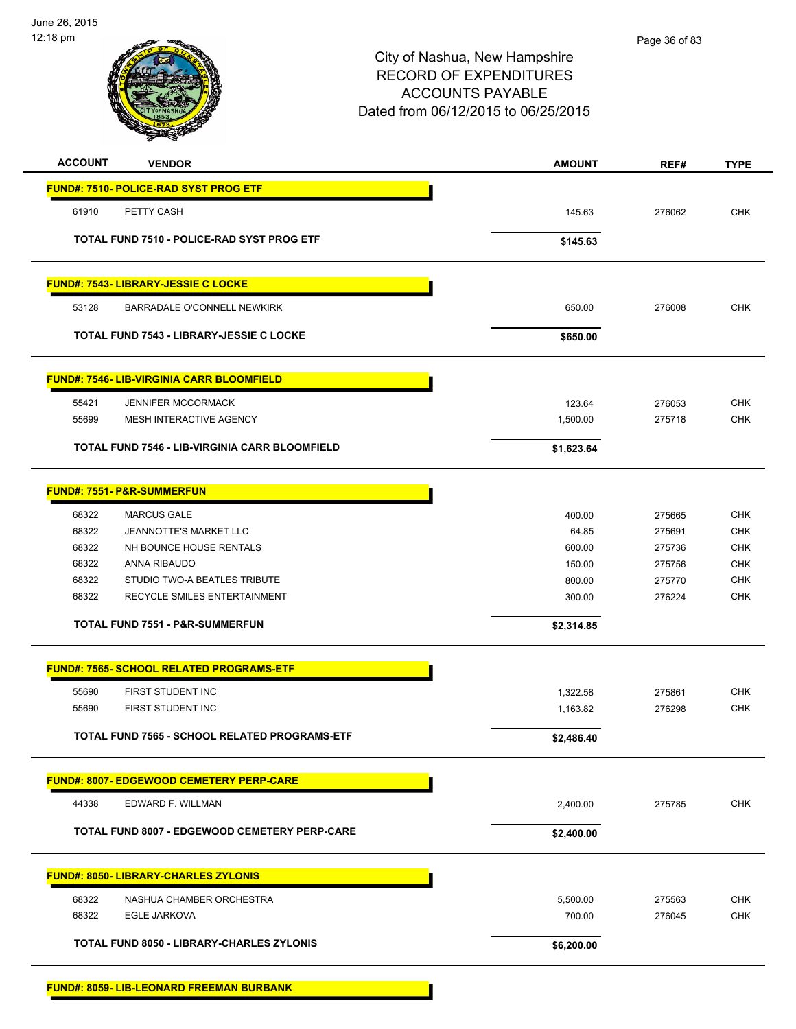

| <b>ACCOUNT</b> | <b>VENDOR</b>                                         | <b>AMOUNT</b>      | REF#             | <b>TYPE</b>              |
|----------------|-------------------------------------------------------|--------------------|------------------|--------------------------|
|                | <b>FUND#: 7510- POLICE-RAD SYST PROG ETF</b>          |                    |                  |                          |
| 61910          | PETTY CASH                                            | 145.63             | 276062           | <b>CHK</b>               |
|                | TOTAL FUND 7510 - POLICE-RAD SYST PROG ETF            | \$145.63           |                  |                          |
|                |                                                       |                    |                  |                          |
|                | <b>FUND#: 7543- LIBRARY-JESSIE C LOCKE</b>            |                    |                  |                          |
| 53128          | BARRADALE O'CONNELL NEWKIRK                           | 650.00             | 276008           | <b>CHK</b>               |
|                | <b>TOTAL FUND 7543 - LIBRARY-JESSIE C LOCKE</b>       | \$650.00           |                  |                          |
|                | <b>FUND#: 7546- LIB-VIRGINIA CARR BLOOMFIELD</b>      |                    |                  |                          |
| 55421          | <b>JENNIFER MCCORMACK</b>                             | 123.64             | 276053           | <b>CHK</b>               |
| 55699          | MESH INTERACTIVE AGENCY                               | 1,500.00           | 275718           | <b>CHK</b>               |
|                | <b>TOTAL FUND 7546 - LIB-VIRGINIA CARR BLOOMFIELD</b> | \$1,623.64         |                  |                          |
|                | <b>FUND#: 7551- P&amp;R-SUMMERFUN</b>                 |                    |                  |                          |
| 68322          | <b>MARCUS GALE</b>                                    | 400.00             | 275665           | <b>CHK</b>               |
| 68322          | JEANNOTTE'S MARKET LLC                                | 64.85              | 275691           | <b>CHK</b>               |
| 68322          | NH BOUNCE HOUSE RENTALS                               | 600.00             | 275736           | <b>CHK</b>               |
| 68322          | ANNA RIBAUDO                                          | 150.00             | 275756           | <b>CHK</b>               |
| 68322          | STUDIO TWO-A BEATLES TRIBUTE                          | 800.00             | 275770           | <b>CHK</b>               |
| 68322          | RECYCLE SMILES ENTERTAINMENT                          | 300.00             | 276224           | <b>CHK</b>               |
|                | <b>TOTAL FUND 7551 - P&amp;R-SUMMERFUN</b>            | \$2,314.85         |                  |                          |
|                | <b>FUND#: 7565- SCHOOL RELATED PROGRAMS-ETF</b>       |                    |                  |                          |
| 55690          | FIRST STUDENT INC                                     | 1,322.58           | 275861           | <b>CHK</b>               |
| 55690          | FIRST STUDENT INC                                     | 1,163.82           | 276298           | <b>CHK</b>               |
|                | TOTAL FUND 7565 - SCHOOL RELATED PROGRAMS-ETF         | \$2,486.40         |                  |                          |
|                | <b>FUND#: 8007- EDGEWOOD CEMETERY PERP-CARE</b>       |                    |                  |                          |
| 44338          | EDWARD F. WILLMAN                                     | 2,400.00           | 275785           | <b>CHK</b>               |
|                | <b>TOTAL FUND 8007 - EDGEWOOD CEMETERY PERP-CARE</b>  | \$2,400.00         |                  |                          |
|                | <b>FUND#: 8050- LIBRARY-CHARLES ZYLONIS</b>           |                    |                  |                          |
|                |                                                       |                    |                  |                          |
| 68322<br>68322 | NASHUA CHAMBER ORCHESTRA<br><b>EGLE JARKOVA</b>       | 5,500.00<br>700.00 | 275563<br>276045 | <b>CHK</b><br><b>CHK</b> |
|                |                                                       |                    |                  |                          |
|                | TOTAL FUND 8050 - LIBRARY-CHARLES ZYLONIS             | \$6,200.00         |                  |                          |
|                |                                                       |                    |                  |                          |

**FUND#: 8059- LIB-LEONARD FREEMAN BURBANK**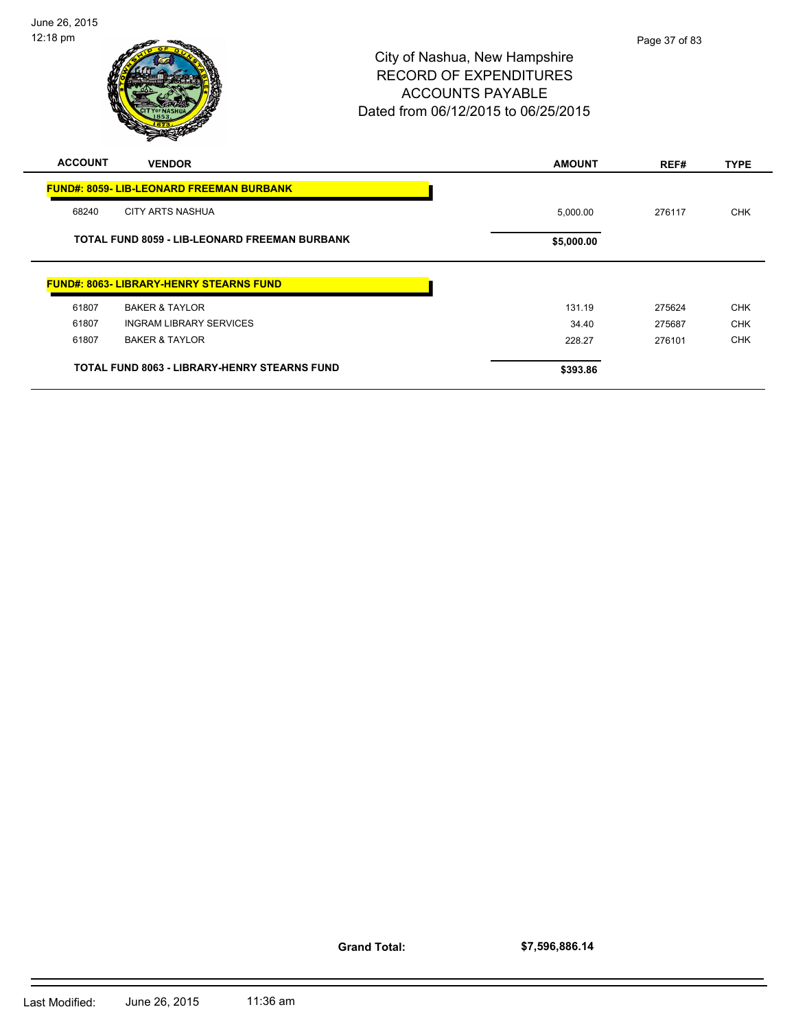

# City of Nashua, New Hampshire RECORD OF EXPENDITURES ACCOUNTS PAYABLE Dated from 06/12/2015 to 06/25/2015

| <b>ACCOUNT</b> | <b>VENDOR</b>                                       | <b>AMOUNT</b> | REF#   | <b>TYPE</b> |
|----------------|-----------------------------------------------------|---------------|--------|-------------|
|                | <b>FUND#: 8059- LIB-LEONARD FREEMAN BURBANK</b>     |               |        |             |
| 68240          | <b>CITY ARTS NASHUA</b>                             | 5,000.00      | 276117 | <b>CHK</b>  |
|                | TOTAL FUND 8059 - LIB-LEONARD FREEMAN BURBANK       | \$5,000.00    |        |             |
|                | <b>FUND#: 8063- LIBRARY-HENRY STEARNS FUND</b>      |               |        |             |
| 61807          | <b>BAKER &amp; TAYLOR</b>                           | 131.19        | 275624 | <b>CHK</b>  |
| 61807          | <b>INGRAM LIBRARY SERVICES</b>                      | 34.40         | 275687 | <b>CHK</b>  |
| 61807          | <b>BAKER &amp; TAYLOR</b>                           | 228.27        | 276101 | <b>CHK</b>  |
|                | <b>TOTAL FUND 8063 - LIBRARY-HENRY STEARNS FUND</b> | \$393.86      |        |             |

**Grand Total:**

**\$7,596,886.14**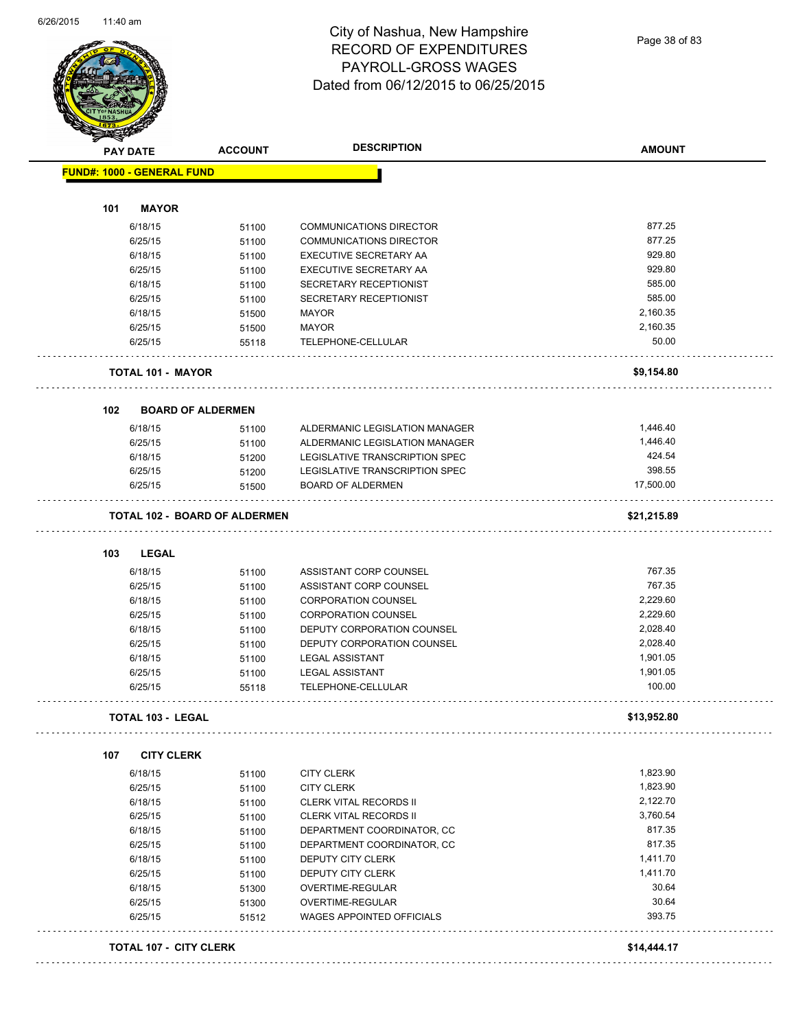Page 38 of 83

| <b>PAY DATE</b>                   | <b>ACCOUNT</b>                       | <b>DESCRIPTION</b>                                   | <b>AMOUNT</b> |
|-----------------------------------|--------------------------------------|------------------------------------------------------|---------------|
| <b>FUND#: 1000 - GENERAL FUND</b> |                                      |                                                      |               |
| <b>MAYOR</b><br>101               |                                      |                                                      |               |
| 6/18/15                           | 51100                                | <b>COMMUNICATIONS DIRECTOR</b>                       | 877.25        |
| 6/25/15                           |                                      | <b>COMMUNICATIONS DIRECTOR</b>                       | 877.25        |
| 6/18/15                           | 51100                                | EXECUTIVE SECRETARY AA                               | 929.80        |
| 6/25/15                           | 51100                                | EXECUTIVE SECRETARY AA                               | 929.80        |
|                                   | 51100                                |                                                      | 585.00        |
| 6/18/15                           | 51100                                | SECRETARY RECEPTIONIST                               |               |
| 6/25/15                           | 51100                                | SECRETARY RECEPTIONIST                               | 585.00        |
| 6/18/15                           | 51500                                | MAYOR                                                | 2,160.35      |
| 6/25/15                           | 51500                                | MAYOR                                                | 2,160.35      |
| 6/25/15                           | 55118                                | TELEPHONE-CELLULAR                                   | 50.00         |
| <b>TOTAL 101 - MAYOR</b>          |                                      |                                                      | \$9,154.80    |
| 102                               | <b>BOARD OF ALDERMEN</b>             |                                                      |               |
| 6/18/15                           | 51100                                | ALDERMANIC LEGISLATION MANAGER                       | 1,446.40      |
| 6/25/15                           | 51100                                | ALDERMANIC LEGISLATION MANAGER                       | 1,446.40      |
| 6/18/15                           | 51200                                | LEGISLATIVE TRANSCRIPTION SPEC                       | 424.54        |
| 6/25/15                           | 51200                                | LEGISLATIVE TRANSCRIPTION SPEC                       | 398.55        |
| 6/25/15                           | 51500                                | <b>BOARD OF ALDERMEN</b>                             | 17,500.00     |
|                                   | <b>TOTAL 102 - BOARD OF ALDERMEN</b> |                                                      | \$21,215.89   |
|                                   |                                      |                                                      |               |
| <b>LEGAL</b><br>103               |                                      |                                                      |               |
| 6/18/15                           | 51100                                | ASSISTANT CORP COUNSEL                               | 767.35        |
| 6/25/15                           | 51100                                | ASSISTANT CORP COUNSEL                               | 767.35        |
| 6/18/15                           | 51100                                | <b>CORPORATION COUNSEL</b>                           | 2,229.60      |
| 6/25/15                           | 51100                                | <b>CORPORATION COUNSEL</b>                           | 2,229.60      |
| 6/18/15                           | 51100                                | DEPUTY CORPORATION COUNSEL                           | 2,028.40      |
| 6/25/15                           | 51100                                | DEPUTY CORPORATION COUNSEL                           | 2,028.40      |
| 6/18/15                           | 51100                                | <b>LEGAL ASSISTANT</b>                               | 1,901.05      |
| 6/25/15                           | 51100                                | <b>LEGAL ASSISTANT</b>                               | 1,901.05      |
| 6/25/15                           | 55118                                | TELEPHONE-CELLULAR                                   | 100.00        |
| TOTAL 103 - LEGAL                 |                                      |                                                      | \$13,952.80   |
| <b>CITY CLERK</b><br>107          |                                      |                                                      |               |
| 6/18/15                           | 51100                                | <b>CITY CLERK</b>                                    | 1,823.90      |
| 6/25/15                           | 51100                                | <b>CITY CLERK</b>                                    | 1,823.90      |
| 6/18/15                           | 51100                                | <b>CLERK VITAL RECORDS II</b>                        | 2,122.70      |
| 6/25/15                           | 51100                                | <b>CLERK VITAL RECORDS II</b>                        | 3,760.54      |
| 6/18/15                           | 51100                                | DEPARTMENT COORDINATOR, CC                           | 817.35        |
| 6/25/15                           | 51100                                | DEPARTMENT COORDINATOR, CC                           | 817.35        |
| 6/18/15                           | 51100                                | DEPUTY CITY CLERK                                    | 1,411.70      |
| 6/25/15                           | 51100                                | DEPUTY CITY CLERK                                    | 1,411.70      |
| 6/18/15                           |                                      | OVERTIME-REGULAR                                     | 30.64         |
|                                   | 51300                                |                                                      | 30.64         |
| 6/25/15<br>6/25/15                | 51300<br>51512                       | OVERTIME-REGULAR<br><b>WAGES APPOINTED OFFICIALS</b> | 393.75        |
|                                   |                                      |                                                      |               |
| <b>TOTAL 107 - CITY CLERK</b>     |                                      |                                                      | \$14,444.17   |
|                                   |                                      |                                                      |               |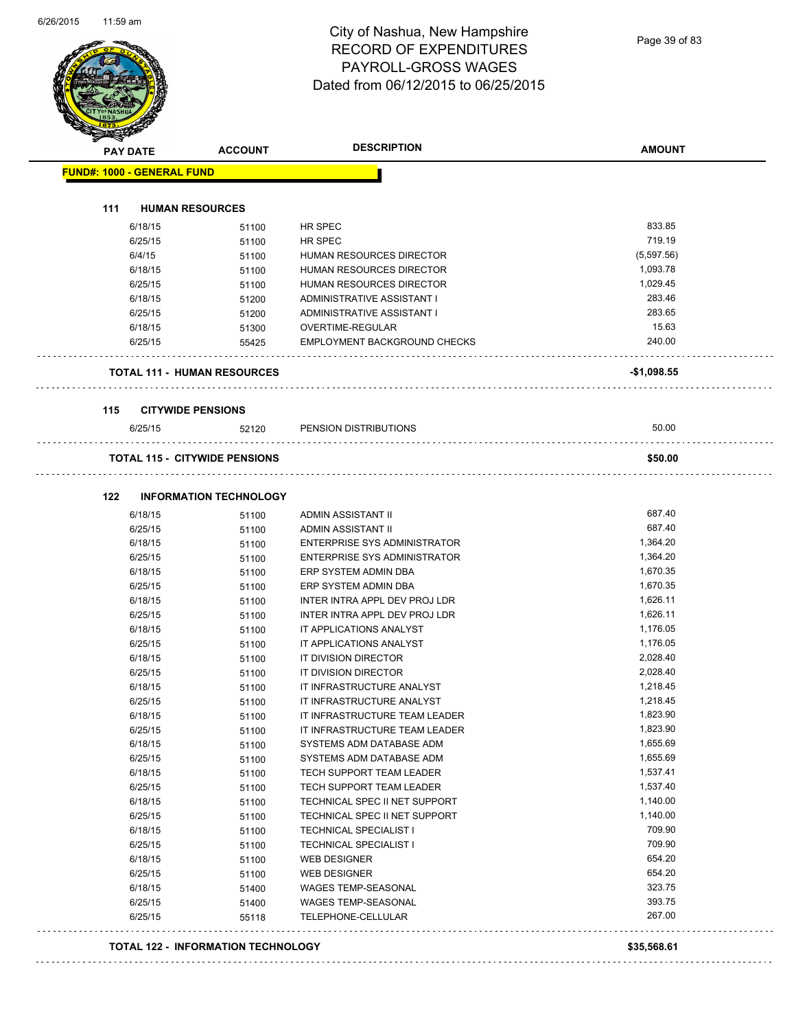|     | <b>PAY DATE</b>                   | <b>ACCOUNT</b>                       | <b>DESCRIPTION</b>                              | <b>AMOUNT</b>        |
|-----|-----------------------------------|--------------------------------------|-------------------------------------------------|----------------------|
|     | <b>FUND#: 1000 - GENERAL FUND</b> |                                      |                                                 |                      |
|     |                                   |                                      |                                                 |                      |
| 111 |                                   | <b>HUMAN RESOURCES</b>               |                                                 |                      |
|     | 6/18/15                           | 51100                                | HR SPEC                                         | 833.85               |
|     | 6/25/15                           | 51100                                | HR SPEC                                         | 719.19               |
|     | 6/4/15                            | 51100                                | HUMAN RESOURCES DIRECTOR                        | (5,597.56)           |
|     | 6/18/15                           | 51100                                | HUMAN RESOURCES DIRECTOR                        | 1,093.78             |
|     | 6/25/15                           | 51100                                | HUMAN RESOURCES DIRECTOR                        | 1,029.45             |
|     | 6/18/15                           | 51200                                | ADMINISTRATIVE ASSISTANT I                      | 283.46               |
|     | 6/25/15                           | 51200                                | ADMINISTRATIVE ASSISTANT I                      | 283.65               |
|     | 6/18/15                           | 51300                                | OVERTIME-REGULAR                                | 15.63                |
|     | 6/25/15                           | 55425                                | <b>EMPLOYMENT BACKGROUND CHECKS</b>             | 240.00               |
|     |                                   | <b>TOTAL 111 - HUMAN RESOURCES</b>   |                                                 | $-$1,098.55$         |
| 115 |                                   | <b>CITYWIDE PENSIONS</b>             |                                                 |                      |
|     | 6/25/15                           | 52120                                | PENSION DISTRIBUTIONS                           | 50.00                |
|     |                                   | <b>TOTAL 115 - CITYWIDE PENSIONS</b> |                                                 | \$50.00              |
|     |                                   |                                      |                                                 |                      |
| 122 |                                   | <b>INFORMATION TECHNOLOGY</b>        |                                                 | 687.40               |
|     | 6/18/15                           | 51100                                | ADMIN ASSISTANT II                              |                      |
|     | 6/25/15                           | 51100                                | ADMIN ASSISTANT II                              | 687.40               |
|     | 6/18/15                           | 51100                                | ENTERPRISE SYS ADMINISTRATOR                    | 1,364.20             |
|     | 6/25/15                           | 51100                                | ENTERPRISE SYS ADMINISTRATOR                    | 1,364.20             |
|     | 6/18/15                           | 51100                                | ERP SYSTEM ADMIN DBA                            | 1,670.35             |
|     | 6/25/15                           | 51100                                | ERP SYSTEM ADMIN DBA                            | 1,670.35             |
|     | 6/18/15                           | 51100                                | INTER INTRA APPL DEV PROJ LDR                   | 1,626.11             |
|     | 6/25/15                           | 51100                                | INTER INTRA APPL DEV PROJ LDR                   | 1,626.11             |
|     | 6/18/15                           | 51100                                | IT APPLICATIONS ANALYST                         | 1,176.05             |
|     | 6/25/15                           | 51100                                | IT APPLICATIONS ANALYST<br>IT DIVISION DIRECTOR | 1,176.05<br>2,028.40 |
|     | 6/18/15<br>6/25/15                | 51100                                | IT DIVISION DIRECTOR                            | 2,028.40             |
|     |                                   | 51100                                |                                                 |                      |
|     | 6/18/15                           | 51100                                | IT INFRASTRUCTURE ANALYST                       | 1,218.45<br>1,218.45 |
|     | 6/25/15                           | 51100                                | IT INFRASTRUCTURE ANALYST                       | 1,823.90             |
|     | 6/18/15                           | 51100                                | IT INFRASTRUCTURE TEAM LEADER                   | 1,823.90             |
|     | 6/25/15                           | 51100                                | IT INFRASTRUCTURE TEAM LEADER                   |                      |
|     | 6/18/15                           | 51100                                | SYSTEMS ADM DATABASE ADM                        | 1,655.69<br>1,655.69 |
|     | 6/25/15                           | 51100                                | SYSTEMS ADM DATABASE ADM                        |                      |
|     | 6/18/15                           | 51100                                | TECH SUPPORT TEAM LEADER                        | 1,537.41             |
|     | 6/25/15                           | 51100                                | TECH SUPPORT TEAM LEADER                        | 1,537.40             |
|     | 6/18/15                           | 51100                                | TECHNICAL SPEC II NET SUPPORT                   | 1,140.00             |
|     | 6/25/15                           | 51100                                | TECHNICAL SPEC II NET SUPPORT                   | 1,140.00             |
|     | 6/18/15                           | 51100                                | TECHNICAL SPECIALIST I                          | 709.90               |
|     | 6/25/15                           | 51100                                | <b>TECHNICAL SPECIALIST I</b>                   | 709.90               |
|     | 6/18/15                           | 51100                                | WEB DESIGNER                                    | 654.20               |
|     | 6/25/15                           | 51100                                | <b>WEB DESIGNER</b>                             | 654.20               |
|     | 6/18/15                           | 51400                                | WAGES TEMP-SEASONAL                             | 323.75               |
|     | 6/25/15                           | 51400                                | WAGES TEMP-SEASONAL                             | 393.75               |

#### **TOTAL 122 - INFORMATION TECHNOLOGY \$35,568.61**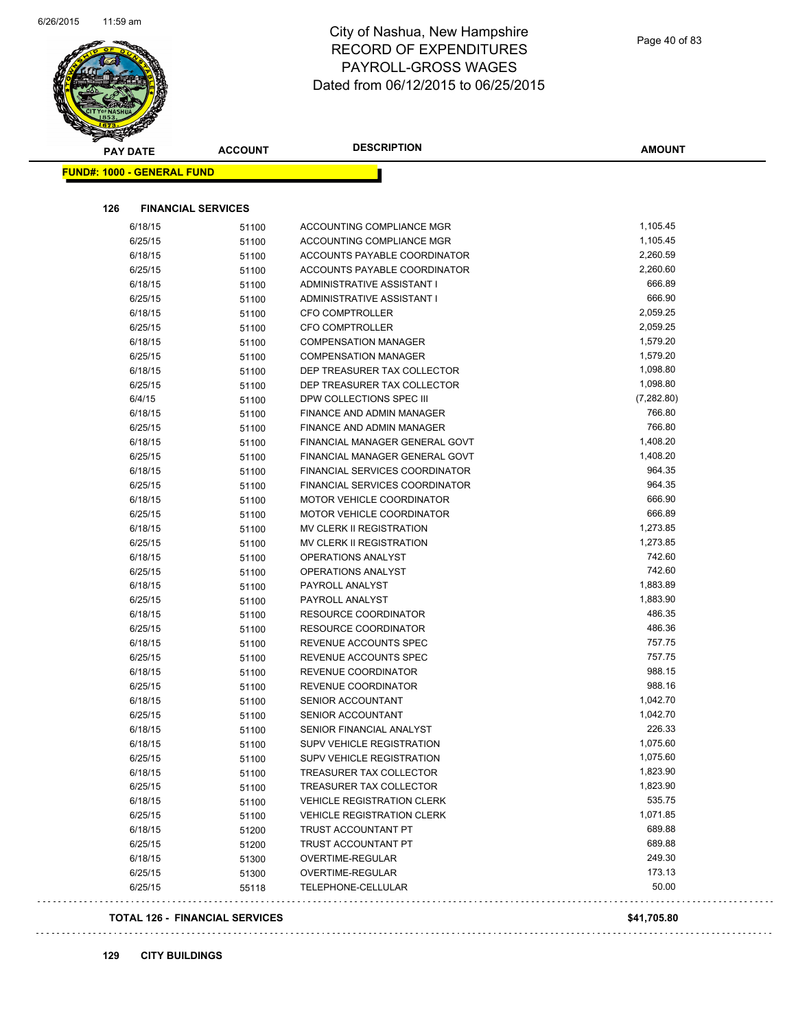

| <b>PAY DATE</b>                   | <b>ACCOUNT</b> | <b>DESCRIPTION</b>                    | <b>AMOUNT</b> |
|-----------------------------------|----------------|---------------------------------------|---------------|
| <b>FUND#: 1000 - GENERAL FUND</b> |                |                                       |               |
|                                   |                |                                       |               |
| 126<br><b>FINANCIAL SERVICES</b>  |                |                                       |               |
| 6/18/15                           | 51100          | ACCOUNTING COMPLIANCE MGR             | 1,105.45      |
| 6/25/15                           | 51100          | ACCOUNTING COMPLIANCE MGR             | 1,105.45      |
| 6/18/15                           | 51100          | ACCOUNTS PAYABLE COORDINATOR          | 2,260.59      |
| 6/25/15                           | 51100          | ACCOUNTS PAYABLE COORDINATOR          | 2,260.60      |
| 6/18/15                           | 51100          | ADMINISTRATIVE ASSISTANT I            | 666.89        |
| 6/25/15                           | 51100          | ADMINISTRATIVE ASSISTANT I            | 666.90        |
| 6/18/15                           | 51100          | CFO COMPTROLLER                       | 2,059.25      |
| 6/25/15                           | 51100          | <b>CFO COMPTROLLER</b>                | 2,059.25      |
| 6/18/15                           | 51100          | <b>COMPENSATION MANAGER</b>           | 1,579.20      |
| 6/25/15                           | 51100          | <b>COMPENSATION MANAGER</b>           | 1,579.20      |
| 6/18/15                           | 51100          | DEP TREASURER TAX COLLECTOR           | 1,098.80      |
| 6/25/15                           | 51100          | DEP TREASURER TAX COLLECTOR           | 1,098.80      |
| 6/4/15                            | 51100          | DPW COLLECTIONS SPEC III              | (7, 282.80)   |
| 6/18/15                           | 51100          | FINANCE AND ADMIN MANAGER             | 766.80        |
| 6/25/15                           | 51100          | <b>FINANCE AND ADMIN MANAGER</b>      | 766.80        |
| 6/18/15                           | 51100          | FINANCIAL MANAGER GENERAL GOVT        | 1,408.20      |
| 6/25/15                           | 51100          | FINANCIAL MANAGER GENERAL GOVT        | 1,408.20      |
| 6/18/15                           | 51100          | <b>FINANCIAL SERVICES COORDINATOR</b> | 964.35        |
| 6/25/15                           | 51100          | FINANCIAL SERVICES COORDINATOR        | 964.35        |
| 6/18/15                           | 51100          | MOTOR VEHICLE COORDINATOR             | 666.90        |
| 6/25/15                           | 51100          | MOTOR VEHICLE COORDINATOR             | 666.89        |
| 6/18/15                           | 51100          | MV CLERK II REGISTRATION              | 1,273.85      |
| 6/25/15                           | 51100          | MV CLERK II REGISTRATION              | 1,273.85      |
| 6/18/15                           | 51100          | OPERATIONS ANALYST                    | 742.60        |
| 6/25/15                           | 51100          | OPERATIONS ANALYST                    | 742.60        |
| 6/18/15                           | 51100          | PAYROLL ANALYST                       | 1,883.89      |
| 6/25/15                           | 51100          | PAYROLL ANALYST                       | 1,883.90      |
| 6/18/15                           | 51100          | <b>RESOURCE COORDINATOR</b>           | 486.35        |
| 6/25/15                           | 51100          | <b>RESOURCE COORDINATOR</b>           | 486.36        |
| 6/18/15                           | 51100          | REVENUE ACCOUNTS SPEC                 | 757.75        |
| 6/25/15                           | 51100          | REVENUE ACCOUNTS SPEC                 | 757.75        |
| 6/18/15                           | 51100          | REVENUE COORDINATOR                   | 988.15        |
| 6/25/15                           | 51100          | <b>REVENUE COORDINATOR</b>            | 988.16        |
| 6/18/15                           | 51100          | SENIOR ACCOUNTANT                     | 1,042.70      |
| 6/25/15                           | 51100          | SENIOR ACCOUNTANT                     | 1,042.70      |
| 6/18/15                           | 51100          | SENIOR FINANCIAL ANALYST              | 226.33        |
| 6/18/15                           | 51100          | SUPV VEHICLE REGISTRATION             | 1,075.60      |
| 6/25/15                           | 51100          | SUPV VEHICLE REGISTRATION             | 1,075.60      |
| 6/18/15                           | 51100          | TREASURER TAX COLLECTOR               | 1,823.90      |
| 6/25/15                           | 51100          | TREASURER TAX COLLECTOR               | 1,823.90      |
| 6/18/15                           | 51100          | <b>VEHICLE REGISTRATION CLERK</b>     | 535.75        |
| 6/25/15                           | 51100          | <b>VEHICLE REGISTRATION CLERK</b>     | 1,071.85      |
| 6/18/15                           | 51200          | TRUST ACCOUNTANT PT                   | 689.88        |
| 6/25/15                           | 51200          | TRUST ACCOUNTANT PT                   | 689.88        |
| 6/18/15                           | 51300          | OVERTIME-REGULAR                      | 249.30        |
| 6/25/15                           | 51300          | OVERTIME-REGULAR                      | 173.13        |
| 6/25/15                           | 55118          | TELEPHONE-CELLULAR                    | 50.00         |
|                                   |                |                                       |               |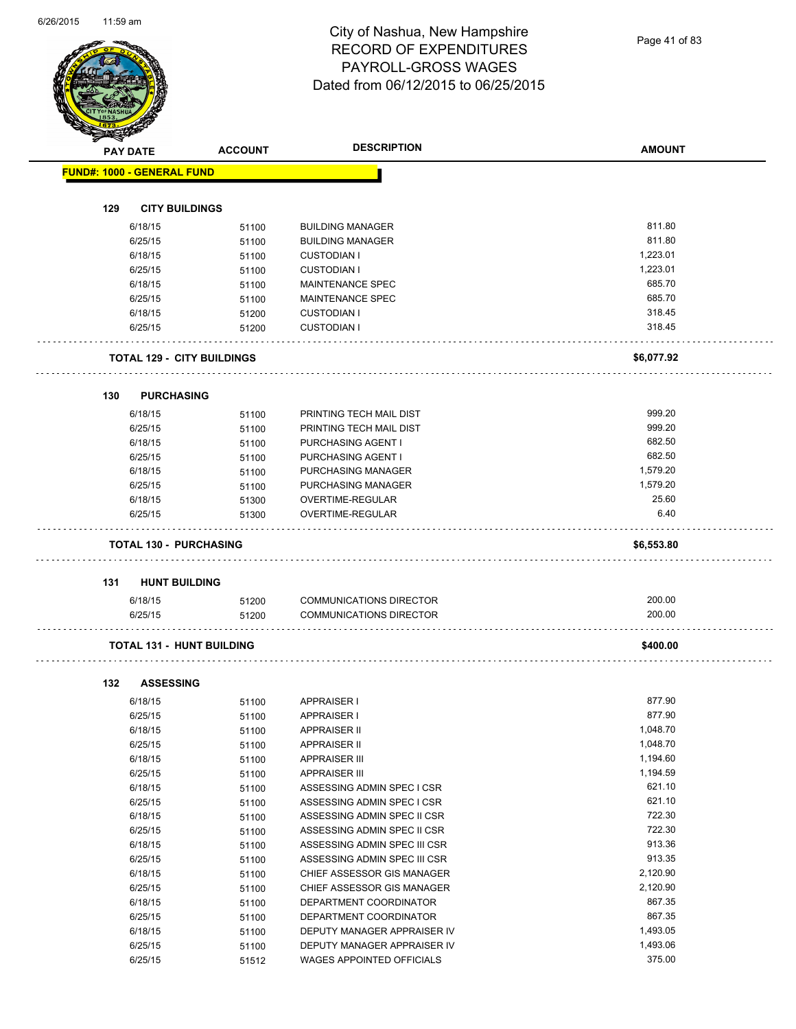Page 41 of 83

| <b>PAY DATE</b>                   | <b>ACCOUNT</b> | <b>DESCRIPTION</b>                                         | <b>AMOUNT</b>        |
|-----------------------------------|----------------|------------------------------------------------------------|----------------------|
| <b>FUND#: 1000 - GENERAL FUND</b> |                |                                                            |                      |
|                                   |                |                                                            |                      |
| 129<br><b>CITY BUILDINGS</b>      |                |                                                            |                      |
| 6/18/15                           | 51100          | <b>BUILDING MANAGER</b>                                    | 811.80               |
| 6/25/15                           | 51100          | <b>BUILDING MANAGER</b>                                    | 811.80               |
| 6/18/15                           | 51100          | <b>CUSTODIAN I</b>                                         | 1,223.01             |
| 6/25/15                           | 51100          | <b>CUSTODIAN I</b>                                         | 1,223.01             |
| 6/18/15                           | 51100          | <b>MAINTENANCE SPEC</b>                                    | 685.70               |
| 6/25/15                           | 51100          | <b>MAINTENANCE SPEC</b>                                    | 685.70               |
| 6/18/15                           | 51200          | <b>CUSTODIAN I</b>                                         | 318.45               |
| 6/25/15                           | 51200          | <b>CUSTODIAN I</b>                                         | 318.45               |
| <b>TOTAL 129 - CITY BUILDINGS</b> |                |                                                            | \$6,077.92           |
| 130<br><b>PURCHASING</b>          |                |                                                            |                      |
| 6/18/15                           | 51100          | PRINTING TECH MAIL DIST                                    | 999.20               |
| 6/25/15                           | 51100          | PRINTING TECH MAIL DIST                                    | 999.20               |
| 6/18/15                           | 51100          | <b>PURCHASING AGENT I</b>                                  | 682.50               |
| 6/25/15                           | 51100          | PURCHASING AGENT I                                         | 682.50               |
| 6/18/15                           | 51100          | <b>PURCHASING MANAGER</b>                                  | 1,579.20             |
| 6/25/15                           | 51100          | PURCHASING MANAGER                                         | 1,579.20             |
| 6/18/15                           | 51300          | OVERTIME-REGULAR                                           | 25.60                |
| 6/25/15                           | 51300          | OVERTIME-REGULAR                                           | 6.40                 |
| <b>TOTAL 130 - PURCHASING</b>     |                |                                                            | \$6,553.80           |
| 131<br><b>HUNT BUILDING</b>       |                |                                                            |                      |
|                                   |                |                                                            | 200.00               |
| 6/18/15                           | 51200          | <b>COMMUNICATIONS DIRECTOR</b>                             |                      |
| 6/25/15                           | 51200          | <b>COMMUNICATIONS DIRECTOR</b>                             | 200.00               |
| TOTAL 131 - HUNT BUILDING         |                |                                                            | \$400.00             |
| 132<br><b>ASSESSING</b>           |                |                                                            |                      |
| 6/18/15                           | 51100          | <b>APPRAISER I</b>                                         | 877.90               |
| 6/25/15                           | 51100          | <b>APPRAISER I</b>                                         | 877.90               |
| 6/18/15                           | 51100          | <b>APPRAISER II</b>                                        | 1,048.70             |
| 6/25/15                           | 51100          | <b>APPRAISER II</b>                                        | 1,048.70             |
| 6/18/15                           | 51100          | <b>APPRAISER III</b>                                       | 1,194.60             |
| 6/25/15                           | 51100          | <b>APPRAISER III</b>                                       | 1,194.59             |
| 6/18/15                           | 51100          | ASSESSING ADMIN SPEC I CSR                                 | 621.10               |
| 6/25/15                           | 51100          | ASSESSING ADMIN SPEC I CSR                                 | 621.10               |
| 6/18/15                           | 51100          | ASSESSING ADMIN SPEC II CSR                                | 722.30               |
| 6/25/15                           | 51100          | ASSESSING ADMIN SPEC II CSR                                | 722.30               |
| 6/18/15                           | 51100          | ASSESSING ADMIN SPEC III CSR                               | 913.36               |
| 6/25/15                           | 51100          | ASSESSING ADMIN SPEC III CSR                               | 913.35               |
|                                   | 51100          | CHIEF ASSESSOR GIS MANAGER                                 | 2,120.90             |
|                                   |                |                                                            |                      |
| 6/18/15                           |                |                                                            |                      |
| 6/25/15                           | 51100          | CHIEF ASSESSOR GIS MANAGER                                 | 2,120.90             |
| 6/18/15                           | 51100          | DEPARTMENT COORDINATOR                                     | 867.35               |
| 6/25/15                           | 51100          | DEPARTMENT COORDINATOR                                     | 867.35               |
| 6/18/15<br>6/25/15                | 51100<br>51100 | DEPUTY MANAGER APPRAISER IV<br>DEPUTY MANAGER APPRAISER IV | 1,493.05<br>1,493.06 |

6/25/15 51100 DEPUTY MANAGER APPRAISER IV 1,493.06

6/25/15 51512 WAGES APPOINTED OFFICIALS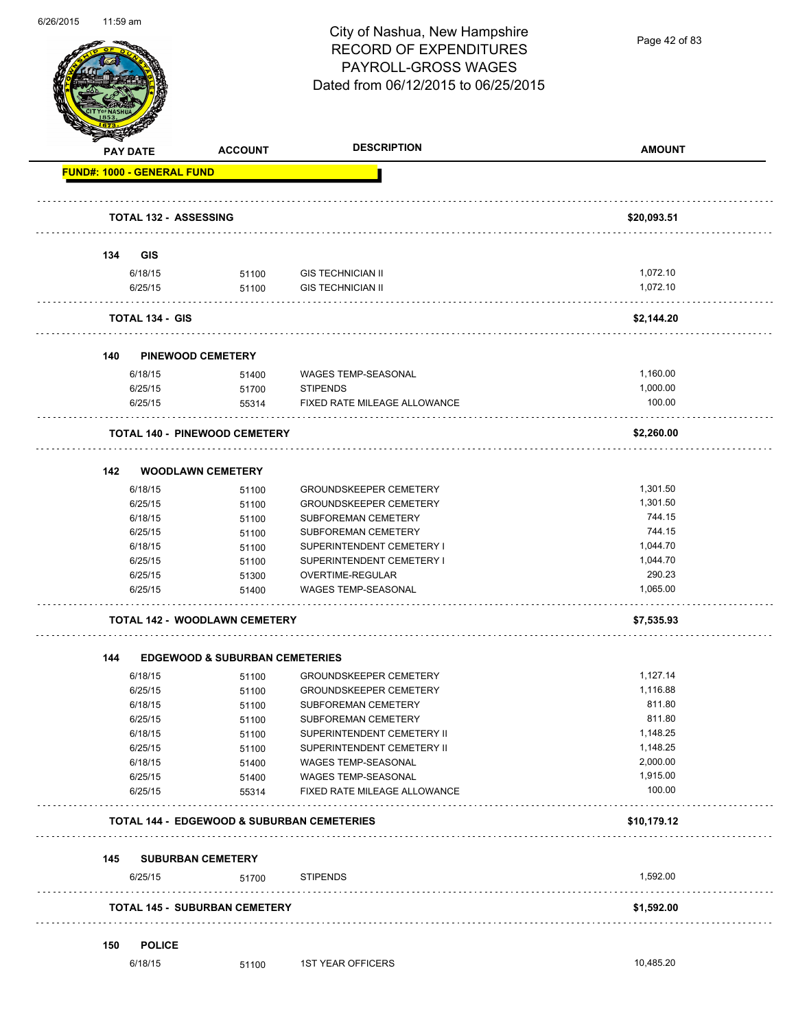

Page 42 of 83

| <b>PAY DATE</b>                   | <b>ACCOUNT</b>                                        | <b>DESCRIPTION</b>                                   | <b>AMOUNT</b>        |
|-----------------------------------|-------------------------------------------------------|------------------------------------------------------|----------------------|
| <b>FUND#: 1000 - GENERAL FUND</b> |                                                       |                                                      |                      |
|                                   | <b>TOTAL 132 - ASSESSING</b>                          |                                                      | \$20,093.51          |
|                                   |                                                       |                                                      |                      |
| 134<br><b>GIS</b>                 |                                                       |                                                      |                      |
| 6/18/15                           | 51100                                                 | <b>GIS TECHNICIAN II</b><br><b>GIS TECHNICIAN II</b> | 1,072.10<br>1,072.10 |
| 6/25/15                           | 51100                                                 |                                                      |                      |
| <b>TOTAL 134 - GIS</b>            |                                                       |                                                      | \$2,144.20           |
| 140                               | <b>PINEWOOD CEMETERY</b>                              |                                                      |                      |
| 6/18/15                           | 51400                                                 | <b>WAGES TEMP-SEASONAL</b>                           | 1,160.00             |
| 6/25/15                           | 51700                                                 | <b>STIPENDS</b>                                      | 1,000.00             |
| 6/25/15                           | 55314                                                 | FIXED RATE MILEAGE ALLOWANCE                         | 100.00               |
|                                   | <b>TOTAL 140 - PINEWOOD CEMETERY</b>                  |                                                      | \$2,260.00           |
| 142                               | <b>WOODLAWN CEMETERY</b>                              |                                                      |                      |
| 6/18/15                           | 51100                                                 | <b>GROUNDSKEEPER CEMETERY</b>                        | 1,301.50             |
| 6/25/15                           | 51100                                                 | <b>GROUNDSKEEPER CEMETERY</b>                        | 1,301.50             |
| 6/18/15                           | 51100                                                 | SUBFOREMAN CEMETERY                                  | 744.15               |
| 6/25/15                           | 51100                                                 | SUBFOREMAN CEMETERY                                  | 744.15               |
| 6/18/15                           | 51100                                                 | SUPERINTENDENT CEMETERY I                            | 1,044.70             |
| 6/25/15                           | 51100                                                 | SUPERINTENDENT CEMETERY I                            | 1,044.70             |
| 6/25/15                           | 51300                                                 | OVERTIME-REGULAR                                     | 290.23               |
| 6/25/15                           | 51400                                                 | WAGES TEMP-SEASONAL                                  | 1,065.00             |
|                                   | <b>TOTAL 142 - WOODLAWN CEMETERY</b>                  |                                                      | \$7,535.93           |
| 144                               | <b>EDGEWOOD &amp; SUBURBAN CEMETERIES</b>             |                                                      |                      |
| 6/18/15                           | 51100                                                 | <b>GROUNDSKEEPER CEMETERY</b>                        | 1,127.14             |
| 6/25/15                           | 51100                                                 | <b>GROUNDSKEEPER CEMETERY</b>                        | 1,116.88             |
| 6/18/15                           | 51100                                                 | SUBFOREMAN CEMETERY                                  | 811.80               |
| 6/25/15                           | 51100                                                 | SUBFOREMAN CEMETERY                                  | 811.80               |
| 6/18/15                           | 51100                                                 | SUPERINTENDENT CEMETERY II                           | 1,148.25             |
| 6/25/15                           | 51100                                                 | SUPERINTENDENT CEMETERY II                           | 1,148.25             |
| 6/18/15                           | 51400                                                 | WAGES TEMP-SEASONAL                                  | 2,000.00             |
| 6/25/15                           | 51400                                                 | WAGES TEMP-SEASONAL                                  | 1,915.00             |
| 6/25/15                           | 55314                                                 | FIXED RATE MILEAGE ALLOWANCE                         | 100.00               |
|                                   | <b>TOTAL 144 - EDGEWOOD &amp; SUBURBAN CEMETERIES</b> |                                                      | \$10,179.12          |
|                                   | 145 SUBURBAN CEMETERY                                 |                                                      |                      |
| 6/25/15                           | 51700                                                 | <b>STIPENDS</b>                                      | 1,592.00             |
|                                   | <b>TOTAL 145 - SUBURBAN CEMETERY</b>                  |                                                      | \$1,592.00           |
| <b>POLICE</b>                     |                                                       |                                                      |                      |
| 150<br>6/18/15                    |                                                       | <b>1ST YEAR OFFICERS</b>                             | 10,485.20            |
|                                   | 51100                                                 |                                                      |                      |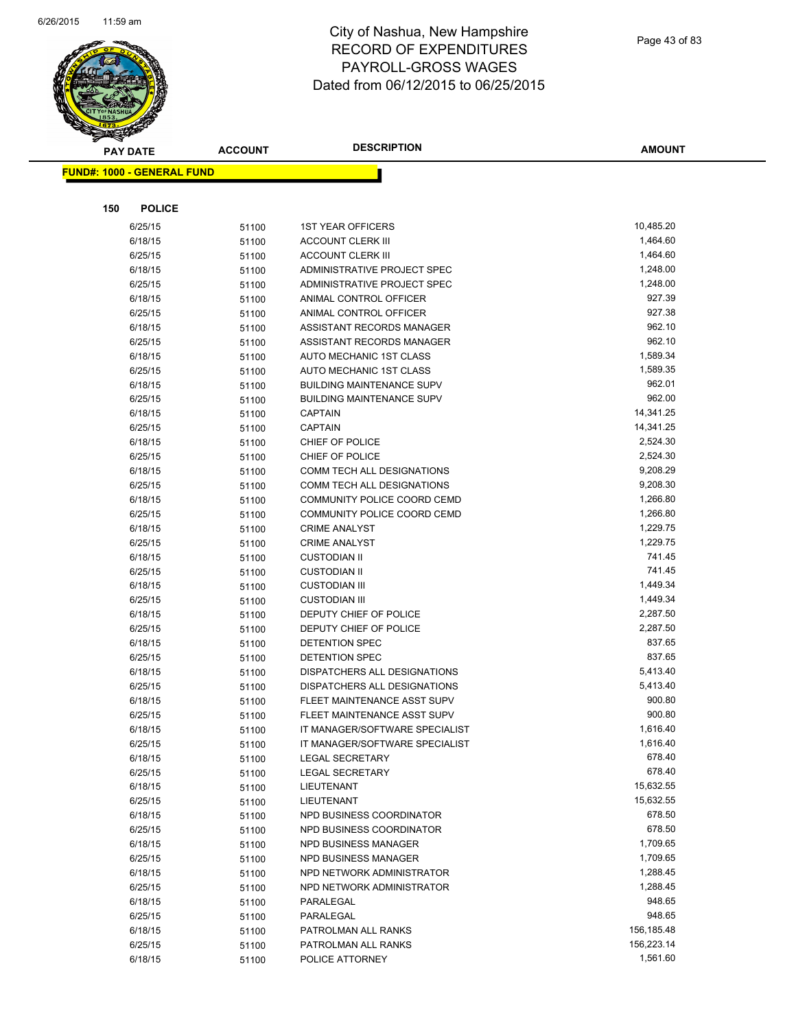

|     | <b>PAY DATE</b>                   | <b>ACCOUNT</b> | <b>DESCRIPTION</b>                                        | <b>AMOUNT</b>        |
|-----|-----------------------------------|----------------|-----------------------------------------------------------|----------------------|
|     | <b>FUND#: 1000 - GENERAL FUND</b> |                |                                                           |                      |
|     |                                   |                |                                                           |                      |
|     |                                   |                |                                                           |                      |
| 150 | <b>POLICE</b>                     |                |                                                           |                      |
|     | 6/25/15                           | 51100          | <b>1ST YEAR OFFICERS</b>                                  | 10,485.20            |
|     | 6/18/15                           | 51100          | <b>ACCOUNT CLERK III</b>                                  | 1,464.60             |
|     | 6/25/15                           | 51100          | <b>ACCOUNT CLERK III</b>                                  | 1,464.60             |
|     | 6/18/15                           | 51100          | ADMINISTRATIVE PROJECT SPEC                               | 1,248.00             |
|     | 6/25/15                           | 51100          | ADMINISTRATIVE PROJECT SPEC                               | 1,248.00             |
|     | 6/18/15                           | 51100          | ANIMAL CONTROL OFFICER                                    | 927.39               |
|     | 6/25/15                           | 51100          | ANIMAL CONTROL OFFICER                                    | 927.38               |
|     | 6/18/15                           | 51100          | ASSISTANT RECORDS MANAGER                                 | 962.10               |
|     | 6/25/15                           | 51100          | ASSISTANT RECORDS MANAGER                                 | 962.10               |
|     | 6/18/15                           | 51100          | AUTO MECHANIC 1ST CLASS                                   | 1,589.34             |
|     | 6/25/15                           | 51100          | AUTO MECHANIC 1ST CLASS                                   | 1,589.35             |
|     | 6/18/15                           | 51100          | <b>BUILDING MAINTENANCE SUPV</b>                          | 962.01               |
|     | 6/25/15                           | 51100          | <b>BUILDING MAINTENANCE SUPV</b>                          | 962.00               |
|     | 6/18/15                           | 51100          | <b>CAPTAIN</b>                                            | 14,341.25            |
|     | 6/25/15                           | 51100          | <b>CAPTAIN</b>                                            | 14,341.25            |
|     | 6/18/15                           | 51100          | CHIEF OF POLICE                                           | 2,524.30             |
|     | 6/25/15                           | 51100          | CHIEF OF POLICE                                           | 2,524.30             |
|     | 6/18/15                           | 51100          | COMM TECH ALL DESIGNATIONS                                | 9,208.29             |
|     | 6/25/15                           | 51100          | COMM TECH ALL DESIGNATIONS<br>COMMUNITY POLICE COORD CEMD | 9,208.30             |
|     | 6/18/15                           | 51100          | COMMUNITY POLICE COORD CEMD                               | 1,266.80             |
|     | 6/25/15                           | 51100          |                                                           | 1,266.80             |
|     | 6/18/15                           | 51100          | <b>CRIME ANALYST</b>                                      | 1,229.75<br>1,229.75 |
|     | 6/25/15                           | 51100          | <b>CRIME ANALYST</b>                                      | 741.45               |
|     | 6/18/15<br>6/25/15                | 51100          | <b>CUSTODIAN II</b><br><b>CUSTODIAN II</b>                | 741.45               |
|     | 6/18/15                           | 51100          | <b>CUSTODIAN III</b>                                      | 1,449.34             |
|     | 6/25/15                           | 51100<br>51100 | <b>CUSTODIAN III</b>                                      | 1,449.34             |
|     | 6/18/15                           | 51100          | DEPUTY CHIEF OF POLICE                                    | 2,287.50             |
|     | 6/25/15                           | 51100          | DEPUTY CHIEF OF POLICE                                    | 2,287.50             |
|     | 6/18/15                           | 51100          | <b>DETENTION SPEC</b>                                     | 837.65               |
|     | 6/25/15                           | 51100          | <b>DETENTION SPEC</b>                                     | 837.65               |
|     | 6/18/15                           | 51100          | <b>DISPATCHERS ALL DESIGNATIONS</b>                       | 5,413.40             |
|     | 6/25/15                           | 51100          | DISPATCHERS ALL DESIGNATIONS                              | 5,413.40             |
|     | 6/18/15                           | 51100          | FLEET MAINTENANCE ASST SUPV                               | 900.80               |
|     | 6/25/15                           | 51100          | FLEET MAINTENANCE ASST SUPV                               | 900.80               |
|     | 6/18/15                           | 51100          | IT MANAGER/SOFTWARE SPECIALIST                            | 1,616.40             |
|     | 6/25/15                           | 51100          | IT MANAGER/SOFTWARE SPECIALIST                            | 1,616.40             |
|     | 6/18/15                           | 51100          | LEGAL SECRETARY                                           | 678.40               |
|     | 6/25/15                           | 51100          | LEGAL SECRETARY                                           | 678.40               |
|     | 6/18/15                           | 51100          | LIEUTENANT                                                | 15,632.55            |
|     | 6/25/15                           | 51100          | LIEUTENANT                                                | 15,632.55            |
|     | 6/18/15                           | 51100          | NPD BUSINESS COORDINATOR                                  | 678.50               |
|     | 6/25/15                           | 51100          | NPD BUSINESS COORDINATOR                                  | 678.50               |
|     | 6/18/15                           | 51100          | NPD BUSINESS MANAGER                                      | 1,709.65             |
|     | 6/25/15                           | 51100          | NPD BUSINESS MANAGER                                      | 1,709.65             |
|     | 6/18/15                           | 51100          | NPD NETWORK ADMINISTRATOR                                 | 1,288.45             |
|     | 6/25/15                           | 51100          | NPD NETWORK ADMINISTRATOR                                 | 1,288.45             |
|     | 6/18/15                           | 51100          | PARALEGAL                                                 | 948.65               |
|     | 6/25/15                           | 51100          | PARALEGAL                                                 | 948.65               |
|     | 6/18/15                           | 51100          | PATROLMAN ALL RANKS                                       | 156,185.48           |
|     | 6/25/15                           | 51100          | PATROLMAN ALL RANKS                                       | 156,223.14           |
|     | 6/18/15                           | 51100          | POLICE ATTORNEY                                           | 1,561.60             |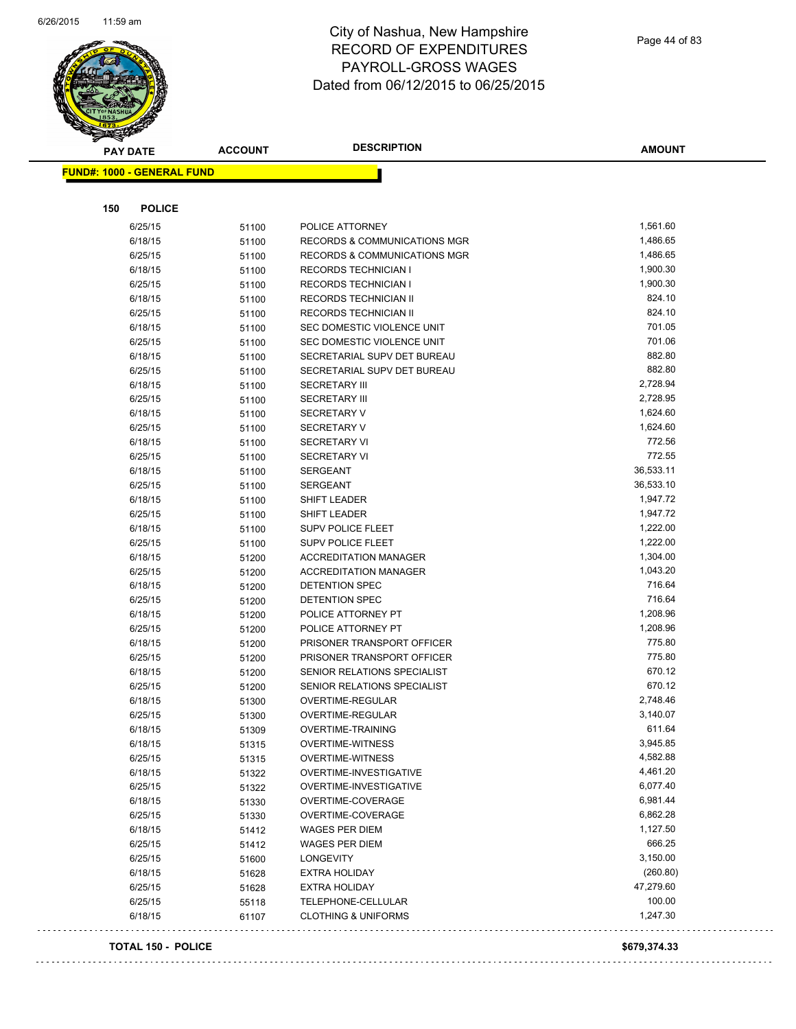

| <b>PAY DATE</b>                   | <b>ACCOUNT</b> | <b>DESCRIPTION</b>                                    | <b>AMOUNT</b>        |
|-----------------------------------|----------------|-------------------------------------------------------|----------------------|
| <b>FUND#: 1000 - GENERAL FUND</b> |                |                                                       |                      |
|                                   |                |                                                       |                      |
|                                   |                |                                                       |                      |
| 150<br><b>POLICE</b>              |                |                                                       |                      |
| 6/25/15                           | 51100          | POLICE ATTORNEY                                       | 1,561.60             |
| 6/18/15                           | 51100          | RECORDS & COMMUNICATIONS MGR                          | 1,486.65             |
| 6/25/15                           | 51100          | RECORDS & COMMUNICATIONS MGR                          | 1,486.65             |
| 6/18/15                           | 51100          | RECORDS TECHNICIAN I                                  | 1,900.30             |
| 6/25/15                           | 51100          | <b>RECORDS TECHNICIAN I</b>                           | 1,900.30             |
| 6/18/15                           | 51100          | RECORDS TECHNICIAN II                                 | 824.10               |
| 6/25/15                           | 51100          | RECORDS TECHNICIAN II                                 | 824.10               |
| 6/18/15                           | 51100          | SEC DOMESTIC VIOLENCE UNIT                            | 701.05               |
| 6/25/15                           | 51100          | SEC DOMESTIC VIOLENCE UNIT                            | 701.06               |
| 6/18/15                           | 51100          | SECRETARIAL SUPV DET BUREAU                           | 882.80               |
| 6/25/15                           | 51100          | SECRETARIAL SUPV DET BUREAU                           | 882.80               |
| 6/18/15                           | 51100          | <b>SECRETARY III</b>                                  | 2,728.94             |
| 6/25/15                           | 51100          | <b>SECRETARY III</b>                                  | 2,728.95             |
| 6/18/15                           | 51100          | <b>SECRETARY V</b>                                    | 1,624.60             |
| 6/25/15                           | 51100          | <b>SECRETARY V</b>                                    | 1,624.60             |
| 6/18/15                           | 51100          | <b>SECRETARY VI</b>                                   | 772.56               |
| 6/25/15                           | 51100          | <b>SECRETARY VI</b>                                   | 772.55<br>36,533.11  |
| 6/18/15                           | 51100          | <b>SERGEANT</b>                                       |                      |
| 6/25/15                           | 51100          | <b>SERGEANT</b>                                       | 36,533.10            |
| 6/18/15                           | 51100          | SHIFT LEADER                                          | 1,947.72             |
| 6/25/15                           | 51100          | SHIFT LEADER                                          | 1,947.72<br>1,222.00 |
| 6/18/15                           | 51100          | <b>SUPV POLICE FLEET</b>                              | 1,222.00             |
| 6/25/15                           | 51100          | <b>SUPV POLICE FLEET</b>                              | 1,304.00             |
| 6/18/15                           | 51200          | <b>ACCREDITATION MANAGER</b>                          | 1,043.20             |
| 6/25/15                           | 51200          | <b>ACCREDITATION MANAGER</b><br><b>DETENTION SPEC</b> | 716.64               |
| 6/18/15<br>6/25/15                | 51200          | <b>DETENTION SPEC</b>                                 | 716.64               |
| 6/18/15                           | 51200          | POLICE ATTORNEY PT                                    | 1,208.96             |
| 6/25/15                           | 51200<br>51200 | POLICE ATTORNEY PT                                    | 1,208.96             |
| 6/18/15                           |                | PRISONER TRANSPORT OFFICER                            | 775.80               |
| 6/25/15                           | 51200<br>51200 | PRISONER TRANSPORT OFFICER                            | 775.80               |
| 6/18/15                           | 51200          | SENIOR RELATIONS SPECIALIST                           | 670.12               |
| 6/25/15                           | 51200          | SENIOR RELATIONS SPECIALIST                           | 670.12               |
| 6/18/15                           | 51300          | OVERTIME-REGULAR                                      | 2,748.46             |
| 6/25/15                           | 51300          | OVERTIME-REGULAR                                      | 3,140.07             |
| 6/18/15                           | 51309          | OVERTIME-TRAINING                                     | 611.64               |
| 6/18/15                           | 51315          | <b>OVERTIME-WITNESS</b>                               | 3,945.85             |
| 6/25/15                           | 51315          | <b>OVERTIME-WITNESS</b>                               | 4,582.88             |
| 6/18/15                           | 51322          | OVERTIME-INVESTIGATIVE                                | 4,461.20             |
| 6/25/15                           | 51322          | OVERTIME-INVESTIGATIVE                                | 6,077.40             |
| 6/18/15                           | 51330          | OVERTIME-COVERAGE                                     | 6,981.44             |
| 6/25/15                           | 51330          | OVERTIME-COVERAGE                                     | 6,862.28             |
| 6/18/15                           | 51412          | <b>WAGES PER DIEM</b>                                 | 1,127.50             |
| 6/25/15                           | 51412          | <b>WAGES PER DIEM</b>                                 | 666.25               |
| 6/25/15                           | 51600          | <b>LONGEVITY</b>                                      | 3,150.00             |
| 6/18/15                           | 51628          | <b>EXTRA HOLIDAY</b>                                  | (260.80)             |
| 6/25/15                           | 51628          | <b>EXTRA HOLIDAY</b>                                  | 47,279.60            |
| 6/25/15                           | 55118          | TELEPHONE-CELLULAR                                    | 100.00               |
| 6/18/15                           | 61107          | <b>CLOTHING &amp; UNIFORMS</b>                        | 1,247.30             |
|                                   |                |                                                       |                      |

#### **TOTAL 150 - POLICE \$679,374.33**

 $\sim$   $\sim$   $\sim$ 

 $\sim 100$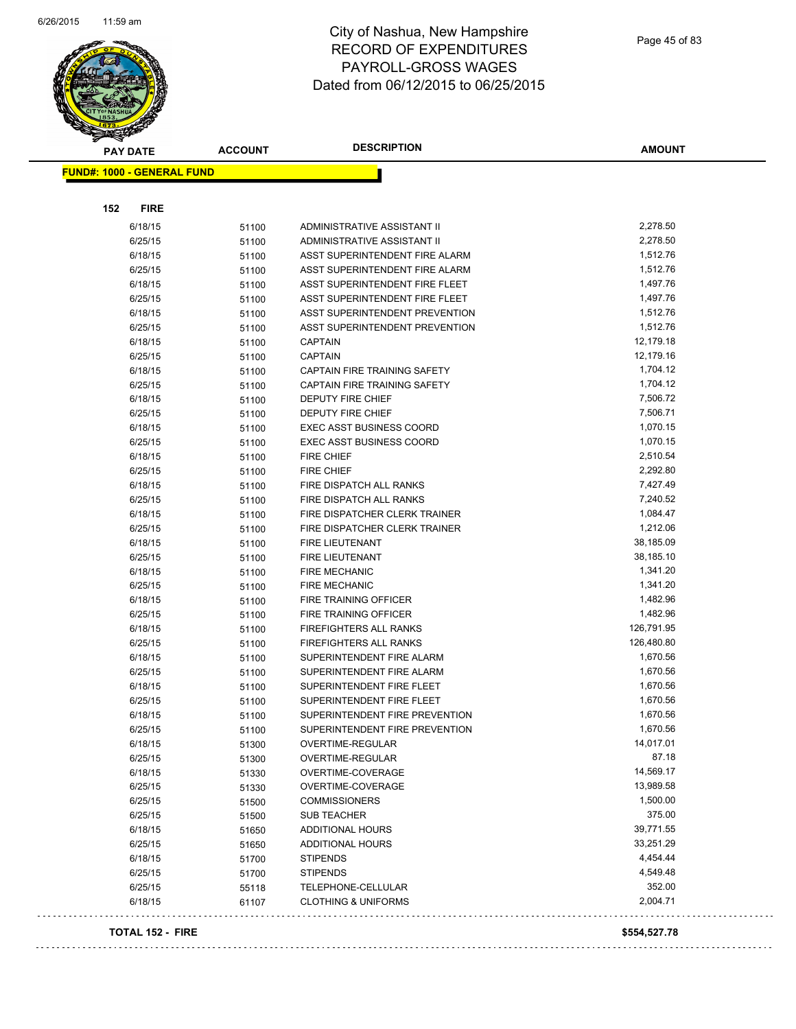

| <b>PAY DATE</b>                   | <b>ACCOUNT</b> | <b>DESCRIPTION</b>                                     | <b>AMOUNT</b>          |
|-----------------------------------|----------------|--------------------------------------------------------|------------------------|
| <b>FUND#: 1000 - GENERAL FUND</b> |                |                                                        |                        |
|                                   |                |                                                        |                        |
|                                   |                |                                                        |                        |
| 152<br><b>FIRE</b>                |                |                                                        |                        |
| 6/18/15                           | 51100          | ADMINISTRATIVE ASSISTANT II                            | 2,278.50               |
| 6/25/15                           | 51100          | ADMINISTRATIVE ASSISTANT II                            | 2,278.50               |
| 6/18/15                           | 51100          | ASST SUPERINTENDENT FIRE ALARM                         | 1,512.76               |
| 6/25/15                           | 51100          | ASST SUPERINTENDENT FIRE ALARM                         | 1,512.76               |
| 6/18/15                           | 51100          | ASST SUPERINTENDENT FIRE FLEET                         | 1,497.76               |
| 6/25/15                           | 51100          | ASST SUPERINTENDENT FIRE FLEET                         | 1,497.76               |
| 6/18/15                           | 51100          | ASST SUPERINTENDENT PREVENTION                         | 1,512.76               |
| 6/25/15                           | 51100          | ASST SUPERINTENDENT PREVENTION                         | 1,512.76               |
| 6/18/15                           | 51100          | <b>CAPTAIN</b>                                         | 12,179.18              |
| 6/25/15                           | 51100          | <b>CAPTAIN</b>                                         | 12,179.16              |
| 6/18/15                           | 51100          | CAPTAIN FIRE TRAINING SAFETY                           | 1,704.12               |
| 6/25/15                           | 51100          | CAPTAIN FIRE TRAINING SAFETY                           | 1,704.12               |
| 6/18/15                           | 51100          | <b>DEPUTY FIRE CHIEF</b>                               | 7,506.72               |
| 6/25/15                           | 51100          | <b>DEPUTY FIRE CHIEF</b>                               | 7,506.71               |
| 6/18/15                           | 51100          | <b>EXEC ASST BUSINESS COORD</b>                        | 1,070.15               |
| 6/25/15                           | 51100          | <b>EXEC ASST BUSINESS COORD</b>                        | 1,070.15               |
| 6/18/15                           | 51100          | <b>FIRE CHIEF</b>                                      | 2,510.54               |
| 6/25/15                           | 51100          | <b>FIRE CHIEF</b>                                      | 2,292.80               |
| 6/18/15                           | 51100          | FIRE DISPATCH ALL RANKS                                | 7,427.49               |
| 6/25/15                           | 51100          | FIRE DISPATCH ALL RANKS                                | 7,240.52               |
| 6/18/15                           | 51100          | FIRE DISPATCHER CLERK TRAINER                          | 1,084.47               |
| 6/25/15                           | 51100          | FIRE DISPATCHER CLERK TRAINER                          | 1,212.06               |
| 6/18/15                           | 51100          | FIRE LIEUTENANT                                        | 38,185.09              |
| 6/25/15                           | 51100          | FIRE LIEUTENANT                                        | 38,185.10              |
| 6/18/15                           | 51100          | <b>FIRE MECHANIC</b>                                   | 1,341.20               |
| 6/25/15                           | 51100          | <b>FIRE MECHANIC</b>                                   | 1,341.20               |
| 6/18/15                           | 51100          | FIRE TRAINING OFFICER                                  | 1,482.96               |
| 6/25/15                           | 51100          | FIRE TRAINING OFFICER                                  | 1,482.96               |
| 6/18/15                           | 51100          | FIREFIGHTERS ALL RANKS                                 | 126,791.95             |
| 6/25/15                           | 51100          | FIREFIGHTERS ALL RANKS                                 | 126,480.80<br>1,670.56 |
| 6/18/15<br>6/25/15                | 51100          | SUPERINTENDENT FIRE ALARM                              | 1,670.56               |
|                                   | 51100          | SUPERINTENDENT FIRE ALARM                              | 1,670.56               |
| 6/18/15<br>6/25/15                | 51100          | SUPERINTENDENT FIRE FLEET<br>SUPERINTENDENT FIRE FLEET | 1,670.56               |
| 6/18/15                           | 51100          | SUPERINTENDENT FIRE PREVENTION                         | 1,670.56               |
| 6/25/15                           | 51100          | SUPERINTENDENT FIRE PREVENTION                         | 1,670.56               |
| 6/18/15                           | 51100          | OVERTIME-REGULAR                                       | 14,017.01              |
| 6/25/15                           | 51300          | OVERTIME-REGULAR                                       | 87.18                  |
| 6/18/15                           | 51300<br>51330 | OVERTIME-COVERAGE                                      | 14,569.17              |
| 6/25/15                           | 51330          | OVERTIME-COVERAGE                                      | 13,989.58              |
| 6/25/15                           | 51500          | <b>COMMISSIONERS</b>                                   | 1,500.00               |
| 6/25/15                           | 51500          | <b>SUB TEACHER</b>                                     | 375.00                 |
| 6/18/15                           | 51650          | ADDITIONAL HOURS                                       | 39,771.55              |
| 6/25/15                           | 51650          | ADDITIONAL HOURS                                       | 33,251.29              |
| 6/18/15                           | 51700          | <b>STIPENDS</b>                                        | 4,454.44               |
| 6/25/15                           | 51700          | <b>STIPENDS</b>                                        | 4,549.48               |
| 6/25/15                           | 55118          | TELEPHONE-CELLULAR                                     | 352.00                 |
| 6/18/15                           | 61107          | <b>CLOTHING &amp; UNIFORMS</b>                         | 2,004.71               |
|                                   |                |                                                        |                        |
| <b>TOTAL 152 - FIRE</b>           |                |                                                        | \$554,527.78           |

 $\bar{\bar{\psi}}$  .

 $\Box$  .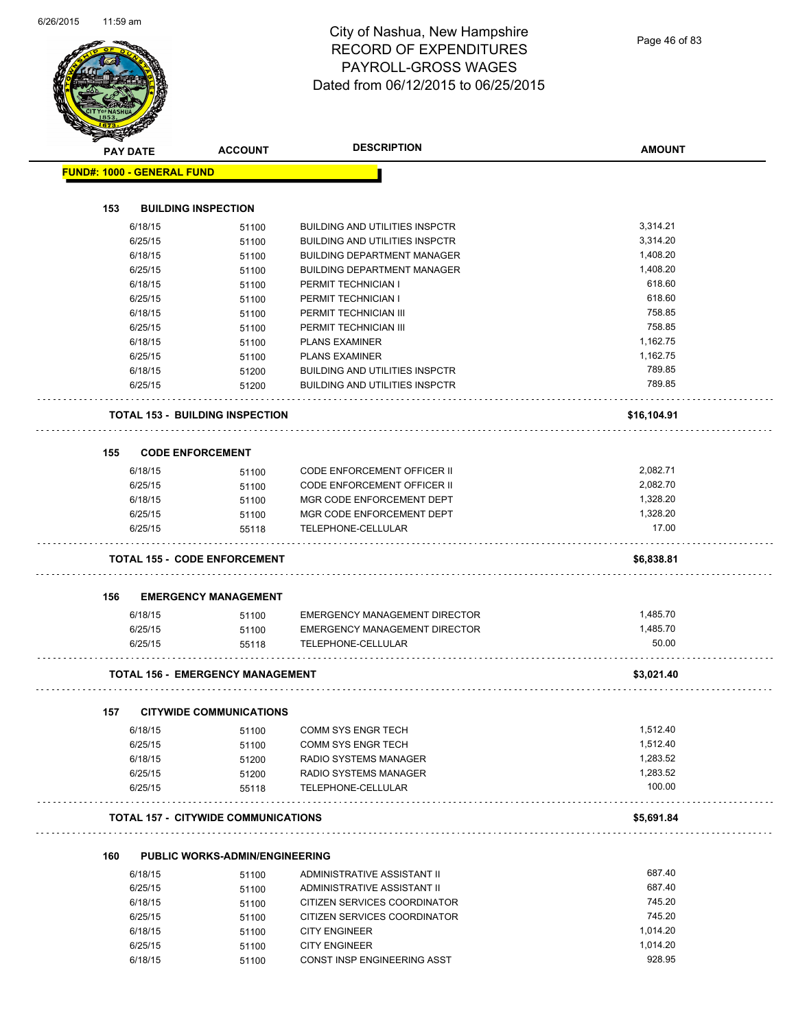| <b>PAY DATE</b> |                                   | <b>ACCOUNT</b>                             | <b>DESCRIPTION</b>                                  | <b>AMOUNT</b>      |
|-----------------|-----------------------------------|--------------------------------------------|-----------------------------------------------------|--------------------|
|                 | <b>FUND#: 1000 - GENERAL FUND</b> |                                            |                                                     |                    |
|                 |                                   |                                            |                                                     |                    |
| 153             |                                   | <b>BUILDING INSPECTION</b>                 |                                                     |                    |
|                 | 6/18/15                           | 51100                                      | <b>BUILDING AND UTILITIES INSPCTR</b>               | 3,314.21           |
|                 | 6/25/15                           | 51100                                      | <b>BUILDING AND UTILITIES INSPCTR</b>               | 3,314.20           |
|                 | 6/18/15                           | 51100                                      | <b>BUILDING DEPARTMENT MANAGER</b>                  | 1,408.20           |
|                 | 6/25/15                           | 51100                                      | <b>BUILDING DEPARTMENT MANAGER</b>                  | 1,408.20           |
|                 | 6/18/15                           | 51100                                      | PERMIT TECHNICIAN I                                 | 618.60             |
|                 | 6/25/15                           | 51100                                      | PERMIT TECHNICIAN I                                 | 618.60             |
|                 | 6/18/15                           | 51100                                      | PERMIT TECHNICIAN III                               | 758.85             |
|                 | 6/25/15                           | 51100                                      | PERMIT TECHNICIAN III                               | 758.85             |
|                 | 6/18/15                           | 51100                                      | <b>PLANS EXAMINER</b>                               | 1,162.75           |
|                 | 6/25/15                           | 51100                                      | <b>PLANS EXAMINER</b>                               | 1,162.75           |
|                 | 6/18/15                           | 51200                                      | <b>BUILDING AND UTILITIES INSPCTR</b>               | 789.85             |
|                 | 6/25/15                           | 51200                                      | <b>BUILDING AND UTILITIES INSPCTR</b>               | 789.85             |
|                 |                                   |                                            |                                                     |                    |
|                 |                                   | <b>TOTAL 153 - BUILDING INSPECTION</b>     |                                                     | \$16,104.91        |
|                 |                                   | <b>CODE ENFORCEMENT</b>                    |                                                     |                    |
| 155             | 6/18/15                           |                                            | <b>CODE ENFORCEMENT OFFICER II</b>                  | 2,082.71           |
|                 | 6/25/15                           | 51100                                      | <b>CODE ENFORCEMENT OFFICER II</b>                  | 2,082.70           |
|                 | 6/18/15                           | 51100                                      | MGR CODE ENFORCEMENT DEPT                           | 1,328.20           |
|                 |                                   | 51100                                      |                                                     | 1,328.20           |
|                 | 6/25/15<br>6/25/15                | 51100<br>55118                             | MGR CODE ENFORCEMENT DEPT<br>TELEPHONE-CELLULAR     | 17.00              |
|                 |                                   |                                            |                                                     |                    |
|                 |                                   | <b>TOTAL 155 - CODE ENFORCEMENT</b>        |                                                     | \$6,838.81         |
| 156             |                                   | <b>EMERGENCY MANAGEMENT</b>                |                                                     |                    |
|                 | 6/18/15                           | 51100                                      | <b>EMERGENCY MANAGEMENT DIRECTOR</b>                | 1,485.70           |
|                 | 6/25/15                           | 51100                                      | <b>EMERGENCY MANAGEMENT DIRECTOR</b>                | 1,485.70           |
|                 | 6/25/15                           | 55118                                      | TELEPHONE-CELLULAR                                  | 50.00              |
|                 |                                   |                                            |                                                     |                    |
|                 |                                   | <b>TOTAL 156 - EMERGENCY MANAGEMENT</b>    |                                                     | \$3,021.40         |
| 157             |                                   | <b>CITYWIDE COMMUNICATIONS</b>             |                                                     |                    |
|                 | 6/18/15                           | 51100                                      | <b>COMM SYS ENGR TECH</b>                           | 1,512.40           |
|                 | 6/25/15                           | 51100                                      | <b>COMM SYS ENGR TECH</b>                           | 1,512.40           |
|                 | 6/18/15                           | 51200                                      | RADIO SYSTEMS MANAGER                               | 1,283.52           |
|                 | 6/25/15                           | 51200                                      | RADIO SYSTEMS MANAGER                               | 1,283.52           |
|                 | 6/25/15                           | 55118                                      | TELEPHONE-CELLULAR                                  | 100.00             |
|                 |                                   | <b>TOTAL 157 - CITYWIDE COMMUNICATIONS</b> |                                                     | \$5,691.84         |
|                 |                                   |                                            |                                                     |                    |
| 160             |                                   | <b>PUBLIC WORKS-ADMIN/ENGINEERING</b>      |                                                     |                    |
|                 | 6/18/15                           | 51100                                      | ADMINISTRATIVE ASSISTANT II                         | 687.40             |
|                 | 6/25/15                           | 51100                                      | ADMINISTRATIVE ASSISTANT II                         | 687.40             |
|                 | 6/18/15                           | 51100                                      | CITIZEN SERVICES COORDINATOR                        | 745.20             |
|                 | 6/25/15                           | 51100                                      | CITIZEN SERVICES COORDINATOR                        | 745.20             |
|                 | 6/18/15                           | 51100                                      | <b>CITY ENGINEER</b>                                | 1,014.20           |
|                 |                                   |                                            |                                                     |                    |
|                 | 6/25/15<br>6/18/15                | 51100<br>51100                             | <b>CITY ENGINEER</b><br>CONST INSP ENGINEERING ASST | 1,014.20<br>928.95 |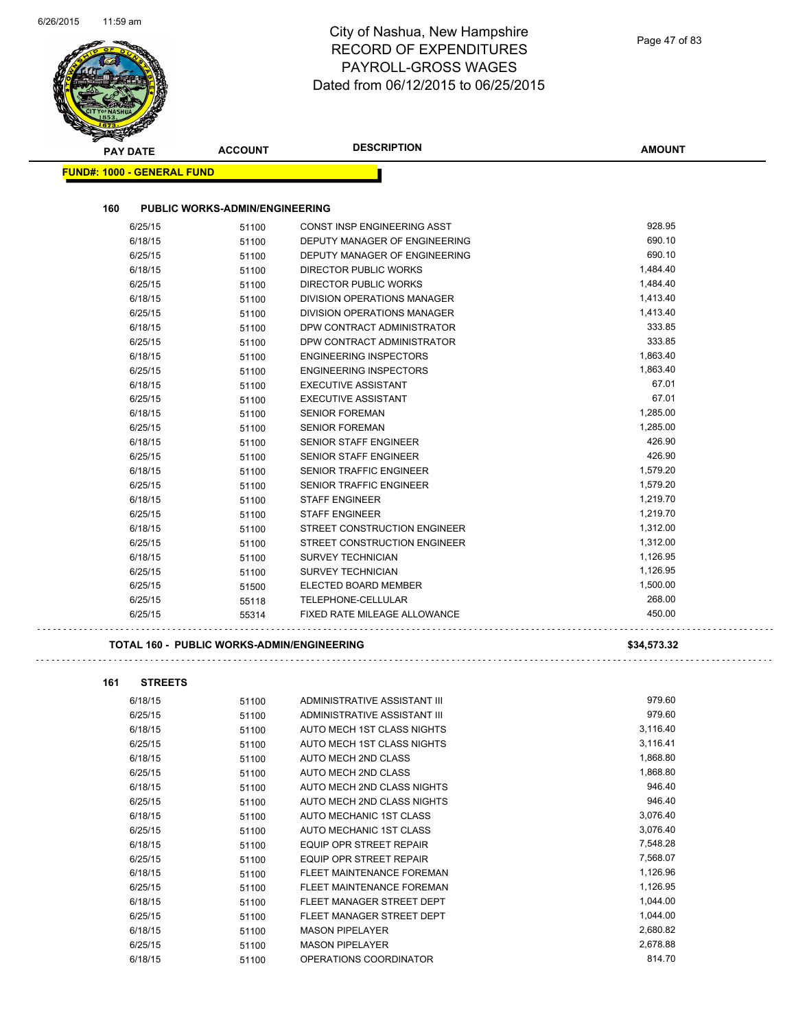| Page 47 of 83 |  |  |
|---------------|--|--|
|---------------|--|--|

|                                   |                                            | <b>DESCRIPTION</b>                                 |                  |
|-----------------------------------|--------------------------------------------|----------------------------------------------------|------------------|
| <b>PAY DATE</b>                   | <b>ACCOUNT</b>                             |                                                    | <b>AMOUNT</b>    |
| <b>FUND#: 1000 - GENERAL FUND</b> |                                            |                                                    |                  |
| 160                               | <b>PUBLIC WORKS-ADMIN/ENGINEERING</b>      |                                                    |                  |
| 6/25/15                           | 51100                                      | CONST INSP ENGINEERING ASST                        | 928.95           |
| 6/18/15                           | 51100                                      | DEPUTY MANAGER OF ENGINEERING                      | 690.10           |
| 6/25/15                           | 51100                                      | DEPUTY MANAGER OF ENGINEERING                      | 690.10           |
| 6/18/15                           | 51100                                      | DIRECTOR PUBLIC WORKS                              | 1,484.40         |
| 6/25/15                           | 51100                                      | DIRECTOR PUBLIC WORKS                              | 1,484.40         |
| 6/18/15                           | 51100                                      | DIVISION OPERATIONS MANAGER                        | 1,413.40         |
| 6/25/15                           | 51100                                      | DIVISION OPERATIONS MANAGER                        | 1,413.40         |
| 6/18/15                           | 51100                                      | DPW CONTRACT ADMINISTRATOR                         | 333.85           |
| 6/25/15                           | 51100                                      | DPW CONTRACT ADMINISTRATOR                         | 333.85           |
| 6/18/15                           | 51100                                      | <b>ENGINEERING INSPECTORS</b>                      | 1,863.40         |
| 6/25/15                           | 51100                                      | <b>ENGINEERING INSPECTORS</b>                      | 1,863.40         |
| 6/18/15                           | 51100                                      | <b>EXECUTIVE ASSISTANT</b>                         | 67.01            |
| 6/25/15                           | 51100                                      | <b>EXECUTIVE ASSISTANT</b>                         | 67.01            |
| 6/18/15                           | 51100                                      | <b>SENIOR FOREMAN</b>                              | 1,285.00         |
| 6/25/15                           | 51100                                      | <b>SENIOR FOREMAN</b>                              | 1,285.00         |
| 6/18/15                           | 51100                                      | <b>SENIOR STAFF ENGINEER</b>                       | 426.90           |
| 6/25/15                           | 51100                                      | <b>SENIOR STAFF ENGINEER</b>                       | 426.90           |
| 6/18/15                           | 51100                                      | <b>SENIOR TRAFFIC ENGINEER</b>                     | 1,579.20         |
| 6/25/15                           | 51100                                      | SENIOR TRAFFIC ENGINEER                            | 1,579.20         |
| 6/18/15                           | 51100                                      | <b>STAFF ENGINEER</b>                              | 1,219.70         |
| 6/25/15                           | 51100                                      | <b>STAFF ENGINEER</b>                              | 1,219.70         |
| 6/18/15                           | 51100                                      | STREET CONSTRUCTION ENGINEER                       | 1,312.00         |
| 6/25/15                           | 51100                                      | STREET CONSTRUCTION ENGINEER                       | 1,312.00         |
| 6/18/15                           | 51100                                      | <b>SURVEY TECHNICIAN</b>                           | 1,126.95         |
| 6/25/15                           | 51100                                      | <b>SURVEY TECHNICIAN</b>                           | 1,126.95         |
| 6/25/15                           | 51500                                      | ELECTED BOARD MEMBER                               | 1,500.00         |
| 6/25/15<br>6/25/15                | 55118<br>55314                             | TELEPHONE-CELLULAR<br>FIXED RATE MILEAGE ALLOWANCE | 268.00<br>450.00 |
|                                   |                                            |                                                    |                  |
|                                   | TOTAL 160 - PUBLIC WORKS-ADMIN/ENGINEERING |                                                    | \$34,573.32      |
| 161<br><b>STREETS</b>             |                                            |                                                    |                  |
| 6/18/15                           | 51100                                      | ADMINISTRATIVE ASSISTANT III                       | 979.60           |
| 6/25/15                           | 51100                                      | ADMINISTRATIVE ASSISTANT III                       | 979.60           |
| 6/18/15                           | 51100                                      | AUTO MECH 1ST CLASS NIGHTS                         | 3,116.40         |
| 6/25/15                           | 51100                                      | AUTO MECH 1ST CLASS NIGHTS                         | 3,116.41         |
| 6/18/15                           | 51100                                      | AUTO MECH 2ND CLASS                                | 1,868.80         |
| 6/25/15                           | 51100                                      | AUTO MECH 2ND CLASS                                | 1,868.80         |
| 6/18/15                           | 51100                                      | AUTO MECH 2ND CLASS NIGHTS                         | 946.40           |
| 6/25/15                           | 51100                                      | AUTO MECH 2ND CLASS NIGHTS                         | 946.40           |
| 6/18/15                           | 51100                                      | AUTO MECHANIC 1ST CLASS                            | 3,076.40         |
| 6/25/15                           | 51100                                      | AUTO MECHANIC 1ST CLASS                            | 3,076.40         |
| 6/18/15                           | 51100                                      | EQUIP OPR STREET REPAIR                            | 7,548.28         |
| 6/25/15                           | 51100                                      | EQUIP OPR STREET REPAIR                            | 7,568.07         |
| 6/18/15                           | 51100                                      | FLEET MAINTENANCE FOREMAN                          | 1,126.96         |
| 6/25/15                           | 51100                                      | FLEET MAINTENANCE FOREMAN                          | 1,126.95         |
| 6/18/15                           | 51100                                      | FLEET MANAGER STREET DEPT                          | 1,044.00         |
| 6/25/15                           | 51100                                      | FLEET MANAGER STREET DEPT                          | 1,044.00         |
| 6/18/15                           | 51100                                      | <b>MASON PIPELAYER</b>                             | 2,680.82         |
| 6/25/15                           | 51100                                      | <b>MASON PIPELAYER</b>                             | 2,678.88         |
| 6/18/15                           | 51100                                      | OPERATIONS COORDINATOR                             | 814.70           |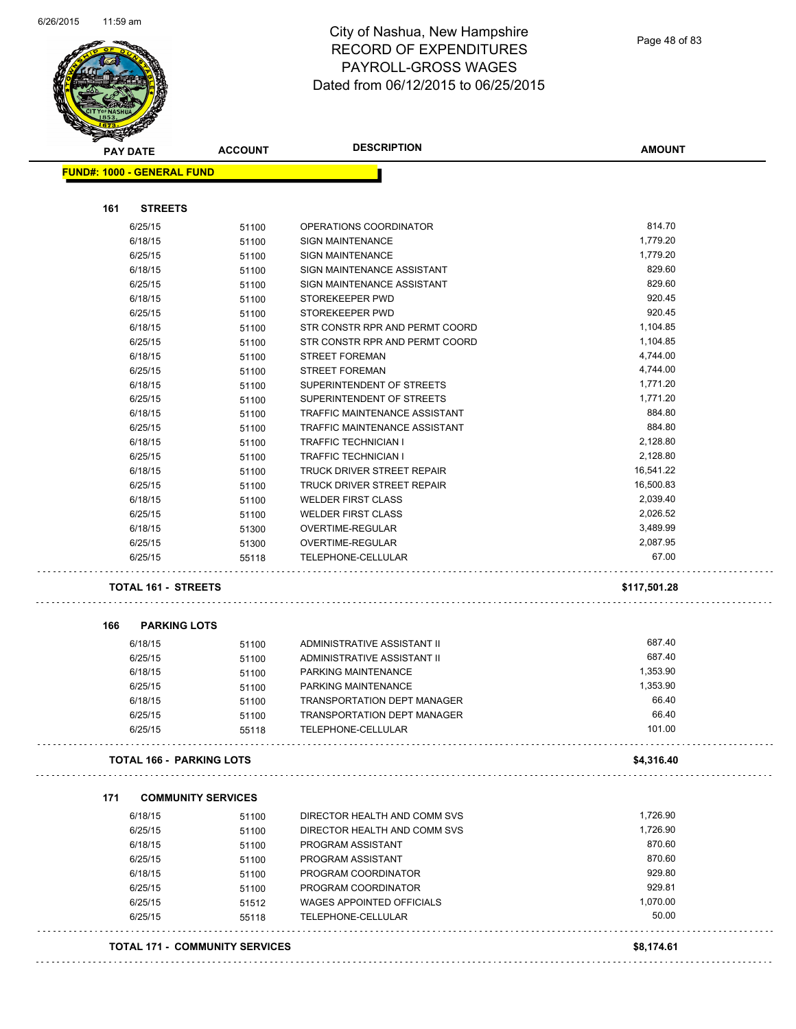

|     | <b>PAY DATE</b>                   | <b>ACCOUNT</b> | <b>DESCRIPTION</b>                 | <b>AMOUNT</b> |
|-----|-----------------------------------|----------------|------------------------------------|---------------|
|     | <b>FUND#: 1000 - GENERAL FUND</b> |                |                                    |               |
|     |                                   |                |                                    |               |
| 161 | <b>STREETS</b>                    |                |                                    |               |
|     | 6/25/15                           | 51100          | OPERATIONS COORDINATOR             | 814.70        |
|     | 6/18/15                           | 51100          | <b>SIGN MAINTENANCE</b>            | 1,779.20      |
|     | 6/25/15                           | 51100          | <b>SIGN MAINTENANCE</b>            | 1,779.20      |
|     | 6/18/15                           | 51100          | SIGN MAINTENANCE ASSISTANT         | 829.60        |
|     | 6/25/15                           | 51100          | SIGN MAINTENANCE ASSISTANT         | 829.60        |
|     | 6/18/15                           | 51100          | STOREKEEPER PWD                    | 920.45        |
|     | 6/25/15                           | 51100          | STOREKEEPER PWD                    | 920.45        |
|     | 6/18/15                           | 51100          | STR CONSTR RPR AND PERMT COORD     | 1,104.85      |
|     | 6/25/15                           | 51100          | STR CONSTR RPR AND PERMT COORD     | 1,104.85      |
|     | 6/18/15                           | 51100          | <b>STREET FOREMAN</b>              | 4,744.00      |
|     | 6/25/15                           | 51100          | <b>STREET FOREMAN</b>              | 4,744.00      |
|     | 6/18/15                           | 51100          | SUPERINTENDENT OF STREETS          | 1,771.20      |
|     | 6/25/15                           | 51100          | SUPERINTENDENT OF STREETS          | 1,771.20      |
|     | 6/18/15                           | 51100          | TRAFFIC MAINTENANCE ASSISTANT      | 884.80        |
|     | 6/25/15                           | 51100          | TRAFFIC MAINTENANCE ASSISTANT      | 884.80        |
|     | 6/18/15                           | 51100          | <b>TRAFFIC TECHNICIAN I</b>        | 2,128.80      |
|     | 6/25/15                           | 51100          | <b>TRAFFIC TECHNICIAN I</b>        | 2,128.80      |
|     | 6/18/15                           | 51100          | <b>TRUCK DRIVER STREET REPAIR</b>  | 16,541.22     |
|     | 6/25/15                           | 51100          | TRUCK DRIVER STREET REPAIR         | 16,500.83     |
|     | 6/18/15                           | 51100          | <b>WELDER FIRST CLASS</b>          | 2,039.40      |
|     | 6/25/15                           | 51100          | <b>WELDER FIRST CLASS</b>          | 2,026.52      |
|     | 6/18/15                           | 51300          | OVERTIME-REGULAR                   | 3,489.99      |
|     | 6/25/15                           | 51300          | OVERTIME-REGULAR                   | 2,087.95      |
|     | 6/25/15                           | 55118          | TELEPHONE-CELLULAR                 | 67.00         |
|     | <b>TOTAL 161 - STREETS</b>        |                |                                    | \$117,501.28  |
|     |                                   |                |                                    |               |
| 166 | <b>PARKING LOTS</b>               |                | ADMINISTRATIVE ASSISTANT II        | 687.40        |
|     | 6/18/15                           | 51100          | ADMINISTRATIVE ASSISTANT II        | 687.40        |
|     | 6/25/15                           | 51100          | PARKING MAINTENANCE                | 1,353.90      |
|     | 6/18/15                           | 51100          |                                    |               |
|     | 6/25/15                           | 51100          | PARKING MAINTENANCE                | 1,353.90      |
|     | 6/18/15                           | 51100          | <b>TRANSPORTATION DEPT MANAGER</b> | 66.40         |
|     | 6/25/15                           | 51100          | TRANSPORTATION DEPT MANAGER        | 66.40         |
|     | 6/25/15                           | 55118          | TELEPHONE-CELLULAR                 | 101.00        |
|     | <b>TOTAL 166 - PARKING LOTS</b>   |                |                                    | \$4,316.40    |
| 171 | <b>COMMUNITY SERVICES</b>         |                |                                    |               |
|     | 6/18/15                           | 51100          | DIRECTOR HEALTH AND COMM SVS       | 1,726.90      |
|     | 6/25/15                           | 51100          | DIRECTOR HEALTH AND COMM SVS       | 1,726.90      |
|     | 6/18/15                           | 51100          | PROGRAM ASSISTANT                  | 870.60        |
|     | 6/25/15                           | 51100          | PROGRAM ASSISTANT                  | 870.60        |
|     | 6/18/15                           | 51100          | PROGRAM COORDINATOR                | 929.80        |
|     | 6/25/15                           | 51100          | PROGRAM COORDINATOR                | 929.81        |
|     | 6/25/15                           | 51512          | <b>WAGES APPOINTED OFFICIALS</b>   | 1,070.00      |
|     |                                   |                | TELEPHONE-CELLULAR                 | 50.00         |
|     | 6/25/15                           | 55118          |                                    |               |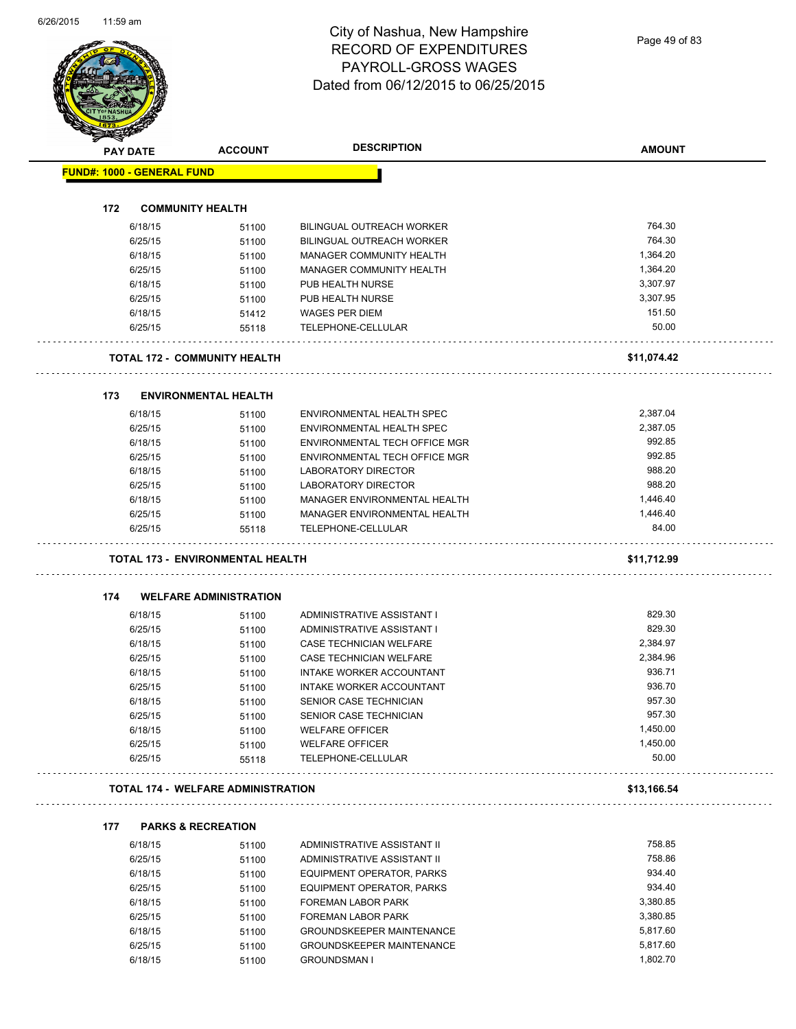Page 49 of 83

|     | <b>PAY DATE</b>                   | <b>ACCOUNT</b>                            | <b>DESCRIPTION</b>                   | <b>AMOUNT</b> |
|-----|-----------------------------------|-------------------------------------------|--------------------------------------|---------------|
|     | <b>FUND#: 1000 - GENERAL FUND</b> |                                           |                                      |               |
|     |                                   |                                           |                                      |               |
| 172 |                                   | <b>COMMUNITY HEALTH</b>                   |                                      |               |
|     | 6/18/15                           | 51100                                     | <b>BILINGUAL OUTREACH WORKER</b>     | 764.30        |
|     | 6/25/15                           | 51100                                     | BILINGUAL OUTREACH WORKER            | 764.30        |
|     | 6/18/15                           | 51100                                     | MANAGER COMMUNITY HEALTH             | 1,364.20      |
|     | 6/25/15                           | 51100                                     | <b>MANAGER COMMUNITY HEALTH</b>      | 1,364.20      |
|     | 6/18/15                           | 51100                                     | PUB HEALTH NURSE                     | 3,307.97      |
|     | 6/25/15                           | 51100                                     | PUB HEALTH NURSE                     | 3,307.95      |
|     | 6/18/15                           | 51412                                     | <b>WAGES PER DIEM</b>                | 151.50        |
|     | 6/25/15                           | 55118                                     | TELEPHONE-CELLULAR                   | 50.00         |
|     |                                   | <b>TOTAL 172 - COMMUNITY HEALTH</b>       |                                      | \$11,074.42   |
| 173 |                                   | <b>ENVIRONMENTAL HEALTH</b>               |                                      |               |
|     | 6/18/15                           | 51100                                     | ENVIRONMENTAL HEALTH SPEC            | 2,387.04      |
|     | 6/25/15                           | 51100                                     | ENVIRONMENTAL HEALTH SPEC            | 2,387.05      |
|     | 6/18/15                           | 51100                                     | ENVIRONMENTAL TECH OFFICE MGR        | 992.85        |
|     | 6/25/15                           | 51100                                     | <b>ENVIRONMENTAL TECH OFFICE MGR</b> | 992.85        |
|     | 6/18/15                           | 51100                                     | LABORATORY DIRECTOR                  | 988.20        |
|     | 6/25/15                           | 51100                                     | LABORATORY DIRECTOR                  | 988.20        |
|     | 6/18/15                           | 51100                                     | MANAGER ENVIRONMENTAL HEALTH         | 1,446.40      |
|     | 6/25/15                           | 51100                                     | MANAGER ENVIRONMENTAL HEALTH         | 1,446.40      |
|     |                                   |                                           |                                      |               |
|     | 6/25/15                           | 55118                                     | TELEPHONE-CELLULAR                   | 84.00         |
|     |                                   | <b>TOTAL 173 - ENVIRONMENTAL HEALTH</b>   |                                      | \$11,712.99   |
| 174 |                                   | <b>WELFARE ADMINISTRATION</b>             |                                      |               |
|     | 6/18/15                           |                                           | ADMINISTRATIVE ASSISTANT I           | 829.30        |
|     | 6/25/15                           | 51100<br>51100                            | ADMINISTRATIVE ASSISTANT I           | 829.30        |
|     | 6/18/15                           |                                           | CASE TECHNICIAN WELFARE              | 2,384.97      |
|     | 6/25/15                           | 51100<br>51100                            | CASE TECHNICIAN WELFARE              | 2,384.96      |
|     | 6/18/15                           | 51100                                     | INTAKE WORKER ACCOUNTANT             | 936.71        |
|     | 6/25/15                           | 51100                                     | INTAKE WORKER ACCOUNTANT             | 936.70        |
|     | 6/18/15                           | 51100                                     | SENIOR CASE TECHNICIAN               | 957.30        |
|     | 6/25/15                           | 51100                                     | SENIOR CASE TECHNICIAN               | 957.30        |
|     | 6/18/15                           | 51100                                     | <b>WELFARE OFFICER</b>               | 1,450.00      |
|     | 6/25/15                           | 51100                                     | <b>WELFARE OFFICER</b>               | 1,450.00      |
|     | 6/25/15                           | 55118                                     | TELEPHONE-CELLULAR                   | 50.00         |
|     |                                   | <b>TOTAL 174 - WELFARE ADMINISTRATION</b> |                                      | \$13,166.54   |
| 177 |                                   | <b>PARKS &amp; RECREATION</b>             |                                      |               |
|     | 6/18/15                           | 51100                                     | ADMINISTRATIVE ASSISTANT II          | 758.85        |
|     | 6/25/15                           | 51100                                     | ADMINISTRATIVE ASSISTANT II          | 758.86        |
|     | 6/18/15                           | 51100                                     | EQUIPMENT OPERATOR, PARKS            | 934.40        |
|     | 6/25/15                           | 51100                                     | EQUIPMENT OPERATOR, PARKS            | 934.40        |
|     | 6/18/15                           | 51100                                     | FOREMAN LABOR PARK                   | 3,380.85      |
|     | 6/25/15                           | 51100                                     | FOREMAN LABOR PARK                   | 3,380.85      |
|     | 6/18/15                           | 51100                                     | <b>GROUNDSKEEPER MAINTENANCE</b>     | 5,817.60      |
|     | 6/25/15                           | 51100                                     | <b>GROUNDSKEEPER MAINTENANCE</b>     | 5,817.60      |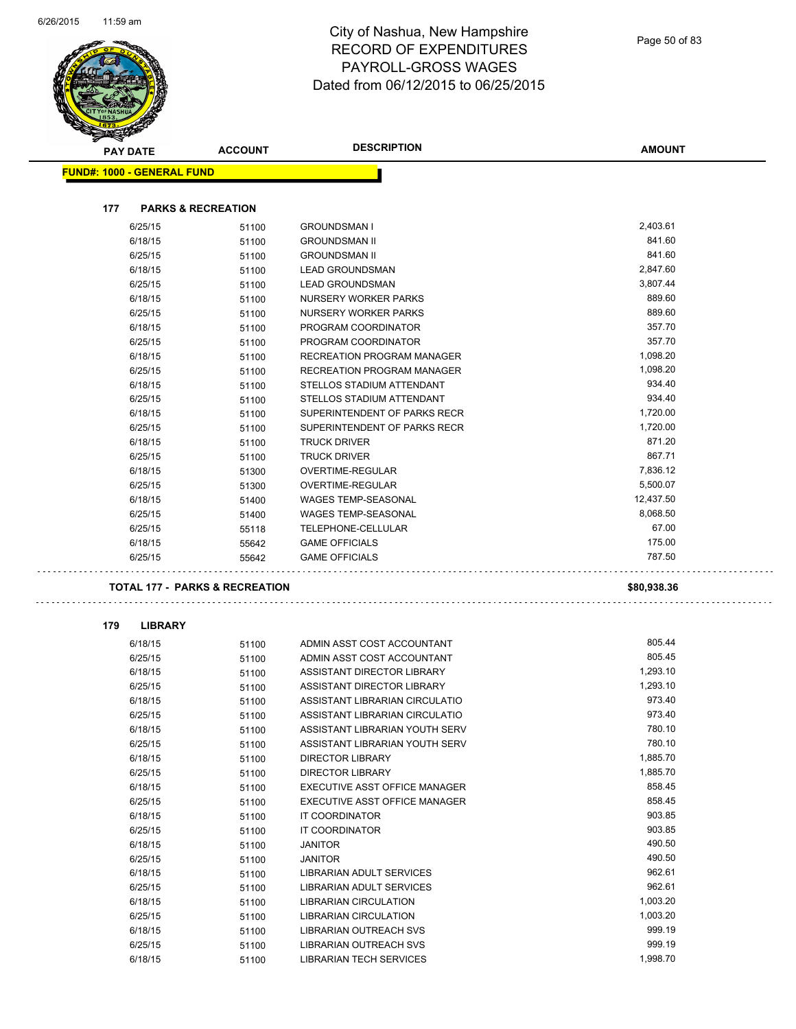

|     | <b>PAY DATE</b>                           | <b>ACCOUNT</b> | <b>DESCRIPTION</b>                                       | <b>AMOUNT</b>      |
|-----|-------------------------------------------|----------------|----------------------------------------------------------|--------------------|
|     | <b>FUND#: 1000 - GENERAL FUND</b>         |                |                                                          |                    |
|     |                                           |                |                                                          |                    |
| 177 | <b>PARKS &amp; RECREATION</b>             |                |                                                          |                    |
|     | 6/25/15                                   | 51100          | <b>GROUNDSMAN I</b>                                      | 2,403.61           |
|     | 6/18/15                                   | 51100          | <b>GROUNDSMAN II</b>                                     | 841.60             |
|     | 6/25/15                                   | 51100          | <b>GROUNDSMAN II</b>                                     | 841.60             |
|     | 6/18/15                                   | 51100          | <b>LEAD GROUNDSMAN</b>                                   | 2,847.60           |
|     | 6/25/15                                   | 51100          | <b>LEAD GROUNDSMAN</b>                                   | 3,807.44           |
|     | 6/18/15                                   | 51100          | NURSERY WORKER PARKS                                     | 889.60             |
|     | 6/25/15                                   | 51100          | NURSERY WORKER PARKS                                     | 889.60             |
|     | 6/18/15                                   | 51100          | PROGRAM COORDINATOR                                      | 357.70             |
|     | 6/25/15                                   | 51100          | PROGRAM COORDINATOR                                      | 357.70             |
|     | 6/18/15                                   | 51100          | RECREATION PROGRAM MANAGER                               | 1,098.20           |
|     | 6/25/15                                   | 51100          | RECREATION PROGRAM MANAGER                               | 1,098.20           |
|     | 6/18/15                                   | 51100          | STELLOS STADIUM ATTENDANT                                | 934.40             |
|     | 6/25/15                                   | 51100          | STELLOS STADIUM ATTENDANT                                | 934.40             |
|     | 6/18/15                                   | 51100          | SUPERINTENDENT OF PARKS RECR                             | 1,720.00           |
|     | 6/25/15                                   | 51100          | SUPERINTENDENT OF PARKS RECR                             | 1,720.00           |
|     | 6/18/15                                   | 51100          | <b>TRUCK DRIVER</b>                                      | 871.20             |
|     | 6/25/15                                   | 51100          | <b>TRUCK DRIVER</b>                                      | 867.71<br>7,836.12 |
|     | 6/18/15<br>6/25/15                        | 51300          | <b>OVERTIME-REGULAR</b><br>OVERTIME-REGULAR              | 5,500.07           |
|     | 6/18/15                                   | 51300          | <b>WAGES TEMP-SEASONAL</b>                               | 12,437.50          |
|     | 6/25/15                                   | 51400<br>51400 | <b>WAGES TEMP-SEASONAL</b>                               | 8,068.50           |
|     | 6/25/15                                   | 55118          | TELEPHONE-CELLULAR                                       | 67.00              |
|     | 6/18/15                                   | 55642          | <b>GAME OFFICIALS</b>                                    | 175.00             |
|     | 6/25/15                                   | 55642          | <b>GAME OFFICIALS</b>                                    | 787.50             |
|     |                                           |                |                                                          |                    |
|     | <b>TOTAL 177 - PARKS &amp; RECREATION</b> |                |                                                          | \$80,938.36        |
| 179 | <b>LIBRARY</b>                            |                |                                                          |                    |
|     | 6/18/15                                   | 51100          | ADMIN ASST COST ACCOUNTANT                               | 805.44             |
|     | 6/25/15                                   | 51100          | ADMIN ASST COST ACCOUNTANT                               | 805.45             |
|     | 6/18/15                                   | 51100          | ASSISTANT DIRECTOR LIBRARY                               | 1,293.10           |
|     | 6/25/15                                   | 51100          | ASSISTANT DIRECTOR LIBRARY                               | 1,293.10           |
|     | 6/18/15                                   | 51100          | ASSISTANT LIBRARIAN CIRCULATIO                           | 973.40             |
|     | 6/25/15                                   | 51100          | ASSISTANT LIBRARIAN CIRCULATIO                           | 973.40             |
|     | 6/18/15                                   | 51100          | ASSISTANT LIBRARIAN YOUTH SERV                           | 780.10             |
|     | 6/25/15                                   | 51100          | ASSISTANT LIBRARIAN YOUTH SERV                           | 780.10             |
|     | 6/18/15                                   | 51100          | <b>DIRECTOR LIBRARY</b>                                  | 1,885.70           |
|     | 6/25/15                                   | 51100          | <b>DIRECTOR LIBRARY</b>                                  | 1,885.70           |
|     | 6/18/15                                   | 51100          | EXECUTIVE ASST OFFICE MANAGER                            | 858.45             |
|     | 6/25/15                                   | 51100          | <b>EXECUTIVE ASST OFFICE MANAGER</b>                     | 858.45             |
|     | 6/18/15                                   | 51100          | IT COORDINATOR                                           | 903.85             |
|     | 6/25/15                                   | 51100          | IT COORDINATOR                                           | 903.85             |
|     | 6/18/15                                   | 51100          | <b>JANITOR</b>                                           | 490.50             |
|     | 6/25/15                                   | 51100          | <b>JANITOR</b>                                           | 490.50             |
|     | 6/18/15                                   | 51100          | LIBRARIAN ADULT SERVICES                                 | 962.61             |
|     | 6/25/15                                   | 51100          | LIBRARIAN ADULT SERVICES                                 | 962.61             |
|     | 6/18/15                                   | 51100          | <b>LIBRARIAN CIRCULATION</b>                             | 1,003.20           |
|     | 6/25/15                                   | 51100          | <b>LIBRARIAN CIRCULATION</b>                             | 1,003.20           |
|     | 6/18/15                                   | 51100          | LIBRARIAN OUTREACH SVS                                   | 999.19<br>999.19   |
|     | 6/25/15<br>6/18/15                        | 51100          | LIBRARIAN OUTREACH SVS<br><b>LIBRARIAN TECH SERVICES</b> | 1,998.70           |
|     |                                           | 51100          |                                                          |                    |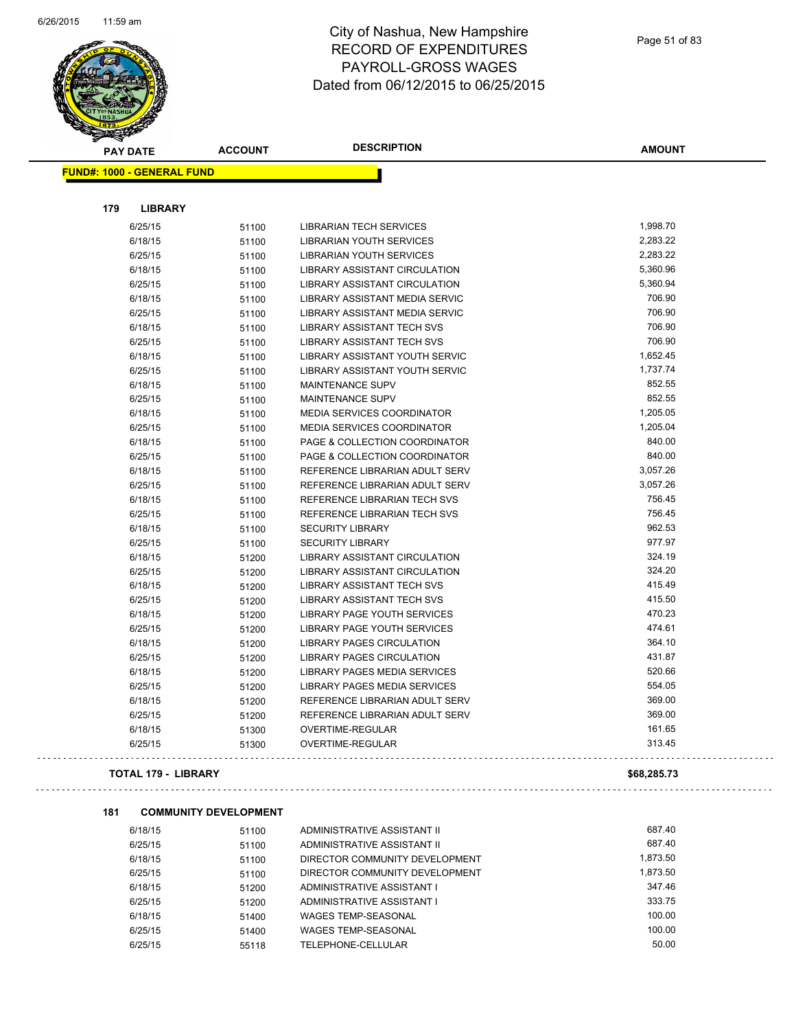i,



#### City of Nashua, New Hampshire RECORD OF EXPENDITURES PAYROLL-GROSS WAGES Dated from 06/12/2015 to 06/25/2015

| <b>PAY DATE</b>                   | <b>ACCOUNT</b> | <b>DESCRIPTION</b>                    | <b>AMOUNT</b> |
|-----------------------------------|----------------|---------------------------------------|---------------|
| <b>FUND#: 1000 - GENERAL FUND</b> |                |                                       |               |
|                                   |                |                                       |               |
| 179<br><b>LIBRARY</b>             |                |                                       |               |
| 6/25/15                           | 51100          | LIBRARIAN TECH SERVICES               | 1,998.70      |
| 6/18/15                           | 51100          | <b>LIBRARIAN YOUTH SERVICES</b>       | 2,283.22      |
| 6/25/15                           | 51100          | LIBRARIAN YOUTH SERVICES              | 2,283.22      |
| 6/18/15                           | 51100          | <b>LIBRARY ASSISTANT CIRCULATION</b>  | 5,360.96      |
| 6/25/15                           | 51100          | <b>LIBRARY ASSISTANT CIRCULATION</b>  | 5,360.94      |
| 6/18/15                           | 51100          | LIBRARY ASSISTANT MEDIA SERVIC        | 706.90        |
| 6/25/15                           | 51100          | <b>LIBRARY ASSISTANT MEDIA SERVIC</b> | 706.90        |
| 6/18/15                           | 51100          | <b>LIBRARY ASSISTANT TECH SVS</b>     | 706.90        |
| 6/25/15                           | 51100          | LIBRARY ASSISTANT TECH SVS            | 706.90        |
| 6/18/15                           | 51100          | <b>LIBRARY ASSISTANT YOUTH SERVIC</b> | 1,652.45      |
| 6/25/15                           | 51100          | <b>LIBRARY ASSISTANT YOUTH SERVIC</b> | 1,737.74      |
| 6/18/15                           | 51100          | MAINTENANCE SUPV                      | 852.55        |
| 6/25/15                           | 51100          | MAINTENANCE SUPV                      | 852.55        |
| 6/18/15                           | 51100          | MEDIA SERVICES COORDINATOR            | 1,205.05      |
| 6/25/15                           | 51100          | <b>MEDIA SERVICES COORDINATOR</b>     | 1,205.04      |
| 6/18/15                           | 51100          | PAGE & COLLECTION COORDINATOR         | 840.00        |
| 6/25/15                           | 51100          | PAGE & COLLECTION COORDINATOR         | 840.00        |
| 6/18/15                           | 51100          | REFERENCE LIBRARIAN ADULT SERV        | 3,057.26      |
| 6/25/15                           | 51100          | REFERENCE LIBRARIAN ADULT SERV        | 3,057.26      |
| 6/18/15                           | 51100          | REFERENCE LIBRARIAN TECH SVS          | 756.45        |
| 6/25/15                           | 51100          | REFERENCE LIBRARIAN TECH SVS          | 756.45        |
| 6/18/15                           | 51100          | <b>SECURITY LIBRARY</b>               | 962.53        |
| 6/25/15                           | 51100          | <b>SECURITY LIBRARY</b>               | 977.97        |
| 6/18/15                           | 51200          | LIBRARY ASSISTANT CIRCULATION         | 324.19        |
| 6/25/15                           | 51200          | <b>LIBRARY ASSISTANT CIRCULATION</b>  | 324.20        |
| 6/18/15                           | 51200          | <b>LIBRARY ASSISTANT TECH SVS</b>     | 415.49        |
| 6/25/15                           | 51200          | <b>LIBRARY ASSISTANT TECH SVS</b>     | 415.50        |
| 6/18/15                           | 51200          | LIBRARY PAGE YOUTH SERVICES           | 470.23        |
| 6/25/15                           | 51200          | <b>LIBRARY PAGE YOUTH SERVICES</b>    | 474.61        |
| 6/18/15                           | 51200          | <b>LIBRARY PAGES CIRCULATION</b>      | 364.10        |
| 6/25/15                           | 51200          | <b>LIBRARY PAGES CIRCULATION</b>      | 431.87        |
| 6/18/15                           | 51200          | <b>LIBRARY PAGES MEDIA SERVICES</b>   | 520.66        |
| 6/25/15                           | 51200          | LIBRARY PAGES MEDIA SERVICES          | 554.05        |
| 6/18/15                           | 51200          | REFERENCE LIBRARIAN ADULT SERV        | 369.00        |
| 6/25/15                           | 51200          | REFERENCE LIBRARIAN ADULT SERV        | 369.00        |
| 6/18/15                           | 51300          | OVERTIME-REGULAR                      | 161.65        |
| 6/25/15                           | 51300          | OVERTIME-REGULAR                      | 313.45        |
| TOTAL 179 - LIBRARY               |                |                                       | \$68.285.73   |

# 

. . . . .

#### **181 COMMUNITY DEVELOPMENT** 6/18/15 51100 ADMINISTRATIVE ASSISTANT II 687.40 6/25/15 51100 ADMINISTRATIVE ASSISTANT II 687.40 6/18/15 51100 DIRECTOR COMMUNITY DEVELOPMENT 6/25/15 51100 DIRECTOR COMMUNITY DEVELOPMENT 6/25/15 1,873.50 6/18/15 51200 ADMINISTRATIVE ASSISTANT I 347.46 6/25/15 51200 ADMINISTRATIVE ASSISTANT I 333.75 6/18/15 60.00 61400 WAGES TEMP-SEASONAL 100.00 100.00 6/25/15 51400 WAGES TEMP-SEASONAL 100.00 100.00 6/25/15 55118 TELEPHONE-CELLULAR 50.00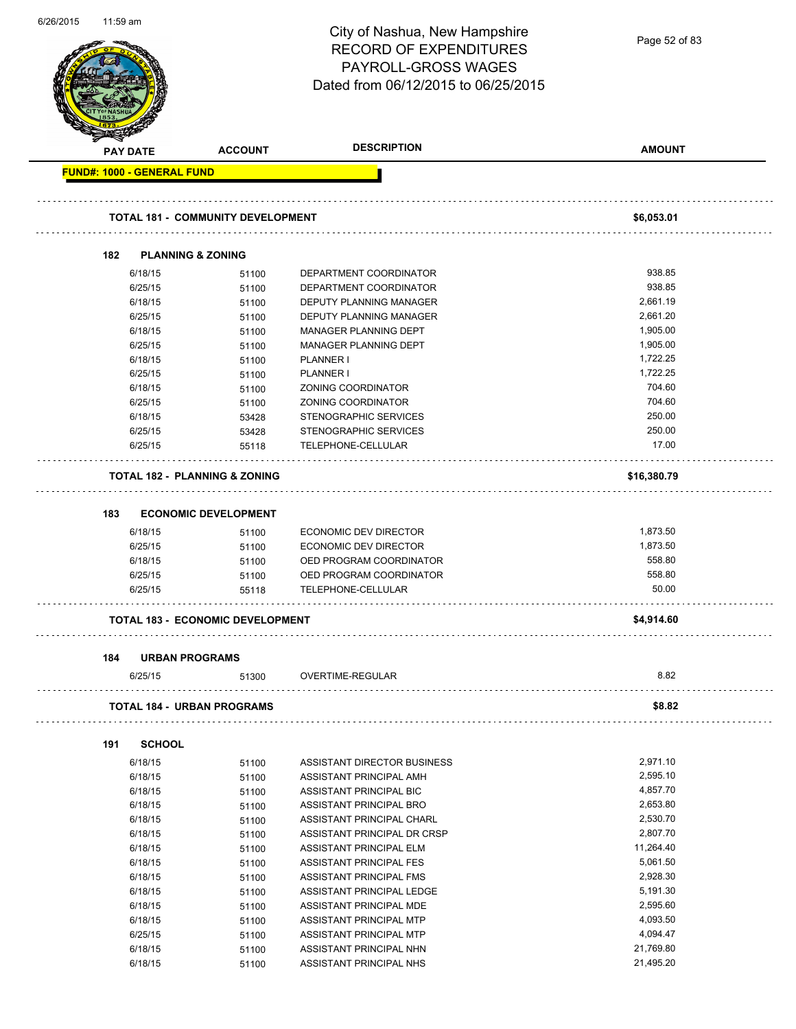| 0/20/2015 | $11.59$ am |                                          |                                          | City of Nashua, New Hampshire<br><b>RECORD OF EXPENDITURES</b><br>PAYROLL-GROSS WAGES | Page 52 of 83   |
|-----------|------------|------------------------------------------|------------------------------------------|---------------------------------------------------------------------------------------|-----------------|
|           |            |                                          |                                          | Dated from 06/12/2015 to 06/25/2015                                                   |                 |
|           |            | <b>PAY DATE</b>                          | <b>ACCOUNT</b>                           | <b>DESCRIPTION</b>                                                                    | <b>AMOUNT</b>   |
|           |            | <b>FUND#: 1000 - GENERAL FUND</b>        |                                          |                                                                                       |                 |
|           |            |                                          |                                          |                                                                                       |                 |
|           |            |                                          |                                          |                                                                                       |                 |
|           |            |                                          | <b>TOTAL 181 - COMMUNITY DEVELOPMENT</b> |                                                                                       | \$6,053.01      |
|           |            |                                          |                                          |                                                                                       |                 |
|           | 182        | <b>PLANNING &amp; ZONING</b>             |                                          |                                                                                       |                 |
|           |            | 6/18/15                                  | 51100                                    | DEPARTMENT COORDINATOR                                                                | 938.85          |
|           |            | 6/25/15                                  | 51100                                    | DEPARTMENT COORDINATOR                                                                | 938.85          |
|           |            | 6/18/15                                  | 51100                                    | DEPUTY PLANNING MANAGER                                                               | 2,661.19        |
|           |            | 6/25/15                                  | 51100                                    | DEPUTY PLANNING MANAGER                                                               | 2,661.20        |
|           |            | 6/18/15                                  | 51100                                    | MANAGER PLANNING DEPT                                                                 | 1,905.00        |
|           |            | 6/25/15                                  | 51100                                    | MANAGER PLANNING DEPT                                                                 | 1,905.00        |
|           |            | 6/18/15                                  | 51100                                    | PLANNER I                                                                             | 1,722.25        |
|           |            | 6/25/15                                  | 51100                                    | PLANNER I                                                                             | 1,722.25        |
|           |            | 6/18/15                                  | 51100                                    | ZONING COORDINATOR                                                                    | 704.60          |
|           |            | 6/25/15                                  | 51100                                    | ZONING COORDINATOR                                                                    | 704.60          |
|           |            | 6/18/15                                  | 53428                                    | STENOGRAPHIC SERVICES                                                                 | 250.00          |
|           |            | 6/25/15                                  | 53428                                    | STENOGRAPHIC SERVICES                                                                 | 250.00          |
|           |            | 6/25/15                                  | 55118                                    | TELEPHONE-CELLULAR                                                                    | 17.00           |
|           |            | <b>TOTAL 182 - PLANNING &amp; ZONING</b> |                                          |                                                                                       | \$16,380.79     |
|           | 183        |                                          | <b>ECONOMIC DEVELOPMENT</b>              |                                                                                       |                 |
|           |            |                                          |                                          |                                                                                       | 1,873.50        |
|           |            | 6/18/15                                  | 51100                                    | <b>ECONOMIC DEV DIRECTOR</b>                                                          | 1,873.50        |
|           |            | 6/25/15                                  | 51100                                    | ECONOMIC DEV DIRECTOR                                                                 | 558.80          |
|           |            | 6/18/15                                  | 51100                                    | OED PROGRAM COORDINATOR                                                               |                 |
|           |            | 6/25/15                                  | 51100                                    | OED PROGRAM COORDINATOR                                                               | 558.80<br>50.00 |
|           |            | 6/25/15                                  | 55118                                    | <b>TELEPHONE-CELLULAR</b>                                                             |                 |
|           |            |                                          | <b>TOTAL 183 - ECONOMIC DEVELOPMENT</b>  |                                                                                       | \$4,914.60      |
|           |            |                                          |                                          |                                                                                       |                 |
|           | 184        | <b>URBAN PROGRAMS</b>                    |                                          |                                                                                       |                 |
|           |            | 6/25/15                                  | 51300                                    | OVERTIME-REGULAR                                                                      | 8.82            |
|           |            | <b>TOTAL 184 - URBAN PROGRAMS</b>        |                                          |                                                                                       | \$8.82          |
|           | 191        | <b>SCHOOL</b>                            |                                          |                                                                                       |                 |
|           |            | 6/18/15                                  |                                          | ASSISTANT DIRECTOR BUSINESS                                                           | 2,971.10        |
|           |            |                                          | 51100                                    |                                                                                       | 2,595.10        |
|           |            | 6/18/15                                  | 51100                                    | ASSISTANT PRINCIPAL AMH                                                               | 4,857.70        |
|           |            | 6/18/15                                  | 51100                                    | ASSISTANT PRINCIPAL BIC                                                               |                 |
|           |            | 6/18/15                                  | 51100                                    | ASSISTANT PRINCIPAL BRO                                                               | 2,653.80        |
|           |            | 6/18/15                                  | 51100                                    | ASSISTANT PRINCIPAL CHARL                                                             | 2,530.70        |
|           |            | 6/18/15                                  | 51100                                    | ASSISTANT PRINCIPAL DR CRSP                                                           | 2,807.70        |
|           |            | 6/18/15                                  | 51100                                    | ASSISTANT PRINCIPAL ELM                                                               | 11,264.40       |
|           |            | 6/18/15                                  | 51100                                    | ASSISTANT PRINCIPAL FES                                                               | 5,061.50        |
|           |            | 6/18/15                                  | 51100                                    | ASSISTANT PRINCIPAL FMS                                                               | 2,928.30        |
|           |            | 6/18/15                                  | 51100                                    | ASSISTANT PRINCIPAL LEDGE                                                             | 5,191.30        |
|           |            | 6/18/15                                  | 51100                                    | ASSISTANT PRINCIPAL MDE                                                               | 2,595.60        |
|           |            | 6/18/15                                  | 51100                                    | ASSISTANT PRINCIPAL MTP                                                               | 4,093.50        |
|           |            | 6/25/15                                  | 51100                                    | ASSISTANT PRINCIPAL MTP                                                               | 4,094.47        |
|           |            | 6/18/15                                  | 51100                                    | ASSISTANT PRINCIPAL NHN                                                               | 21,769.80       |
|           |            | 6/18/15                                  | 51100                                    | ASSISTANT PRINCIPAL NHS                                                               | 21,495.20       |

6/26/2015 11:59 am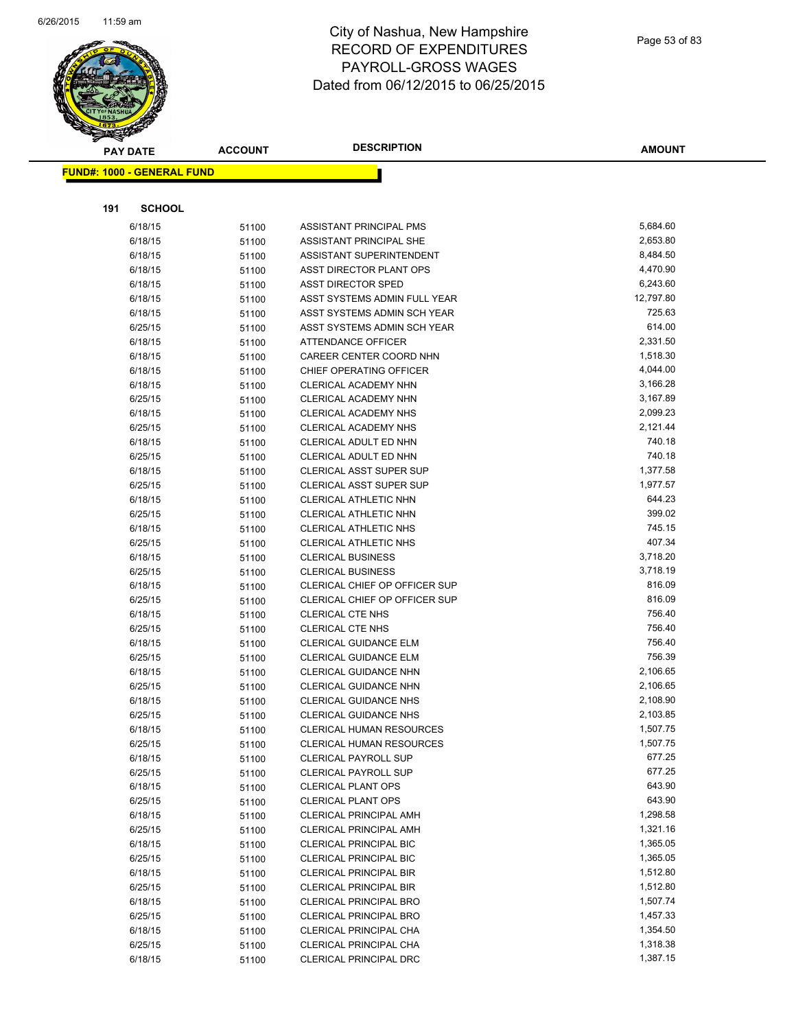

| <b>PAY DATE</b>                   | <b>ACCOUNT</b> | <b>DESCRIPTION</b>                                | <b>AMOUNT</b>        |
|-----------------------------------|----------------|---------------------------------------------------|----------------------|
| <b>FUND#: 1000 - GENERAL FUND</b> |                |                                                   |                      |
|                                   |                |                                                   |                      |
|                                   |                |                                                   |                      |
| 191<br><b>SCHOOL</b>              |                |                                                   |                      |
| 6/18/15                           | 51100          | ASSISTANT PRINCIPAL PMS                           | 5,684.60             |
| 6/18/15                           | 51100          | ASSISTANT PRINCIPAL SHE                           | 2,653.80             |
| 6/18/15                           | 51100          | ASSISTANT SUPERINTENDENT                          | 8,484.50             |
| 6/18/15                           | 51100          | ASST DIRECTOR PLANT OPS                           | 4,470.90             |
| 6/18/15                           | 51100          | <b>ASST DIRECTOR SPED</b>                         | 6,243.60             |
| 6/18/15                           | 51100          | ASST SYSTEMS ADMIN FULL YEAR                      | 12,797.80            |
| 6/18/15                           | 51100          | ASST SYSTEMS ADMIN SCH YEAR                       | 725.63               |
| 6/25/15                           | 51100          | ASST SYSTEMS ADMIN SCH YEAR                       | 614.00               |
| 6/18/15                           | 51100          | ATTENDANCE OFFICER                                | 2,331.50             |
| 6/18/15                           | 51100          | CAREER CENTER COORD NHN                           | 1,518.30             |
| 6/18/15                           | 51100          | CHIEF OPERATING OFFICER                           | 4,044.00             |
| 6/18/15                           | 51100          | <b>CLERICAL ACADEMY NHN</b>                       | 3,166.28             |
| 6/25/15                           | 51100          | CLERICAL ACADEMY NHN                              | 3,167.89             |
| 6/18/15                           | 51100          | <b>CLERICAL ACADEMY NHS</b>                       | 2,099.23             |
| 6/25/15                           | 51100          | <b>CLERICAL ACADEMY NHS</b>                       | 2,121.44             |
| 6/18/15                           | 51100          | CLERICAL ADULT ED NHN                             | 740.18               |
| 6/25/15                           | 51100          | CLERICAL ADULT ED NHN                             | 740.18               |
| 6/18/15                           | 51100          | CLERICAL ASST SUPER SUP                           | 1,377.58             |
| 6/25/15                           | 51100          | CLERICAL ASST SUPER SUP                           | 1,977.57             |
| 6/18/15                           | 51100          | CLERICAL ATHLETIC NHN                             | 644.23               |
| 6/25/15                           | 51100          | CLERICAL ATHLETIC NHN                             | 399.02               |
| 6/18/15                           | 51100          | CLERICAL ATHLETIC NHS                             | 745.15<br>407.34     |
| 6/25/15                           | 51100          | CLERICAL ATHLETIC NHS                             |                      |
| 6/18/15                           | 51100          | <b>CLERICAL BUSINESS</b>                          | 3,718.20<br>3,718.19 |
| 6/25/15                           | 51100          | <b>CLERICAL BUSINESS</b>                          | 816.09               |
| 6/18/15                           | 51100          | CLERICAL CHIEF OP OFFICER SUP                     | 816.09               |
| 6/25/15<br>6/18/15                | 51100          | CLERICAL CHIEF OP OFFICER SUP<br>CLERICAL CTE NHS | 756.40               |
| 6/25/15                           | 51100          | <b>CLERICAL CTE NHS</b>                           | 756.40               |
| 6/18/15                           | 51100          | CLERICAL GUIDANCE ELM                             | 756.40               |
| 6/25/15                           | 51100<br>51100 | <b>CLERICAL GUIDANCE ELM</b>                      | 756.39               |
| 6/18/15                           | 51100          | CLERICAL GUIDANCE NHN                             | 2,106.65             |
| 6/25/15                           | 51100          | CLERICAL GUIDANCE NHN                             | 2,106.65             |
| 6/18/15                           | 51100          | CLERICAL GUIDANCE NHS                             | 2,108.90             |
| 6/25/15                           | 51100          | <b>CLERICAL GUIDANCE NHS</b>                      | 2,103.85             |
| 6/18/15                           | 51100          | CLERICAL HUMAN RESOURCES                          | 1,507.75             |
| 6/25/15                           | 51100          | CLERICAL HUMAN RESOURCES                          | 1,507.75             |
| 6/18/15                           | 51100          | <b>CLERICAL PAYROLL SUP</b>                       | 677.25               |
| 6/25/15                           | 51100          | <b>CLERICAL PAYROLL SUP</b>                       | 677.25               |
| 6/18/15                           | 51100          | <b>CLERICAL PLANT OPS</b>                         | 643.90               |
| 6/25/15                           | 51100          | <b>CLERICAL PLANT OPS</b>                         | 643.90               |
| 6/18/15                           | 51100          | <b>CLERICAL PRINCIPAL AMH</b>                     | 1,298.58             |
| 6/25/15                           | 51100          | <b>CLERICAL PRINCIPAL AMH</b>                     | 1,321.16             |
| 6/18/15                           | 51100          | CLERICAL PRINCIPAL BIC                            | 1,365.05             |
| 6/25/15                           | 51100          | <b>CLERICAL PRINCIPAL BIC</b>                     | 1,365.05             |
| 6/18/15                           | 51100          | <b>CLERICAL PRINCIPAL BIR</b>                     | 1,512.80             |
| 6/25/15                           | 51100          | <b>CLERICAL PRINCIPAL BIR</b>                     | 1,512.80             |
| 6/18/15                           | 51100          | <b>CLERICAL PRINCIPAL BRO</b>                     | 1,507.74             |
| 6/25/15                           | 51100          | <b>CLERICAL PRINCIPAL BRO</b>                     | 1,457.33             |
| 6/18/15                           | 51100          | CLERICAL PRINCIPAL CHA                            | 1,354.50             |
| 6/25/15                           | 51100          | CLERICAL PRINCIPAL CHA                            | 1,318.38             |
| 6/18/15                           | 51100          | CLERICAL PRINCIPAL DRC                            | 1,387.15             |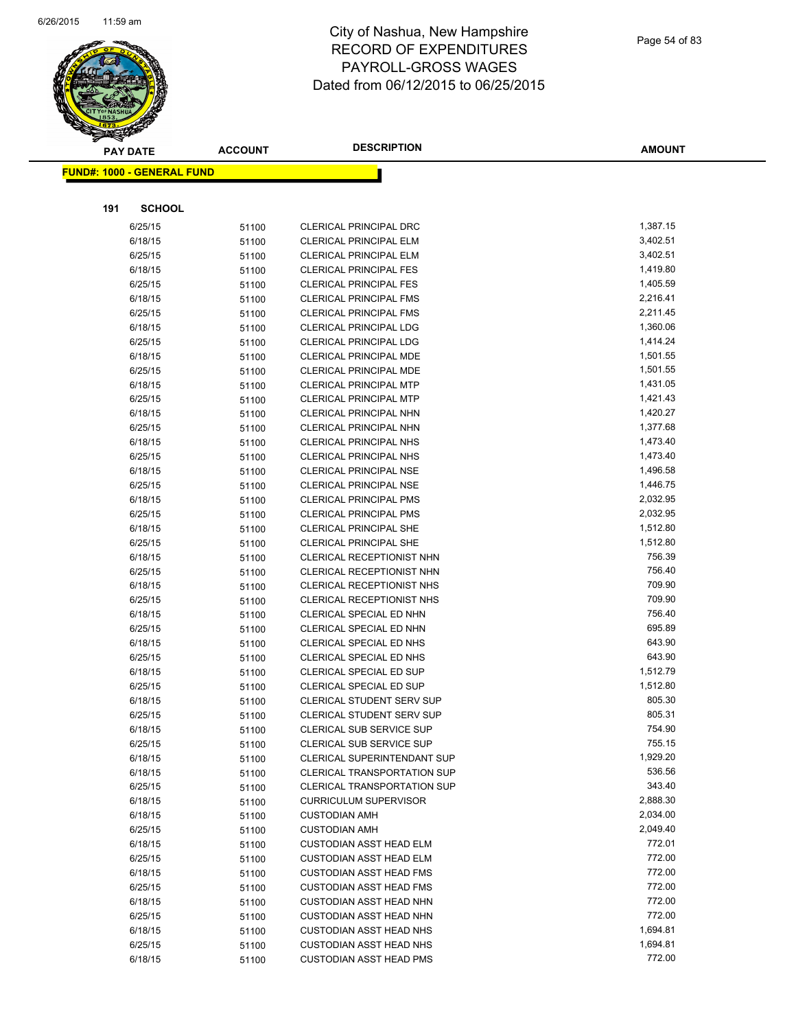

|     | <b>PAY DATE</b>                    | <b>ACCOUNT</b> | <b>DESCRIPTION</b>                                                   | <b>AMOUNT</b>    |
|-----|------------------------------------|----------------|----------------------------------------------------------------------|------------------|
|     | <u> FUND#: 1000 - GENERAL FUND</u> |                |                                                                      |                  |
|     |                                    |                |                                                                      |                  |
|     |                                    |                |                                                                      |                  |
| 191 | <b>SCHOOL</b>                      |                |                                                                      |                  |
|     | 6/25/15                            | 51100          | <b>CLERICAL PRINCIPAL DRC</b>                                        | 1,387.15         |
|     | 6/18/15                            | 51100          | CLERICAL PRINCIPAL ELM                                               | 3,402.51         |
|     | 6/25/15                            | 51100          | <b>CLERICAL PRINCIPAL ELM</b>                                        | 3,402.51         |
|     | 6/18/15                            | 51100          | <b>CLERICAL PRINCIPAL FES</b>                                        | 1,419.80         |
|     | 6/25/15                            | 51100          | <b>CLERICAL PRINCIPAL FES</b>                                        | 1,405.59         |
|     | 6/18/15                            | 51100          | <b>CLERICAL PRINCIPAL FMS</b>                                        | 2,216.41         |
|     | 6/25/15                            | 51100          | <b>CLERICAL PRINCIPAL FMS</b>                                        | 2,211.45         |
|     | 6/18/15                            | 51100          | <b>CLERICAL PRINCIPAL LDG</b>                                        | 1,360.06         |
|     | 6/25/15                            | 51100          | <b>CLERICAL PRINCIPAL LDG</b>                                        | 1,414.24         |
|     | 6/18/15                            | 51100          | CLERICAL PRINCIPAL MDE                                               | 1,501.55         |
|     | 6/25/15                            | 51100          | CLERICAL PRINCIPAL MDE                                               | 1,501.55         |
|     | 6/18/15                            | 51100          | <b>CLERICAL PRINCIPAL MTP</b>                                        | 1,431.05         |
|     | 6/25/15                            | 51100          | <b>CLERICAL PRINCIPAL MTP</b>                                        | 1,421.43         |
|     | 6/18/15                            | 51100          | <b>CLERICAL PRINCIPAL NHN</b>                                        | 1,420.27         |
|     | 6/25/15                            | 51100          | CLERICAL PRINCIPAL NHN                                               | 1,377.68         |
|     | 6/18/15                            | 51100          | <b>CLERICAL PRINCIPAL NHS</b>                                        | 1,473.40         |
|     | 6/25/15                            | 51100          | <b>CLERICAL PRINCIPAL NHS</b>                                        | 1,473.40         |
|     | 6/18/15                            | 51100          | <b>CLERICAL PRINCIPAL NSE</b>                                        | 1,496.58         |
|     | 6/25/15                            | 51100          | <b>CLERICAL PRINCIPAL NSE</b>                                        | 1,446.75         |
|     | 6/18/15                            | 51100          | <b>CLERICAL PRINCIPAL PMS</b>                                        | 2,032.95         |
|     | 6/25/15                            | 51100          | <b>CLERICAL PRINCIPAL PMS</b>                                        | 2,032.95         |
|     | 6/18/15                            | 51100          | <b>CLERICAL PRINCIPAL SHE</b>                                        | 1,512.80         |
|     | 6/25/15                            | 51100          | <b>CLERICAL PRINCIPAL SHE</b>                                        | 1,512.80         |
|     | 6/18/15                            | 51100          | CLERICAL RECEPTIONIST NHN                                            | 756.39<br>756.40 |
|     | 6/25/15                            | 51100          | CLERICAL RECEPTIONIST NHN                                            | 709.90           |
|     | 6/18/15                            | 51100          | <b>CLERICAL RECEPTIONIST NHS</b><br><b>CLERICAL RECEPTIONIST NHS</b> | 709.90           |
|     | 6/25/15<br>6/18/15                 | 51100          |                                                                      | 756.40           |
|     |                                    | 51100          | CLERICAL SPECIAL ED NHN                                              | 695.89           |
|     | 6/25/15<br>6/18/15                 | 51100          | CLERICAL SPECIAL ED NHN<br>CLERICAL SPECIAL ED NHS                   | 643.90           |
|     | 6/25/15                            | 51100          | CLERICAL SPECIAL ED NHS                                              | 643.90           |
|     | 6/18/15                            | 51100          | CLERICAL SPECIAL ED SUP                                              | 1,512.79         |
|     | 6/25/15                            | 51100          | <b>CLERICAL SPECIAL ED SUP</b>                                       | 1,512.80         |
|     | 6/18/15                            | 51100          | <b>CLERICAL STUDENT SERV SUP</b>                                     | 805.30           |
|     | 6/25/15                            | 51100<br>51100 | <b>CLERICAL STUDENT SERV SUP</b>                                     | 805.31           |
|     | 6/18/15                            | 51100          | CLERICAL SUB SERVICE SUP                                             | 754.90           |
|     | 6/25/15                            | 51100          | CLERICAL SUB SERVICE SUP                                             | 755.15           |
|     | 6/18/15                            | 51100          | <b>CLERICAL SUPERINTENDANT SUP</b>                                   | 1,929.20         |
|     | 6/18/15                            | 51100          | <b>CLERICAL TRANSPORTATION SUP</b>                                   | 536.56           |
|     | 6/25/15                            | 51100          | <b>CLERICAL TRANSPORTATION SUP</b>                                   | 343.40           |
|     | 6/18/15                            | 51100          | <b>CURRICULUM SUPERVISOR</b>                                         | 2,888.30         |
|     | 6/18/15                            | 51100          | <b>CUSTODIAN AMH</b>                                                 | 2,034.00         |
|     | 6/25/15                            | 51100          | <b>CUSTODIAN AMH</b>                                                 | 2,049.40         |
|     | 6/18/15                            | 51100          | <b>CUSTODIAN ASST HEAD ELM</b>                                       | 772.01           |
|     | 6/25/15                            | 51100          | <b>CUSTODIAN ASST HEAD ELM</b>                                       | 772.00           |
|     | 6/18/15                            | 51100          | <b>CUSTODIAN ASST HEAD FMS</b>                                       | 772.00           |
|     | 6/25/15                            | 51100          | <b>CUSTODIAN ASST HEAD FMS</b>                                       | 772.00           |
|     | 6/18/15                            | 51100          | <b>CUSTODIAN ASST HEAD NHN</b>                                       | 772.00           |
|     | 6/25/15                            | 51100          | <b>CUSTODIAN ASST HEAD NHN</b>                                       | 772.00           |
|     | 6/18/15                            | 51100          | <b>CUSTODIAN ASST HEAD NHS</b>                                       | 1,694.81         |
|     | 6/25/15                            | 51100          | <b>CUSTODIAN ASST HEAD NHS</b>                                       | 1,694.81         |
|     | 6/18/15                            | 51100          | <b>CUSTODIAN ASST HEAD PMS</b>                                       | 772.00           |
|     |                                    |                |                                                                      |                  |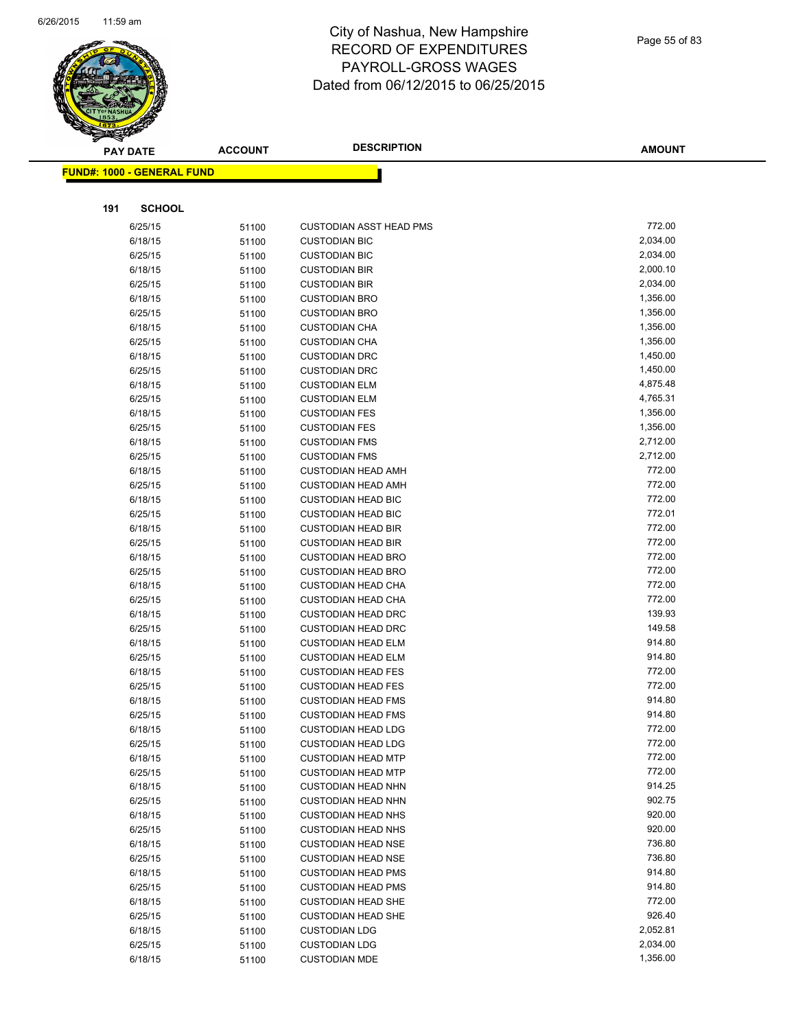

|     | <b>PAY DATE</b>                   | <b>ACCOUNT</b> | <b>DESCRIPTION</b>                                     | <b>AMOUNT</b>    |
|-----|-----------------------------------|----------------|--------------------------------------------------------|------------------|
|     | <b>FUND#: 1000 - GENERAL FUND</b> |                |                                                        |                  |
|     |                                   |                |                                                        |                  |
| 191 | <b>SCHOOL</b>                     |                |                                                        |                  |
|     | 6/25/15                           | 51100          | <b>CUSTODIAN ASST HEAD PMS</b>                         | 772.00           |
|     | 6/18/15                           | 51100          | <b>CUSTODIAN BIC</b>                                   | 2,034.00         |
|     | 6/25/15                           | 51100          | <b>CUSTODIAN BIC</b>                                   | 2,034.00         |
|     | 6/18/15                           | 51100          | <b>CUSTODIAN BIR</b>                                   | 2,000.10         |
|     | 6/25/15                           | 51100          | <b>CUSTODIAN BIR</b>                                   | 2,034.00         |
|     | 6/18/15                           | 51100          | <b>CUSTODIAN BRO</b>                                   | 1,356.00         |
|     | 6/25/15                           | 51100          | <b>CUSTODIAN BRO</b>                                   | 1,356.00         |
|     | 6/18/15                           | 51100          | <b>CUSTODIAN CHA</b>                                   | 1,356.00         |
|     | 6/25/15                           | 51100          | <b>CUSTODIAN CHA</b>                                   | 1,356.00         |
|     | 6/18/15                           | 51100          | <b>CUSTODIAN DRC</b>                                   | 1,450.00         |
|     | 6/25/15                           | 51100          | <b>CUSTODIAN DRC</b>                                   | 1,450.00         |
|     | 6/18/15                           | 51100          | <b>CUSTODIAN ELM</b>                                   | 4,875.48         |
|     | 6/25/15                           | 51100          | <b>CUSTODIAN ELM</b>                                   | 4,765.31         |
|     | 6/18/15                           | 51100          | <b>CUSTODIAN FES</b>                                   | 1,356.00         |
|     | 6/25/15                           | 51100          | <b>CUSTODIAN FES</b>                                   | 1,356.00         |
|     | 6/18/15                           | 51100          | <b>CUSTODIAN FMS</b>                                   | 2,712.00         |
|     | 6/25/15                           | 51100          | <b>CUSTODIAN FMS</b>                                   | 2,712.00         |
|     | 6/18/15                           | 51100          | <b>CUSTODIAN HEAD AMH</b>                              | 772.00           |
|     | 6/25/15                           | 51100          | <b>CUSTODIAN HEAD AMH</b>                              | 772.00           |
|     | 6/18/15                           | 51100          | <b>CUSTODIAN HEAD BIC</b>                              | 772.00           |
|     | 6/25/15                           | 51100          | <b>CUSTODIAN HEAD BIC</b>                              | 772.01           |
|     | 6/18/15                           | 51100          | <b>CUSTODIAN HEAD BIR</b>                              | 772.00           |
|     | 6/25/15                           | 51100          | <b>CUSTODIAN HEAD BIR</b>                              | 772.00           |
|     | 6/18/15                           | 51100          | <b>CUSTODIAN HEAD BRO</b>                              | 772.00<br>772.00 |
|     | 6/25/15                           | 51100          | <b>CUSTODIAN HEAD BRO</b>                              | 772.00           |
|     | 6/18/15                           | 51100          | <b>CUSTODIAN HEAD CHA</b>                              | 772.00           |
|     | 6/25/15                           | 51100          | <b>CUSTODIAN HEAD CHA</b>                              | 139.93           |
|     | 6/18/15<br>6/25/15                | 51100          | <b>CUSTODIAN HEAD DRC</b><br><b>CUSTODIAN HEAD DRC</b> | 149.58           |
|     | 6/18/15                           | 51100<br>51100 | <b>CUSTODIAN HEAD ELM</b>                              | 914.80           |
|     | 6/25/15                           | 51100          | <b>CUSTODIAN HEAD ELM</b>                              | 914.80           |
|     | 6/18/15                           | 51100          | <b>CUSTODIAN HEAD FES</b>                              | 772.00           |
|     | 6/25/15                           | 51100          | <b>CUSTODIAN HEAD FES</b>                              | 772.00           |
|     | 6/18/15                           | 51100          | <b>CUSTODIAN HEAD FMS</b>                              | 914.80           |
|     | 6/25/15                           | 51100          | <b>CUSTODIAN HEAD FMS</b>                              | 914.80           |
|     | 6/18/15                           | 51100          | <b>CUSTODIAN HEAD LDG</b>                              | 772.00           |
|     | 6/25/15                           | 51100          | <b>CUSTODIAN HEAD LDG</b>                              | 772.00           |
|     | 6/18/15                           | 51100          | <b>CUSTODIAN HEAD MTP</b>                              | 772.00           |
|     | 6/25/15                           | 51100          | <b>CUSTODIAN HEAD MTP</b>                              | 772.00           |
|     | 6/18/15                           | 51100          | <b>CUSTODIAN HEAD NHN</b>                              | 914.25           |
|     | 6/25/15                           | 51100          | <b>CUSTODIAN HEAD NHN</b>                              | 902.75           |
|     | 6/18/15                           | 51100          | <b>CUSTODIAN HEAD NHS</b>                              | 920.00           |
|     | 6/25/15                           | 51100          | <b>CUSTODIAN HEAD NHS</b>                              | 920.00           |
|     | 6/18/15                           | 51100          | <b>CUSTODIAN HEAD NSE</b>                              | 736.80           |
|     | 6/25/15                           | 51100          | <b>CUSTODIAN HEAD NSE</b>                              | 736.80           |
|     | 6/18/15                           | 51100          | <b>CUSTODIAN HEAD PMS</b>                              | 914.80           |
|     | 6/25/15                           | 51100          | <b>CUSTODIAN HEAD PMS</b>                              | 914.80           |
|     | 6/18/15                           | 51100          | <b>CUSTODIAN HEAD SHE</b>                              | 772.00           |
|     | 6/25/15                           | 51100          | <b>CUSTODIAN HEAD SHE</b>                              | 926.40           |
|     | 6/18/15                           | 51100          | <b>CUSTODIAN LDG</b>                                   | 2,052.81         |
|     | 6/25/15                           | 51100          | <b>CUSTODIAN LDG</b>                                   | 2,034.00         |
|     | 6/18/15                           | 51100          | <b>CUSTODIAN MDE</b>                                   | 1,356.00         |
|     |                                   |                |                                                        |                  |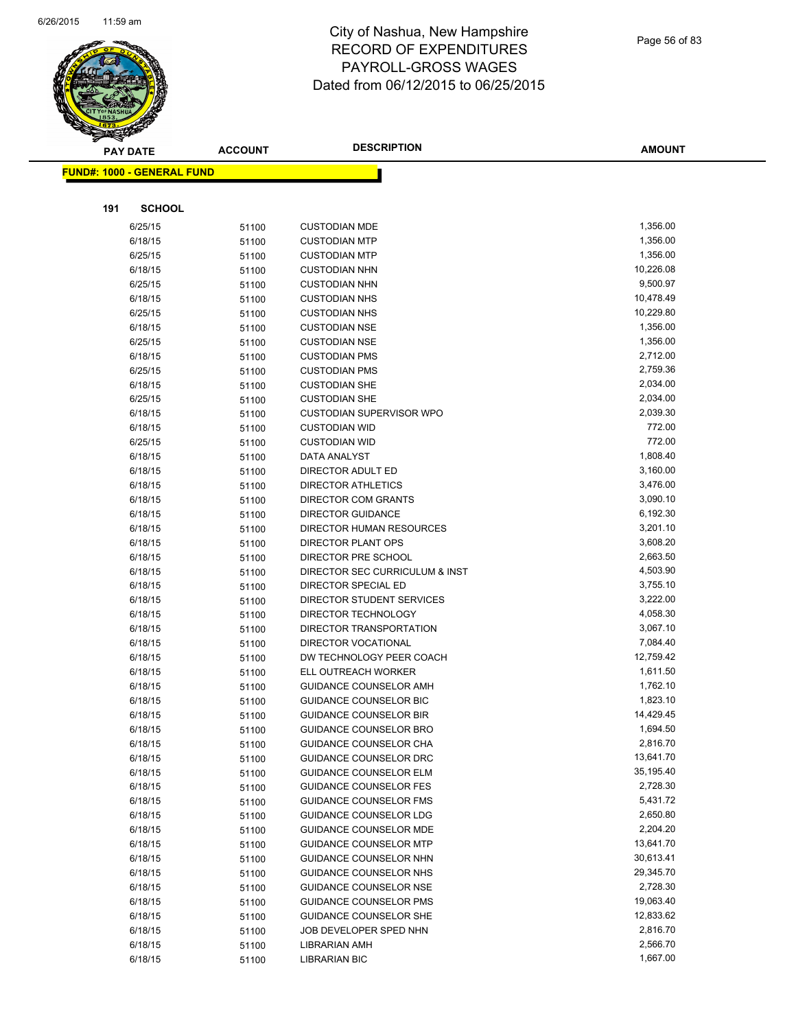

|     | <b>PAY DATE</b>                   | <b>ACCOUNT</b> | <b>DESCRIPTION</b>                               | <b>AMOUNT</b>         |
|-----|-----------------------------------|----------------|--------------------------------------------------|-----------------------|
|     | <b>FUND#: 1000 - GENERAL FUND</b> |                |                                                  |                       |
|     |                                   |                |                                                  |                       |
|     |                                   |                |                                                  |                       |
| 191 | <b>SCHOOL</b>                     |                |                                                  |                       |
|     | 6/25/15                           | 51100          | <b>CUSTODIAN MDE</b>                             | 1,356.00              |
|     | 6/18/15                           | 51100          | <b>CUSTODIAN MTP</b>                             | 1,356.00              |
|     | 6/25/15                           | 51100          | <b>CUSTODIAN MTP</b>                             | 1,356.00              |
|     | 6/18/15                           | 51100          | <b>CUSTODIAN NHN</b>                             | 10,226.08             |
|     | 6/25/15                           | 51100          | <b>CUSTODIAN NHN</b>                             | 9,500.97              |
|     | 6/18/15                           | 51100          | <b>CUSTODIAN NHS</b>                             | 10,478.49             |
|     | 6/25/15                           | 51100          | <b>CUSTODIAN NHS</b>                             | 10,229.80             |
|     | 6/18/15                           | 51100          | <b>CUSTODIAN NSE</b>                             | 1,356.00              |
|     | 6/25/15                           | 51100          | <b>CUSTODIAN NSE</b>                             | 1,356.00              |
|     | 6/18/15                           | 51100          | <b>CUSTODIAN PMS</b>                             | 2,712.00              |
|     | 6/25/15                           | 51100          | <b>CUSTODIAN PMS</b>                             | 2,759.36              |
|     | 6/18/15                           | 51100          | <b>CUSTODIAN SHE</b>                             | 2,034.00              |
|     | 6/25/15                           | 51100          | <b>CUSTODIAN SHE</b>                             | 2,034.00              |
|     | 6/18/15                           | 51100          | <b>CUSTODIAN SUPERVISOR WPO</b>                  | 2,039.30              |
|     | 6/18/15                           | 51100          | <b>CUSTODIAN WID</b>                             | 772.00                |
|     | 6/25/15                           | 51100          | <b>CUSTODIAN WID</b>                             | 772.00                |
|     | 6/18/15                           | 51100          | DATA ANALYST                                     | 1,808.40              |
|     | 6/18/15                           | 51100          | DIRECTOR ADULT ED                                | 3,160.00              |
|     | 6/18/15                           | 51100          | <b>DIRECTOR ATHLETICS</b>                        | 3,476.00              |
|     | 6/18/15                           | 51100          | DIRECTOR COM GRANTS                              | 3,090.10              |
|     | 6/18/15                           | 51100          | <b>DIRECTOR GUIDANCE</b>                         | 6,192.30              |
|     | 6/18/15                           | 51100          | DIRECTOR HUMAN RESOURCES                         | 3,201.10              |
|     | 6/18/15                           | 51100          | <b>DIRECTOR PLANT OPS</b>                        | 3,608.20              |
|     | 6/18/15                           | 51100          | DIRECTOR PRE SCHOOL                              | 2,663.50              |
|     | 6/18/15                           | 51100          | DIRECTOR SEC CURRICULUM & INST                   | 4,503.90              |
|     | 6/18/15                           | 51100          | DIRECTOR SPECIAL ED                              | 3,755.10              |
|     | 6/18/15                           | 51100          | DIRECTOR STUDENT SERVICES                        | 3,222.00              |
|     | 6/18/15                           | 51100          | DIRECTOR TECHNOLOGY                              | 4,058.30              |
|     | 6/18/15                           | 51100          | DIRECTOR TRANSPORTATION                          | 3,067.10              |
|     | 6/18/15                           | 51100          | DIRECTOR VOCATIONAL                              | 7,084.40<br>12,759.42 |
|     | 6/18/15                           | 51100          | DW TECHNOLOGY PEER COACH<br>ELL OUTREACH WORKER  | 1,611.50              |
|     | 6/18/15<br>6/18/15                | 51100          |                                                  | 1,762.10              |
|     | 6/18/15                           | 51100          | GUIDANCE COUNSELOR AMH<br>GUIDANCE COUNSELOR BIC | 1,823.10              |
|     | 6/18/15                           | 51100          | <b>GUIDANCE COUNSELOR BIR</b>                    | 14,429.45             |
|     | 6/18/15                           | 51100          | GUIDANCE COUNSELOR BRO                           | 1,694.50              |
|     | 6/18/15                           | 51100          | GUIDANCE COUNSELOR CHA                           | 2,816.70              |
|     | 6/18/15                           | 51100<br>51100 | GUIDANCE COUNSELOR DRC                           | 13,641.70             |
|     | 6/18/15                           | 51100          | <b>GUIDANCE COUNSELOR ELM</b>                    | 35,195.40             |
|     | 6/18/15                           | 51100          | <b>GUIDANCE COUNSELOR FES</b>                    | 2,728.30              |
|     | 6/18/15                           | 51100          | <b>GUIDANCE COUNSELOR FMS</b>                    | 5,431.72              |
|     | 6/18/15                           | 51100          | <b>GUIDANCE COUNSELOR LDG</b>                    | 2,650.80              |
|     | 6/18/15                           | 51100          | <b>GUIDANCE COUNSELOR MDE</b>                    | 2,204.20              |
|     | 6/18/15                           | 51100          | <b>GUIDANCE COUNSELOR MTP</b>                    | 13,641.70             |
|     | 6/18/15                           | 51100          | GUIDANCE COUNSELOR NHN                           | 30,613.41             |
|     | 6/18/15                           | 51100          | GUIDANCE COUNSELOR NHS                           | 29,345.70             |
|     | 6/18/15                           | 51100          | <b>GUIDANCE COUNSELOR NSE</b>                    | 2,728.30              |
|     | 6/18/15                           | 51100          | <b>GUIDANCE COUNSELOR PMS</b>                    | 19,063.40             |
|     | 6/18/15                           | 51100          | GUIDANCE COUNSELOR SHE                           | 12,833.62             |
|     | 6/18/15                           | 51100          | JOB DEVELOPER SPED NHN                           | 2,816.70              |
|     | 6/18/15                           | 51100          | LIBRARIAN AMH                                    | 2,566.70              |
|     | 6/18/15                           | 51100          | <b>LIBRARIAN BIC</b>                             | 1,667.00              |
|     |                                   |                |                                                  |                       |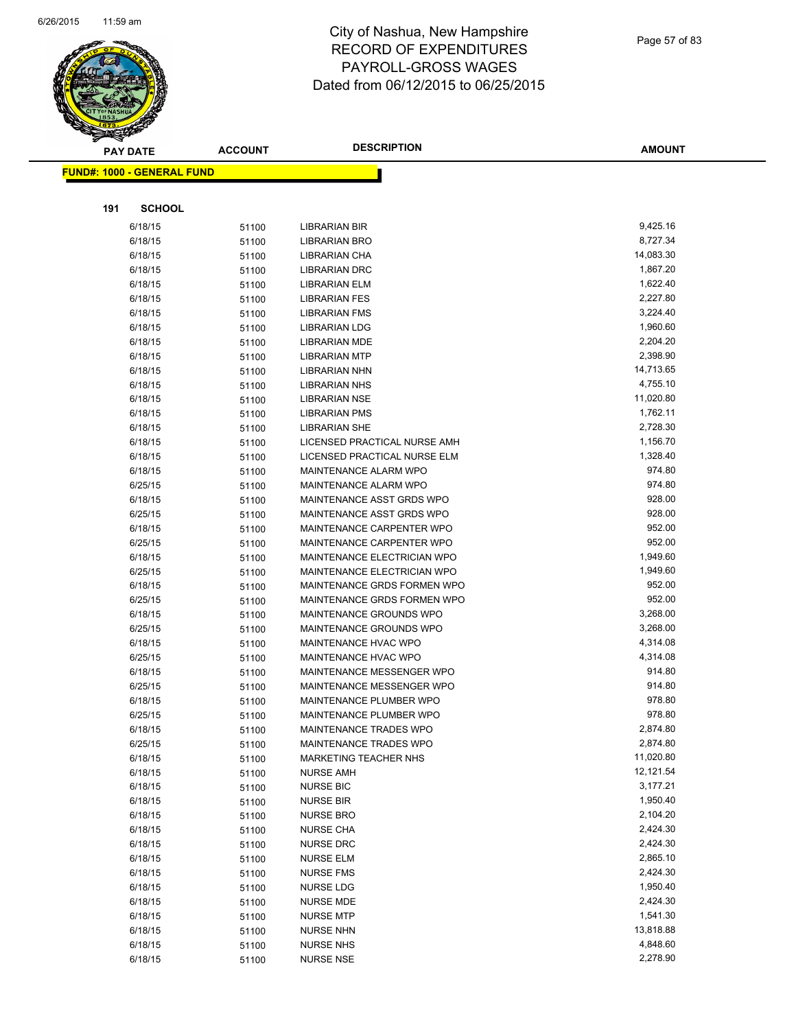

| $\blacktriangle$ .<br><b>PAY DATE</b> | <b>ACCOUNT</b> | <b>DESCRIPTION</b>                                     | <b>AMOUNT</b>        |
|---------------------------------------|----------------|--------------------------------------------------------|----------------------|
| <b>FUND#: 1000 - GENERAL FUND</b>     |                |                                                        |                      |
|                                       |                |                                                        |                      |
| 191                                   | <b>SCHOOL</b>  |                                                        |                      |
| 6/18/15                               | 51100          | <b>LIBRARIAN BIR</b>                                   | 9,425.16             |
| 6/18/15                               | 51100          | LIBRARIAN BRO                                          | 8,727.34             |
| 6/18/15                               | 51100          | LIBRARIAN CHA                                          | 14,083.30            |
| 6/18/15                               | 51100          | <b>LIBRARIAN DRC</b>                                   | 1,867.20             |
| 6/18/15                               | 51100          | LIBRARIAN ELM                                          | 1,622.40             |
| 6/18/15                               | 51100          | <b>LIBRARIAN FES</b>                                   | 2,227.80             |
| 6/18/15                               | 51100          | <b>LIBRARIAN FMS</b>                                   | 3,224.40             |
| 6/18/15                               | 51100          | <b>LIBRARIAN LDG</b>                                   | 1,960.60             |
| 6/18/15                               | 51100          | <b>LIBRARIAN MDE</b>                                   | 2,204.20             |
| 6/18/15                               | 51100          | <b>LIBRARIAN MTP</b>                                   | 2,398.90             |
| 6/18/15                               | 51100          | LIBRARIAN NHN                                          | 14,713.65            |
| 6/18/15                               | 51100          | <b>LIBRARIAN NHS</b>                                   | 4,755.10             |
| 6/18/15                               | 51100          | <b>LIBRARIAN NSE</b>                                   | 11,020.80            |
| 6/18/15                               | 51100          | <b>LIBRARIAN PMS</b>                                   | 1,762.11             |
| 6/18/15                               | 51100          | <b>LIBRARIAN SHE</b>                                   | 2,728.30             |
| 6/18/15                               | 51100          | LICENSED PRACTICAL NURSE AMH                           | 1,156.70             |
| 6/18/15                               | 51100          | LICENSED PRACTICAL NURSE ELM                           | 1,328.40             |
| 6/18/15                               | 51100          | MAINTENANCE ALARM WPO                                  | 974.80               |
| 6/25/15                               | 51100          | MAINTENANCE ALARM WPO                                  | 974.80               |
| 6/18/15                               | 51100          | MAINTENANCE ASST GRDS WPO                              | 928.00               |
| 6/25/15                               | 51100          | MAINTENANCE ASST GRDS WPO                              | 928.00               |
| 6/18/15                               | 51100          | MAINTENANCE CARPENTER WPO                              | 952.00               |
| 6/25/15                               | 51100          | MAINTENANCE CARPENTER WPO                              | 952.00               |
| 6/18/15                               | 51100          | MAINTENANCE ELECTRICIAN WPO                            | 1,949.60             |
| 6/25/15                               | 51100          | MAINTENANCE ELECTRICIAN WPO                            | 1,949.60             |
| 6/18/15                               | 51100          | MAINTENANCE GRDS FORMEN WPO                            | 952.00               |
| 6/25/15                               | 51100          | MAINTENANCE GRDS FORMEN WPO                            | 952.00               |
| 6/18/15                               | 51100          | MAINTENANCE GROUNDS WPO                                | 3,268.00             |
| 6/25/15                               | 51100          | MAINTENANCE GROUNDS WPO                                | 3,268.00             |
| 6/18/15                               | 51100          | MAINTENANCE HVAC WPO                                   | 4,314.08             |
| 6/25/15                               | 51100          | MAINTENANCE HVAC WPO                                   | 4,314.08             |
| 6/18/15                               | 51100          | MAINTENANCE MESSENGER WPO                              | 914.80               |
| 6/25/15                               | 51100          | MAINTENANCE MESSENGER WPO                              | 914.80               |
| 6/18/15                               | 51100          | MAINTENANCE PLUMBER WPO                                | 978.80<br>978.80     |
| 6/25/15                               | 51100          | MAINTENANCE PLUMBER WPO                                |                      |
| 6/18/15                               | 51100          | MAINTENANCE TRADES WPO                                 | 2,874.80<br>2,874.80 |
| 6/25/15<br>6/18/15                    | 51100          | MAINTENANCE TRADES WPO<br><b>MARKETING TEACHER NHS</b> | 11,020.80            |
| 6/18/15                               | 51100<br>51100 | <b>NURSE AMH</b>                                       | 12,121.54            |
| 6/18/15                               | 51100          | <b>NURSE BIC</b>                                       | 3,177.21             |
| 6/18/15                               | 51100          | <b>NURSE BIR</b>                                       | 1,950.40             |
| 6/18/15                               | 51100          | <b>NURSE BRO</b>                                       | 2,104.20             |
| 6/18/15                               | 51100          | <b>NURSE CHA</b>                                       | 2,424.30             |
| 6/18/15                               | 51100          | <b>NURSE DRC</b>                                       | 2,424.30             |
| 6/18/15                               | 51100          | <b>NURSE ELM</b>                                       | 2,865.10             |
| 6/18/15                               | 51100          | <b>NURSE FMS</b>                                       | 2,424.30             |
| 6/18/15                               | 51100          | NURSE LDG                                              | 1,950.40             |
| 6/18/15                               | 51100          | NURSE MDE                                              | 2,424.30             |
| 6/18/15                               | 51100          | <b>NURSE MTP</b>                                       | 1,541.30             |
| 6/18/15                               | 51100          | <b>NURSE NHN</b>                                       | 13,818.88            |
| 6/18/15                               | 51100          | <b>NURSE NHS</b>                                       | 4,848.60             |
| 6/18/15                               | 51100          | <b>NURSE NSE</b>                                       | 2,278.90             |
|                                       |                |                                                        |                      |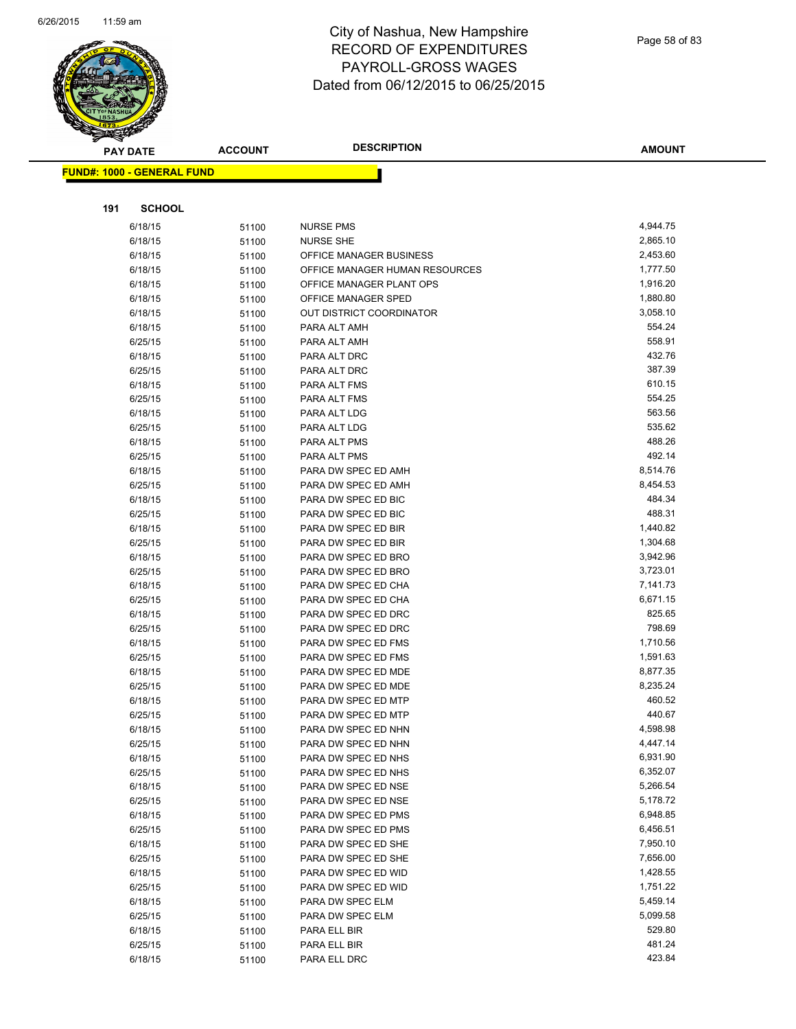

| <b>PAY DATE</b>                   | <b>ACCOUNT</b> | <b>DESCRIPTION</b>                         | <b>AMOUNT</b>        |
|-----------------------------------|----------------|--------------------------------------------|----------------------|
| <b>FUND#: 1000 - GENERAL FUND</b> |                |                                            |                      |
|                                   |                |                                            |                      |
|                                   |                |                                            |                      |
| 191<br><b>SCHOOL</b>              |                |                                            |                      |
| 6/18/15                           | 51100          | <b>NURSE PMS</b>                           | 4,944.75             |
| 6/18/15                           | 51100          | <b>NURSE SHE</b>                           | 2,865.10             |
| 6/18/15                           | 51100          | OFFICE MANAGER BUSINESS                    | 2,453.60             |
| 6/18/15                           | 51100          | OFFICE MANAGER HUMAN RESOURCES             | 1,777.50             |
| 6/18/15                           | 51100          | OFFICE MANAGER PLANT OPS                   | 1,916.20             |
| 6/18/15                           | 51100          | OFFICE MANAGER SPED                        | 1,880.80             |
| 6/18/15                           | 51100          | <b>OUT DISTRICT COORDINATOR</b>            | 3,058.10             |
| 6/18/15                           | 51100          | PARA ALT AMH                               | 554.24               |
| 6/25/15                           | 51100          | PARA ALT AMH                               | 558.91               |
| 6/18/15                           | 51100          | PARA ALT DRC                               | 432.76               |
| 6/25/15                           | 51100          | PARA ALT DRC                               | 387.39               |
| 6/18/15                           | 51100          | PARA ALT FMS                               | 610.15               |
| 6/25/15                           | 51100          | PARA ALT FMS                               | 554.25               |
| 6/18/15                           | 51100          | PARA ALT LDG                               | 563.56               |
| 6/25/15                           | 51100          | PARA ALT LDG                               | 535.62               |
| 6/18/15                           | 51100          | PARA ALT PMS                               | 488.26               |
| 6/25/15                           | 51100          | PARA ALT PMS                               | 492.14               |
| 6/18/15                           | 51100          | PARA DW SPEC ED AMH                        | 8,514.76             |
| 6/25/15                           | 51100          | PARA DW SPEC ED AMH                        | 8,454.53             |
| 6/18/15                           | 51100          | PARA DW SPEC ED BIC                        | 484.34               |
| 6/25/15                           | 51100          | PARA DW SPEC ED BIC                        | 488.31               |
| 6/18/15                           | 51100          | PARA DW SPEC ED BIR                        | 1,440.82             |
| 6/25/15                           | 51100          | PARA DW SPEC ED BIR                        | 1,304.68             |
| 6/18/15                           | 51100          | PARA DW SPEC ED BRO                        | 3,942.96<br>3,723.01 |
| 6/25/15                           | 51100          | PARA DW SPEC ED BRO                        | 7,141.73             |
| 6/18/15                           | 51100          | PARA DW SPEC ED CHA<br>PARA DW SPEC ED CHA | 6,671.15             |
| 6/25/15<br>6/18/15                | 51100          | PARA DW SPEC ED DRC                        | 825.65               |
| 6/25/15                           | 51100          | PARA DW SPEC ED DRC                        | 798.69               |
| 6/18/15                           | 51100          | PARA DW SPEC ED FMS                        | 1,710.56             |
| 6/25/15                           | 51100<br>51100 | PARA DW SPEC ED FMS                        | 1,591.63             |
| 6/18/15                           | 51100          | PARA DW SPEC ED MDE                        | 8,877.35             |
| 6/25/15                           | 51100          | PARA DW SPEC ED MDE                        | 8,235.24             |
| 6/18/15                           | 51100          | PARA DW SPEC ED MTP                        | 460.52               |
| 6/25/15                           | 51100          | PARA DW SPEC ED MTP                        | 440.67               |
| 6/18/15                           | 51100          | PARA DW SPEC ED NHN                        | 4,598.98             |
| 6/25/15                           | 51100          | PARA DW SPEC ED NHN                        | 4,447.14             |
| 6/18/15                           | 51100          | PARA DW SPEC ED NHS                        | 6,931.90             |
| 6/25/15                           | 51100          | PARA DW SPEC ED NHS                        | 6,352.07             |
| 6/18/15                           | 51100          | PARA DW SPEC ED NSE                        | 5,266.54             |
| 6/25/15                           | 51100          | PARA DW SPEC ED NSE                        | 5,178.72             |
| 6/18/15                           | 51100          | PARA DW SPEC ED PMS                        | 6,948.85             |
| 6/25/15                           | 51100          | PARA DW SPEC ED PMS                        | 6,456.51             |
| 6/18/15                           | 51100          | PARA DW SPEC ED SHE                        | 7,950.10             |
| 6/25/15                           | 51100          | PARA DW SPEC ED SHE                        | 7,656.00             |
| 6/18/15                           | 51100          | PARA DW SPEC ED WID                        | 1,428.55             |
| 6/25/15                           | 51100          | PARA DW SPEC ED WID                        | 1,751.22             |
| 6/18/15                           | 51100          | PARA DW SPEC ELM                           | 5,459.14             |
| 6/25/15                           | 51100          | PARA DW SPEC ELM                           | 5,099.58             |
| 6/18/15                           | 51100          | PARA ELL BIR                               | 529.80               |
| 6/25/15                           | 51100          | PARA ELL BIR                               | 481.24               |
| 6/18/15                           | 51100          | PARA ELL DRC                               | 423.84               |
|                                   |                |                                            |                      |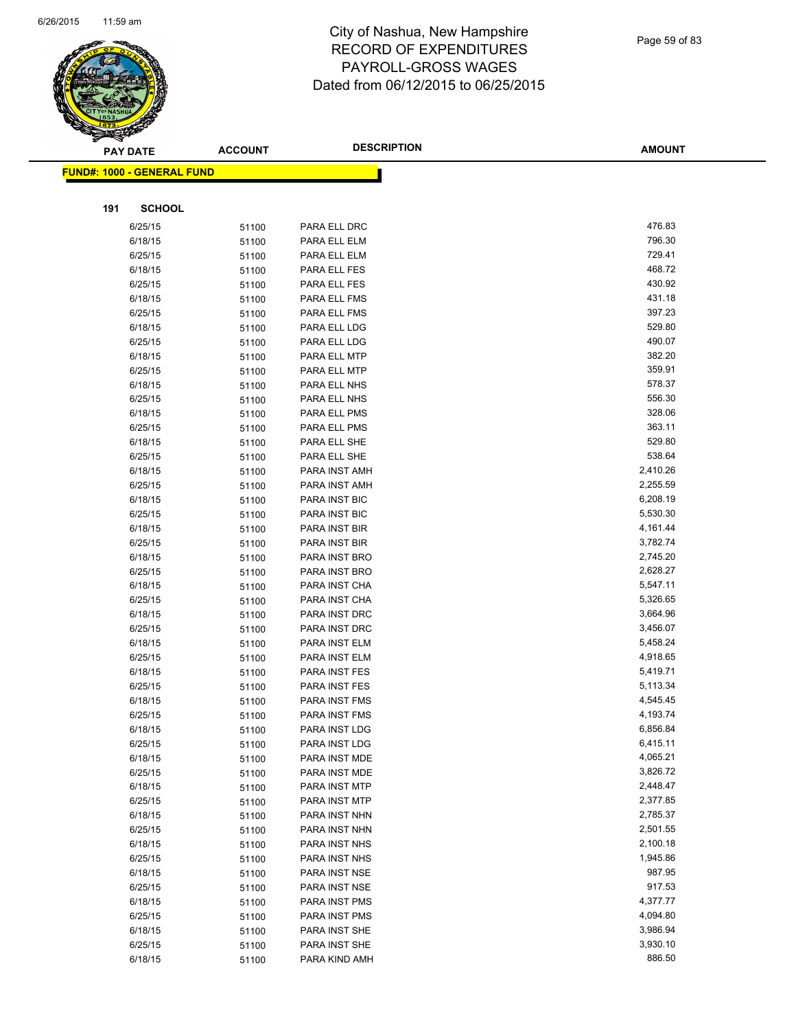

|     | <b>PAY DATE</b>                   | <b>ACCOUNT</b> | <b>DESCRIPTION</b>             | <b>AMOUNT</b>        |
|-----|-----------------------------------|----------------|--------------------------------|----------------------|
|     | <b>FUND#: 1000 - GENERAL FUND</b> |                |                                |                      |
|     |                                   |                |                                |                      |
|     |                                   |                |                                |                      |
| 191 | <b>SCHOOL</b>                     |                |                                |                      |
|     | 6/25/15                           | 51100          | PARA ELL DRC                   | 476.83               |
|     | 6/18/15                           | 51100          | PARA ELL ELM                   | 796.30               |
|     | 6/25/15                           | 51100          | PARA ELL ELM                   | 729.41               |
|     | 6/18/15                           | 51100          | PARA ELL FES                   | 468.72               |
|     | 6/25/15                           | 51100          | PARA ELL FES                   | 430.92               |
|     | 6/18/15                           | 51100          | PARA ELL FMS                   | 431.18               |
|     | 6/25/15                           | 51100          | PARA ELL FMS                   | 397.23               |
|     | 6/18/15                           | 51100          | PARA ELL LDG                   | 529.80               |
|     | 6/25/15                           | 51100          | PARA ELL LDG                   | 490.07               |
|     | 6/18/15                           | 51100          | PARA ELL MTP                   | 382.20               |
|     | 6/25/15                           | 51100          | PARA ELL MTP                   | 359.91               |
|     | 6/18/15                           | 51100          | PARA ELL NHS                   | 578.37               |
|     | 6/25/15                           | 51100          | PARA ELL NHS                   | 556.30<br>328.06     |
|     | 6/18/15                           | 51100          | PARA ELL PMS                   |                      |
|     | 6/25/15                           | 51100          | PARA ELL PMS                   | 363.11<br>529.80     |
|     | 6/18/15                           | 51100          | PARA ELL SHE                   | 538.64               |
|     | 6/25/15                           | 51100          | PARA ELL SHE                   |                      |
|     | 6/18/15                           | 51100          | PARA INST AMH                  | 2,410.26             |
|     | 6/25/15                           | 51100          | PARA INST AMH                  | 2,255.59<br>6,208.19 |
|     | 6/18/15                           | 51100          | <b>PARA INST BIC</b>           |                      |
|     | 6/25/15                           | 51100          | <b>PARA INST BIC</b>           | 5,530.30             |
|     | 6/18/15                           | 51100          | PARA INST BIR                  | 4,161.44<br>3,782.74 |
|     | 6/25/15                           | 51100          | PARA INST BIR                  | 2,745.20             |
|     | 6/18/15                           | 51100          | PARA INST BRO                  | 2,628.27             |
|     | 6/25/15<br>6/18/15                | 51100          | PARA INST BRO<br>PARA INST CHA | 5,547.11             |
|     | 6/25/15                           | 51100          | PARA INST CHA                  | 5,326.65             |
|     | 6/18/15                           | 51100<br>51100 | PARA INST DRC                  | 3,664.96             |
|     | 6/25/15                           | 51100          | PARA INST DRC                  | 3,456.07             |
|     | 6/18/15                           | 51100          | PARA INST ELM                  | 5,458.24             |
|     | 6/25/15                           | 51100          | PARA INST ELM                  | 4,918.65             |
|     | 6/18/15                           | 51100          | PARA INST FES                  | 5,419.71             |
|     | 6/25/15                           | 51100          | PARA INST FES                  | 5,113.34             |
|     | 6/18/15                           | 51100          | PARA INST FMS                  | 4,545.45             |
|     | 6/25/15                           | 51100          | PARA INST FMS                  | 4,193.74             |
|     | 6/18/15                           | 51100          | PARA INST LDG                  | 6,856.84             |
|     | 6/25/15                           | 51100          | PARA INST LDG                  | 6,415.11             |
|     | 6/18/15                           | 51100          | PARA INST MDE                  | 4,065.21             |
|     | 6/25/15                           | 51100          | PARA INST MDE                  | 3,826.72             |
|     | 6/18/15                           | 51100          | PARA INST MTP                  | 2,448.47             |
|     | 6/25/15                           | 51100          | PARA INST MTP                  | 2,377.85             |
|     | 6/18/15                           | 51100          | PARA INST NHN                  | 2,785.37             |
|     | 6/25/15                           | 51100          | PARA INST NHN                  | 2,501.55             |
|     | 6/18/15                           | 51100          | PARA INST NHS                  | 2,100.18             |
|     | 6/25/15                           | 51100          | PARA INST NHS                  | 1,945.86             |
|     | 6/18/15                           | 51100          | PARA INST NSE                  | 987.95               |
|     | 6/25/15                           | 51100          | PARA INST NSE                  | 917.53               |
|     | 6/18/15                           | 51100          | PARA INST PMS                  | 4,377.77             |
|     | 6/25/15                           | 51100          | PARA INST PMS                  | 4,094.80             |
|     | 6/18/15                           | 51100          | PARA INST SHE                  | 3,986.94             |
|     | 6/25/15                           | 51100          | PARA INST SHE                  | 3,930.10             |
|     | 6/18/15                           | 51100          | PARA KIND AMH                  | 886.50               |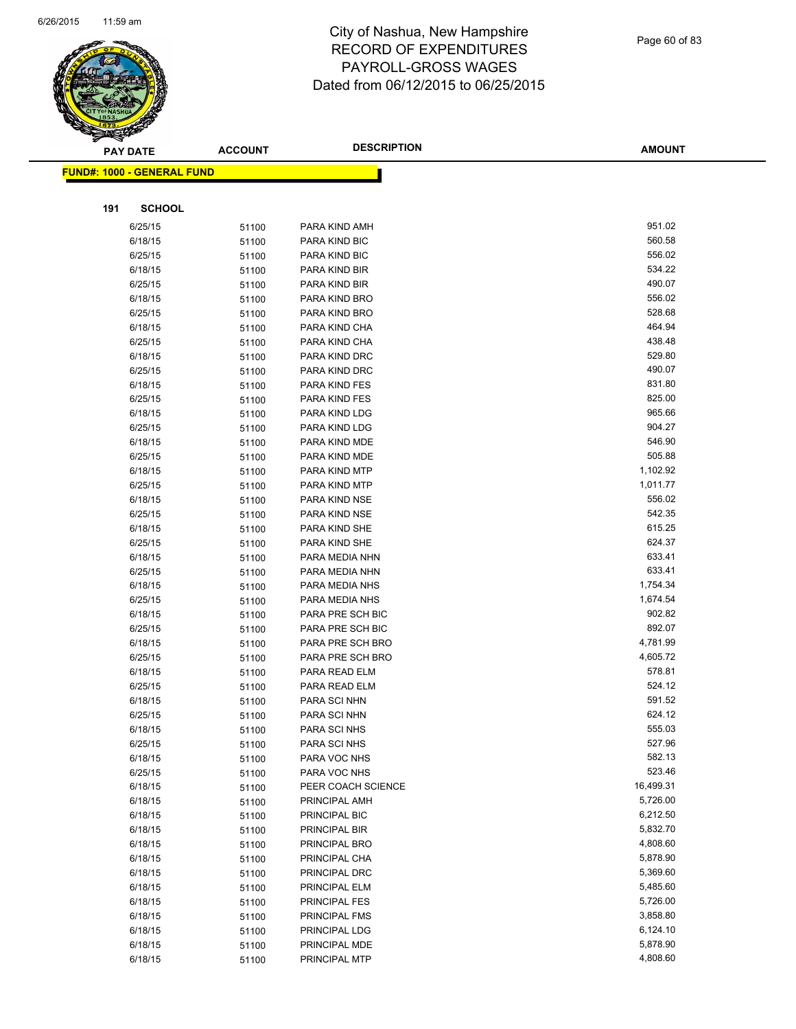

|     | <b>PAY DATE</b>                   | <b>ACCOUNT</b> | <b>DESCRIPTION</b>                | <b>AMOUNT</b>    |
|-----|-----------------------------------|----------------|-----------------------------------|------------------|
|     | <b>FUND#: 1000 - GENERAL FUND</b> |                |                                   |                  |
|     |                                   |                |                                   |                  |
|     |                                   |                |                                   |                  |
| 191 | <b>SCHOOL</b>                     |                |                                   |                  |
|     | 6/25/15                           | 51100          | PARA KIND AMH                     | 951.02           |
|     | 6/18/15                           | 51100          | PARA KIND BIC                     | 560.58           |
|     | 6/25/15                           | 51100          | PARA KIND BIC                     | 556.02           |
|     | 6/18/15                           | 51100          | PARA KIND BIR                     | 534.22           |
|     | 6/25/15                           | 51100          | PARA KIND BIR                     | 490.07           |
|     | 6/18/15                           | 51100          | PARA KIND BRO                     | 556.02           |
|     | 6/25/15                           | 51100          | PARA KIND BRO                     | 528.68           |
|     | 6/18/15                           | 51100          | PARA KIND CHA                     | 464.94           |
|     | 6/25/15                           | 51100          | PARA KIND CHA                     | 438.48           |
|     | 6/18/15                           | 51100          | PARA KIND DRC                     | 529.80           |
|     | 6/25/15                           | 51100          | PARA KIND DRC                     | 490.07           |
|     | 6/18/15                           | 51100          | PARA KIND FES                     | 831.80           |
|     | 6/25/15                           | 51100          | PARA KIND FES                     | 825.00           |
|     | 6/18/15                           | 51100          | PARA KIND LDG                     | 965.66           |
|     | 6/25/15                           | 51100          | PARA KIND LDG                     | 904.27           |
|     | 6/18/15                           | 51100          | PARA KIND MDE                     | 546.90           |
|     | 6/25/15                           | 51100          | PARA KIND MDE                     | 505.88           |
|     | 6/18/15                           | 51100          | PARA KIND MTP                     | 1,102.92         |
|     | 6/25/15                           | 51100          | PARA KIND MTP                     | 1,011.77         |
|     | 6/18/15                           | 51100          | PARA KIND NSE                     | 556.02           |
|     | 6/25/15                           | 51100          | PARA KIND NSE                     | 542.35           |
|     | 6/18/15                           | 51100          | PARA KIND SHE                     | 615.25           |
|     | 6/25/15                           | 51100          | PARA KIND SHE                     | 624.37           |
|     | 6/18/15                           | 51100          | PARA MEDIA NHN                    | 633.41           |
|     | 6/25/15                           | 51100          | PARA MEDIA NHN                    | 633.41           |
|     | 6/18/15                           | 51100          | PARA MEDIA NHS                    | 1,754.34         |
|     | 6/25/15                           | 51100          | PARA MEDIA NHS                    | 1,674.54         |
|     | 6/18/15                           | 51100          | PARA PRE SCH BIC                  | 902.82<br>892.07 |
|     | 6/25/15                           | 51100          | PARA PRE SCH BIC                  | 4,781.99         |
|     | 6/18/15                           | 51100          | PARA PRE SCH BRO                  | 4,605.72         |
|     | 6/25/15<br>6/18/15                | 51100          | PARA PRE SCH BRO<br>PARA READ ELM | 578.81           |
|     | 6/25/15                           | 51100          | PARA READ ELM                     | 524.12           |
|     | 6/18/15                           | 51100          | PARA SCI NHN                      | 591.52           |
|     | 6/25/15                           | 51100          | PARA SCI NHN                      | 624.12           |
|     |                                   | 51100          | PARA SCI NHS                      | 555.03           |
|     | 6/18/15<br>6/25/15                | 51100<br>51100 | PARA SCI NHS                      | 527.96           |
|     | 6/18/15                           | 51100          | PARA VOC NHS                      | 582.13           |
|     | 6/25/15                           | 51100          | PARA VOC NHS                      | 523.46           |
|     | 6/18/15                           | 51100          | PEER COACH SCIENCE                | 16,499.31        |
|     | 6/18/15                           | 51100          | PRINCIPAL AMH                     | 5,726.00         |
|     | 6/18/15                           | 51100          | PRINCIPAL BIC                     | 6,212.50         |
|     | 6/18/15                           | 51100          | PRINCIPAL BIR                     | 5,832.70         |
|     | 6/18/15                           | 51100          | PRINCIPAL BRO                     | 4,808.60         |
|     | 6/18/15                           | 51100          | PRINCIPAL CHA                     | 5,878.90         |
|     | 6/18/15                           | 51100          | PRINCIPAL DRC                     | 5,369.60         |
|     | 6/18/15                           | 51100          | PRINCIPAL ELM                     | 5,485.60         |
|     | 6/18/15                           | 51100          | PRINCIPAL FES                     | 5,726.00         |
|     | 6/18/15                           | 51100          | PRINCIPAL FMS                     | 3,858.80         |
|     | 6/18/15                           | 51100          | PRINCIPAL LDG                     | 6,124.10         |
|     | 6/18/15                           | 51100          | PRINCIPAL MDE                     | 5,878.90         |
|     | 6/18/15                           | 51100          | PRINCIPAL MTP                     | 4,808.60         |
|     |                                   |                |                                   |                  |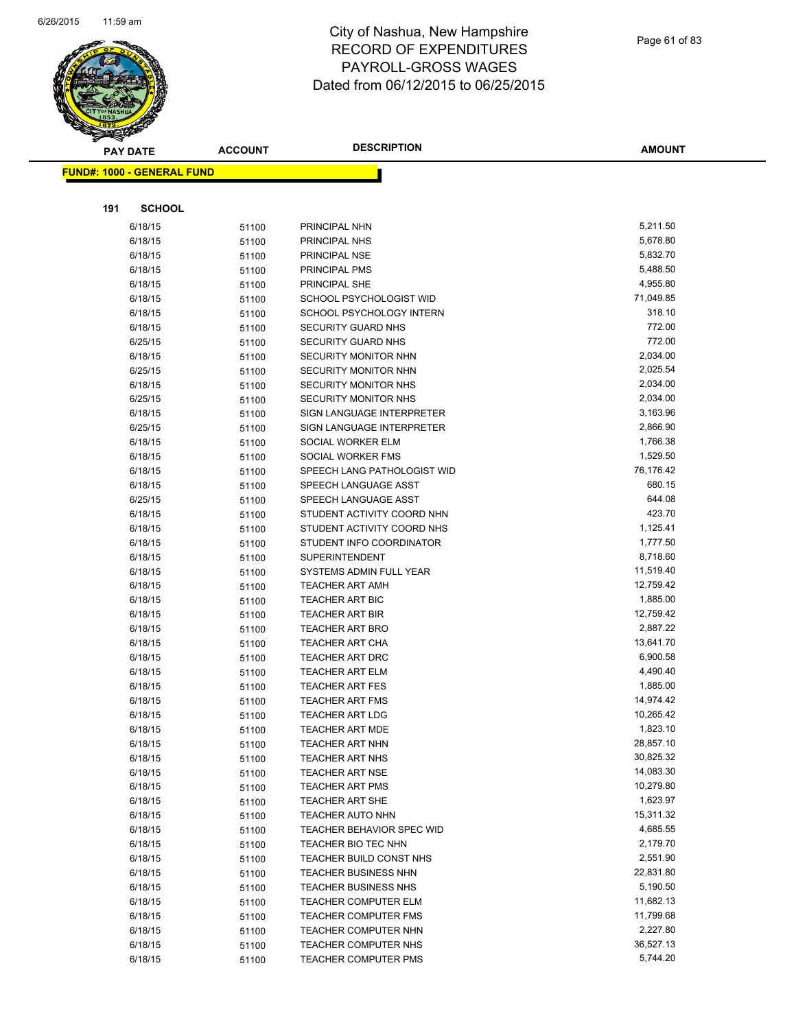

| <b>PAY DATE</b>                   | <b>ACCOUNT</b> | <b>DESCRIPTION</b>                                  | <b>AMOUNT</b>          |
|-----------------------------------|----------------|-----------------------------------------------------|------------------------|
| <b>FUND#: 1000 - GENERAL FUND</b> |                |                                                     |                        |
|                                   |                |                                                     |                        |
|                                   |                |                                                     |                        |
| 191<br><b>SCHOOL</b>              |                |                                                     |                        |
| 6/18/15                           | 51100          | PRINCIPAL NHN                                       | 5,211.50               |
| 6/18/15                           | 51100          | PRINCIPAL NHS                                       | 5,678.80               |
| 6/18/15                           | 51100          | PRINCIPAL NSE                                       | 5,832.70               |
| 6/18/15                           | 51100          | <b>PRINCIPAL PMS</b>                                | 5,488.50               |
| 6/18/15                           | 51100          | PRINCIPAL SHE                                       | 4,955.80               |
| 6/18/15                           | 51100          | SCHOOL PSYCHOLOGIST WID                             | 71,049.85              |
| 6/18/15                           | 51100          | SCHOOL PSYCHOLOGY INTERN                            | 318.10                 |
| 6/18/15                           | 51100          | <b>SECURITY GUARD NHS</b>                           | 772.00                 |
| 6/25/15                           | 51100          | SECURITY GUARD NHS                                  | 772.00                 |
| 6/18/15                           | 51100          | SECURITY MONITOR NHN                                | 2,034.00               |
| 6/25/15                           | 51100          | SECURITY MONITOR NHN                                | 2,025.54               |
| 6/18/15                           | 51100          | SECURITY MONITOR NHS                                | 2,034.00               |
| 6/25/15                           | 51100          | SECURITY MONITOR NHS                                | 2,034.00               |
| 6/18/15                           | 51100          | SIGN LANGUAGE INTERPRETER                           | 3,163.96               |
| 6/25/15                           | 51100          | SIGN LANGUAGE INTERPRETER                           | 2,866.90               |
| 6/18/15                           | 51100          | SOCIAL WORKER ELM                                   | 1,766.38<br>1,529.50   |
| 6/18/15<br>6/18/15                | 51100          | SOCIAL WORKER FMS<br>SPEECH LANG PATHOLOGIST WID    | 76,176.42              |
| 6/18/15                           | 51100          | SPEECH LANGUAGE ASST                                | 680.15                 |
| 6/25/15                           | 51100<br>51100 | SPEECH LANGUAGE ASST                                | 644.08                 |
| 6/18/15                           | 51100          | STUDENT ACTIVITY COORD NHN                          | 423.70                 |
| 6/18/15                           | 51100          | STUDENT ACTIVITY COORD NHS                          | 1,125.41               |
| 6/18/15                           | 51100          | STUDENT INFO COORDINATOR                            | 1,777.50               |
| 6/18/15                           | 51100          | <b>SUPERINTENDENT</b>                               | 8,718.60               |
| 6/18/15                           | 51100          | SYSTEMS ADMIN FULL YEAR                             | 11,519.40              |
| 6/18/15                           | 51100          | <b>TEACHER ART AMH</b>                              | 12,759.42              |
| 6/18/15                           | 51100          | <b>TEACHER ART BIC</b>                              | 1,885.00               |
| 6/18/15                           | 51100          | <b>TEACHER ART BIR</b>                              | 12,759.42              |
| 6/18/15                           | 51100          | <b>TEACHER ART BRO</b>                              | 2,887.22               |
| 6/18/15                           | 51100          | <b>TEACHER ART CHA</b>                              | 13,641.70              |
| 6/18/15                           | 51100          | <b>TEACHER ART DRC</b>                              | 6,900.58               |
| 6/18/15                           | 51100          | <b>TEACHER ART ELM</b>                              | 4,490.40               |
| 6/18/15                           | 51100          | <b>TEACHER ART FES</b>                              | 1,885.00               |
| 6/18/15                           | 51100          | <b>TEACHER ART FMS</b>                              | 14,974.42              |
| 6/18/15                           | 51100          | <b>TEACHER ART LDG</b>                              | 10,265.42              |
| 6/18/15                           | 51100          | <b>TEACHER ART MDE</b>                              | 1,823.10               |
| 6/18/15                           | 51100          | <b>TEACHER ART NHN</b>                              | 28,857.10              |
| 6/18/15                           | 51100          | <b>TEACHER ART NHS</b>                              | 30,825.32              |
| 6/18/15                           | 51100          | <b>TEACHER ART NSE</b>                              | 14,083.30              |
| 6/18/15                           | 51100          | <b>TEACHER ART PMS</b>                              | 10,279.80              |
| 6/18/15                           | 51100          | TEACHER ART SHE                                     | 1,623.97               |
| 6/18/15                           | 51100          | TEACHER AUTO NHN                                    | 15,311.32              |
| 6/18/15                           | 51100          | TEACHER BEHAVIOR SPEC WID                           | 4,685.55               |
| 6/18/15                           | 51100          | TEACHER BIO TEC NHN                                 | 2,179.70               |
| 6/18/15                           | 51100          | TEACHER BUILD CONST NHS                             | 2,551.90               |
| 6/18/15                           | 51100          | <b>TEACHER BUSINESS NHN</b>                         | 22,831.80              |
| 6/18/15                           | 51100          | <b>TEACHER BUSINESS NHS</b>                         | 5,190.50               |
| 6/18/15<br>6/18/15                | 51100          | TEACHER COMPUTER ELM                                | 11,682.13<br>11,799.68 |
| 6/18/15                           | 51100          | <b>TEACHER COMPUTER FMS</b><br>TEACHER COMPUTER NHN | 2,227.80               |
| 6/18/15                           | 51100<br>51100 | TEACHER COMPUTER NHS                                | 36,527.13              |
| 6/18/15                           | 51100          | <b>TEACHER COMPUTER PMS</b>                         | 5,744.20               |
|                                   |                |                                                     |                        |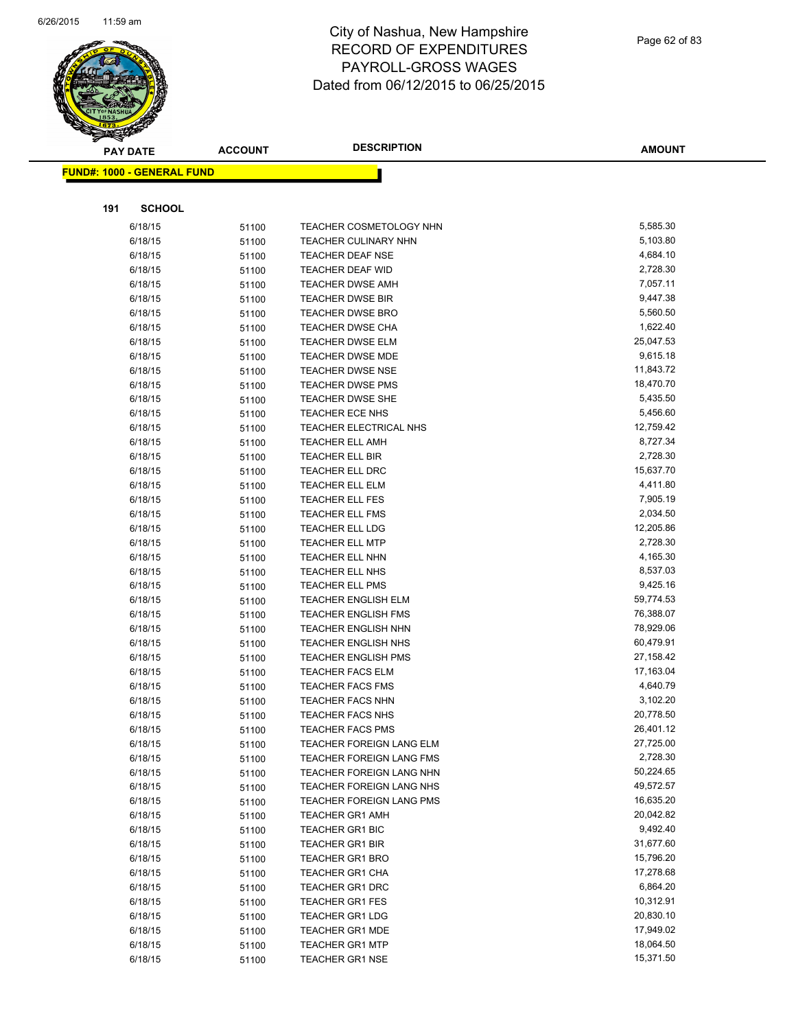

|     | <b>PAY DATE</b>                   | <b>ACCOUNT</b> | <b>DESCRIPTION</b>                                | <b>AMOUNT</b>          |
|-----|-----------------------------------|----------------|---------------------------------------------------|------------------------|
|     | <b>FUND#: 1000 - GENERAL FUND</b> |                |                                                   |                        |
|     |                                   |                |                                                   |                        |
| 191 | <b>SCHOOL</b>                     |                |                                                   |                        |
|     |                                   |                |                                                   |                        |
|     | 6/18/15                           | 51100          | <b>TEACHER COSMETOLOGY NHN</b>                    | 5,585.30               |
|     | 6/18/15                           | 51100          | <b>TEACHER CULINARY NHN</b>                       | 5,103.80               |
|     | 6/18/15                           | 51100          | <b>TEACHER DEAF NSE</b>                           | 4,684.10               |
|     | 6/18/15                           | 51100          | TEACHER DEAF WID                                  | 2,728.30               |
|     | 6/18/15                           | 51100          | <b>TEACHER DWSE AMH</b>                           | 7,057.11               |
|     | 6/18/15                           | 51100          | <b>TEACHER DWSE BIR</b>                           | 9,447.38               |
|     | 6/18/15                           | 51100          | <b>TEACHER DWSE BRO</b>                           | 5,560.50               |
|     | 6/18/15                           | 51100          | <b>TEACHER DWSE CHA</b>                           | 1,622.40               |
|     | 6/18/15                           | 51100          | <b>TEACHER DWSE ELM</b>                           | 25,047.53<br>9,615.18  |
|     | 6/18/15                           | 51100          | <b>TEACHER DWSE MDE</b>                           |                        |
|     | 6/18/15                           | 51100          | <b>TEACHER DWSE NSE</b>                           | 11,843.72<br>18,470.70 |
|     | 6/18/15                           | 51100          | <b>TEACHER DWSE PMS</b>                           | 5,435.50               |
|     | 6/18/15<br>6/18/15                | 51100          | <b>TEACHER DWSE SHE</b><br><b>TEACHER ECE NHS</b> | 5,456.60               |
|     |                                   | 51100          | TEACHER ELECTRICAL NHS                            | 12,759.42              |
|     | 6/18/15                           | 51100          | <b>TEACHER ELL AMH</b>                            | 8,727.34               |
|     | 6/18/15                           | 51100          | <b>TEACHER ELL BIR</b>                            | 2,728.30               |
|     | 6/18/15                           | 51100          |                                                   | 15,637.70              |
|     | 6/18/15<br>6/18/15                | 51100          | <b>TEACHER ELL DRC</b><br><b>TEACHER ELL ELM</b>  | 4,411.80               |
|     | 6/18/15                           | 51100          | <b>TEACHER ELL FES</b>                            | 7,905.19               |
|     | 6/18/15                           | 51100          | <b>TEACHER ELL FMS</b>                            | 2,034.50               |
|     | 6/18/15                           | 51100<br>51100 | <b>TEACHER ELL LDG</b>                            | 12,205.86              |
|     | 6/18/15                           | 51100          | <b>TEACHER ELL MTP</b>                            | 2,728.30               |
|     | 6/18/15                           | 51100          | <b>TEACHER ELL NHN</b>                            | 4,165.30               |
|     | 6/18/15                           | 51100          | <b>TEACHER ELL NHS</b>                            | 8,537.03               |
|     | 6/18/15                           | 51100          | <b>TEACHER ELL PMS</b>                            | 9,425.16               |
|     | 6/18/15                           | 51100          | <b>TEACHER ENGLISH ELM</b>                        | 59,774.53              |
|     | 6/18/15                           | 51100          | <b>TEACHER ENGLISH FMS</b>                        | 76,388.07              |
|     | 6/18/15                           | 51100          | <b>TEACHER ENGLISH NHN</b>                        | 78,929.06              |
|     | 6/18/15                           | 51100          | <b>TEACHER ENGLISH NHS</b>                        | 60,479.91              |
|     | 6/18/15                           | 51100          | <b>TEACHER ENGLISH PMS</b>                        | 27,158.42              |
|     | 6/18/15                           | 51100          | <b>TEACHER FACS ELM</b>                           | 17,163.04              |
|     | 6/18/15                           | 51100          | <b>TEACHER FACS FMS</b>                           | 4,640.79               |
|     | 6/18/15                           | 51100          | <b>TEACHER FACS NHN</b>                           | 3,102.20               |
|     | 6/18/15                           | 51100          | <b>TEACHER FACS NHS</b>                           | 20,778.50              |
|     | 6/18/15                           | 51100          | TEACHER FACS PMS                                  | 26,401.12              |
|     | 6/18/15                           | 51100          | TEACHER FOREIGN LANG ELM                          | 27,725.00              |
|     | 6/18/15                           | 51100          | TEACHER FOREIGN LANG FMS                          | 2,728.30               |
|     | 6/18/15                           | 51100          | TEACHER FOREIGN LANG NHN                          | 50,224.65              |
|     | 6/18/15                           | 51100          | TEACHER FOREIGN LANG NHS                          | 49,572.57              |
|     | 6/18/15                           | 51100          | <b>TEACHER FOREIGN LANG PMS</b>                   | 16,635.20              |
|     | 6/18/15                           | 51100          | <b>TEACHER GR1 AMH</b>                            | 20,042.82              |
|     | 6/18/15                           | 51100          | <b>TEACHER GR1 BIC</b>                            | 9,492.40               |
|     | 6/18/15                           | 51100          | <b>TEACHER GR1 BIR</b>                            | 31,677.60              |
|     | 6/18/15                           | 51100          | <b>TEACHER GR1 BRO</b>                            | 15,796.20              |
|     | 6/18/15                           | 51100          | <b>TEACHER GR1 CHA</b>                            | 17,278.68              |
|     | 6/18/15                           | 51100          | <b>TEACHER GR1 DRC</b>                            | 6,864.20               |
|     | 6/18/15                           | 51100          | <b>TEACHER GR1 FES</b>                            | 10,312.91              |
|     | 6/18/15                           | 51100          | <b>TEACHER GR1 LDG</b>                            | 20,830.10              |
|     | 6/18/15                           | 51100          | <b>TEACHER GR1 MDE</b>                            | 17,949.02              |
|     | 6/18/15                           | 51100          | <b>TEACHER GR1 MTP</b>                            | 18,064.50              |
|     | 6/18/15                           | 51100          | <b>TEACHER GR1 NSE</b>                            | 15,371.50              |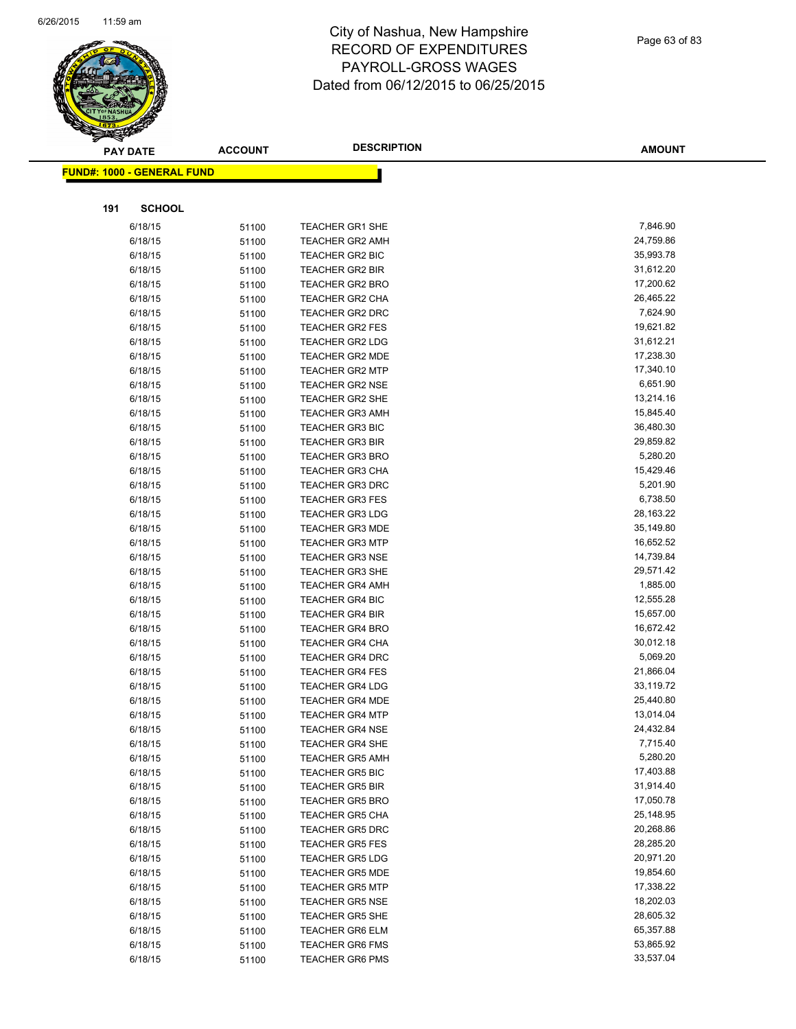

|     | <b>PAY DATE</b>                   | <b>ACCOUNT</b> | <b>DESCRIPTION</b>                               | <b>AMOUNT</b>          |
|-----|-----------------------------------|----------------|--------------------------------------------------|------------------------|
|     | <b>FUND#: 1000 - GENERAL FUND</b> |                |                                                  |                        |
|     |                                   |                |                                                  |                        |
|     |                                   |                |                                                  |                        |
| 191 | <b>SCHOOL</b>                     |                |                                                  |                        |
|     | 6/18/15                           | 51100          | <b>TEACHER GR1 SHE</b>                           | 7,846.90               |
|     | 6/18/15                           | 51100          | <b>TEACHER GR2 AMH</b>                           | 24,759.86              |
|     | 6/18/15                           | 51100          | <b>TEACHER GR2 BIC</b>                           | 35,993.78              |
|     | 6/18/15                           | 51100          | <b>TEACHER GR2 BIR</b>                           | 31,612.20              |
|     | 6/18/15                           | 51100          | <b>TEACHER GR2 BRO</b>                           | 17,200.62              |
|     | 6/18/15                           | 51100          | <b>TEACHER GR2 CHA</b>                           | 26,465.22              |
|     | 6/18/15                           | 51100          | <b>TEACHER GR2 DRC</b>                           | 7,624.90               |
|     | 6/18/15                           | 51100          | TEACHER GR2 FES                                  | 19,621.82              |
|     | 6/18/15                           | 51100          | TEACHER GR2 LDG                                  | 31,612.21              |
|     | 6/18/15                           | 51100          | <b>TEACHER GR2 MDE</b>                           | 17,238.30              |
|     | 6/18/15                           | 51100          | <b>TEACHER GR2 MTP</b>                           | 17,340.10              |
|     | 6/18/15                           | 51100          | <b>TEACHER GR2 NSE</b>                           | 6,651.90               |
|     | 6/18/15                           | 51100          | <b>TEACHER GR2 SHE</b>                           | 13,214.16              |
|     | 6/18/15                           | 51100          | <b>TEACHER GR3 AMH</b>                           | 15,845.40              |
|     | 6/18/15                           | 51100          | <b>TEACHER GR3 BIC</b>                           | 36,480.30              |
|     | 6/18/15                           | 51100          | <b>TEACHER GR3 BIR</b>                           | 29,859.82              |
|     | 6/18/15                           | 51100          | <b>TEACHER GR3 BRO</b>                           | 5,280.20               |
|     | 6/18/15                           | 51100          | <b>TEACHER GR3 CHA</b>                           | 15,429.46              |
|     | 6/18/15                           | 51100          | <b>TEACHER GR3 DRC</b>                           | 5,201.90               |
|     | 6/18/15                           | 51100          | <b>TEACHER GR3 FES</b>                           | 6,738.50               |
|     | 6/18/15                           | 51100          | <b>TEACHER GR3 LDG</b>                           | 28,163.22<br>35,149.80 |
|     | 6/18/15                           | 51100          | <b>TEACHER GR3 MDE</b>                           | 16,652.52              |
|     | 6/18/15                           | 51100          | <b>TEACHER GR3 MTP</b>                           | 14,739.84              |
|     | 6/18/15                           | 51100          | <b>TEACHER GR3 NSE</b>                           | 29,571.42              |
|     | 6/18/15<br>6/18/15                | 51100          | <b>TEACHER GR3 SHE</b><br><b>TEACHER GR4 AMH</b> | 1,885.00               |
|     | 6/18/15                           | 51100          | <b>TEACHER GR4 BIC</b>                           | 12,555.28              |
|     | 6/18/15                           | 51100<br>51100 | <b>TEACHER GR4 BIR</b>                           | 15,657.00              |
|     | 6/18/15                           | 51100          | <b>TEACHER GR4 BRO</b>                           | 16,672.42              |
|     | 6/18/15                           | 51100          | <b>TEACHER GR4 CHA</b>                           | 30,012.18              |
|     | 6/18/15                           | 51100          | <b>TEACHER GR4 DRC</b>                           | 5,069.20               |
|     | 6/18/15                           | 51100          | <b>TEACHER GR4 FES</b>                           | 21,866.04              |
|     | 6/18/15                           | 51100          | <b>TEACHER GR4 LDG</b>                           | 33,119.72              |
|     | 6/18/15                           | 51100          | <b>TEACHER GR4 MDE</b>                           | 25,440.80              |
|     | 6/18/15                           | 51100          | <b>TEACHER GR4 MTP</b>                           | 13,014.04              |
|     | 6/18/15                           | 51100          | <b>TEACHER GR4 NSE</b>                           | 24,432.84              |
|     | 6/18/15                           | 51100          | <b>TEACHER GR4 SHE</b>                           | 7,715.40               |
|     | 6/18/15                           | 51100          | <b>TEACHER GR5 AMH</b>                           | 5,280.20               |
|     | 6/18/15                           | 51100          | <b>TEACHER GR5 BIC</b>                           | 17,403.88              |
|     | 6/18/15                           | 51100          | <b>TEACHER GR5 BIR</b>                           | 31,914.40              |
|     | 6/18/15                           | 51100          | <b>TEACHER GR5 BRO</b>                           | 17,050.78              |
|     | 6/18/15                           | 51100          | <b>TEACHER GR5 CHA</b>                           | 25,148.95              |
|     | 6/18/15                           | 51100          | <b>TEACHER GR5 DRC</b>                           | 20,268.86              |
|     | 6/18/15                           | 51100          | <b>TEACHER GR5 FES</b>                           | 28,285.20              |
|     | 6/18/15                           | 51100          | <b>TEACHER GR5 LDG</b>                           | 20,971.20              |
|     | 6/18/15                           | 51100          | <b>TEACHER GR5 MDE</b>                           | 19,854.60              |
|     | 6/18/15                           | 51100          | <b>TEACHER GR5 MTP</b>                           | 17,338.22              |
|     | 6/18/15                           | 51100          | <b>TEACHER GR5 NSE</b>                           | 18,202.03              |
|     | 6/18/15                           | 51100          | TEACHER GR5 SHE                                  | 28,605.32              |
|     | 6/18/15                           | 51100          | <b>TEACHER GR6 ELM</b>                           | 65,357.88              |
|     | 6/18/15                           | 51100          | <b>TEACHER GR6 FMS</b>                           | 53,865.92              |
|     | 6/18/15                           | 51100          | <b>TEACHER GR6 PMS</b>                           | 33,537.04              |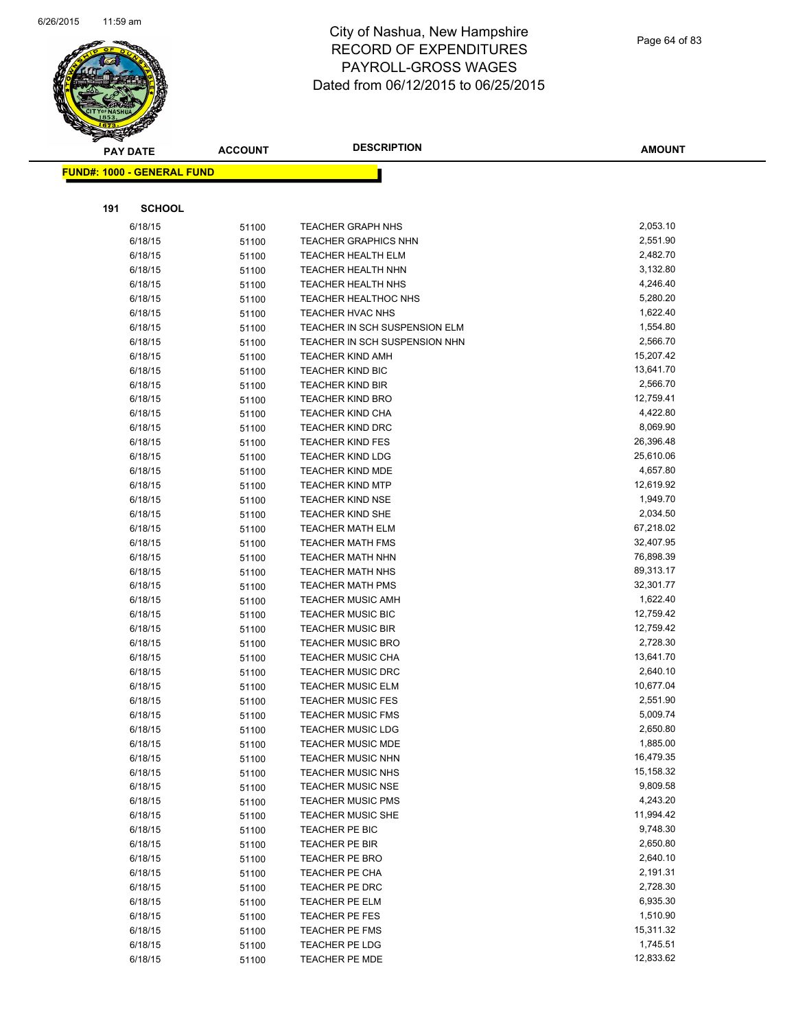

|     | <b>PAY DATE</b>                    | <b>ACCOUNT</b> | <b>DESCRIPTION</b>                                   | AMOUNT                |
|-----|------------------------------------|----------------|------------------------------------------------------|-----------------------|
|     | <u> FUND#: 1000 - GENERAL FUND</u> |                |                                                      |                       |
|     |                                    |                |                                                      |                       |
|     |                                    |                |                                                      |                       |
| 191 | <b>SCHOOL</b>                      |                |                                                      |                       |
|     | 6/18/15                            | 51100          | <b>TEACHER GRAPH NHS</b>                             | 2,053.10              |
|     | 6/18/15                            | 51100          | <b>TEACHER GRAPHICS NHN</b>                          | 2,551.90              |
|     | 6/18/15                            | 51100          | <b>TEACHER HEALTH ELM</b>                            | 2,482.70              |
|     | 6/18/15                            | 51100          | TEACHER HEALTH NHN                                   | 3,132.80              |
|     | 6/18/15                            | 51100          | <b>TEACHER HEALTH NHS</b>                            | 4,246.40              |
|     | 6/18/15                            | 51100          | <b>TEACHER HEALTHOC NHS</b>                          | 5,280.20              |
|     | 6/18/15                            | 51100          | TEACHER HVAC NHS                                     | 1,622.40              |
|     | 6/18/15                            | 51100          | TEACHER IN SCH SUSPENSION ELM                        | 1,554.80              |
|     | 6/18/15                            | 51100          | TEACHER IN SCH SUSPENSION NHN                        | 2,566.70              |
|     | 6/18/15                            | 51100          | <b>TEACHER KIND AMH</b>                              | 15,207.42             |
|     | 6/18/15                            | 51100          | <b>TEACHER KIND BIC</b>                              | 13,641.70             |
|     | 6/18/15                            | 51100          | <b>TEACHER KIND BIR</b>                              | 2,566.70              |
|     | 6/18/15                            | 51100          | <b>TEACHER KIND BRO</b>                              | 12,759.41             |
|     | 6/18/15                            | 51100          | <b>TEACHER KIND CHA</b>                              | 4,422.80              |
|     | 6/18/15                            | 51100          | <b>TEACHER KIND DRC</b>                              | 8,069.90              |
|     | 6/18/15                            | 51100          | <b>TEACHER KIND FES</b>                              | 26,396.48             |
|     | 6/18/15                            | 51100          | <b>TEACHER KIND LDG</b>                              | 25,610.06             |
|     | 6/18/15                            | 51100          | <b>TEACHER KIND MDE</b>                              | 4,657.80              |
|     | 6/18/15                            | 51100          | <b>TEACHER KIND MTP</b>                              | 12,619.92             |
|     | 6/18/15                            | 51100          | <b>TEACHER KIND NSE</b>                              | 1,949.70              |
|     | 6/18/15                            | 51100          | <b>TEACHER KIND SHE</b>                              | 2,034.50              |
|     | 6/18/15                            | 51100          | <b>TEACHER MATH ELM</b>                              | 67,218.02             |
|     | 6/18/15                            | 51100          | <b>TEACHER MATH FMS</b>                              | 32,407.95             |
|     | 6/18/15                            | 51100          | <b>TEACHER MATH NHN</b>                              | 76,898.39             |
|     | 6/18/15                            | 51100          | <b>TEACHER MATH NHS</b>                              | 89,313.17             |
|     | 6/18/15                            | 51100          | <b>TEACHER MATH PMS</b>                              | 32,301.77             |
|     | 6/18/15<br>6/18/15                 | 51100          | <b>TEACHER MUSIC AMH</b><br><b>TEACHER MUSIC BIC</b> | 1,622.40<br>12,759.42 |
|     | 6/18/15                            | 51100<br>51100 | <b>TEACHER MUSIC BIR</b>                             | 12,759.42             |
|     | 6/18/15                            | 51100          | <b>TEACHER MUSIC BRO</b>                             | 2,728.30              |
|     | 6/18/15                            | 51100          | TEACHER MUSIC CHA                                    | 13,641.70             |
|     | 6/18/15                            | 51100          | <b>TEACHER MUSIC DRC</b>                             | 2,640.10              |
|     | 6/18/15                            | 51100          | <b>TEACHER MUSIC ELM</b>                             | 10,677.04             |
|     | 6/18/15                            | 51100          | <b>TEACHER MUSIC FES</b>                             | 2,551.90              |
|     | 6/18/15                            | 51100          | <b>TEACHER MUSIC FMS</b>                             | 5,009.74              |
|     | 6/18/15                            | 51100          | TEACHER MUSIC LDG                                    | 2,650.80              |
|     | 6/18/15                            | 51100          | <b>TEACHER MUSIC MDE</b>                             | 1,885.00              |
|     | 6/18/15                            | 51100          | TEACHER MUSIC NHN                                    | 16,479.35             |
|     | 6/18/15                            | 51100          | <b>TEACHER MUSIC NHS</b>                             | 15,158.32             |
|     | 6/18/15                            | 51100          | <b>TEACHER MUSIC NSE</b>                             | 9,809.58              |
|     | 6/18/15                            | 51100          | <b>TEACHER MUSIC PMS</b>                             | 4,243.20              |
|     | 6/18/15                            | 51100          | <b>TEACHER MUSIC SHE</b>                             | 11,994.42             |
|     | 6/18/15                            | 51100          | TEACHER PE BIC                                       | 9,748.30              |
|     | 6/18/15                            | 51100          | TEACHER PE BIR                                       | 2,650.80              |
|     | 6/18/15                            | 51100          | <b>TEACHER PE BRO</b>                                | 2,640.10              |
|     | 6/18/15                            | 51100          | <b>TEACHER PE CHA</b>                                | 2,191.31              |
|     | 6/18/15                            | 51100          | TEACHER PE DRC                                       | 2,728.30              |
|     | 6/18/15                            | 51100          | TEACHER PE ELM                                       | 6,935.30              |
|     | 6/18/15                            | 51100          | TEACHER PE FES                                       | 1,510.90              |
|     | 6/18/15                            | 51100          | <b>TEACHER PE FMS</b>                                | 15,311.32             |
|     | 6/18/15                            | 51100          | TEACHER PE LDG                                       | 1,745.51              |
|     | 6/18/15                            | 51100          | TEACHER PE MDE                                       | 12,833.62             |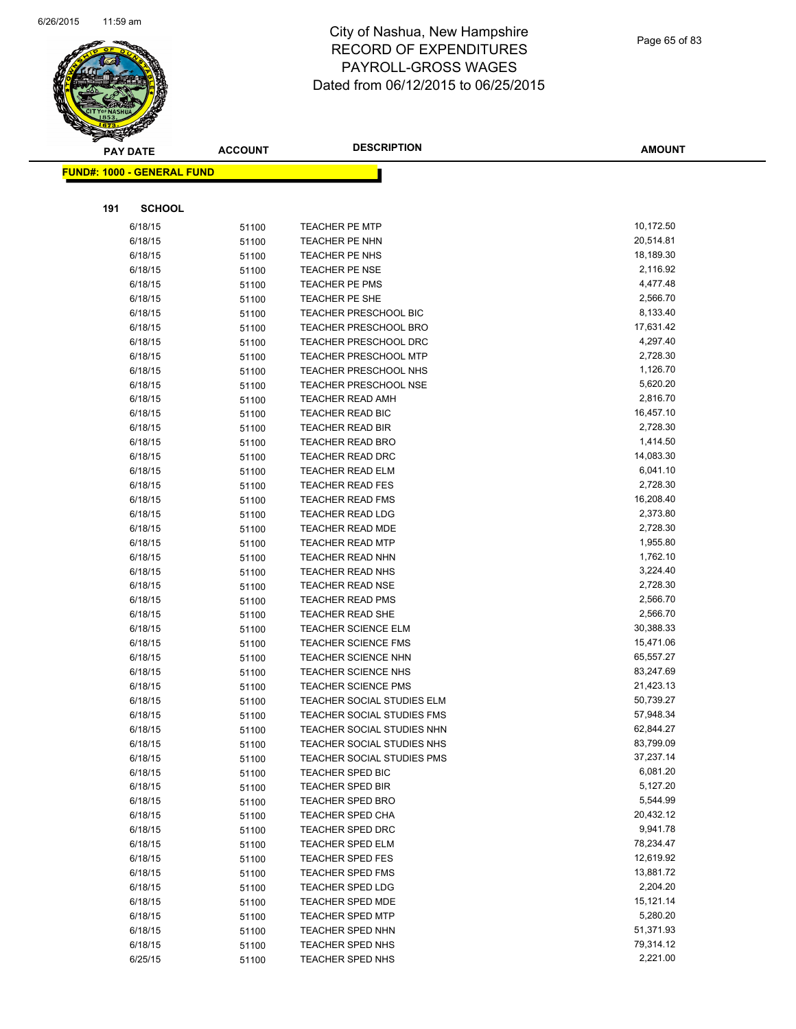

| <b>PAY DATE</b>                   | <b>ACCOUNT</b> | <b>DESCRIPTION</b>                   | <b>AMOUNT</b>        |
|-----------------------------------|----------------|--------------------------------------|----------------------|
| <b>FUND#: 1000 - GENERAL FUND</b> |                |                                      |                      |
|                                   |                |                                      |                      |
|                                   |                |                                      |                      |
| 191<br><b>SCHOOL</b>              |                |                                      |                      |
| 6/18/15                           | 51100          | TEACHER PE MTP                       | 10,172.50            |
| 6/18/15                           | 51100          | TEACHER PE NHN                       | 20,514.81            |
| 6/18/15                           | 51100          | TEACHER PE NHS                       | 18,189.30            |
| 6/18/15                           | 51100          | <b>TEACHER PE NSE</b>                | 2,116.92             |
| 6/18/15                           | 51100          | <b>TEACHER PE PMS</b>                | 4,477.48             |
| 6/18/15                           | 51100          | TEACHER PE SHE                       | 2,566.70             |
| 6/18/15                           | 51100          | TEACHER PRESCHOOL BIC                | 8,133.40             |
| 6/18/15                           | 51100          | <b>TEACHER PRESCHOOL BRO</b>         | 17,631.42            |
| 6/18/15                           | 51100          | TEACHER PRESCHOOL DRC                | 4,297.40             |
| 6/18/15                           | 51100          | TEACHER PRESCHOOL MTP                | 2,728.30             |
| 6/18/15                           | 51100          | TEACHER PRESCHOOL NHS                | 1,126.70             |
| 6/18/15                           | 51100          | <b>TEACHER PRESCHOOL NSE</b>         | 5,620.20             |
| 6/18/15                           | 51100          | TEACHER READ AMH                     | 2,816.70             |
| 6/18/15                           | 51100          | TEACHER READ BIC                     | 16,457.10            |
| 6/18/15                           | 51100          | <b>TEACHER READ BIR</b>              | 2,728.30             |
| 6/18/15                           | 51100          | TEACHER READ BRO                     | 1,414.50             |
| 6/18/15                           | 51100          | <b>TEACHER READ DRC</b>              | 14,083.30            |
| 6/18/15                           | 51100          | TEACHER READ ELM                     | 6,041.10             |
| 6/18/15                           | 51100          | TEACHER READ FES                     | 2,728.30             |
| 6/18/15                           | 51100          | TEACHER READ FMS                     | 16,208.40            |
| 6/18/15                           | 51100          | <b>TEACHER READ LDG</b>              | 2,373.80             |
| 6/18/15                           | 51100          | TEACHER READ MDE                     | 2,728.30             |
| 6/18/15                           | 51100          | <b>TEACHER READ MTP</b>              | 1,955.80             |
| 6/18/15                           | 51100          | TEACHER READ NHN                     | 1,762.10             |
| 6/18/15                           | 51100          | TEACHER READ NHS                     | 3,224.40             |
| 6/18/15                           | 51100          | TEACHER READ NSE                     | 2,728.30<br>2,566.70 |
| 6/18/15<br>6/18/15                | 51100          | TEACHER READ PMS<br>TEACHER READ SHE | 2,566.70             |
| 6/18/15                           | 51100<br>51100 | <b>TEACHER SCIENCE ELM</b>           | 30,388.33            |
| 6/18/15                           | 51100          | <b>TEACHER SCIENCE FMS</b>           | 15,471.06            |
| 6/18/15                           | 51100          | <b>TEACHER SCIENCE NHN</b>           | 65,557.27            |
| 6/18/15                           | 51100          | <b>TEACHER SCIENCE NHS</b>           | 83,247.69            |
| 6/18/15                           | 51100          | <b>TEACHER SCIENCE PMS</b>           | 21,423.13            |
| 6/18/15                           | 51100          | TEACHER SOCIAL STUDIES ELM           | 50,739.27            |
| 6/18/15                           | 51100          | <b>TEACHER SOCIAL STUDIES FMS</b>    | 57,948.34            |
| 6/18/15                           | 51100          | TEACHER SOCIAL STUDIES NHN           | 62,844.27            |
| 6/18/15                           | 51100          | TEACHER SOCIAL STUDIES NHS           | 83,799.09            |
| 6/18/15                           | 51100          | TEACHER SOCIAL STUDIES PMS           | 37,237.14            |
| 6/18/15                           | 51100          | TEACHER SPED BIC                     | 6,081.20             |
| 6/18/15                           | 51100          | <b>TEACHER SPED BIR</b>              | 5,127.20             |
| 6/18/15                           | 51100          | <b>TEACHER SPED BRO</b>              | 5,544.99             |
| 6/18/15                           | 51100          | <b>TEACHER SPED CHA</b>              | 20,432.12            |
| 6/18/15                           | 51100          | <b>TEACHER SPED DRC</b>              | 9,941.78             |
| 6/18/15                           | 51100          | <b>TEACHER SPED ELM</b>              | 78,234.47            |
| 6/18/15                           | 51100          | <b>TEACHER SPED FES</b>              | 12,619.92            |
| 6/18/15                           | 51100          | <b>TEACHER SPED FMS</b>              | 13,881.72            |
| 6/18/15                           | 51100          | <b>TEACHER SPED LDG</b>              | 2,204.20             |
| 6/18/15                           | 51100          | TEACHER SPED MDE                     | 15,121.14            |
| 6/18/15                           | 51100          | <b>TEACHER SPED MTP</b>              | 5,280.20             |
| 6/18/15                           | 51100          | TEACHER SPED NHN                     | 51,371.93            |
| 6/18/15                           | 51100          | TEACHER SPED NHS                     | 79,314.12            |
| 6/25/15                           | 51100          | TEACHER SPED NHS                     | 2,221.00             |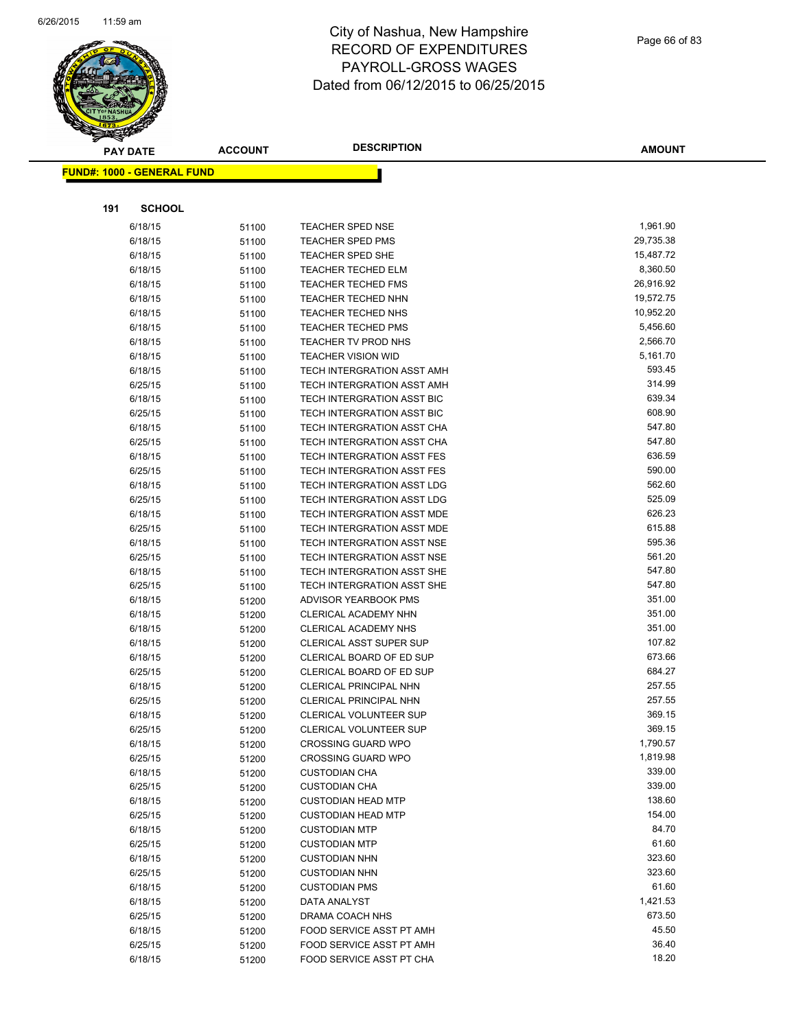

|     | <b>PAY DATE</b>                   | <b>ACCOUNT</b> | <b>DESCRIPTION</b>                | <b>AMOUNT</b>    |
|-----|-----------------------------------|----------------|-----------------------------------|------------------|
|     | <b>FUND#: 1000 - GENERAL FUND</b> |                |                                   |                  |
|     |                                   |                |                                   |                  |
|     |                                   |                |                                   |                  |
| 191 | <b>SCHOOL</b>                     |                |                                   |                  |
|     | 6/18/15                           | 51100          | <b>TEACHER SPED NSE</b>           | 1,961.90         |
|     | 6/18/15                           | 51100          | <b>TEACHER SPED PMS</b>           | 29,735.38        |
|     | 6/18/15                           | 51100          | <b>TEACHER SPED SHE</b>           | 15,487.72        |
|     | 6/18/15                           | 51100          | <b>TEACHER TECHED ELM</b>         | 8,360.50         |
|     | 6/18/15                           | 51100          | <b>TEACHER TECHED FMS</b>         | 26,916.92        |
|     | 6/18/15                           | 51100          | <b>TEACHER TECHED NHN</b>         | 19,572.75        |
|     | 6/18/15                           | 51100          | TEACHER TECHED NHS                | 10,952.20        |
|     | 6/18/15                           | 51100          | <b>TEACHER TECHED PMS</b>         | 5,456.60         |
|     | 6/18/15                           | 51100          | TEACHER TV PROD NHS               | 2,566.70         |
|     | 6/18/15                           | 51100          | TEACHER VISION WID                | 5,161.70         |
|     | 6/18/15                           | 51100          | TECH INTERGRATION ASST AMH        | 593.45           |
|     | 6/25/15                           | 51100          | TECH INTERGRATION ASST AMH        | 314.99           |
|     | 6/18/15                           | 51100          | TECH INTERGRATION ASST BIC        | 639.34           |
|     | 6/25/15                           | 51100          | TECH INTERGRATION ASST BIC        | 608.90           |
|     | 6/18/15                           | 51100          | <b>TECH INTERGRATION ASST CHA</b> | 547.80           |
|     | 6/25/15                           | 51100          | TECH INTERGRATION ASST CHA        | 547.80           |
|     | 6/18/15                           | 51100          | TECH INTERGRATION ASST FES        | 636.59           |
|     | 6/25/15                           | 51100          | TECH INTERGRATION ASST FES        | 590.00           |
|     | 6/18/15                           | 51100          | TECH INTERGRATION ASST LDG        | 562.60           |
|     | 6/25/15                           | 51100          | TECH INTERGRATION ASST LDG        | 525.09           |
|     | 6/18/15                           | 51100          | TECH INTERGRATION ASST MDE        | 626.23           |
|     | 6/25/15                           | 51100          | TECH INTERGRATION ASST MDE        | 615.88           |
|     | 6/18/15                           | 51100          | TECH INTERGRATION ASST NSE        | 595.36           |
|     | 6/25/15                           | 51100          | TECH INTERGRATION ASST NSE        | 561.20           |
|     | 6/18/15                           | 51100          | TECH INTERGRATION ASST SHE        | 547.80           |
|     | 6/25/15                           | 51100          | TECH INTERGRATION ASST SHE        | 547.80           |
|     | 6/18/15                           | 51200          | ADVISOR YEARBOOK PMS              | 351.00           |
|     | 6/18/15                           | 51200          | CLERICAL ACADEMY NHN              | 351.00           |
|     | 6/18/15                           | 51200          | <b>CLERICAL ACADEMY NHS</b>       | 351.00           |
|     | 6/18/15                           | 51200          | <b>CLERICAL ASST SUPER SUP</b>    | 107.82           |
|     | 6/18/15                           | 51200          | CLERICAL BOARD OF ED SUP          | 673.66           |
|     | 6/25/15                           | 51200          | CLERICAL BOARD OF ED SUP          | 684.27           |
|     | 6/18/15                           | 51200          | <b>CLERICAL PRINCIPAL NHN</b>     | 257.55           |
|     | 6/25/15                           | 51200          | CLERICAL PRINCIPAL NHN            | 257.55           |
|     | 6/18/15                           | 51200          | CLERICAL VOLUNTEER SUP            | 369.15           |
|     | 6/25/15                           | 51200          | CLERICAL VOLUNTEER SUP            | 369.15           |
|     | 6/18/15                           | 51200          | <b>CROSSING GUARD WPO</b>         | 1,790.57         |
|     | 6/25/15                           | 51200          | <b>CROSSING GUARD WPO</b>         | 1,819.98         |
|     | 6/18/15                           | 51200          | <b>CUSTODIAN CHA</b>              | 339.00           |
|     | 6/25/15                           | 51200          | <b>CUSTODIAN CHA</b>              | 339.00           |
|     | 6/18/15                           | 51200          | <b>CUSTODIAN HEAD MTP</b>         | 138.60           |
|     | 6/25/15                           | 51200          | <b>CUSTODIAN HEAD MTP</b>         | 154.00           |
|     | 6/18/15                           | 51200          | <b>CUSTODIAN MTP</b>              | 84.70            |
|     | 6/25/15                           | 51200          | <b>CUSTODIAN MTP</b>              | 61.60            |
|     | 6/18/15                           | 51200          | <b>CUSTODIAN NHN</b>              | 323.60<br>323.60 |
|     | 6/25/15                           | 51200          | <b>CUSTODIAN NHN</b>              |                  |
|     | 6/18/15                           | 51200          | <b>CUSTODIAN PMS</b>              | 61.60            |
|     | 6/18/15                           | 51200          | DATA ANALYST                      | 1,421.53         |
|     | 6/25/15                           | 51200          | DRAMA COACH NHS                   | 673.50<br>45.50  |
|     | 6/18/15                           | 51200          | FOOD SERVICE ASST PT AMH          |                  |
|     | 6/25/15                           | 51200          | FOOD SERVICE ASST PT AMH          | 36.40<br>18.20   |
|     | 6/18/15                           | 51200          | FOOD SERVICE ASST PT CHA          |                  |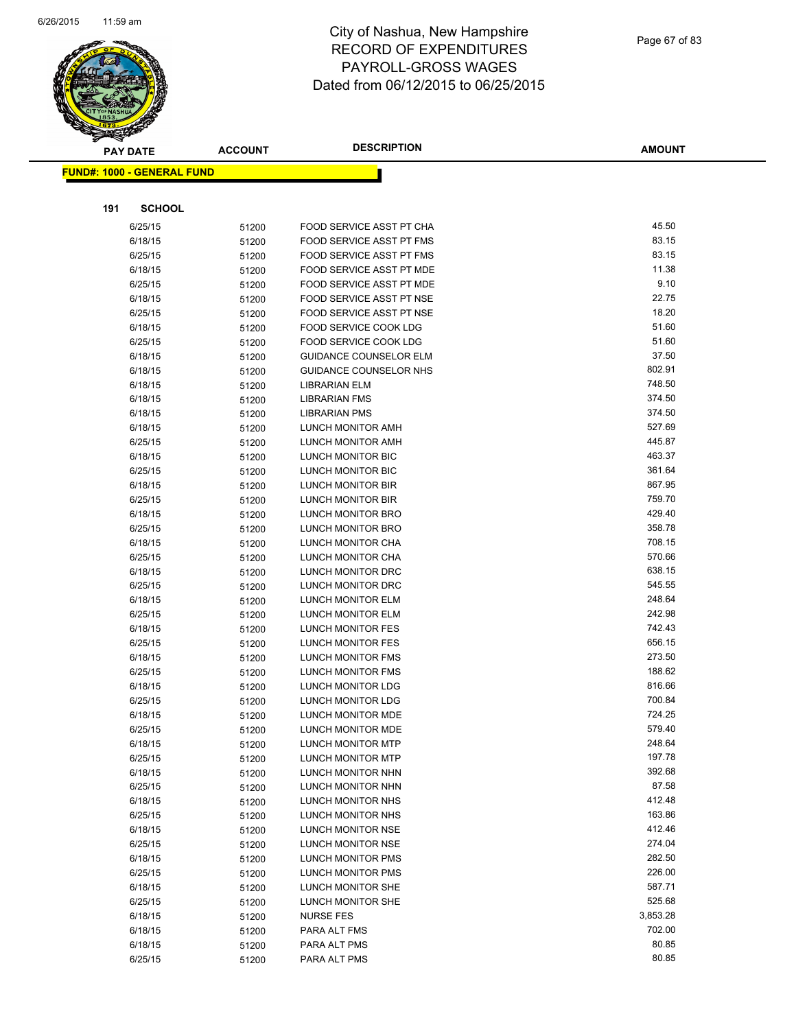

|     | <b>PAY DATE</b>                   | <b>ACCOUNT</b> | <b>DESCRIPTION</b>                     | <b>AMOUNT</b>    |
|-----|-----------------------------------|----------------|----------------------------------------|------------------|
|     | <b>FUND#: 1000 - GENERAL FUND</b> |                |                                        |                  |
|     |                                   |                |                                        |                  |
|     |                                   |                |                                        |                  |
| 191 | <b>SCHOOL</b>                     |                |                                        |                  |
|     | 6/25/15                           | 51200          | FOOD SERVICE ASST PT CHA               | 45.50            |
|     | 6/18/15                           | 51200          | FOOD SERVICE ASST PT FMS               | 83.15            |
|     | 6/25/15                           | 51200          | FOOD SERVICE ASST PT FMS               | 83.15            |
|     | 6/18/15                           | 51200          | FOOD SERVICE ASST PT MDE               | 11.38            |
|     | 6/25/15                           | 51200          | FOOD SERVICE ASST PT MDE               | 9.10             |
|     | 6/18/15                           | 51200          | FOOD SERVICE ASST PT NSE               | 22.75            |
|     | 6/25/15                           | 51200          | FOOD SERVICE ASST PT NSE               | 18.20            |
|     | 6/18/15                           | 51200          | FOOD SERVICE COOK LDG                  | 51.60            |
|     | 6/25/15                           | 51200          | FOOD SERVICE COOK LDG                  | 51.60            |
|     | 6/18/15                           | 51200          | <b>GUIDANCE COUNSELOR ELM</b>          | 37.50            |
|     | 6/18/15                           | 51200          | <b>GUIDANCE COUNSELOR NHS</b>          | 802.91           |
|     | 6/18/15                           | 51200          | LIBRARIAN ELM                          | 748.50           |
|     | 6/18/15                           | 51200          | <b>LIBRARIAN FMS</b>                   | 374.50           |
|     | 6/18/15                           | 51200          | <b>LIBRARIAN PMS</b>                   | 374.50           |
|     | 6/18/15                           | 51200          | LUNCH MONITOR AMH                      | 527.69           |
|     | 6/25/15                           | 51200          | <b>LUNCH MONITOR AMH</b>               | 445.87           |
|     | 6/18/15                           | 51200          | LUNCH MONITOR BIC                      | 463.37           |
|     | 6/25/15                           | 51200          | LUNCH MONITOR BIC                      | 361.64           |
|     | 6/18/15                           | 51200          | LUNCH MONITOR BIR                      | 867.95           |
|     | 6/25/15                           | 51200          | LUNCH MONITOR BIR                      | 759.70           |
|     | 6/18/15                           | 51200          | LUNCH MONITOR BRO                      | 429.40<br>358.78 |
|     | 6/25/15                           | 51200          | <b>LUNCH MONITOR BRO</b>               | 708.15           |
|     | 6/18/15                           | 51200          | LUNCH MONITOR CHA                      | 570.66           |
|     | 6/25/15                           | 51200          | LUNCH MONITOR CHA<br>LUNCH MONITOR DRC | 638.15           |
|     | 6/18/15<br>6/25/15                | 51200          | LUNCH MONITOR DRC                      | 545.55           |
|     | 6/18/15                           | 51200          | LUNCH MONITOR ELM                      | 248.64           |
|     | 6/25/15                           | 51200<br>51200 | LUNCH MONITOR ELM                      | 242.98           |
|     | 6/18/15                           | 51200          | LUNCH MONITOR FES                      | 742.43           |
|     | 6/25/15                           | 51200          | LUNCH MONITOR FES                      | 656.15           |
|     | 6/18/15                           | 51200          | LUNCH MONITOR FMS                      | 273.50           |
|     | 6/25/15                           | 51200          | LUNCH MONITOR FMS                      | 188.62           |
|     | 6/18/15                           | 51200          | <b>LUNCH MONITOR LDG</b>               | 816.66           |
|     | 6/25/15                           | 51200          | LUNCH MONITOR LDG                      | 700.84           |
|     | 6/18/15                           | 51200          | LUNCH MONITOR MDE                      | 724.25           |
|     | 6/25/15                           | 51200          | LUNCH MONITOR MDE                      | 579.40           |
|     | 6/18/15                           | 51200          | LUNCH MONITOR MTP                      | 248.64           |
|     | 6/25/15                           | 51200          | LUNCH MONITOR MTP                      | 197.78           |
|     | 6/18/15                           | 51200          | LUNCH MONITOR NHN                      | 392.68           |
|     | 6/25/15                           | 51200          | LUNCH MONITOR NHN                      | 87.58            |
|     | 6/18/15                           | 51200          | LUNCH MONITOR NHS                      | 412.48           |
|     | 6/25/15                           | 51200          | LUNCH MONITOR NHS                      | 163.86           |
|     | 6/18/15                           | 51200          | LUNCH MONITOR NSE                      | 412.46           |
|     | 6/25/15                           | 51200          | <b>LUNCH MONITOR NSE</b>               | 274.04           |
|     | 6/18/15                           | 51200          | LUNCH MONITOR PMS                      | 282.50           |
|     | 6/25/15                           | 51200          | LUNCH MONITOR PMS                      | 226.00           |
|     | 6/18/15                           | 51200          | LUNCH MONITOR SHE                      | 587.71           |
|     | 6/25/15                           | 51200          | LUNCH MONITOR SHE                      | 525.68           |
|     | 6/18/15                           | 51200          | <b>NURSE FES</b>                       | 3,853.28         |
|     | 6/18/15                           | 51200          | PARA ALT FMS                           | 702.00           |
|     | 6/18/15                           | 51200          | PARA ALT PMS                           | 80.85            |
|     | 6/25/15                           | 51200          | PARA ALT PMS                           | 80.85            |
|     |                                   |                |                                        |                  |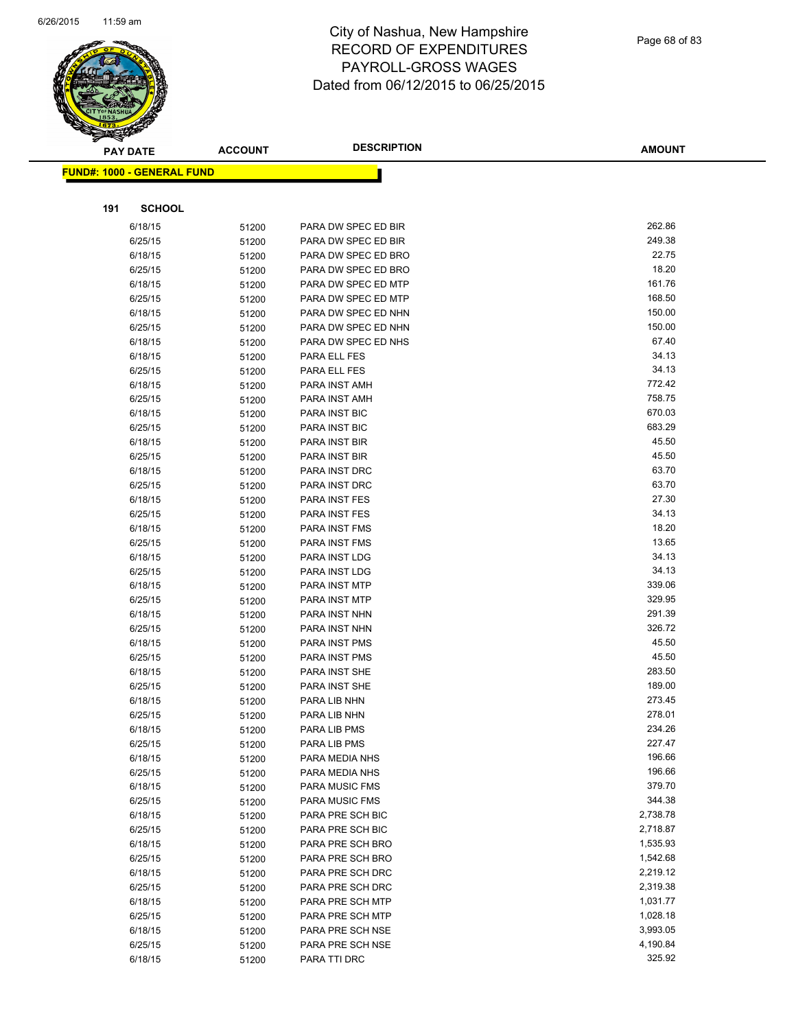

| ॼ   | <b>PAY DATE</b>                   | <b>ACCOUNT</b> | <b>DESCRIPTION</b>                      | <b>AMOUNT</b>    |
|-----|-----------------------------------|----------------|-----------------------------------------|------------------|
|     | <b>FUND#: 1000 - GENERAL FUND</b> |                |                                         |                  |
|     |                                   |                |                                         |                  |
| 191 | <b>SCHOOL</b>                     |                |                                         |                  |
|     | 6/18/15                           | 51200          | PARA DW SPEC ED BIR                     | 262.86           |
|     | 6/25/15                           | 51200          | PARA DW SPEC ED BIR                     | 249.38           |
|     | 6/18/15                           | 51200          | PARA DW SPEC ED BRO                     | 22.75            |
|     | 6/25/15                           | 51200          | PARA DW SPEC ED BRO                     | 18.20            |
|     | 6/18/15                           | 51200          | PARA DW SPEC ED MTP                     | 161.76           |
|     | 6/25/15                           | 51200          | PARA DW SPEC ED MTP                     | 168.50           |
|     | 6/18/15                           | 51200          | PARA DW SPEC ED NHN                     | 150.00           |
|     | 6/25/15                           | 51200          | PARA DW SPEC ED NHN                     | 150.00           |
|     | 6/18/15                           | 51200          | PARA DW SPEC ED NHS                     | 67.40            |
|     | 6/18/15                           | 51200          | PARA ELL FES                            | 34.13            |
|     | 6/25/15                           | 51200          | PARA ELL FES                            | 34.13            |
|     | 6/18/15                           | 51200          | PARA INST AMH                           | 772.42           |
|     | 6/25/15                           | 51200          | PARA INST AMH                           | 758.75           |
|     | 6/18/15                           | 51200          | PARA INST BIC                           | 670.03           |
|     | 6/25/15                           | 51200          | <b>PARA INST BIC</b>                    | 683.29           |
|     | 6/18/15                           | 51200          | PARA INST BIR                           | 45.50            |
|     | 6/25/15                           | 51200          | PARA INST BIR                           | 45.50            |
|     | 6/18/15                           | 51200          | PARA INST DRC                           | 63.70            |
|     | 6/25/15                           | 51200          | PARA INST DRC                           | 63.70            |
|     | 6/18/15                           | 51200          | PARA INST FES                           | 27.30            |
|     | 6/25/15                           | 51200          | PARA INST FES                           | 34.13            |
|     | 6/18/15                           | 51200          | PARA INST FMS                           | 18.20            |
|     | 6/25/15                           | 51200          | PARA INST FMS                           | 13.65            |
|     | 6/18/15                           | 51200          | PARA INST LDG                           | 34.13            |
|     | 6/25/15                           | 51200          | PARA INST LDG                           | 34.13            |
|     | 6/18/15                           | 51200          | PARA INST MTP                           | 339.06           |
|     | 6/25/15                           | 51200          | PARA INST MTP                           | 329.95           |
|     | 6/18/15                           | 51200          | PARA INST NHN                           | 291.39           |
|     | 6/25/15                           | 51200          | PARA INST NHN                           | 326.72           |
|     | 6/18/15                           | 51200          | PARA INST PMS                           | 45.50            |
|     | 6/25/15                           | 51200          | PARA INST PMS                           | 45.50            |
|     | 6/18/15                           | 51200          | PARA INST SHE                           | 283.50           |
|     | 6/25/15                           | 51200          | PARA INST SHE                           | 189.00           |
|     | 6/18/15                           | 51200          | PARA LIB NHN                            | 273.45           |
|     | 6/25/15                           | 51200          | PARA LIB NHN                            | 278.01           |
|     | 6/18/15                           | 51200          | PARA LIB PMS                            | 234.26<br>227.47 |
|     | 6/25/15                           | 51200          | PARA LIB PMS                            |                  |
|     | 6/18/15                           | 51200          | PARA MEDIA NHS                          | 196.66           |
|     | 6/25/15                           | 51200          | PARA MEDIA NHS<br><b>PARA MUSIC FMS</b> | 196.66<br>379.70 |
|     | 6/18/15                           | 51200          |                                         | 344.38           |
|     | 6/25/15                           | 51200          | PARA MUSIC FMS                          | 2,738.78         |
|     | 6/18/15<br>6/25/15                | 51200          | PARA PRE SCH BIC<br>PARA PRE SCH BIC    | 2,718.87         |
|     | 6/18/15                           | 51200          | PARA PRE SCH BRO                        | 1,535.93         |
|     | 6/25/15                           | 51200          | PARA PRE SCH BRO                        | 1,542.68         |
|     | 6/18/15                           | 51200          | PARA PRE SCH DRC                        | 2,219.12         |
|     | 6/25/15                           | 51200<br>51200 | PARA PRE SCH DRC                        | 2,319.38         |
|     | 6/18/15                           | 51200          | PARA PRE SCH MTP                        | 1,031.77         |
|     | 6/25/15                           | 51200          | PARA PRE SCH MTP                        | 1,028.18         |
|     | 6/18/15                           | 51200          | PARA PRE SCH NSE                        | 3,993.05         |
|     | 6/25/15                           | 51200          | PARA PRE SCH NSE                        | 4,190.84         |
|     | 6/18/15                           | 51200          | PARA TTI DRC                            | 325.92           |
|     |                                   |                |                                         |                  |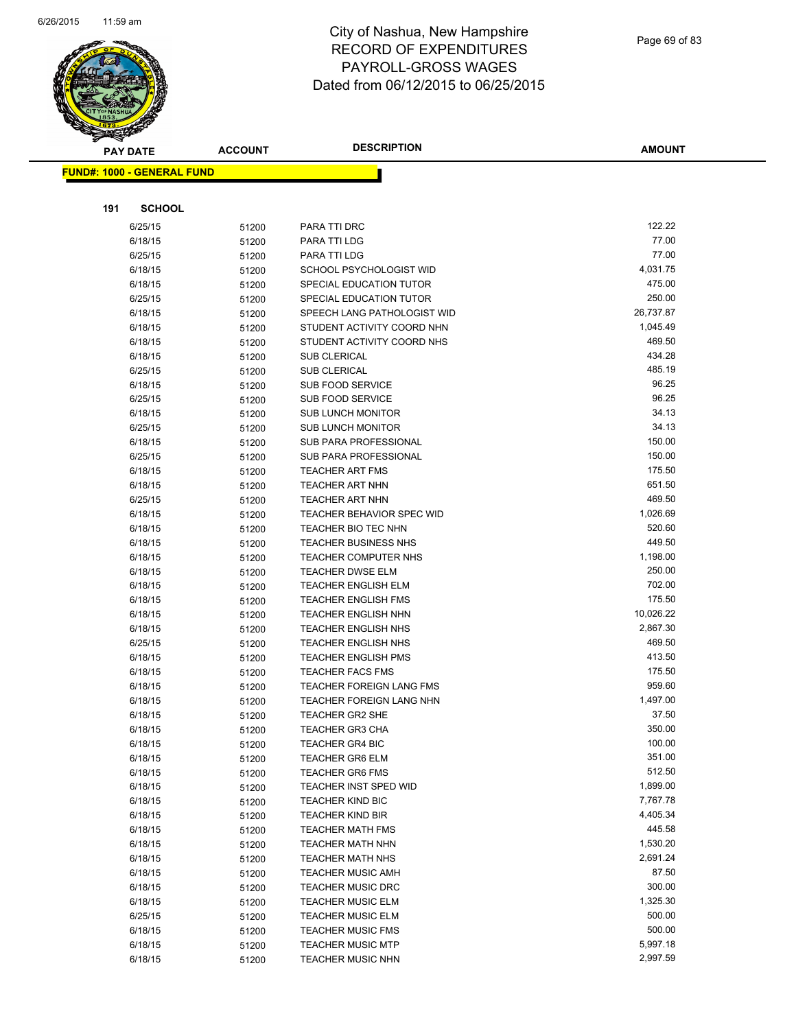

| <b>PAY DATE</b>                   | <b>ACCOUNT</b> | <b>DESCRIPTION</b>                                       | <b>AMOUNT</b>         |
|-----------------------------------|----------------|----------------------------------------------------------|-----------------------|
| <b>FUND#: 1000 - GENERAL FUND</b> |                |                                                          |                       |
|                                   |                |                                                          |                       |
|                                   |                |                                                          |                       |
| 191<br><b>SCHOOL</b>              |                |                                                          |                       |
| 6/25/15                           | 51200          | PARA TTI DRC                                             | 122.22                |
| 6/18/15                           | 51200          | PARA TTI LDG                                             | 77.00                 |
| 6/25/15                           | 51200          | PARA TTI LDG                                             | 77.00                 |
| 6/18/15                           | 51200          | <b>SCHOOL PSYCHOLOGIST WID</b>                           | 4,031.75              |
| 6/18/15                           | 51200          | SPECIAL EDUCATION TUTOR                                  | 475.00                |
| 6/25/15                           | 51200          | SPECIAL EDUCATION TUTOR                                  | 250.00                |
| 6/18/15                           | 51200          | SPEECH LANG PATHOLOGIST WID                              | 26,737.87             |
| 6/18/15                           | 51200          | STUDENT ACTIVITY COORD NHN                               | 1,045.49              |
| 6/18/15                           | 51200          | STUDENT ACTIVITY COORD NHS                               | 469.50                |
| 6/18/15                           | 51200          | SUB CLERICAL                                             | 434.28                |
| 6/25/15                           | 51200          | SUB CLERICAL                                             | 485.19                |
| 6/18/15                           | 51200          | <b>SUB FOOD SERVICE</b>                                  | 96.25                 |
| 6/25/15                           | 51200          | <b>SUB FOOD SERVICE</b>                                  | 96.25                 |
| 6/18/15                           | 51200          | <b>SUB LUNCH MONITOR</b>                                 | 34.13                 |
| 6/25/15                           | 51200          | <b>SUB LUNCH MONITOR</b>                                 | 34.13                 |
| 6/18/15                           | 51200          | SUB PARA PROFESSIONAL                                    | 150.00                |
| 6/25/15                           | 51200          | SUB PARA PROFESSIONAL                                    | 150.00                |
| 6/18/15                           | 51200          | <b>TEACHER ART FMS</b>                                   | 175.50                |
| 6/18/15                           | 51200          | <b>TEACHER ART NHN</b>                                   | 651.50                |
| 6/25/15                           | 51200          | <b>TEACHER ART NHN</b>                                   | 469.50                |
| 6/18/15                           | 51200          | <b>TEACHER BEHAVIOR SPEC WID</b>                         | 1,026.69              |
| 6/18/15                           | 51200          | TEACHER BIO TEC NHN                                      | 520.60                |
| 6/18/15                           | 51200          | <b>TEACHER BUSINESS NHS</b>                              | 449.50                |
| 6/18/15                           | 51200          | TEACHER COMPUTER NHS                                     | 1,198.00              |
| 6/18/15                           | 51200          | <b>TEACHER DWSE ELM</b>                                  | 250.00                |
| 6/18/15                           | 51200          | <b>TEACHER ENGLISH ELM</b>                               | 702.00<br>175.50      |
| 6/18/15                           | 51200          | <b>TEACHER ENGLISH FMS</b>                               |                       |
| 6/18/15                           | 51200          | <b>TEACHER ENGLISH NHN</b>                               | 10,026.22<br>2,867.30 |
| 6/18/15<br>6/25/15                | 51200          | <b>TEACHER ENGLISH NHS</b><br><b>TEACHER ENGLISH NHS</b> | 469.50                |
| 6/18/15                           | 51200<br>51200 | <b>TEACHER ENGLISH PMS</b>                               | 413.50                |
| 6/18/15                           |                | <b>TEACHER FACS FMS</b>                                  | 175.50                |
| 6/18/15                           | 51200<br>51200 | <b>TEACHER FOREIGN LANG FMS</b>                          | 959.60                |
| 6/18/15                           | 51200          | TEACHER FOREIGN LANG NHN                                 | 1,497.00              |
| 6/18/15                           | 51200          | <b>TEACHER GR2 SHE</b>                                   | 37.50                 |
| 6/18/15                           | 51200          | <b>TEACHER GR3 CHA</b>                                   | 350.00                |
| 6/18/15                           | 51200          | <b>TEACHER GR4 BIC</b>                                   | 100.00                |
| 6/18/15                           | 51200          | <b>TEACHER GR6 ELM</b>                                   | 351.00                |
| 6/18/15                           | 51200          | <b>TEACHER GR6 FMS</b>                                   | 512.50                |
| 6/18/15                           | 51200          | <b>TEACHER INST SPED WID</b>                             | 1,899.00              |
| 6/18/15                           | 51200          | <b>TEACHER KIND BIC</b>                                  | 7,767.78              |
| 6/18/15                           | 51200          | <b>TEACHER KIND BIR</b>                                  | 4,405.34              |
| 6/18/15                           | 51200          | <b>TEACHER MATH FMS</b>                                  | 445.58                |
| 6/18/15                           | 51200          | <b>TEACHER MATH NHN</b>                                  | 1,530.20              |
| 6/18/15                           | 51200          | <b>TEACHER MATH NHS</b>                                  | 2,691.24              |
| 6/18/15                           | 51200          | <b>TEACHER MUSIC AMH</b>                                 | 87.50                 |
| 6/18/15                           | 51200          | <b>TEACHER MUSIC DRC</b>                                 | 300.00                |
| 6/18/15                           | 51200          | <b>TEACHER MUSIC ELM</b>                                 | 1,325.30              |
| 6/25/15                           | 51200          | <b>TEACHER MUSIC ELM</b>                                 | 500.00                |
| 6/18/15                           | 51200          | <b>TEACHER MUSIC FMS</b>                                 | 500.00                |
| 6/18/15                           | 51200          | <b>TEACHER MUSIC MTP</b>                                 | 5,997.18              |
| 6/18/15                           | 51200          | <b>TEACHER MUSIC NHN</b>                                 | 2,997.59              |
|                                   |                |                                                          |                       |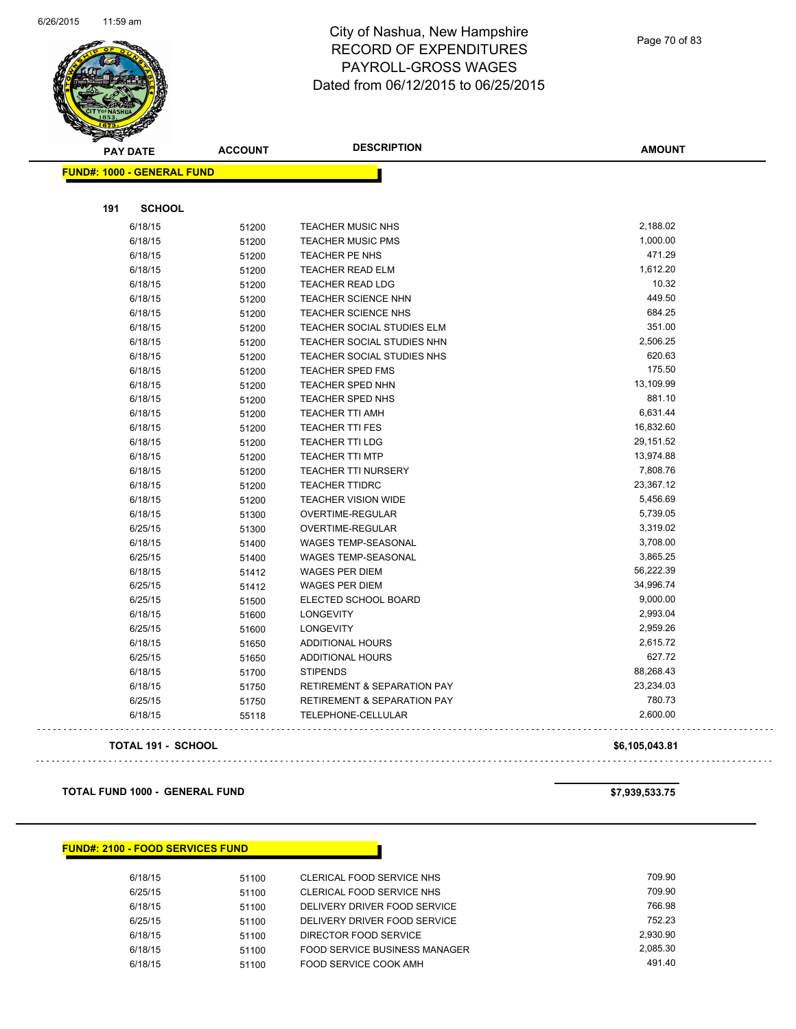

Page 70 of 83

| <b>PAY DATE</b>                   | <b>ACCOUNT</b> | <b>DESCRIPTION</b>                     | <b>AMOUNT</b> |
|-----------------------------------|----------------|----------------------------------------|---------------|
| <b>FUND#: 1000 - GENERAL FUND</b> |                |                                        |               |
|                                   |                |                                        |               |
| <b>SCHOOL</b><br>191              |                |                                        |               |
| 6/18/15                           | 51200          | <b>TEACHER MUSIC NHS</b>               | 2,188.02      |
| 6/18/15                           | 51200          | <b>TEACHER MUSIC PMS</b>               | 1,000.00      |
| 6/18/15                           | 51200          | <b>TEACHER PE NHS</b>                  | 471.29        |
| 6/18/15                           | 51200          | TEACHER READ ELM                       | 1,612.20      |
| 6/18/15                           | 51200          | <b>TEACHER READ LDG</b>                | 10.32         |
| 6/18/15                           | 51200          | <b>TEACHER SCIENCE NHN</b>             | 449.50        |
| 6/18/15                           | 51200          | <b>TEACHER SCIENCE NHS</b>             | 684.25        |
| 6/18/15                           | 51200          | TEACHER SOCIAL STUDIES ELM             | 351.00        |
| 6/18/15                           | 51200          | <b>TEACHER SOCIAL STUDIES NHN</b>      | 2,506.25      |
| 6/18/15                           | 51200          | TEACHER SOCIAL STUDIES NHS             | 620.63        |
| 6/18/15                           | 51200          | <b>TEACHER SPED FMS</b>                | 175.50        |
| 6/18/15                           | 51200          | TEACHER SPED NHN                       | 13,109.99     |
| 6/18/15                           | 51200          | TEACHER SPED NHS                       | 881.10        |
| 6/18/15                           | 51200          | <b>TEACHER TTI AMH</b>                 | 6,631.44      |
| 6/18/15                           | 51200          | <b>TEACHER TTI FES</b>                 | 16,832.60     |
| 6/18/15                           | 51200          | <b>TEACHER TTI LDG</b>                 | 29,151.52     |
| 6/18/15                           | 51200          | <b>TEACHER TTI MTP</b>                 | 13,974.88     |
| 6/18/15                           | 51200          | <b>TEACHER TTI NURSERY</b>             | 7,808.76      |
| 6/18/15                           | 51200          | <b>TEACHER TTIDRC</b>                  | 23,367.12     |
| 6/18/15                           | 51200          | <b>TEACHER VISION WIDE</b>             | 5,456.69      |
| 6/18/15                           | 51300          | OVERTIME-REGULAR                       | 5,739.05      |
| 6/25/15                           | 51300          | OVERTIME-REGULAR                       | 3,319.02      |
| 6/18/15                           | 51400          | <b>WAGES TEMP-SEASONAL</b>             | 3,708.00      |
| 6/25/15                           | 51400          | <b>WAGES TEMP-SEASONAL</b>             | 3,865.25      |
| 6/18/15                           | 51412          | <b>WAGES PER DIEM</b>                  | 56,222.39     |
| 6/25/15                           | 51412          | <b>WAGES PER DIEM</b>                  | 34,996.74     |
| 6/25/15                           | 51500          | ELECTED SCHOOL BOARD                   | 9,000.00      |
| 6/18/15                           | 51600          | <b>LONGEVITY</b>                       | 2,993.04      |
| 6/25/15                           | 51600          | <b>LONGEVITY</b>                       | 2,959.26      |
| 6/18/15                           | 51650          | ADDITIONAL HOURS                       | 2,615.72      |
| 6/25/15                           | 51650          | ADDITIONAL HOURS                       | 627.72        |
| 6/18/15                           | 51700          | <b>STIPENDS</b>                        | 88,268.43     |
| 6/18/15                           | 51750          | <b>RETIREMENT &amp; SEPARATION PAY</b> | 23,234.03     |
| 6/25/15                           | 51750          | <b>RETIREMENT &amp; SEPARATION PAY</b> | 780.73        |
| 6/18/15                           | 55118          | TELEPHONE-CELLULAR                     | 2,600.00      |

#### **TOTAL 191 - SCHOOL \$6,105,043.81**

**TOTAL FUND 1000 - GENERAL FUND \$7,939,533.75** 

 $\bar{L}$  is

#### **FUND#: 2100 - FOOD SERVICES FUND**

| 6/18/15 | 51100 | CLERICAL FOOD SERVICE NHS     | 709.90   |
|---------|-------|-------------------------------|----------|
| 6/25/15 | 51100 | CLERICAL FOOD SERVICE NHS     | 709.90   |
| 6/18/15 | 51100 | DELIVERY DRIVER FOOD SERVICE  | 766.98   |
| 6/25/15 | 51100 | DELIVERY DRIVER FOOD SERVICE  | 752.23   |
| 6/18/15 | 51100 | DIRECTOR FOOD SERVICE         | 2.930.90 |
| 6/18/15 | 51100 | FOOD SERVICE BUSINESS MANAGER | 2.085.30 |
| 6/18/15 | 51100 | FOOD SERVICE COOK AMH         | 491.40   |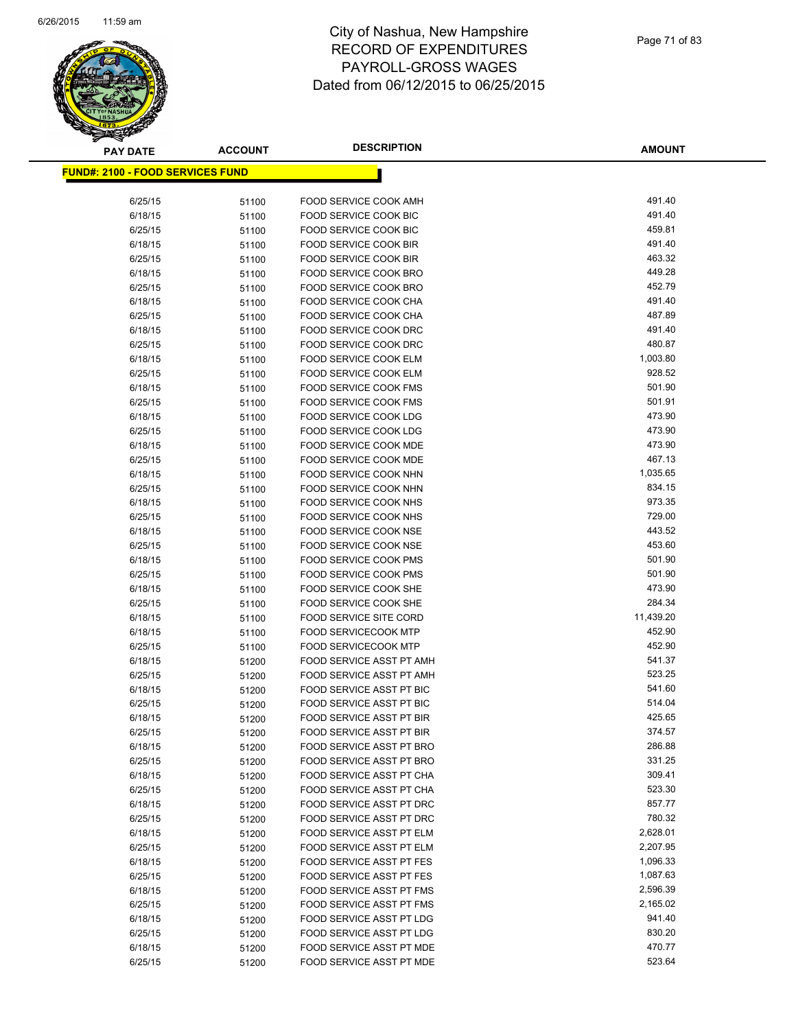

| PAY DATE                                 | <b>ACCOUNT</b> | <b>DESCRIPTION</b>                                   | <b>AMOUNT</b>    |
|------------------------------------------|----------------|------------------------------------------------------|------------------|
| <u> FUND#: 2100 - FOOD SERVICES FUND</u> |                |                                                      |                  |
|                                          |                |                                                      |                  |
| 6/25/15                                  | 51100          | FOOD SERVICE COOK AMH                                | 491.40           |
| 6/18/15                                  | 51100          | FOOD SERVICE COOK BIC                                | 491.40           |
| 6/25/15                                  | 51100          | FOOD SERVICE COOK BIC                                | 459.81           |
| 6/18/15                                  | 51100          | FOOD SERVICE COOK BIR                                | 491.40           |
| 6/25/15                                  | 51100          | FOOD SERVICE COOK BIR                                | 463.32           |
| 6/18/15                                  | 51100          | FOOD SERVICE COOK BRO                                | 449.28           |
| 6/25/15                                  | 51100          | FOOD SERVICE COOK BRO                                | 452.79           |
| 6/18/15                                  | 51100          | FOOD SERVICE COOK CHA                                | 491.40           |
| 6/25/15                                  | 51100          | FOOD SERVICE COOK CHA                                | 487.89           |
| 6/18/15                                  | 51100          | FOOD SERVICE COOK DRC                                | 491.40           |
| 6/25/15                                  | 51100          | FOOD SERVICE COOK DRC                                | 480.87           |
| 6/18/15                                  | 51100          | FOOD SERVICE COOK ELM                                | 1,003.80         |
| 6/25/15                                  | 51100          | FOOD SERVICE COOK ELM                                | 928.52           |
| 6/18/15                                  | 51100          | <b>FOOD SERVICE COOK FMS</b>                         | 501.90           |
| 6/25/15                                  | 51100          | <b>FOOD SERVICE COOK FMS</b>                         | 501.91           |
| 6/18/15                                  | 51100          | FOOD SERVICE COOK LDG                                | 473.90           |
| 6/25/15                                  | 51100          | FOOD SERVICE COOK LDG                                | 473.90           |
| 6/18/15                                  | 51100          | FOOD SERVICE COOK MDE                                | 473.90           |
| 6/25/15                                  | 51100          | FOOD SERVICE COOK MDE                                | 467.13           |
| 6/18/15                                  | 51100          | FOOD SERVICE COOK NHN                                | 1,035.65         |
| 6/25/15                                  | 51100          | FOOD SERVICE COOK NHN                                | 834.15           |
| 6/18/15                                  | 51100          | FOOD SERVICE COOK NHS                                | 973.35           |
| 6/25/15                                  | 51100          | FOOD SERVICE COOK NHS                                | 729.00           |
| 6/18/15                                  | 51100          | FOOD SERVICE COOK NSE                                | 443.52           |
| 6/25/15                                  | 51100          | FOOD SERVICE COOK NSE                                | 453.60           |
| 6/18/15                                  | 51100          | <b>FOOD SERVICE COOK PMS</b>                         | 501.90           |
| 6/25/15                                  | 51100          | FOOD SERVICE COOK PMS                                | 501.90           |
| 6/18/15                                  | 51100          | FOOD SERVICE COOK SHE                                | 473.90           |
| 6/25/15                                  | 51100          | FOOD SERVICE COOK SHE                                | 284.34           |
| 6/18/15                                  | 51100          | <b>FOOD SERVICE SITE CORD</b>                        | 11,439.20        |
| 6/18/15                                  | 51100          | <b>FOOD SERVICECOOK MTP</b>                          | 452.90           |
| 6/25/15                                  | 51100          | <b>FOOD SERVICECOOK MTP</b>                          | 452.90           |
| 6/18/15                                  | 51200          | FOOD SERVICE ASST PT AMH                             | 541.37<br>523.25 |
| 6/25/15                                  | 51200          | FOOD SERVICE ASST PT AMH                             | 541.60           |
| 6/18/15                                  | 51200          | FOOD SERVICE ASST PT BIC<br>FOOD SERVICE ASST PT BIC | 514.04           |
| 6/25/15<br>6/18/15                       | 51200<br>51200 | FOOD SERVICE ASST PT BIR                             | 425.65           |
| 6/25/15                                  | 51200          | FOOD SERVICE ASST PT BIR                             | 374.57           |
| 6/18/15                                  | 51200          | FOOD SERVICE ASST PT BRO                             | 286.88           |
| 6/25/15                                  | 51200          | FOOD SERVICE ASST PT BRO                             | 331.25           |
| 6/18/15                                  | 51200          | FOOD SERVICE ASST PT CHA                             | 309.41           |
| 6/25/15                                  | 51200          | FOOD SERVICE ASST PT CHA                             | 523.30           |
| 6/18/15                                  | 51200          | FOOD SERVICE ASST PT DRC                             | 857.77           |
| 6/25/15                                  | 51200          | FOOD SERVICE ASST PT DRC                             | 780.32           |
| 6/18/15                                  | 51200          | FOOD SERVICE ASST PT ELM                             | 2,628.01         |
| 6/25/15                                  | 51200          | FOOD SERVICE ASST PT ELM                             | 2,207.95         |
| 6/18/15                                  | 51200          | FOOD SERVICE ASST PT FES                             | 1,096.33         |
| 6/25/15                                  | 51200          | FOOD SERVICE ASST PT FES                             | 1,087.63         |
| 6/18/15                                  | 51200          | <b>FOOD SERVICE ASST PT FMS</b>                      | 2,596.39         |
| 6/25/15                                  | 51200          | FOOD SERVICE ASST PT FMS                             | 2,165.02         |
| 6/18/15                                  | 51200          | FOOD SERVICE ASST PT LDG                             | 941.40           |
| 6/25/15                                  | 51200          | FOOD SERVICE ASST PT LDG                             | 830.20           |
| 6/18/15                                  | 51200          | FOOD SERVICE ASST PT MDE                             | 470.77           |
| 6/25/15                                  | 51200          | FOOD SERVICE ASST PT MDE                             | 523.64           |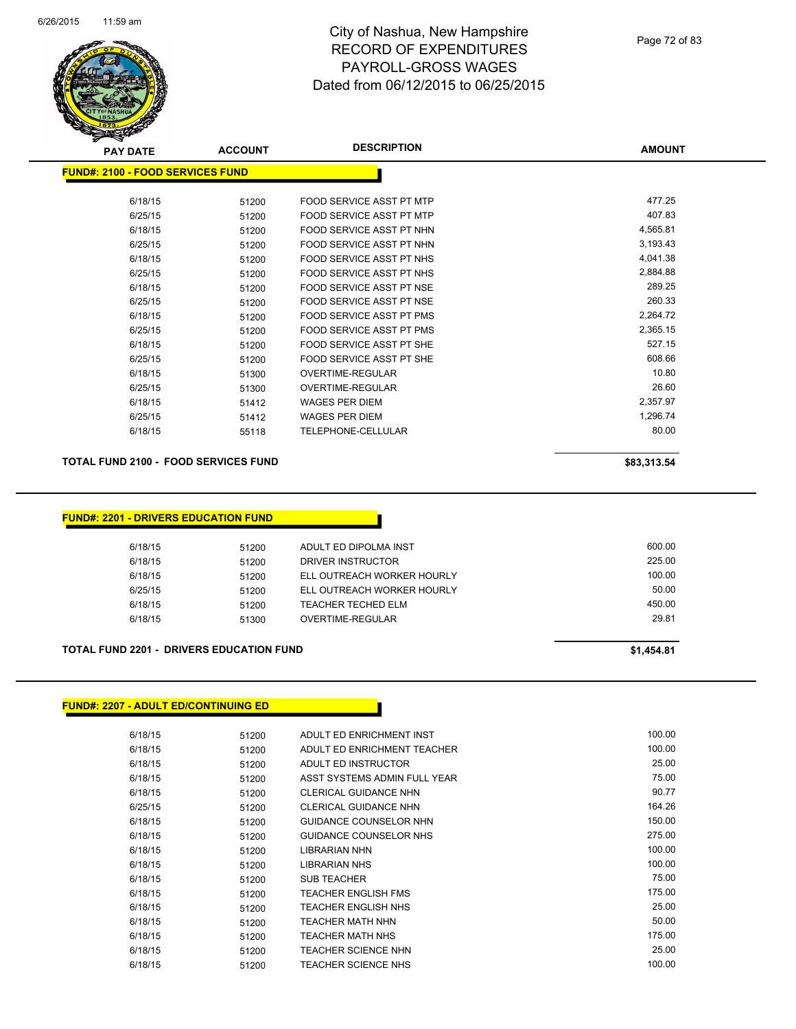

| <b>PAY DATE</b>                         | <b>ACCOUNT</b> | <b>DESCRIPTION</b>       | <b>AMOUNT</b> |
|-----------------------------------------|----------------|--------------------------|---------------|
| <b>FUND#: 2100 - FOOD SERVICES FUND</b> |                |                          |               |
| 6/18/15                                 | 51200          | FOOD SERVICE ASST PT MTP | 477.25        |
| 6/25/15                                 | 51200          | FOOD SERVICE ASST PT MTP | 407.83        |
| 6/18/15                                 | 51200          | FOOD SERVICE ASST PT NHN | 4,565.81      |
| 6/25/15                                 | 51200          | FOOD SERVICE ASST PT NHN | 3,193.43      |
| 6/18/15                                 | 51200          | FOOD SERVICE ASST PT NHS | 4,041.38      |
| 6/25/15                                 | 51200          | FOOD SERVICE ASST PT NHS | 2,884.88      |
| 6/18/15                                 | 51200          | FOOD SERVICE ASST PT NSE | 289.25        |
| 6/25/15                                 | 51200          | FOOD SERVICE ASST PT NSE | 260.33        |
| 6/18/15                                 | 51200          | FOOD SERVICE ASST PT PMS | 2,264.72      |
| 6/25/15                                 | 51200          | FOOD SERVICE ASST PT PMS | 2,365.15      |
| 6/18/15                                 | 51200          | FOOD SERVICE ASST PT SHE | 527.15        |
| 6/25/15                                 | 51200          | FOOD SERVICE ASST PT SHE | 608.66        |
| 6/18/15                                 | 51300          | OVERTIME-REGULAR         | 10.80         |
| 6/25/15                                 | 51300          | OVERTIME-REGULAR         | 26.60         |
| 6/18/15                                 | 51412          | <b>WAGES PER DIEM</b>    | 2,357.97      |
| 6/25/15                                 | 51412          | WAGES PER DIEM           | 1,296.74      |
| 6/18/15                                 | 55118          | TELEPHONE-CELLULAR       | 80.00         |
|                                         |                |                          |               |

#### **TOTAL FUND 2100 - FOOD SERVICES FUND \$83,313.54 \$83,313.54**

#### **FUND#: 2201 - DRIVERS EDUCATION FUND**

| 6/18/15 | 51200 | ADULT ED DIPOLMA INST      | 600.00 |
|---------|-------|----------------------------|--------|
| 6/18/15 | 51200 | DRIVER INSTRUCTOR          | 225.00 |
| 6/18/15 | 51200 | ELL OUTREACH WORKER HOURLY | 100.00 |
| 6/25/15 | 51200 | ELL OUTREACH WORKER HOURLY | 50.00  |
| 6/18/15 | 51200 | TEACHER TECHED ELM         | 450.00 |
| 6/18/15 | 51300 | OVERTIME-REGULAR           | 29.81  |
|         |       |                            |        |

#### **TOTAL FUND 2201 - DRIVERS EDUCATION FUND \$1,454.81**

#### **FUND#: 2207 - ADULT ED/CONTINUING ED**

| 6/18/15 | 51200 | ADULT ED ENRICHMENT INST      | 100.00 |
|---------|-------|-------------------------------|--------|
| 6/18/15 | 51200 | ADULT ED ENRICHMENT TEACHER   | 100.00 |
| 6/18/15 | 51200 | ADULT ED INSTRUCTOR           | 25.00  |
| 6/18/15 | 51200 | ASST SYSTEMS ADMIN FULL YEAR  | 75.00  |
| 6/18/15 | 51200 | <b>CLERICAL GUIDANCE NHN</b>  | 90.77  |
| 6/25/15 | 51200 | CLERICAL GUIDANCE NHN         | 164.26 |
| 6/18/15 | 51200 | <b>GUIDANCE COUNSELOR NHN</b> | 150.00 |
| 6/18/15 | 51200 | <b>GUIDANCE COUNSELOR NHS</b> | 275.00 |
| 6/18/15 | 51200 | <b>LIBRARIAN NHN</b>          | 100.00 |
| 6/18/15 | 51200 | <b>LIBRARIAN NHS</b>          | 100.00 |
| 6/18/15 | 51200 | <b>SUB TEACHER</b>            | 75.00  |
| 6/18/15 | 51200 | <b>TEACHER ENGLISH FMS</b>    | 175.00 |
| 6/18/15 | 51200 | TEACHER ENGLISH NHS           | 25.00  |
| 6/18/15 | 51200 | <b>TEACHER MATH NHN</b>       | 50.00  |
| 6/18/15 | 51200 | <b>TEACHER MATH NHS</b>       | 175.00 |
| 6/18/15 | 51200 | TEACHER SCIENCE NHN           | 25.00  |
| 6/18/15 | 51200 | <b>TEACHER SCIENCE NHS</b>    | 100.00 |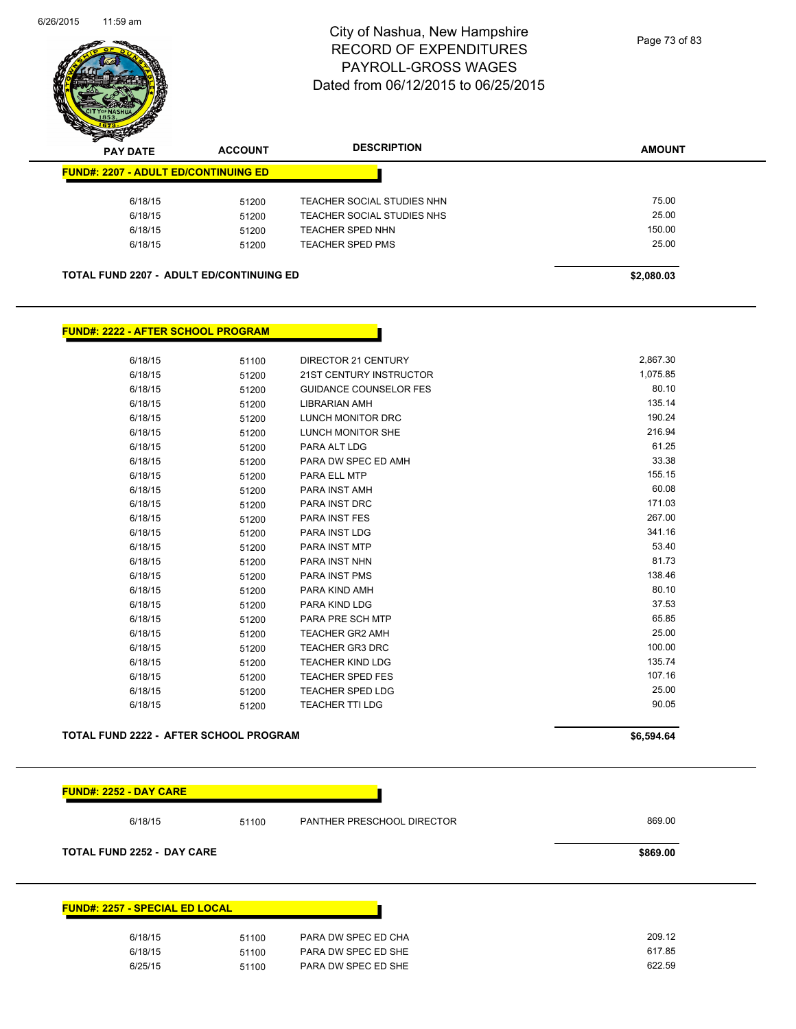

| $\mathscr{D} \mathscr{A}$<br><b>PAY DATE</b>    | <b>ACCOUNT</b> | <b>DESCRIPTION</b>         | <b>AMOUNT</b> |
|-------------------------------------------------|----------------|----------------------------|---------------|
| <b>FUND#: 2207 - ADULT ED/CONTINUING ED</b>     |                |                            |               |
| 6/18/15                                         | 51200          | TEACHER SOCIAL STUDIES NHN | 75.00         |
| 6/18/15                                         | 51200          | TEACHER SOCIAL STUDIES NHS | 25.00         |
| 6/18/15                                         | 51200          | TEACHER SPED NHN           | 150.00        |
| 6/18/15                                         | 51200          | TEACHER SPED PMS           | 25.00         |
| <b>TOTAL FUND 2207 - ADULT ED/CONTINUING ED</b> |                |                            | \$2,080.03    |

#### **FUND#: 2222 - AFTER SCHOOL PROGRAM**

| 2,867.30<br>1,075.85 |
|----------------------|
|                      |
|                      |
| 80.10                |
| 135.14               |
| 190.24               |
| 216.94               |
| 61.25                |
| 33.38                |
| 155.15               |
| 60.08                |
| 171.03               |
| 267.00               |
| 341.16               |
| 53.40                |
| 81.73                |
| 138.46               |
| 80.10                |
| 37.53                |
| 65.85                |
| 25.00                |
| 100.00               |
| 135.74               |
| 107.16               |
| 25.00                |
| 90.05                |
|                      |

#### **TOTAL FUND 2222 - AFTER SCHOOL PROGRAM 56,594.64 \$6,594.64**

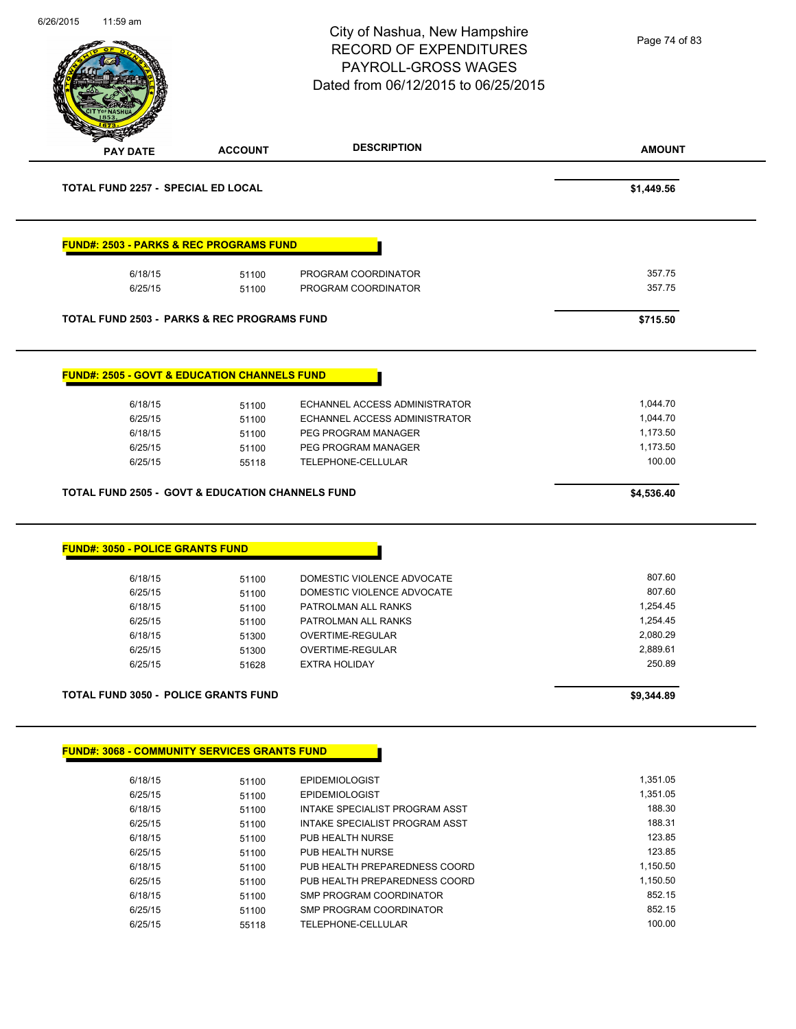| 11:59 am                                  |                                                             | City of Nashua, New Hampshire<br><b>RECORD OF EXPENDITURES</b><br><b>PAYROLL-GROSS WAGES</b><br>Dated from 06/12/2015 to 06/25/2015 | Page 74 of 83    |  |
|-------------------------------------------|-------------------------------------------------------------|-------------------------------------------------------------------------------------------------------------------------------------|------------------|--|
| <b>PAY DATE</b>                           | <b>ACCOUNT</b>                                              | <b>DESCRIPTION</b>                                                                                                                  | <b>AMOUNT</b>    |  |
| <b>TOTAL FUND 2257 - SPECIAL ED LOCAL</b> |                                                             |                                                                                                                                     | \$1,449.56       |  |
|                                           | <b>FUND#: 2503 - PARKS &amp; REC PROGRAMS FUND</b>          |                                                                                                                                     |                  |  |
| 6/18/15<br>6/25/15                        | 51100<br>51100                                              | PROGRAM COORDINATOR<br>PROGRAM COORDINATOR                                                                                          | 357.75<br>357.75 |  |
|                                           | TOTAL FUND 2503 - PARKS & REC PROGRAMS FUND                 |                                                                                                                                     | \$715.50         |  |
|                                           | <b>FUND#: 2505 - GOVT &amp; EDUCATION CHANNELS FUND</b>     |                                                                                                                                     |                  |  |
| 6/18/15                                   | 51100                                                       | ECHANNEL ACCESS ADMINISTRATOR                                                                                                       | 1,044.70         |  |
| 6/25/15                                   | 51100                                                       | ECHANNEL ACCESS ADMINISTRATOR                                                                                                       | 1,044.70         |  |
| 6/18/15                                   | 51100                                                       | PEG PROGRAM MANAGER                                                                                                                 | 1,173.50         |  |
| 6/25/15                                   | 51100                                                       | PEG PROGRAM MANAGER                                                                                                                 | 1,173.50         |  |
| 6/25/15                                   | 55118                                                       | TELEPHONE-CELLULAR                                                                                                                  | 100.00           |  |
|                                           | <b>TOTAL FUND 2505 - GOVT &amp; EDUCATION CHANNELS FUND</b> |                                                                                                                                     | \$4,536.40       |  |
| <b>FUND#: 3050 - POLICE GRANTS FUND</b>   |                                                             |                                                                                                                                     |                  |  |
| 6/18/15                                   | 51100                                                       | DOMESTIC VIOLENCE ADVOCATE                                                                                                          | 807.60           |  |
| 6/25/15                                   |                                                             |                                                                                                                                     |                  |  |
| 6/18/15                                   | 51100                                                       | DOMESTIC VIOLENCE ADVOCATE                                                                                                          | 807.60           |  |
|                                           | 51100                                                       | PATROLMAN ALL RANKS                                                                                                                 | 1,254.45         |  |
| 6/25/15                                   | 51100                                                       | PATROLMAN ALL RANKS                                                                                                                 | 1,254.45         |  |
| 6/18/15                                   | 51300                                                       | OVERTIME-REGULAR                                                                                                                    | 2,080.29         |  |
| 6/25/15                                   | 51300                                                       | OVERTIME-REGULAR                                                                                                                    | 2,889.61         |  |
| 6/25/15                                   | 51628                                                       | <b>EXTRA HOLIDAY</b>                                                                                                                | 250.89           |  |
|                                           | <b>TOTAL FUND 3050 - POLICE GRANTS FUND</b>                 |                                                                                                                                     | \$9,344.89       |  |
|                                           | <b>FUND#: 3068 - COMMUNITY SERVICES GRANTS FUND</b>         |                                                                                                                                     |                  |  |
| 6/18/15                                   |                                                             | <b>EPIDEMIOLOGIST</b>                                                                                                               | 1,351.05         |  |
| 6/25/15                                   | 51100<br>51100                                              | <b>EPIDEMIOLOGIST</b>                                                                                                               | 1,351.05         |  |
| 6/18/15                                   | 51100                                                       | INTAKE SPECIALIST PROGRAM ASST                                                                                                      | 188.30           |  |
| 6/25/15                                   | 51100                                                       | INTAKE SPECIALIST PROGRAM ASST                                                                                                      | 188.31           |  |
| 6/18/15                                   |                                                             | PUB HEALTH NURSE                                                                                                                    | 123.85           |  |
| 6/25/15                                   | 51100<br>51100                                              | PUB HEALTH NURSE                                                                                                                    | 123.85           |  |
| 6/18/15                                   |                                                             | PUB HEALTH PREPAREDNESS COORD                                                                                                       | 1,150.50         |  |
|                                           | 51100                                                       |                                                                                                                                     | 1,150.50         |  |
| 6/25/15                                   | 51100                                                       | PUB HEALTH PREPAREDNESS COORD                                                                                                       | 852.15           |  |
| 6/18/15                                   | 51100                                                       | SMP PROGRAM COORDINATOR                                                                                                             |                  |  |
| 6/25/15<br>6/25/15                        | 51100<br>55118                                              | SMP PROGRAM COORDINATOR<br>TELEPHONE-CELLULAR                                                                                       | 852.15<br>100.00 |  |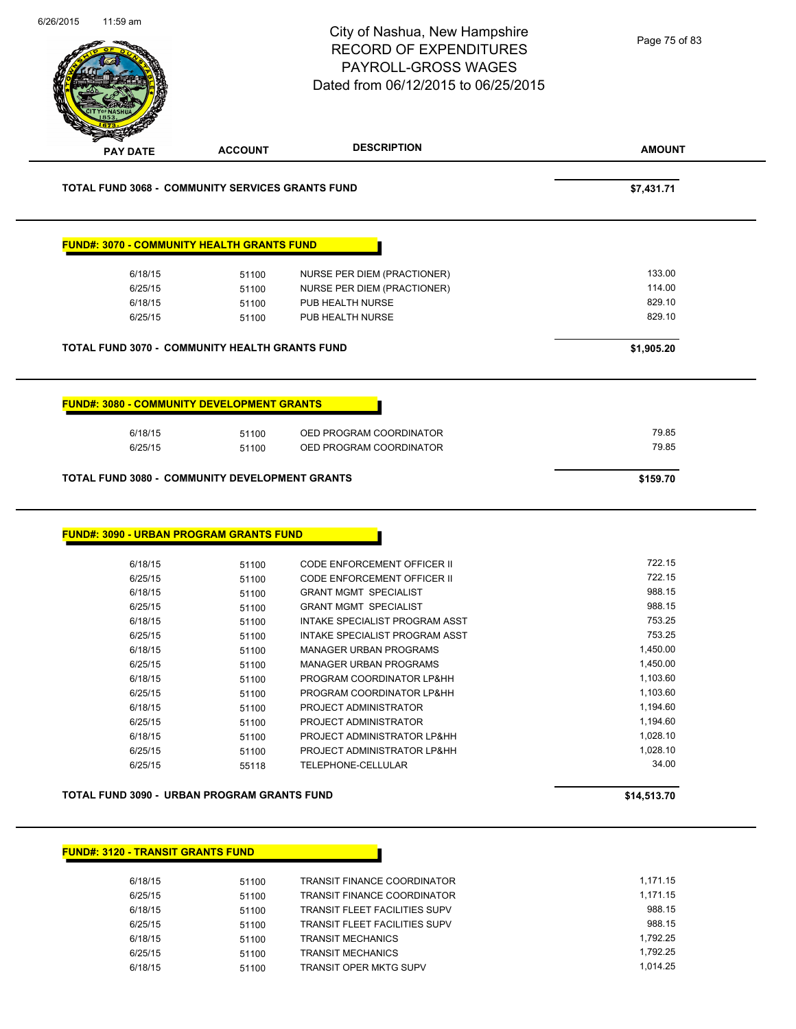|                                                                                                                                                 |                | City of Nashua, New Hampshire<br><b>RECORD OF EXPENDITURES</b><br>PAYROLL-GROSS WAGES<br>Dated from 06/12/2015 to 06/25/2015 | Page 75 of 83        |
|-------------------------------------------------------------------------------------------------------------------------------------------------|----------------|------------------------------------------------------------------------------------------------------------------------------|----------------------|
| <b>PAY DATE</b>                                                                                                                                 | <b>ACCOUNT</b> | <b>DESCRIPTION</b>                                                                                                           | <b>AMOUNT</b>        |
| <b>TOTAL FUND 3068 - COMMUNITY SERVICES GRANTS FUND</b>                                                                                         |                |                                                                                                                              | \$7,431.71           |
| <b>FUND#: 3070 - COMMUNITY HEALTH GRANTS FUND</b>                                                                                               |                |                                                                                                                              |                      |
| 6/18/15                                                                                                                                         | 51100          | NURSE PER DIEM (PRACTIONER)                                                                                                  | 133.00               |
| 6/25/15                                                                                                                                         | 51100          | NURSE PER DIEM (PRACTIONER)                                                                                                  | 114.00               |
| 6/18/15                                                                                                                                         | 51100          | PUB HEALTH NURSE                                                                                                             | 829.10               |
| 6/25/15                                                                                                                                         | 51100          | PUB HEALTH NURSE                                                                                                             | 829.10               |
| TOTAL FUND 3070 - COMMUNITY HEALTH GRANTS FUND                                                                                                  |                |                                                                                                                              | \$1,905.20           |
| 6/25/15                                                                                                                                         | 51100          | OED PROGRAM COORDINATOR                                                                                                      | 79.85                |
|                                                                                                                                                 |                |                                                                                                                              | \$159.70             |
|                                                                                                                                                 |                |                                                                                                                              |                      |
| 6/18/15                                                                                                                                         | 51100          | CODE ENFORCEMENT OFFICER II                                                                                                  | 722.15               |
| 6/25/15                                                                                                                                         | 51100          | CODE ENFORCEMENT OFFICER II                                                                                                  | 722.15               |
| 6/18/15                                                                                                                                         | 51100          | <b>GRANT MGMT SPECIALIST</b>                                                                                                 | 988.15               |
| 6/25/15                                                                                                                                         | 51100          | <b>GRANT MGMT SPECIALIST</b>                                                                                                 | 988.15               |
| 6/18/15                                                                                                                                         | 51100          | <b>INTAKE SPECIALIST PROGRAM ASST</b>                                                                                        | 753.25               |
| 6/25/15                                                                                                                                         | 51100          | INTAKE SPECIALIST PROGRAM ASST                                                                                               | 753.25               |
| 6/18/15                                                                                                                                         | 51100          | <b>MANAGER URBAN PROGRAMS</b>                                                                                                | 1,450.00             |
| 6/25/15                                                                                                                                         | 51100          | <b>MANAGER URBAN PROGRAMS</b>                                                                                                | 1,450.00             |
| 6/18/15                                                                                                                                         | 51100          | PROGRAM COORDINATOR LP&HH                                                                                                    | 1,103.60             |
| 6/25/15                                                                                                                                         | 51100          | PROGRAM COORDINATOR LP&HH<br>PROJECT ADMINISTRATOR                                                                           | 1,103.60<br>1,194.60 |
| 6/18/15<br>6/25/15                                                                                                                              | 51100<br>51100 | PROJECT ADMINISTRATOR                                                                                                        | 1,194.60             |
| 6/18/15                                                                                                                                         | 51100          | PROJECT ADMINISTRATOR LP&HH                                                                                                  | 1,028.10             |
| 6/25/15                                                                                                                                         | 51100          | PROJECT ADMINISTRATOR LP&HH                                                                                                  | 1,028.10             |
| 6/25/15                                                                                                                                         | 55118          | TELEPHONE-CELLULAR                                                                                                           | 34.00                |
| TOTAL FUND 3080 - COMMUNITY DEVELOPMENT GRANTS<br><b>FUND#: 3090 - URBAN PROGRAM GRANTS FUND</b><br>TOTAL FUND 3090 - URBAN PROGRAM GRANTS FUND |                |                                                                                                                              | \$14,513.70          |

| 6/18/15 | 51100 | <b>TRANSIT FINANCE COORDINATOR</b>   | 1.171.15 |
|---------|-------|--------------------------------------|----------|
| 6/25/15 | 51100 | <b>TRANSIT FINANCE COORDINATOR</b>   | 1.171.15 |
| 6/18/15 | 51100 | <b>TRANSIT FLEET FACILITIES SUPV</b> | 988.15   |
| 6/25/15 | 51100 | <b>TRANSIT FLEET FACILITIES SUPV</b> | 988.15   |
| 6/18/15 | 51100 | <b>TRANSIT MECHANICS</b>             | 1.792.25 |
| 6/25/15 | 51100 | <b>TRANSIT MECHANICS</b>             | 1.792.25 |
| 6/18/15 | 51100 | TRANSIT OPER MKTG SUPV               | 1.014.25 |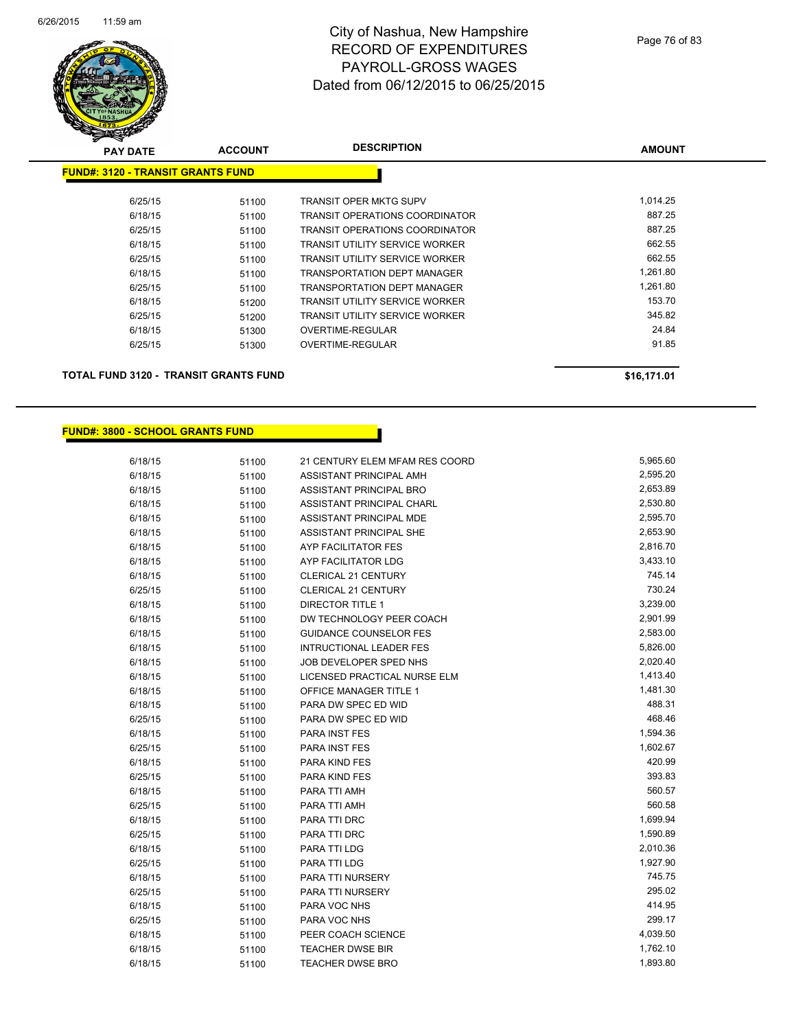

| <del>∽</del><br>$\tilde{\phantom{a}}$<br><b>PAY DATE</b> | <b>ACCOUNT</b> | <b>DESCRIPTION</b>                    | <b>AMOUNT</b> |
|----------------------------------------------------------|----------------|---------------------------------------|---------------|
| <b>FUND#: 3120 - TRANSIT GRANTS FUND</b>                 |                |                                       |               |
| 6/25/15                                                  | 51100          | <b>TRANSIT OPER MKTG SUPV</b>         | 1,014.25      |
| 6/18/15                                                  | 51100          | TRANSIT OPERATIONS COORDINATOR        | 887.25        |
| 6/25/15                                                  | 51100          | TRANSIT OPERATIONS COORDINATOR        | 887.25        |
| 6/18/15                                                  | 51100          | <b>TRANSIT UTILITY SERVICE WORKER</b> | 662.55        |
| 6/25/15                                                  | 51100          | TRANSIT UTILITY SERVICE WORKER        | 662.55        |
| 6/18/15                                                  | 51100          | <b>TRANSPORTATION DEPT MANAGER</b>    | 1,261.80      |
| 6/25/15                                                  | 51100          | <b>TRANSPORTATION DEPT MANAGER</b>    | 1,261.80      |
| 6/18/15                                                  | 51200          | TRANSIT UTILITY SERVICE WORKER        | 153.70        |
| 6/25/15                                                  | 51200          | TRANSIT UTILITY SERVICE WORKER        | 345.82        |
| 6/18/15                                                  | 51300          | OVERTIME-REGULAR                      | 24.84         |
| 6/25/15                                                  | 51300          | OVERTIME-REGULAR                      | 91.85         |
| TOTAL FUND 3120 - TRANSIT GRANTS FUND                    |                |                                       | \$16,171.01   |

#### **FUND#: 3800 - SCHOOL GRANTS FUND**

| 6/18/15 | 51100 | 21 CENTURY ELEM MFAM RES COORD | 5,965.60 |
|---------|-------|--------------------------------|----------|
| 6/18/15 | 51100 | ASSISTANT PRINCIPAL AMH        | 2,595.20 |
| 6/18/15 | 51100 | ASSISTANT PRINCIPAL BRO        | 2,653.89 |
| 6/18/15 | 51100 | ASSISTANT PRINCIPAL CHARL      | 2,530.80 |
| 6/18/15 | 51100 | ASSISTANT PRINCIPAL MDE        | 2,595.70 |
| 6/18/15 | 51100 | ASSISTANT PRINCIPAL SHE        | 2,653.90 |
| 6/18/15 | 51100 | AYP FACILITATOR FES            | 2,816.70 |
| 6/18/15 | 51100 | AYP FACILITATOR LDG            | 3,433.10 |
| 6/18/15 | 51100 | CLERICAL 21 CENTURY            | 745.14   |
| 6/25/15 | 51100 | <b>CLERICAL 21 CENTURY</b>     | 730.24   |
| 6/18/15 | 51100 | <b>DIRECTOR TITLE 1</b>        | 3,239.00 |
| 6/18/15 | 51100 | DW TECHNOLOGY PEER COACH       | 2,901.99 |
| 6/18/15 | 51100 | <b>GUIDANCE COUNSELOR FES</b>  | 2,583.00 |
| 6/18/15 | 51100 | <b>INTRUCTIONAL LEADER FES</b> | 5,826.00 |
| 6/18/15 | 51100 | JOB DEVELOPER SPED NHS         | 2,020.40 |
| 6/18/15 | 51100 | LICENSED PRACTICAL NURSE ELM   | 1,413.40 |
| 6/18/15 | 51100 | OFFICE MANAGER TITLE 1         | 1,481.30 |
| 6/18/15 | 51100 | PARA DW SPEC ED WID            | 488.31   |
| 6/25/15 | 51100 | PARA DW SPEC ED WID            | 468.46   |
| 6/18/15 | 51100 | PARA INST FES                  | 1,594.36 |
| 6/25/15 | 51100 | PARA INST FES                  | 1,602.67 |
| 6/18/15 | 51100 | PARA KIND FES                  | 420.99   |
| 6/25/15 | 51100 | PARA KIND FES                  | 393.83   |
| 6/18/15 | 51100 | PARA TTI AMH                   | 560.57   |
| 6/25/15 | 51100 | PARA TTI AMH                   | 560.58   |
| 6/18/15 | 51100 | PARA TTI DRC                   | 1,699.94 |
| 6/25/15 | 51100 | PARA TTI DRC                   | 1,590.89 |
| 6/18/15 | 51100 | PARA TTI LDG                   | 2,010.36 |
| 6/25/15 | 51100 | PARA TTI LDG                   | 1,927.90 |
| 6/18/15 | 51100 | PARA TTI NURSERY               | 745.75   |
| 6/25/15 | 51100 | PARA TTI NURSERY               | 295.02   |
| 6/18/15 | 51100 | PARA VOC NHS                   | 414.95   |
| 6/25/15 | 51100 | PARA VOC NHS                   | 299.17   |
| 6/18/15 | 51100 | PEER COACH SCIENCE             | 4,039.50 |
| 6/18/15 | 51100 | TEACHER DWSE BIR               | 1,762.10 |
| 6/18/15 | 51100 | TEACHER DWSE BRO               | 1,893.80 |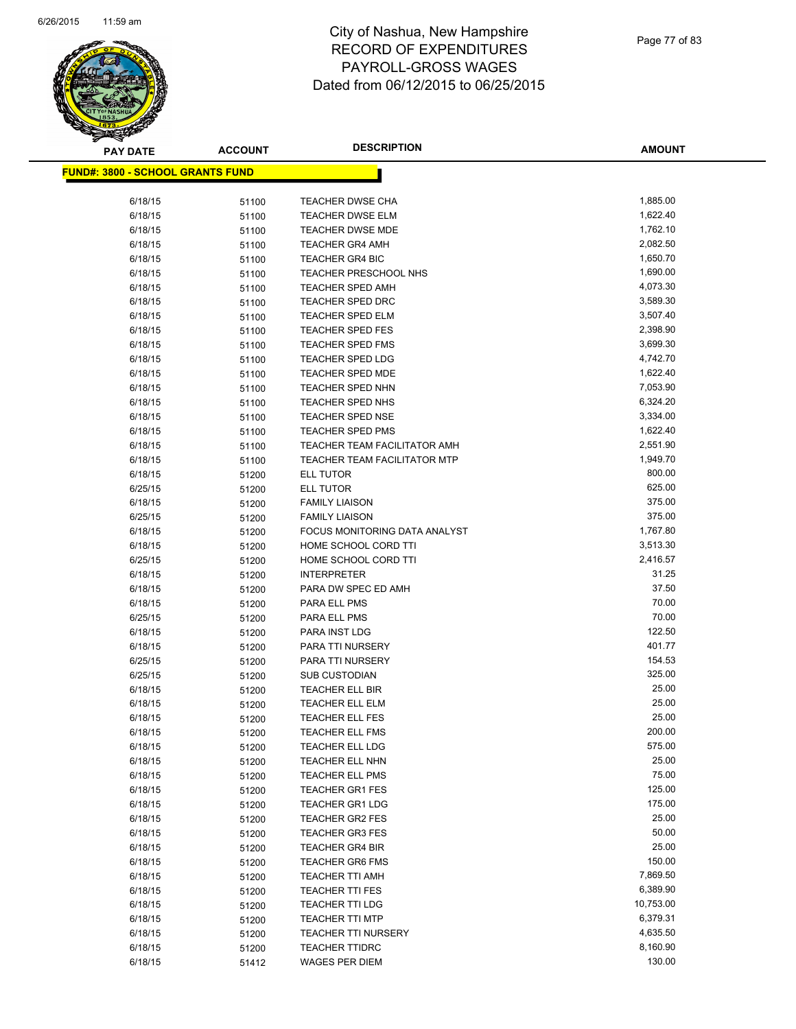

| <b>PAY DATE</b>                          | <b>ACCOUNT</b> | <b>DESCRIPTION</b>                 | <b>AMOUNT</b>  |
|------------------------------------------|----------------|------------------------------------|----------------|
| <u> FUND#: 3800 - SCHOOL GRANTS FUND</u> |                |                                    |                |
|                                          |                |                                    |                |
| 6/18/15                                  | 51100          | <b>TEACHER DWSE CHA</b>            | 1,885.00       |
| 6/18/15                                  | 51100          | <b>TEACHER DWSE ELM</b>            | 1,622.40       |
| 6/18/15                                  | 51100          | <b>TEACHER DWSE MDE</b>            | 1,762.10       |
| 6/18/15                                  | 51100          | <b>TEACHER GR4 AMH</b>             | 2,082.50       |
| 6/18/15                                  | 51100          | <b>TEACHER GR4 BIC</b>             | 1,650.70       |
| 6/18/15                                  | 51100          | TEACHER PRESCHOOL NHS              | 1,690.00       |
| 6/18/15                                  | 51100          | <b>TEACHER SPED AMH</b>            | 4,073.30       |
| 6/18/15                                  | 51100          | <b>TEACHER SPED DRC</b>            | 3,589.30       |
| 6/18/15                                  | 51100          | TEACHER SPED ELM                   | 3,507.40       |
| 6/18/15                                  | 51100          | <b>TEACHER SPED FES</b>            | 2,398.90       |
| 6/18/15                                  | 51100          | <b>TEACHER SPED FMS</b>            | 3,699.30       |
| 6/18/15                                  | 51100          | <b>TEACHER SPED LDG</b>            | 4,742.70       |
| 6/18/15                                  | 51100          | <b>TEACHER SPED MDE</b>            | 1,622.40       |
| 6/18/15                                  | 51100          | <b>TEACHER SPED NHN</b>            | 7,053.90       |
| 6/18/15                                  | 51100          | TEACHER SPED NHS                   | 6,324.20       |
| 6/18/15                                  | 51100          | <b>TEACHER SPED NSE</b>            | 3,334.00       |
| 6/18/15                                  | 51100          | <b>TEACHER SPED PMS</b>            | 1,622.40       |
| 6/18/15                                  | 51100          | TEACHER TEAM FACILITATOR AMH       | 2,551.90       |
| 6/18/15                                  | 51100          | TEACHER TEAM FACILITATOR MTP       | 1,949.70       |
| 6/18/15                                  | 51200          | ELL TUTOR                          | 800.00         |
| 6/25/15                                  | 51200          | ELL TUTOR                          | 625.00         |
| 6/18/15                                  | 51200          | <b>FAMILY LIAISON</b>              | 375.00         |
| 6/25/15                                  | 51200          | <b>FAMILY LIAISON</b>              | 375.00         |
| 6/18/15                                  | 51200          | FOCUS MONITORING DATA ANALYST      | 1,767.80       |
| 6/18/15                                  | 51200          | HOME SCHOOL CORD TTI               | 3,513.30       |
| 6/25/15                                  | 51200          | HOME SCHOOL CORD TTI               | 2,416.57       |
| 6/18/15                                  | 51200          | <b>INTERPRETER</b>                 | 31.25          |
| 6/18/15                                  | 51200          | PARA DW SPEC ED AMH                | 37.50          |
| 6/18/15                                  | 51200          | PARA ELL PMS                       | 70.00          |
| 6/25/15                                  | 51200          | PARA ELL PMS                       | 70.00          |
| 6/18/15                                  | 51200          | PARA INST LDG                      | 122.50         |
| 6/18/15                                  | 51200          | PARA TTI NURSERY                   | 401.77         |
| 6/25/15                                  | 51200          | PARA TTI NURSERY                   | 154.53         |
| 6/25/15                                  | 51200          | <b>SUB CUSTODIAN</b>               | 325.00         |
| 6/18/15                                  | 51200          | <b>TEACHER ELL BIR</b>             | 25.00          |
| 6/18/15                                  | 51200          | <b>TEACHER ELL ELM</b>             | 25.00<br>25.00 |
| 6/18/15                                  | 51200          | <b>TEACHER ELL FES</b>             | 200.00         |
| 6/18/15                                  | 51200          | <b>TEACHER ELL FMS</b>             | 575.00         |
| 6/18/15<br>6/18/15                       | 51200          | TEACHER ELL LDG<br>TEACHER ELL NHN | 25.00          |
| 6/18/15                                  | 51200          | <b>TEACHER ELL PMS</b>             | 75.00          |
| 6/18/15                                  | 51200          | <b>TEACHER GR1 FES</b>             | 125.00         |
| 6/18/15                                  | 51200<br>51200 | <b>TEACHER GR1 LDG</b>             | 175.00         |
| 6/18/15                                  | 51200          | <b>TEACHER GR2 FES</b>             | 25.00          |
| 6/18/15                                  | 51200          | <b>TEACHER GR3 FES</b>             | 50.00          |
| 6/18/15                                  | 51200          | <b>TEACHER GR4 BIR</b>             | 25.00          |
| 6/18/15                                  | 51200          | <b>TEACHER GR6 FMS</b>             | 150.00         |
| 6/18/15                                  | 51200          | <b>TEACHER TTI AMH</b>             | 7,869.50       |
| 6/18/15                                  | 51200          | <b>TEACHER TTI FES</b>             | 6,389.90       |
| 6/18/15                                  | 51200          | <b>TEACHER TTI LDG</b>             | 10,753.00      |
| 6/18/15                                  | 51200          | <b>TEACHER TTI MTP</b>             | 6,379.31       |
| 6/18/15                                  | 51200          | <b>TEACHER TTI NURSERY</b>         | 4,635.50       |
| 6/18/15                                  | 51200          | <b>TEACHER TTIDRC</b>              | 8,160.90       |
| 6/18/15                                  | 51412          | WAGES PER DIEM                     | 130.00         |
|                                          |                |                                    |                |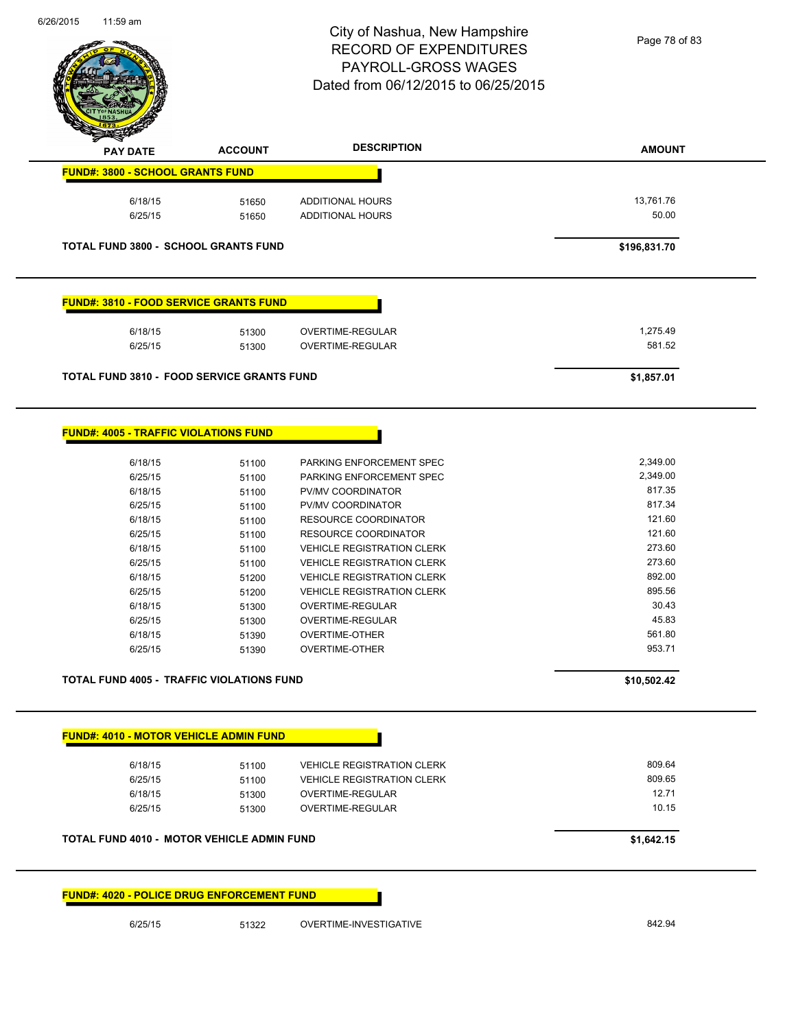

| <b>PAY DATE</b>                                   | <b>ACCOUNT</b> | <b>DESCRIPTION</b>                | <b>AMOUNT</b> |
|---------------------------------------------------|----------------|-----------------------------------|---------------|
| <b>FUND#: 3800 - SCHOOL GRANTS FUND</b>           |                |                                   |               |
| 6/18/15                                           | 51650          | ADDITIONAL HOURS                  | 13,761.76     |
| 6/25/15                                           | 51650          | ADDITIONAL HOURS                  | 50.00         |
|                                                   |                |                                   |               |
| <b>TOTAL FUND 3800 - SCHOOL GRANTS FUND</b>       |                |                                   | \$196,831.70  |
| <b>FUND#: 3810 - FOOD SERVICE GRANTS FUND</b>     |                |                                   |               |
|                                                   |                |                                   |               |
| 6/18/15                                           | 51300          | OVERTIME-REGULAR                  | 1,275.49      |
| 6/25/15                                           | 51300          | OVERTIME-REGULAR                  | 581.52        |
| <b>TOTAL FUND 3810 - FOOD SERVICE GRANTS FUND</b> |                |                                   | \$1,857.01    |
|                                                   |                |                                   |               |
| <b>FUND#: 4005 - TRAFFIC VIOLATIONS FUND</b>      |                |                                   |               |
| 6/18/15                                           | 51100          | PARKING ENFORCEMENT SPEC          | 2,349.00      |
| 6/25/15                                           | 51100          | PARKING ENFORCEMENT SPEC          | 2,349.00      |
| 6/18/15                                           | 51100          | PV/MV COORDINATOR                 | 817.35        |
| 6/25/15                                           | 51100          | PV/MV COORDINATOR                 | 817.34        |
| 6/18/15                                           | 51100          | <b>RESOURCE COORDINATOR</b>       | 121.60        |
| 6/25/15                                           | 51100          | <b>RESOURCE COORDINATOR</b>       | 121.60        |
| 6/18/15                                           | 51100          | <b>VEHICLE REGISTRATION CLERK</b> | 273.60        |
| 6/25/15                                           | 51100          | <b>VEHICLE REGISTRATION CLERK</b> | 273.60        |
| 6/18/15                                           | 51200          | <b>VEHICLE REGISTRATION CLERK</b> | 892.00        |
| 6/25/15                                           | 51200          | <b>VEHICLE REGISTRATION CLERK</b> | 895.56        |
| 6/18/15                                           | 51300          | OVERTIME-REGULAR                  | 30.43         |
| 6/25/15                                           | 51300          | OVERTIME-REGULAR                  | 45.83         |
| 6/18/15                                           | 51390          | OVERTIME-OTHER                    | 561.80        |
| 6/25/15                                           | 51390          | <b>OVERTIME-OTHER</b>             | 953.71        |
| <b>TOTAL FUND 4005 - TRAFFIC VIOLATIONS FUND</b>  |                |                                   | \$10,502.42   |
| <b>FUND#: 4010 - MOTOR VEHICLE ADMIN FUND</b>     |                |                                   |               |
| 6/18/15                                           | 51100          | <b>VEHICLE REGISTRATION CLERK</b> | 809.64        |
| 6/25/15                                           | 51100          | <b>VEHICLE REGISTRATION CLERK</b> | 809.65        |
| 6/18/15                                           | 51300          | OVERTIME-REGULAR                  | 12.71         |
| 6/25/15                                           | 51300          | <b>OVERTIME-REGULAR</b>           | 10.15         |
| <b>TOTAL FUND 4010 - MOTOR VEHICLE ADMIN FUND</b> |                |                                   | \$1,642.15    |
|                                                   |                |                                   |               |
| <b>FUND#: 4020 - POLICE DRUG ENFORCEMENT FUND</b> |                |                                   |               |
| 6/25/15                                           | 51322          | OVERTIME-INVESTIGATIVE            | 842.94        |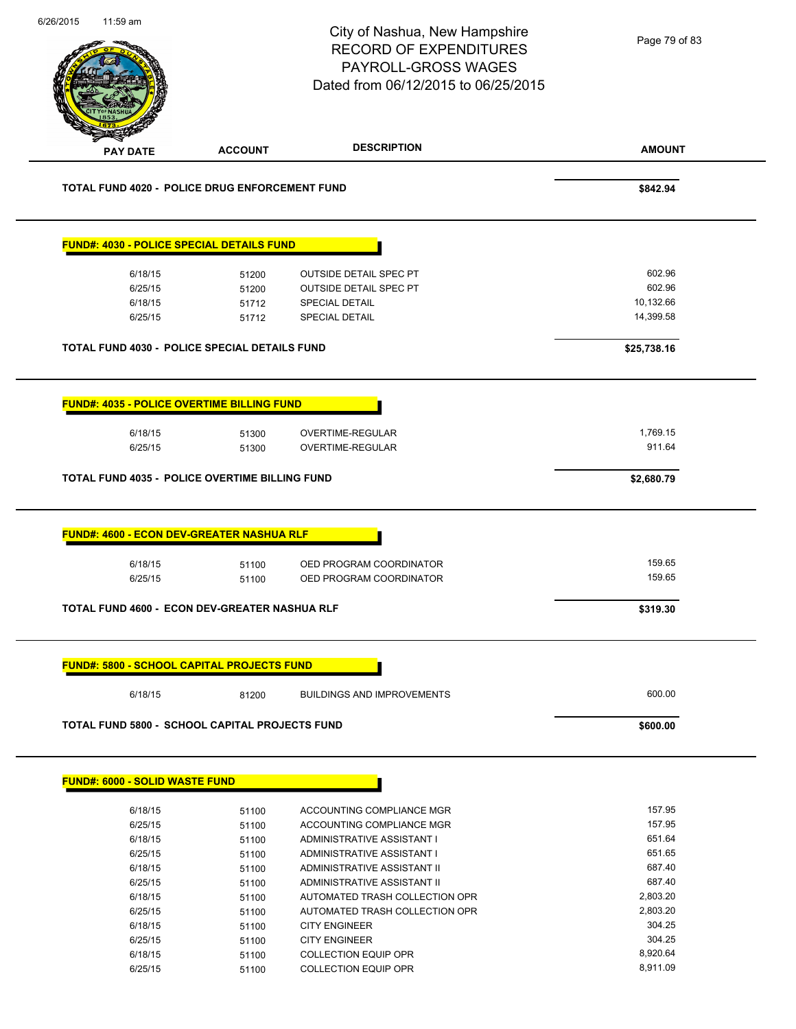| <b>PAY DATE</b> | <b>TOTAL FUND 4020 - POLICE DRUG ENFORCEMENT FUND</b><br><b>FUND#: 4030 - POLICE SPECIAL DETAILS FUND</b><br>6/18/15<br>6/25/15<br>6/18/15<br>6/25/15<br><b>TOTAL FUND 4030 - POLICE SPECIAL DETAILS FUND</b><br>FUND#: 4035 - POLICE OVERTIME BILLING FUND<br>6/18/15<br>6/25/15<br>TOTAL FUND 4035 - POLICE OVERTIME BILLING FUND | <b>ACCOUNT</b><br>51200<br>51200<br>51712<br>51712<br>51300<br>51300 | <b>DESCRIPTION</b><br><b>OUTSIDE DETAIL SPEC PT</b><br><b>OUTSIDE DETAIL SPEC PT</b><br><b>SPECIAL DETAIL</b><br><b>SPECIAL DETAIL</b><br>OVERTIME-REGULAR<br>OVERTIME-REGULAR | <b>AMOUNT</b><br>\$842.94<br>602.96<br>602.96<br>10,132.66<br>14,399.58<br>\$25,738.16<br>1,769.15<br>911.64 |
|-----------------|-------------------------------------------------------------------------------------------------------------------------------------------------------------------------------------------------------------------------------------------------------------------------------------------------------------------------------------|----------------------------------------------------------------------|--------------------------------------------------------------------------------------------------------------------------------------------------------------------------------|--------------------------------------------------------------------------------------------------------------|
|                 |                                                                                                                                                                                                                                                                                                                                     |                                                                      |                                                                                                                                                                                |                                                                                                              |
|                 |                                                                                                                                                                                                                                                                                                                                     |                                                                      |                                                                                                                                                                                |                                                                                                              |
|                 |                                                                                                                                                                                                                                                                                                                                     |                                                                      |                                                                                                                                                                                |                                                                                                              |
|                 |                                                                                                                                                                                                                                                                                                                                     |                                                                      |                                                                                                                                                                                |                                                                                                              |
|                 |                                                                                                                                                                                                                                                                                                                                     |                                                                      |                                                                                                                                                                                |                                                                                                              |
|                 |                                                                                                                                                                                                                                                                                                                                     |                                                                      |                                                                                                                                                                                |                                                                                                              |
|                 |                                                                                                                                                                                                                                                                                                                                     |                                                                      |                                                                                                                                                                                |                                                                                                              |
|                 |                                                                                                                                                                                                                                                                                                                                     |                                                                      |                                                                                                                                                                                |                                                                                                              |
|                 |                                                                                                                                                                                                                                                                                                                                     |                                                                      |                                                                                                                                                                                |                                                                                                              |
|                 |                                                                                                                                                                                                                                                                                                                                     |                                                                      |                                                                                                                                                                                |                                                                                                              |
|                 |                                                                                                                                                                                                                                                                                                                                     |                                                                      |                                                                                                                                                                                |                                                                                                              |
|                 |                                                                                                                                                                                                                                                                                                                                     |                                                                      |                                                                                                                                                                                |                                                                                                              |
|                 |                                                                                                                                                                                                                                                                                                                                     |                                                                      |                                                                                                                                                                                | \$2,680.79                                                                                                   |
|                 | <b>FUND#: 4600 - ECON DEV-GREATER NASHUA RLF</b>                                                                                                                                                                                                                                                                                    |                                                                      |                                                                                                                                                                                |                                                                                                              |
|                 | 6/18/15                                                                                                                                                                                                                                                                                                                             | 51100                                                                | OED PROGRAM COORDINATOR                                                                                                                                                        | 159.65                                                                                                       |
|                 | 6/25/15                                                                                                                                                                                                                                                                                                                             | 51100                                                                | OED PROGRAM COORDINATOR                                                                                                                                                        | 159.65                                                                                                       |
|                 |                                                                                                                                                                                                                                                                                                                                     |                                                                      |                                                                                                                                                                                |                                                                                                              |
|                 | TOTAL FUND 4600 - ECON DEV-GREATER NASHUA RLF                                                                                                                                                                                                                                                                                       |                                                                      |                                                                                                                                                                                | \$319.30                                                                                                     |
|                 | <b>FUND#: 5800 - SCHOOL CAPITAL PROJECTS FUND</b>                                                                                                                                                                                                                                                                                   |                                                                      |                                                                                                                                                                                |                                                                                                              |
|                 | 6/18/15                                                                                                                                                                                                                                                                                                                             | 81200                                                                | <b>BUILDINGS AND IMPROVEMENTS</b>                                                                                                                                              | 600.00                                                                                                       |
|                 | TOTAL FUND 5800 - SCHOOL CAPITAL PROJECTS FUND                                                                                                                                                                                                                                                                                      |                                                                      |                                                                                                                                                                                | \$600.00                                                                                                     |
|                 | <b>FUND#: 6000 - SOLID WASTE FUND</b>                                                                                                                                                                                                                                                                                               |                                                                      |                                                                                                                                                                                |                                                                                                              |
|                 | 6/18/15                                                                                                                                                                                                                                                                                                                             | 51100                                                                | ACCOUNTING COMPLIANCE MGR                                                                                                                                                      | 157.95                                                                                                       |
|                 | 6/25/15                                                                                                                                                                                                                                                                                                                             | 51100                                                                | ACCOUNTING COMPLIANCE MGR                                                                                                                                                      | 157.95                                                                                                       |
|                 | 6/18/15                                                                                                                                                                                                                                                                                                                             | 51100                                                                | ADMINISTRATIVE ASSISTANT I                                                                                                                                                     | 651.64                                                                                                       |
|                 | 6/25/15                                                                                                                                                                                                                                                                                                                             | 51100                                                                | ADMINISTRATIVE ASSISTANT I                                                                                                                                                     | 651.65                                                                                                       |
|                 | 6/18/15                                                                                                                                                                                                                                                                                                                             | 51100                                                                | ADMINISTRATIVE ASSISTANT II                                                                                                                                                    | 687.40                                                                                                       |
|                 | 6/25/15                                                                                                                                                                                                                                                                                                                             | 51100                                                                | ADMINISTRATIVE ASSISTANT II                                                                                                                                                    | 687.40                                                                                                       |
|                 | 6/18/15                                                                                                                                                                                                                                                                                                                             | 51100                                                                | AUTOMATED TRASH COLLECTION OPR                                                                                                                                                 | 2,803.20                                                                                                     |
|                 | 6/25/15                                                                                                                                                                                                                                                                                                                             | 51100                                                                | AUTOMATED TRASH COLLECTION OPR                                                                                                                                                 | 2,803.20                                                                                                     |
|                 | 6/18/15                                                                                                                                                                                                                                                                                                                             | 51100                                                                | <b>CITY ENGINEER</b>                                                                                                                                                           | 304.25                                                                                                       |
|                 | 6/25/15                                                                                                                                                                                                                                                                                                                             | 51100                                                                | <b>CITY ENGINEER</b>                                                                                                                                                           | 304.25                                                                                                       |
|                 | 6/18/15                                                                                                                                                                                                                                                                                                                             | 51100<br>51100                                                       | <b>COLLECTION EQUIP OPR</b><br><b>COLLECTION EQUIP OPR</b>                                                                                                                     | 8,920.64<br>8,911.09                                                                                         |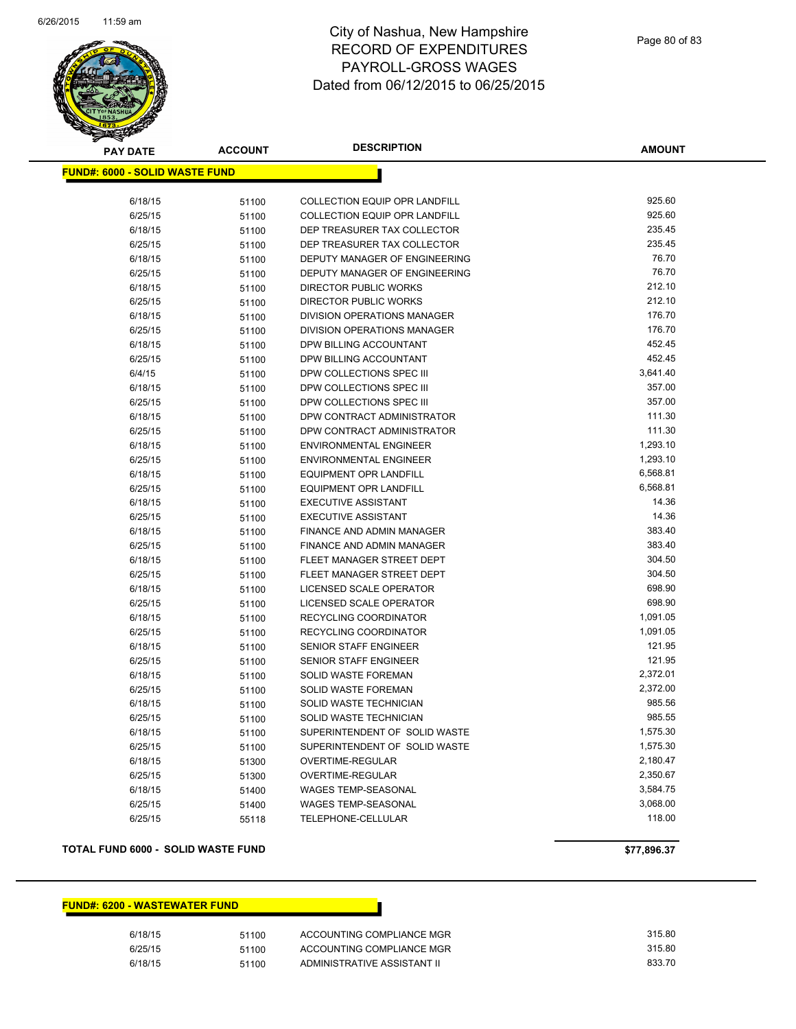

| <b>PAY DATE</b>                       | <b>ACCOUNT</b> | <b>DESCRIPTION</b>                                   | <b>AMOUNT</b>        |
|---------------------------------------|----------------|------------------------------------------------------|----------------------|
| <b>FUND#: 6000 - SOLID WASTE FUND</b> |                |                                                      |                      |
|                                       |                |                                                      |                      |
| 6/18/15                               | 51100          | <b>COLLECTION EQUIP OPR LANDFILL</b>                 | 925.60               |
| 6/25/15                               | 51100          | <b>COLLECTION EQUIP OPR LANDFILL</b>                 | 925.60               |
| 6/18/15                               | 51100          | DEP TREASURER TAX COLLECTOR                          | 235.45               |
| 6/25/15                               | 51100          | DEP TREASURER TAX COLLECTOR                          | 235.45               |
| 6/18/15                               | 51100          | DEPUTY MANAGER OF ENGINEERING                        | 76.70                |
| 6/25/15                               | 51100          | DEPUTY MANAGER OF ENGINEERING                        | 76.70                |
| 6/18/15                               | 51100          | DIRECTOR PUBLIC WORKS                                | 212.10               |
| 6/25/15                               | 51100          | <b>DIRECTOR PUBLIC WORKS</b>                         | 212.10               |
| 6/18/15                               | 51100          | <b>DIVISION OPERATIONS MANAGER</b>                   | 176.70               |
| 6/25/15                               | 51100          | <b>DIVISION OPERATIONS MANAGER</b>                   | 176.70               |
| 6/18/15                               | 51100          | DPW BILLING ACCOUNTANT                               | 452.45               |
| 6/25/15                               | 51100          | DPW BILLING ACCOUNTANT                               | 452.45               |
| 6/4/15                                | 51100          | DPW COLLECTIONS SPEC III                             | 3,641.40<br>357.00   |
| 6/18/15<br>6/25/15                    | 51100          | DPW COLLECTIONS SPEC III<br>DPW COLLECTIONS SPEC III | 357.00               |
| 6/18/15                               | 51100          | DPW CONTRACT ADMINISTRATOR                           | 111.30               |
| 6/25/15                               | 51100<br>51100 | DPW CONTRACT ADMINISTRATOR                           | 111.30               |
| 6/18/15                               | 51100          | <b>ENVIRONMENTAL ENGINEER</b>                        | 1,293.10             |
| 6/25/15                               | 51100          | <b>ENVIRONMENTAL ENGINEER</b>                        | 1,293.10             |
| 6/18/15                               | 51100          | <b>EQUIPMENT OPR LANDFILL</b>                        | 6,568.81             |
| 6/25/15                               | 51100          | <b>EQUIPMENT OPR LANDFILL</b>                        | 6,568.81             |
| 6/18/15                               | 51100          | <b>EXECUTIVE ASSISTANT</b>                           | 14.36                |
| 6/25/15                               | 51100          | <b>EXECUTIVE ASSISTANT</b>                           | 14.36                |
| 6/18/15                               | 51100          | FINANCE AND ADMIN MANAGER                            | 383.40               |
| 6/25/15                               | 51100          | FINANCE AND ADMIN MANAGER                            | 383.40               |
| 6/18/15                               | 51100          | FLEET MANAGER STREET DEPT                            | 304.50               |
| 6/25/15                               | 51100          | FLEET MANAGER STREET DEPT                            | 304.50               |
| 6/18/15                               | 51100          | LICENSED SCALE OPERATOR                              | 698.90               |
| 6/25/15                               | 51100          | LICENSED SCALE OPERATOR                              | 698.90               |
| 6/18/15                               | 51100          | RECYCLING COORDINATOR                                | 1,091.05             |
| 6/25/15                               | 51100          | RECYCLING COORDINATOR                                | 1,091.05             |
| 6/18/15                               | 51100          | SENIOR STAFF ENGINEER                                | 121.95               |
| 6/25/15                               | 51100          | <b>SENIOR STAFF ENGINEER</b>                         | 121.95               |
| 6/18/15                               | 51100          | <b>SOLID WASTE FOREMAN</b>                           | 2,372.01             |
| 6/25/15                               | 51100          | SOLID WASTE FOREMAN                                  | 2,372.00             |
| 6/18/15                               | 51100          | SOLID WASTE TECHNICIAN                               | 985.56               |
| 6/25/15                               | 51100          | SOLID WASTE TECHNICIAN                               | 985.55               |
| 6/18/15                               | 51100          | SUPERINTENDENT OF SOLID WASTE                        | 1,575.30             |
| 6/25/15                               | 51100          | SUPERINTENDENT OF SOLID WASTE                        | 1,575.30             |
| 6/18/15                               | 51300          | OVERTIME-REGULAR                                     | 2,180.47<br>2,350.67 |
| 6/25/15<br>6/18/15                    | 51300          | OVERTIME-REGULAR<br>WAGES TEMP-SEASONAL              | 3,584.75             |
| 6/25/15                               | 51400          | <b>WAGES TEMP-SEASONAL</b>                           | 3,068.00             |
| 6/25/15                               | 51400<br>55118 | TELEPHONE-CELLULAR                                   | 118.00               |
|                                       |                |                                                      |                      |

#### **TOTAL FUND 6000 - SOLID WASTE FUND \$77,896.37**

#### **FUND#: 6200 - WASTEWATER FUND**

| 6/18/15 | 51100 | ACCOUNTING COMPLIANCE MGR   | 315.80 |
|---------|-------|-----------------------------|--------|
| 6/25/15 | 51100 | ACCOUNTING COMPLIANCE MGR   | 315.80 |
| 6/18/15 | 51100 | ADMINISTRATIVE ASSISTANT II | 833.70 |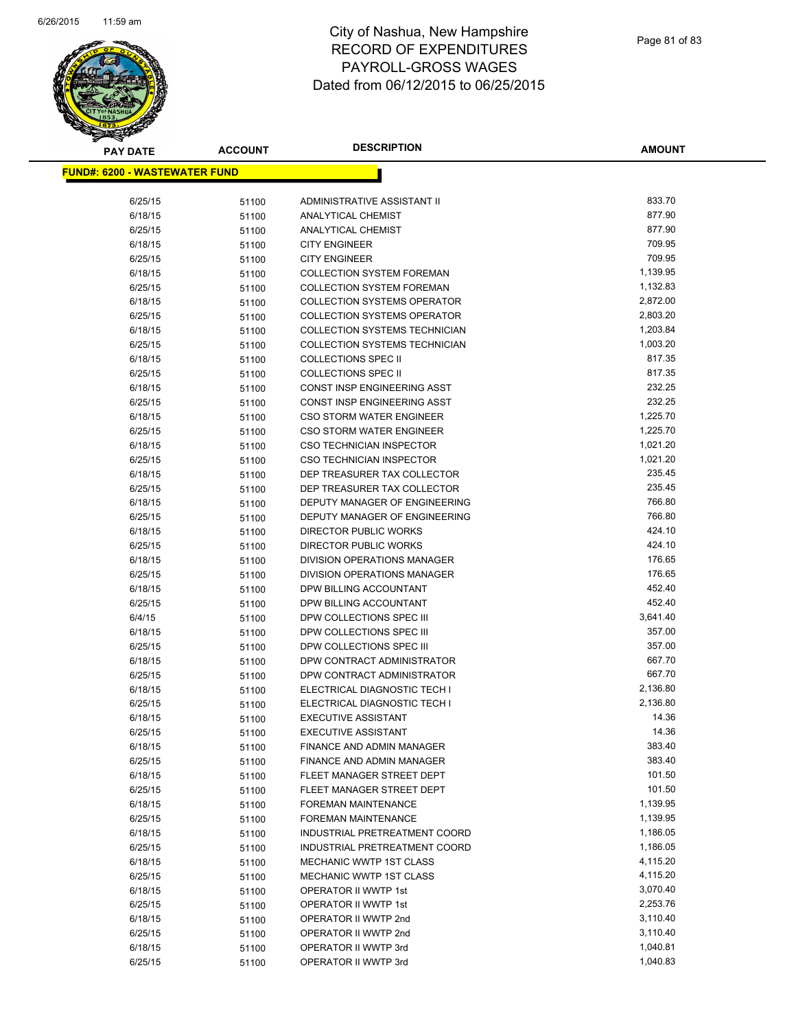

| <u> FUND#: 6200 - WASTEWATER FUND</u><br>833.70<br>6/25/15<br>ADMINISTRATIVE ASSISTANT II<br>51100<br>877.90<br>6/18/15<br>51100<br>ANALYTICAL CHEMIST<br>877.90<br>6/25/15<br>ANALYTICAL CHEMIST<br>51100<br>709.95<br>6/18/15<br><b>CITY ENGINEER</b><br>51100<br>709.95<br>6/25/15<br><b>CITY ENGINEER</b><br>51100<br>1,139.95<br>6/18/15<br><b>COLLECTION SYSTEM FOREMAN</b><br>51100<br>1,132.83<br>6/25/15<br><b>COLLECTION SYSTEM FOREMAN</b><br>51100<br>2,872.00<br>6/18/15<br><b>COLLECTION SYSTEMS OPERATOR</b><br>51100<br>2,803.20<br>6/25/15<br><b>COLLECTION SYSTEMS OPERATOR</b><br>51100<br>1,203.84<br>6/18/15<br>COLLECTION SYSTEMS TECHNICIAN<br>51100<br>1,003.20<br>6/25/15<br><b>COLLECTION SYSTEMS TECHNICIAN</b><br>51100 |  |
|-----------------------------------------------------------------------------------------------------------------------------------------------------------------------------------------------------------------------------------------------------------------------------------------------------------------------------------------------------------------------------------------------------------------------------------------------------------------------------------------------------------------------------------------------------------------------------------------------------------------------------------------------------------------------------------------------------------------------------------------------------|--|
|                                                                                                                                                                                                                                                                                                                                                                                                                                                                                                                                                                                                                                                                                                                                                     |  |
|                                                                                                                                                                                                                                                                                                                                                                                                                                                                                                                                                                                                                                                                                                                                                     |  |
|                                                                                                                                                                                                                                                                                                                                                                                                                                                                                                                                                                                                                                                                                                                                                     |  |
|                                                                                                                                                                                                                                                                                                                                                                                                                                                                                                                                                                                                                                                                                                                                                     |  |
|                                                                                                                                                                                                                                                                                                                                                                                                                                                                                                                                                                                                                                                                                                                                                     |  |
|                                                                                                                                                                                                                                                                                                                                                                                                                                                                                                                                                                                                                                                                                                                                                     |  |
|                                                                                                                                                                                                                                                                                                                                                                                                                                                                                                                                                                                                                                                                                                                                                     |  |
|                                                                                                                                                                                                                                                                                                                                                                                                                                                                                                                                                                                                                                                                                                                                                     |  |
|                                                                                                                                                                                                                                                                                                                                                                                                                                                                                                                                                                                                                                                                                                                                                     |  |
|                                                                                                                                                                                                                                                                                                                                                                                                                                                                                                                                                                                                                                                                                                                                                     |  |
|                                                                                                                                                                                                                                                                                                                                                                                                                                                                                                                                                                                                                                                                                                                                                     |  |
|                                                                                                                                                                                                                                                                                                                                                                                                                                                                                                                                                                                                                                                                                                                                                     |  |
|                                                                                                                                                                                                                                                                                                                                                                                                                                                                                                                                                                                                                                                                                                                                                     |  |
| 817.35<br>6/18/15<br><b>COLLECTIONS SPEC II</b><br>51100                                                                                                                                                                                                                                                                                                                                                                                                                                                                                                                                                                                                                                                                                            |  |
| 817.35<br>6/25/15<br><b>COLLECTIONS SPEC II</b><br>51100                                                                                                                                                                                                                                                                                                                                                                                                                                                                                                                                                                                                                                                                                            |  |
| 6/18/15<br>232.25<br>CONST INSP ENGINEERING ASST<br>51100                                                                                                                                                                                                                                                                                                                                                                                                                                                                                                                                                                                                                                                                                           |  |
| 232.25<br>6/25/15<br>CONST INSP ENGINEERING ASST<br>51100                                                                                                                                                                                                                                                                                                                                                                                                                                                                                                                                                                                                                                                                                           |  |
| 1,225.70<br>6/18/15<br><b>CSO STORM WATER ENGINEER</b><br>51100                                                                                                                                                                                                                                                                                                                                                                                                                                                                                                                                                                                                                                                                                     |  |
| 1,225.70<br>6/25/15<br><b>CSO STORM WATER ENGINEER</b><br>51100                                                                                                                                                                                                                                                                                                                                                                                                                                                                                                                                                                                                                                                                                     |  |
| 6/18/15<br>1,021.20<br><b>CSO TECHNICIAN INSPECTOR</b><br>51100                                                                                                                                                                                                                                                                                                                                                                                                                                                                                                                                                                                                                                                                                     |  |
| 1,021.20<br>6/25/15<br>51100<br><b>CSO TECHNICIAN INSPECTOR</b>                                                                                                                                                                                                                                                                                                                                                                                                                                                                                                                                                                                                                                                                                     |  |
| 235.45<br>6/18/15<br>DEP TREASURER TAX COLLECTOR<br>51100                                                                                                                                                                                                                                                                                                                                                                                                                                                                                                                                                                                                                                                                                           |  |
| 235.45<br>6/25/15<br>DEP TREASURER TAX COLLECTOR<br>51100                                                                                                                                                                                                                                                                                                                                                                                                                                                                                                                                                                                                                                                                                           |  |
| 766.80<br>6/18/15<br>DEPUTY MANAGER OF ENGINEERING<br>51100                                                                                                                                                                                                                                                                                                                                                                                                                                                                                                                                                                                                                                                                                         |  |
| 766.80<br>6/25/15<br>DEPUTY MANAGER OF ENGINEERING<br>51100                                                                                                                                                                                                                                                                                                                                                                                                                                                                                                                                                                                                                                                                                         |  |
| 424.10<br>6/18/15<br>DIRECTOR PUBLIC WORKS<br>51100                                                                                                                                                                                                                                                                                                                                                                                                                                                                                                                                                                                                                                                                                                 |  |
| 424.10<br>6/25/15<br>DIRECTOR PUBLIC WORKS<br>51100                                                                                                                                                                                                                                                                                                                                                                                                                                                                                                                                                                                                                                                                                                 |  |
| 176.65<br>6/18/15<br>DIVISION OPERATIONS MANAGER<br>51100                                                                                                                                                                                                                                                                                                                                                                                                                                                                                                                                                                                                                                                                                           |  |
| 176.65<br>6/25/15<br>DIVISION OPERATIONS MANAGER<br>51100                                                                                                                                                                                                                                                                                                                                                                                                                                                                                                                                                                                                                                                                                           |  |
| 452.40<br>6/18/15<br>DPW BILLING ACCOUNTANT<br>51100                                                                                                                                                                                                                                                                                                                                                                                                                                                                                                                                                                                                                                                                                                |  |
| 452.40<br>6/25/15<br>DPW BILLING ACCOUNTANT<br>51100                                                                                                                                                                                                                                                                                                                                                                                                                                                                                                                                                                                                                                                                                                |  |
| 3,641.40<br>6/4/15<br>DPW COLLECTIONS SPEC III<br>51100                                                                                                                                                                                                                                                                                                                                                                                                                                                                                                                                                                                                                                                                                             |  |
| 357.00<br>6/18/15<br>DPW COLLECTIONS SPEC III<br>51100                                                                                                                                                                                                                                                                                                                                                                                                                                                                                                                                                                                                                                                                                              |  |
| 357.00<br>6/25/15<br>DPW COLLECTIONS SPEC III<br>51100                                                                                                                                                                                                                                                                                                                                                                                                                                                                                                                                                                                                                                                                                              |  |
| 667.70<br>6/18/15<br>DPW CONTRACT ADMINISTRATOR<br>51100                                                                                                                                                                                                                                                                                                                                                                                                                                                                                                                                                                                                                                                                                            |  |
| 667.70<br>DPW CONTRACT ADMINISTRATOR<br>6/25/15<br>51100                                                                                                                                                                                                                                                                                                                                                                                                                                                                                                                                                                                                                                                                                            |  |
| 2,136.80<br>6/18/15<br>ELECTRICAL DIAGNOSTIC TECH I<br>51100<br>2,136.80                                                                                                                                                                                                                                                                                                                                                                                                                                                                                                                                                                                                                                                                            |  |
| ELECTRICAL DIAGNOSTIC TECH I<br>6/25/15<br>51100<br>14.36<br>6/18/15<br><b>EXECUTIVE ASSISTANT</b>                                                                                                                                                                                                                                                                                                                                                                                                                                                                                                                                                                                                                                                  |  |
| 51100<br>14.36<br>6/25/15<br><b>EXECUTIVE ASSISTANT</b>                                                                                                                                                                                                                                                                                                                                                                                                                                                                                                                                                                                                                                                                                             |  |
| 51100<br>383.40<br>6/18/15<br>FINANCE AND ADMIN MANAGER                                                                                                                                                                                                                                                                                                                                                                                                                                                                                                                                                                                                                                                                                             |  |
| 51100<br>383.40<br>6/25/15<br>FINANCE AND ADMIN MANAGER<br>51100                                                                                                                                                                                                                                                                                                                                                                                                                                                                                                                                                                                                                                                                                    |  |
| 101.50<br>FLEET MANAGER STREET DEPT<br>6/18/15<br>51100                                                                                                                                                                                                                                                                                                                                                                                                                                                                                                                                                                                                                                                                                             |  |
| 101.50<br>6/25/15<br>FLEET MANAGER STREET DEPT<br>51100                                                                                                                                                                                                                                                                                                                                                                                                                                                                                                                                                                                                                                                                                             |  |
| 1,139.95<br>6/18/15<br><b>FOREMAN MAINTENANCE</b><br>51100                                                                                                                                                                                                                                                                                                                                                                                                                                                                                                                                                                                                                                                                                          |  |
| 1,139.95<br>6/25/15<br>FOREMAN MAINTENANCE<br>51100                                                                                                                                                                                                                                                                                                                                                                                                                                                                                                                                                                                                                                                                                                 |  |
| 1,186.05<br>6/18/15<br>INDUSTRIAL PRETREATMENT COORD<br>51100                                                                                                                                                                                                                                                                                                                                                                                                                                                                                                                                                                                                                                                                                       |  |
| 1,186.05<br>6/25/15<br>INDUSTRIAL PRETREATMENT COORD<br>51100                                                                                                                                                                                                                                                                                                                                                                                                                                                                                                                                                                                                                                                                                       |  |
| 4,115.20<br>6/18/15<br><b>MECHANIC WWTP 1ST CLASS</b><br>51100                                                                                                                                                                                                                                                                                                                                                                                                                                                                                                                                                                                                                                                                                      |  |
| 4,115.20<br>6/25/15<br>MECHANIC WWTP 1ST CLASS<br>51100                                                                                                                                                                                                                                                                                                                                                                                                                                                                                                                                                                                                                                                                                             |  |
| 3,070.40<br>6/18/15<br>OPERATOR II WWTP 1st<br>51100                                                                                                                                                                                                                                                                                                                                                                                                                                                                                                                                                                                                                                                                                                |  |
| 6/25/15<br>OPERATOR II WWTP 1st<br>2,253.76<br>51100                                                                                                                                                                                                                                                                                                                                                                                                                                                                                                                                                                                                                                                                                                |  |
| 3,110.40<br>6/18/15<br>OPERATOR II WWTP 2nd<br>51100                                                                                                                                                                                                                                                                                                                                                                                                                                                                                                                                                                                                                                                                                                |  |
| 3,110.40<br>6/25/15<br>OPERATOR II WWTP 2nd<br>51100                                                                                                                                                                                                                                                                                                                                                                                                                                                                                                                                                                                                                                                                                                |  |
| 1,040.81<br>6/18/15<br>OPERATOR II WWTP 3rd<br>51100                                                                                                                                                                                                                                                                                                                                                                                                                                                                                                                                                                                                                                                                                                |  |
| 1,040.83<br>OPERATOR II WWTP 3rd<br>6/25/15<br>51100                                                                                                                                                                                                                                                                                                                                                                                                                                                                                                                                                                                                                                                                                                |  |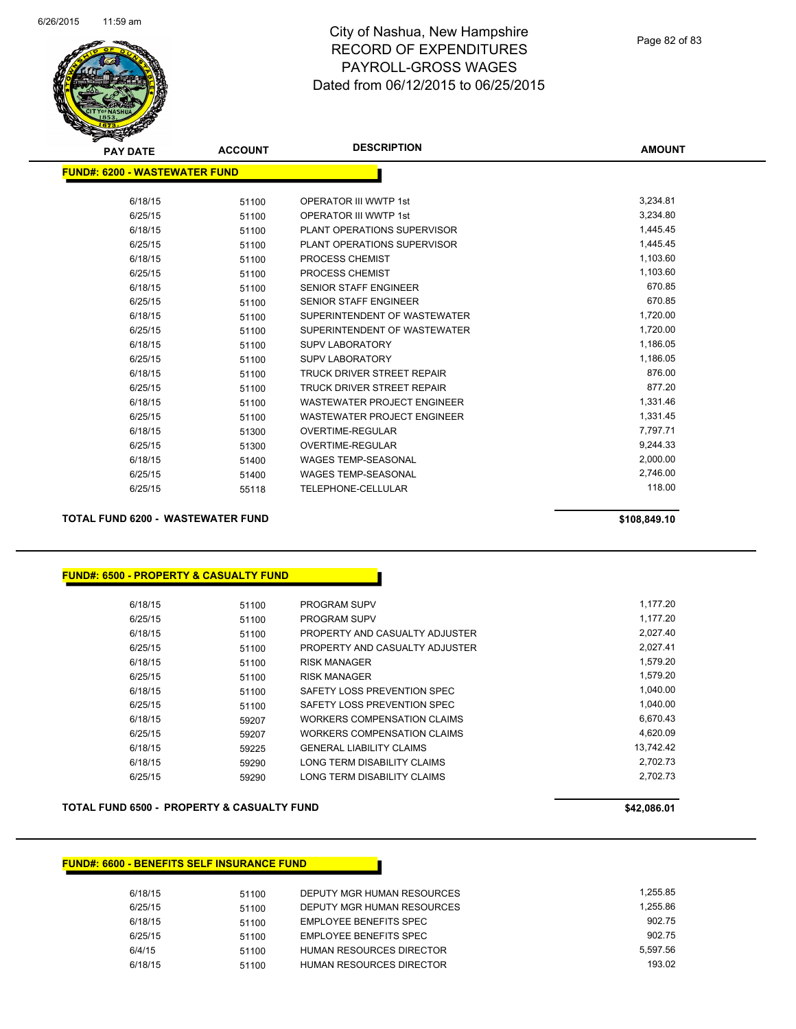

| <b>PAY DATE</b>                       | <b>ACCOUNT</b> | <b>DESCRIPTION</b>                 | <b>AMOUNT</b> |
|---------------------------------------|----------------|------------------------------------|---------------|
| <u> FUND#: 6200 - WASTEWATER FUND</u> |                |                                    |               |
|                                       |                |                                    |               |
| 6/18/15                               | 51100          | <b>OPERATOR III WWTP 1st</b>       | 3,234.81      |
| 6/25/15                               | 51100          | <b>OPERATOR III WWTP 1st</b>       | 3,234.80      |
| 6/18/15                               | 51100          | PLANT OPERATIONS SUPERVISOR        | 1,445.45      |
| 6/25/15                               | 51100          | PLANT OPERATIONS SUPERVISOR        | 1,445.45      |
| 6/18/15                               | 51100          | <b>PROCESS CHEMIST</b>             | 1,103.60      |
| 6/25/15                               | 51100          | <b>PROCESS CHEMIST</b>             | 1,103.60      |
| 6/18/15                               | 51100          | <b>SENIOR STAFF ENGINEER</b>       | 670.85        |
| 6/25/15                               | 51100          | <b>SENIOR STAFF ENGINEER</b>       | 670.85        |
| 6/18/15                               | 51100          | SUPERINTENDENT OF WASTEWATER       | 1,720.00      |
| 6/25/15                               | 51100          | SUPERINTENDENT OF WASTEWATER       | 1,720.00      |
| 6/18/15                               | 51100          | <b>SUPV LABORATORY</b>             | 1,186.05      |
| 6/25/15                               | 51100          | <b>SUPV LABORATORY</b>             | 1,186.05      |
| 6/18/15                               | 51100          | <b>TRUCK DRIVER STREET REPAIR</b>  | 876.00        |
| 6/25/15                               | 51100          | <b>TRUCK DRIVER STREET REPAIR</b>  | 877.20        |
| 6/18/15                               | 51100          | <b>WASTEWATER PROJECT ENGINEER</b> | 1,331.46      |
| 6/25/15                               | 51100          | <b>WASTEWATER PROJECT ENGINEER</b> | 1,331.45      |
| 6/18/15                               | 51300          | <b>OVERTIME-REGULAR</b>            | 7,797.71      |
| 6/25/15                               | 51300          | <b>OVERTIME-REGULAR</b>            | 9,244.33      |
| 6/18/15                               | 51400          | <b>WAGES TEMP-SEASONAL</b>         | 2,000.00      |
| 6/25/15                               | 51400          | <b>WAGES TEMP-SEASONAL</b>         | 2,746.00      |
| 6/25/15                               | 55118          | <b>TELEPHONE-CELLULAR</b>          | 118.00        |
|                                       |                |                                    |               |

**TOTAL FUND 6200 - WASTEWATER FUND \$108,849.10** 

**FUND#: 6500 - PROPERTY & CASUALTY FUND**

| 6/18/15 | 51100 | <b>PROGRAM SUPV</b>             | 1.177.20  |
|---------|-------|---------------------------------|-----------|
| 6/25/15 | 51100 | <b>PROGRAM SUPV</b>             | 1,177.20  |
| 6/18/15 | 51100 | PROPERTY AND CASUALTY ADJUSTER  | 2,027.40  |
| 6/25/15 | 51100 | PROPERTY AND CASUALTY ADJUSTER  | 2.027.41  |
| 6/18/15 | 51100 | <b>RISK MANAGER</b>             | 1.579.20  |
| 6/25/15 | 51100 | <b>RISK MANAGER</b>             | 1.579.20  |
| 6/18/15 | 51100 | SAFETY LOSS PREVENTION SPEC     | 1,040.00  |
| 6/25/15 | 51100 | SAFETY LOSS PREVENTION SPEC     | 1.040.00  |
| 6/18/15 | 59207 | WORKERS COMPENSATION CLAIMS     | 6.670.43  |
| 6/25/15 | 59207 | WORKERS COMPENSATION CLAIMS     | 4.620.09  |
| 6/18/15 | 59225 | <b>GENERAL LIABILITY CLAIMS</b> | 13.742.42 |
| 6/18/15 | 59290 | LONG TERM DISABILITY CLAIMS     | 2.702.73  |
| 6/25/15 | 59290 | LONG TERM DISABILITY CLAIMS     | 2.702.73  |

TOTAL FUND 6500 - PROPERTY & CASUALTY FUND<br>
\$42,086.01

#### **FUND#: 6600 - BENEFITS SELF INSURANCE FUND**

| 51100 | DEPUTY MGR HUMAN RESOURCES | 1.255.85 |
|-------|----------------------------|----------|
| 51100 | DEPUTY MGR HUMAN RESOURCES | 1.255.86 |
| 51100 | EMPLOYEE BENEFITS SPEC     | 902.75   |
| 51100 | EMPLOYEE BENEFITS SPEC     | 902.75   |
| 51100 | HUMAN RESOURCES DIRECTOR   | 5.597.56 |
| 51100 | HUMAN RESOURCES DIRECTOR   | 193.02   |
|       |                            |          |